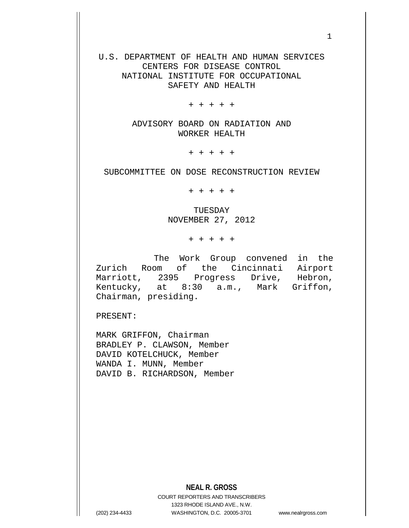U.S. DEPARTMENT OF HEALTH AND HUMAN SERVICES CENTERS FOR DISEASE CONTROL NATIONAL INSTITUTE FOR OCCUPATIONAL SAFETY AND HEALTH

+ + + + +

ADVISORY BOARD ON RADIATION AND WORKER HEALTH

+ + + + +

SUBCOMMITTEE ON DOSE RECONSTRUCTION REVIEW

+ + + + +

TUESDAY NOVEMBER 27, 2012

+ + + + +

The Work Group convened in the Zurich Room of the Cincinnati Airport Marriott, 2395 Progress Drive, Hebron, Kentucky, at 8:30 a.m., Mark Griffon, Chairman, presiding.

PRESENT:

MARK GRIFFON, Chairman BRADLEY P. CLAWSON, Member DAVID KOTELCHUCK, Member WANDA I. MUNN, Member DAVID B. RICHARDSON, Member

COURT REPORTERS AND TRANSCRIBERS 1323 RHODE ISLAND AVE., N.W. (202) 234-4433 WASHINGTON, D.C. 20005-3701 www.nealrgross.com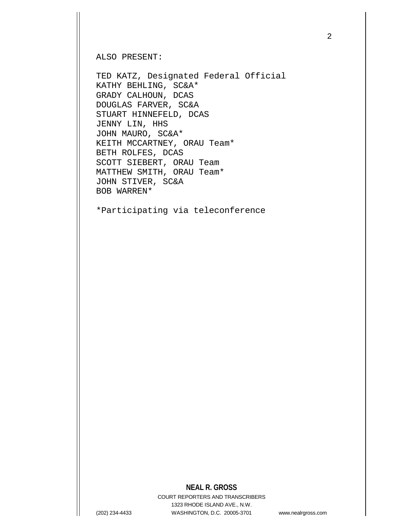ALSO PRESENT:

TED KATZ, Designated Federal Official KATHY BEHLING, SC&A\* GRADY CALHOUN, DCAS DOUGLAS FARVER, SC&A STUART HINNEFELD, DCAS JENNY LIN, HHS JOHN MAURO, SC&A\* KEITH MCCARTNEY, ORAU Team\* BETH ROLFES, DCAS SCOTT SIEBERT, ORAU Team MATTHEW SMITH, ORAU Team\* JOHN STIVER, SC&A BOB WARREN\*

\*Participating via teleconference

## **NEAL R. GROSS**

COURT REPORTERS AND TRANSCRIBERS 1323 RHODE ISLAND AVE., N.W. (202) 234-4433 WASHINGTON, D.C. 20005-3701 www.nealrgross.com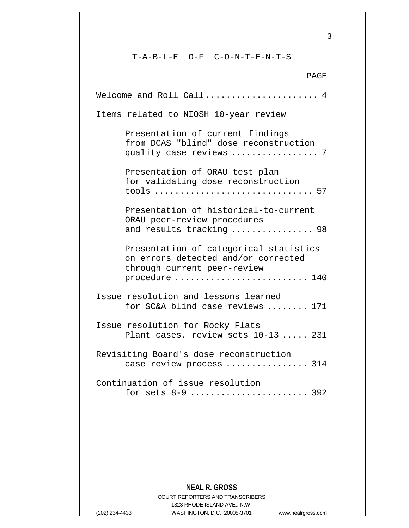T-A-B-L-E O-F C-O-N-T-E-N-T-S

PAGE Welcome and Roll Call...................... 4 Items related to NIOSH 10-year review Presentation of current findings from DCAS "blind" dose reconstruction quality case reviews ................. 7 Presentation of ORAU test plan for validating dose reconstruction tools ............................... 57 Presentation of historical-to-current ORAU peer-review procedures and results tracking ................ 98 Presentation of categorical statistics on errors detected and/or corrected through current peer-review procedure ............................. 140 Issue resolution and lessons learned for SC&A blind case reviews ........ 171 Issue resolution for Rocky Flats Plant cases, review sets 10-13 ..... 231 Revisiting Board's dose reconstruction case review process .................. 314 Continuation of issue resolution for sets 8-9 ....................... 392

**NEAL R. GROSS**

COURT REPORTERS AND TRANSCRIBERS 1323 RHODE ISLAND AVE., N.W. (202) 234-4433 WASHINGTON, D.C. 20005-3701 www.nealrgross.com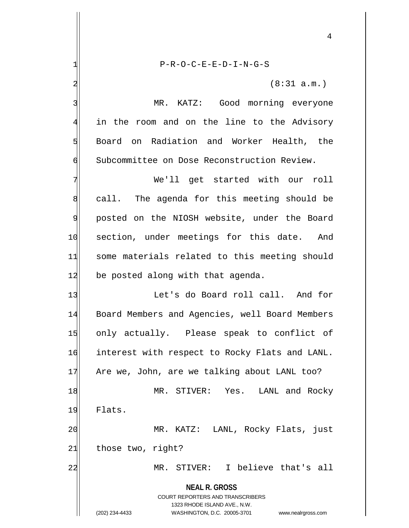**NEAL R. GROSS** COURT REPORTERS AND TRANSCRIBERS 1323 RHODE ISLAND AVE., N.W. (202) 234-4433 WASHINGTON, D.C. 20005-3701 www.nealrgross.com 1| P-R-O-C-E-E-D-I-N-G-S  $2 \mid$  (8:31 a.m.) 3 MR. KATZ: Good morning everyone 4 in the room and on the line to the Advisory 5 Board on Radiation and Worker Health, the 6 Subcommittee on Dose Reconstruction Review. 7 We'll get started with our roll 8 call. The agenda for this meeting should be 9 | posted on the NIOSH website, under the Board 10 section, under meetings for this date. And 11 some materials related to this meeting should 12 be posted along with that agenda. 13 Let's do Board roll call. And for 14 Board Members and Agencies, well Board Members 15 only actually. Please speak to conflict of 16 interest with respect to Rocky Flats and LANL. 17 Are we, John, are we talking about LANL too? 18 MR. STIVER: Yes. LANL and Rocky 19 Flats. 20 MR. KATZ: LANL, Rocky Flats, just 21 those two, right? 22 MR. STIVER: I believe that's all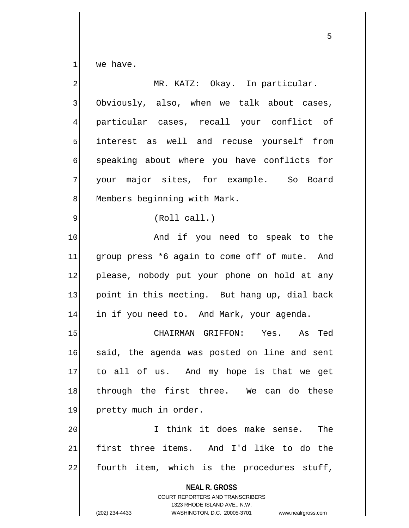$\frac{1}{\sqrt{1}}$  we have.

| $\overline{\mathbf{c}}$ | MR. KATZ: Okay. In particular.                                                                                                                                         |
|-------------------------|------------------------------------------------------------------------------------------------------------------------------------------------------------------------|
| $\mathsf{B}$            | Obviously, also, when we talk about cases,                                                                                                                             |
| $\overline{4}$          | particular cases, recall your conflict of                                                                                                                              |
| $\overline{5}$          | interest as well and recuse yourself from                                                                                                                              |
| 6                       | speaking about where you have conflicts for                                                                                                                            |
| 7                       | your major sites, for example. So Board                                                                                                                                |
| $8\,$                   | Members beginning with Mark.                                                                                                                                           |
| $\overline{9}$          | (Roll call.)                                                                                                                                                           |
| 10                      | And if you need to speak to the                                                                                                                                        |
| 11                      | group press *6 again to come off of mute. And                                                                                                                          |
| 12                      | please, nobody put your phone on hold at any                                                                                                                           |
| 13                      | point in this meeting. But hang up, dial back                                                                                                                          |
| 14                      | in if you need to. And Mark, your agenda.                                                                                                                              |
| 15                      | CHAIRMAN GRIFFON: Yes. As Ted                                                                                                                                          |
| 16                      | said, the agenda was posted on line and sent                                                                                                                           |
| 17                      | to all of us. And my hope is that we get                                                                                                                               |
| 18                      | through the first three. We can do these                                                                                                                               |
| 19                      | pretty much in order.                                                                                                                                                  |
| 20                      | I think it does make sense.<br>The                                                                                                                                     |
| 21                      | first three items. And I'd like to do the                                                                                                                              |
| 22                      | fourth item, which is the procedures stuff,                                                                                                                            |
|                         | <b>NEAL R. GROSS</b><br><b>COURT REPORTERS AND TRANSCRIBERS</b><br>1323 RHODE ISLAND AVE., N.W.<br>(202) 234-4433<br>WASHINGTON, D.C. 20005-3701<br>www.nealrgross.com |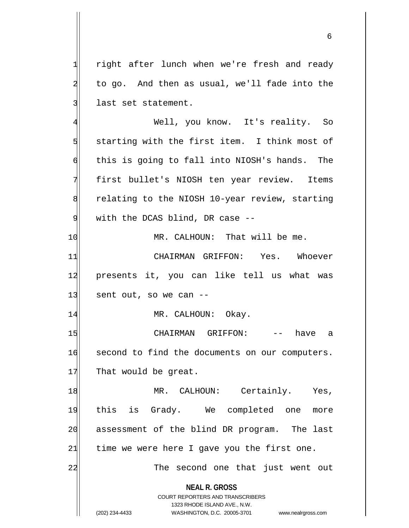1 right after lunch when we're fresh and ready  $2$  to go. And then as usual, we'll fade into the 3 last set statement.

 Well, you know. It's reality. So starting with the first item. I think most of  $\mathfrak{h}$  this is going to fall into NIOSH's hands. The first bullet's NIOSH ten year review. Items 8 8 relating to the NIOSH 10-year review, starting with the DCAS blind, DR case  $-$ 

10 MR. CALHOUN: That will be me.

11 CHAIRMAN GRIFFON: Yes. Whoever 12 presents it, you can like tell us what was  $13$  sent out, so we can  $-$ 

14 MR. CALHOUN: Okay.

15 | CHAIRMAN GRIFFON: -- have a 16 second to find the documents on our computers. 17 That would be great.

18 MR. CALHOUN: Certainly. Yes, 19 this is Grady. We completed one more 20 assessment of the blind DR program. The last  $21$  time we were here I gave you the first one. 22 and 22 The second one that just went out

> **NEAL R. GROSS** COURT REPORTERS AND TRANSCRIBERS

> > 1323 RHODE ISLAND AVE., N.W.

(202) 234-4433 WASHINGTON, D.C. 20005-3701 www.nealrgross.com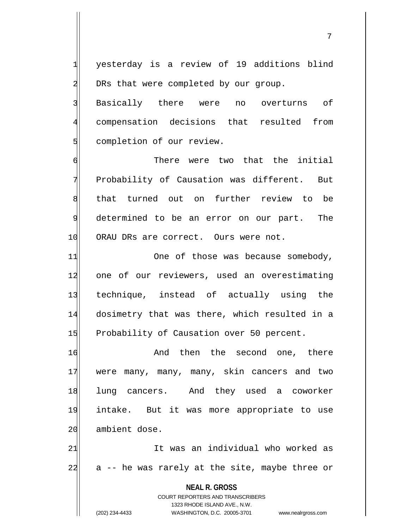7

1 yesterday is a review of 19 additions blind  $2$  DRs that were completed by our group.

3 Basically there were no overturns of 4 compensation decisions that resulted from 5 completion of our review.

6 6 There were two that the initial 7 Probability of Causation was different. But 8 | that turned out on further review to be 9 determined to be an error on our part. The 10 ORAU DRs are correct. Ours were not.

11 One of those was because somebody, 12 one of our reviewers, used an overestimating 13 technique, instead of actually using the 14 dosimetry that was there, which resulted in a 15 Probability of Causation over 50 percent.

16 and then the second one, there 17 were many, many, many, skin cancers and two 18 lung cancers. And they used a coworker 19 intake. But it was more appropriate to use 20 ambient dose.

21 It was an individual who worked as  $22$  a  $-$  he was rarely at the site, maybe three or

> **NEAL R. GROSS** COURT REPORTERS AND TRANSCRIBERS 1323 RHODE ISLAND AVE., N.W. (202) 234-4433 WASHINGTON, D.C. 20005-3701 www.nealrgross.com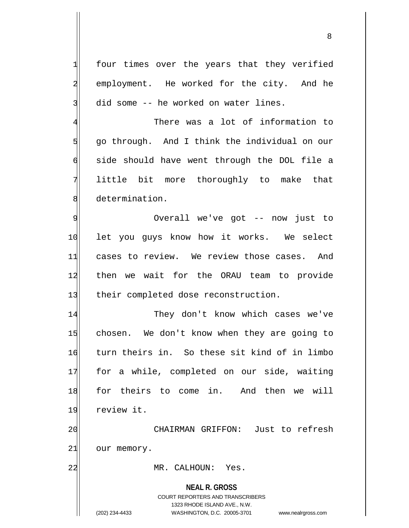$1$  four times over the years that they verified 2 employment. He worked for the city. And he 3 did some -- he worked on water lines.

4 There was a lot of information to  $5$  go through. And I think the individual on our  $\mathfrak{h}$  side should have went through the DOL file a 7 little bit more thoroughly to make that 8 determination.

9 Overall we've got -- now just to 10 let you guys know how it works. We select 11 cases to review. We review those cases. And 12 then we wait for the ORAU team to provide 13 their completed dose reconstruction.

14 They don't know which cases we've 15 chosen. We don't know when they are going to 16 turn theirs in. So these sit kind of in limbo 17 for a while, completed on our side, waiting 18 for theirs to come in. And then we will 19 review it.

20 CHAIRMAN GRIFFON: Just to refresh 21 our memory.

22 MR. CALHOUN: Yes.

**NEAL R. GROSS**

COURT REPORTERS AND TRANSCRIBERS 1323 RHODE ISLAND AVE., N.W. (202) 234-4433 WASHINGTON, D.C. 20005-3701 www.nealrgross.com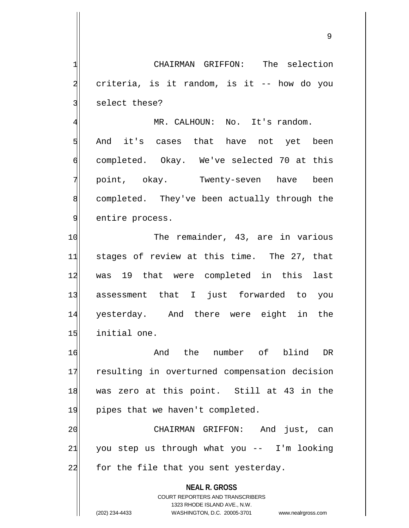1| CHAIRMAN GRIFFON: The selection  $2$  criteria, is it random, is it -- how do you 3 select these? 4 MR. CALHOUN: No. It's random.

5 | And it's cases that have not yet been 6 completed. Okay. We've selected 70 at this 7 point, okay. Twenty-seven have been 8 completed. They've been actually through the 9 entire process.

10 The remainder, 43, are in various 11 stages of review at this time. The 27, that 12 was 19 that were completed in this last 13 assessment that I just forwarded to you 14 yesterday. And there were eight in the 15 initial one.

16 And the number of blind DR 17 resulting in overturned compensation decision 18 was zero at this point. Still at 43 in the 19 pipes that we haven't completed.

20 CHAIRMAN GRIFFON: And just, can  $21$  you step us through what you -- I'm looking 22 for the file that you sent yesterday.

> **NEAL R. GROSS** COURT REPORTERS AND TRANSCRIBERS 1323 RHODE ISLAND AVE., N.W. (202) 234-4433 WASHINGTON, D.C. 20005-3701 www.nealrgross.com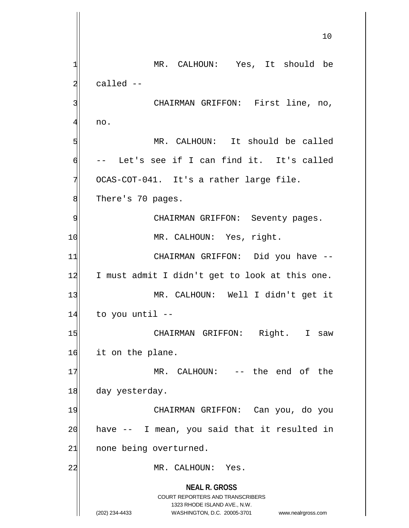**NEAL R. GROSS** COURT REPORTERS AND TRANSCRIBERS 1323 RHODE ISLAND AVE., N.W. (202) 234-4433 WASHINGTON, D.C. 20005-3701 www.nealrgross.com 10 1| MR. CALHOUN: Yes, It should be  $2$  called  $-$ 3 | CHAIRMAN GRIFFON: First line, no, 41 no. 5 MR. CALHOUN: It should be called  $\mathfrak{h}$  -- Let's see if I can find it. It's called  $7$  OCAS-COT-041. It's a rather large file. 8 There's 70 pages. 9 | CHAIRMAN GRIFFON: Seventy pages. 10 MR. CALHOUN: Yes, right. 11 CHAIRMAN GRIFFON: Did you have -- $12$  I must admit I didn't get to look at this one. 13 MR. CALHOUN: Well I didn't get it 14 to you until --15 CHAIRMAN GRIFFON: Right. I saw 16 it on the plane. 17 MR. CALHOUN: -- the end of the 18 day yesterday. 19 | CHAIRMAN GRIFFON: Can you, do you  $20$  have  $-$  I mean, you said that it resulted in 21 none being overturned. 22 MR. CALHOUN: Yes.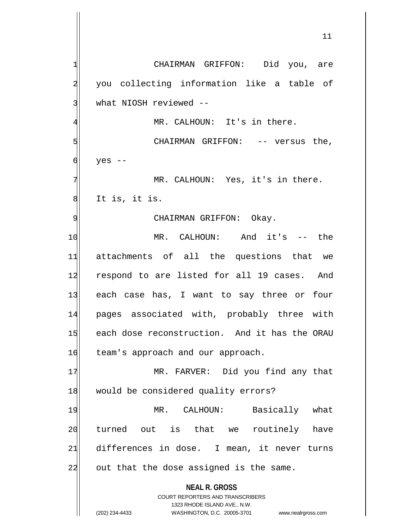**NEAL R. GROSS** COURT REPORTERS AND TRANSCRIBERS 1323 RHODE ISLAND AVE., N.W. (202) 234-4433 WASHINGTON, D.C. 20005-3701 www.nealrgross.com 1 CHAIRMAN GRIFFON: Did you, are 2 you collecting information like a table of 3 what NIOSH reviewed --4 MR. CALHOUN: It's in there. 5 S  $6$  yes  $-$ 7 MR. CALHOUN: Yes, it's in there.  $|8|$  It is, it is. 9 | CHAIRMAN GRIFFON: Okay. 10 MR. CALHOUN: And it's -- the 11 attachments of all the questions that we 12 respond to are listed for all 19 cases. And 13 each case has, I want to say three or four 14 pages associated with, probably three with 15 each dose reconstruction. And it has the ORAU 16 team's approach and our approach. 17 MR. FARVER: Did you find any that 18 would be considered quality errors? 19 MR. CALHOUN: Basically what 20 turned out is that we routinely have 21 differences in dose. I mean, it never turns 22 out that the dose assigned is the same.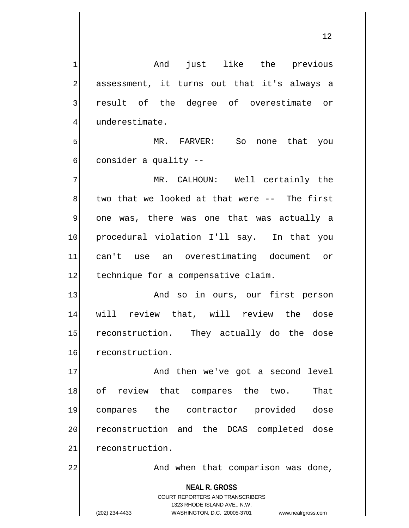12

**NEAL R. GROSS** COURT REPORTERS AND TRANSCRIBERS 1323 RHODE ISLAND AVE., N.W. (202) 234-4433 WASHINGTON, D.C. 20005-3701 www.nealrgross.com 1 and just like the previous 2 assessment, it turns out that it's always a 3 result of the degree of overestimate or 4 underestimate. 5 | So none that you  $6$  consider a quality  $-$ 7 MR. CALHOUN: Well certainly the  $8$  two that we looked at that were  $-$ - The first 9 one was, there was one that was actually a 10 procedural violation I'll say. In that you 11 can't use an overestimating document or 12 technique for a compensative claim. 13 And so in ours, our first person 14 will review that, will review the dose 15 reconstruction. They actually do the dose 16 reconstruction. 17 And then we've got a second level 18 of review that compares the two. That 19 compares the contractor provided dose 20 reconstruction and the DCAS completed dose 21 reconstruction. 22 and when that comparison was done,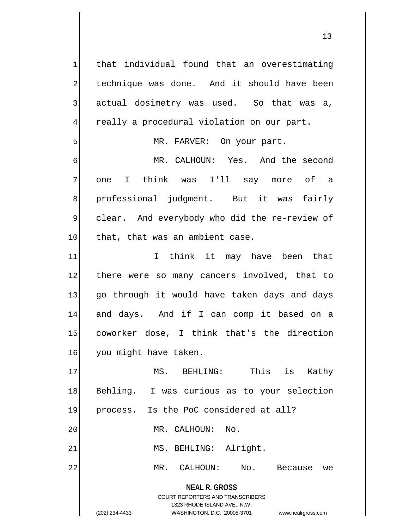**NEAL R. GROSS** COURT REPORTERS AND TRANSCRIBERS 1323 RHODE ISLAND AVE., N.W. (202) 234-4433 WASHINGTON, D.C. 20005-3701 www.nealrgross.com  $1$  that individual found that an overestimating 2 technique was done. And it should have been  $3$  actual dosimetry was used. So that was a, 4 really a procedural violation on our part. 5 | MR. FARVER: On your part. 6 MR. CALHOUN: Yes. And the second 7 one I think was I'll say more of a 8 professional judgment. But it was fairly 9 clear. And everybody who did the re-review of 10 that, that was an ambient case. 11 I think it may have been that 12 there were so many cancers involved, that to 13 go through it would have taken days and days 14 and days. And if I can comp it based on a 15 coworker dose, I think that's the direction 16 you might have taken. 17 MS. BEHLING: This is Kathy 18 Behling. I was curious as to your selection 19 process. Is the PoC considered at all? 20 MR. CALHOUN: No. 21 MS. BEHLING: Alright. 22 MR. CALHOUN: No. Because we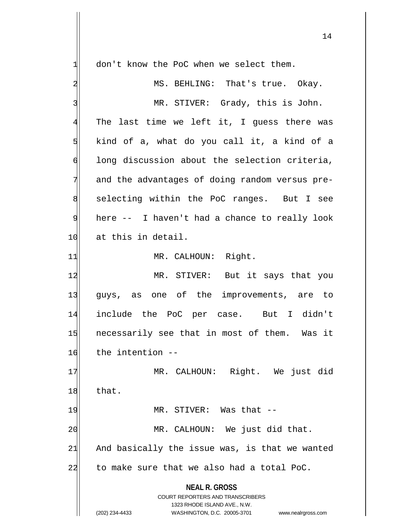**NEAL R. GROSS** COURT REPORTERS AND TRANSCRIBERS 1323 RHODE ISLAND AVE., N.W. (202) 234-4433 WASHINGTON, D.C. 20005-3701 www.nealrgross.com  $1$  don't know the PoC when we select them. 2 MS. BEHLING: That's true. Okay. 3 MR. STIVER: Grady, this is John.  $4$  The last time we left it, I guess there was  $5$  kind of a, what do you call it, a kind of a 6 long discussion about the selection criteria, 7 and the advantages of doing random versus pre-8 selecting within the PoC ranges. But I see 9 here -- I haven't had a chance to really look 10 at this in detail. 11 MR. CALHOUN: Right. 12 MR. STIVER: But it says that you 13 guys, as one of the improvements, are to 14 include the PoC per case. But I didn't 15 necessarily see that in most of them. Was it 16 the intention --17 MR. CALHOUN: Right. We just did 18 that. 19 MR. STIVER: Was that --20 MR. CALHOUN: We just did that.  $21$  And basically the issue was, is that we wanted  $22$  to make sure that we also had a total PoC.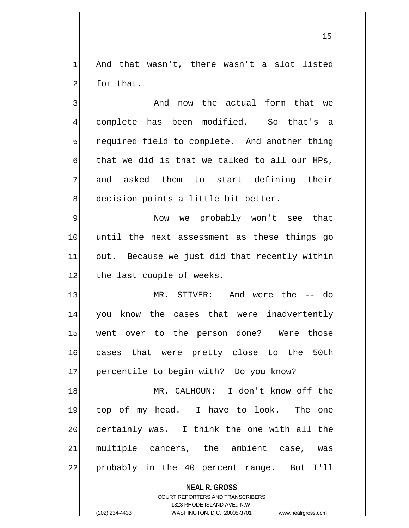1 And that wasn't, there wasn't a slot listed 2 for that.

3 and now the actual form that we 4 complete has been modified. So that's a 5 5 5 5 5 5 1 required field to complete. And another thing  $\left| \right|$  that we did is that we talked to all our HPs, 7 and asked them to start defining their 8 decision points a little bit better.

9 | Now we probably won't see that 10 until the next assessment as these things go  $11$  out. Because we just did that recently within 12 the last couple of weeks.

13 MR. STIVER: And were the -- do 14 you know the cases that were inadvertently 15 went over to the person done? Were those 16 cases that were pretty close to the 50th 17 percentile to begin with? Do you know?

18 MR. CALHOUN: I don't know off the 19 top of my head. I have to look. The one 20 certainly was. I think the one with all the 21 multiple cancers, the ambient case, was 22 probably in the 40 percent range. But I'll

**NEAL R. GROSS**

COURT REPORTERS AND TRANSCRIBERS 1323 RHODE ISLAND AVE., N.W. (202) 234-4433 WASHINGTON, D.C. 20005-3701 www.nealrgross.com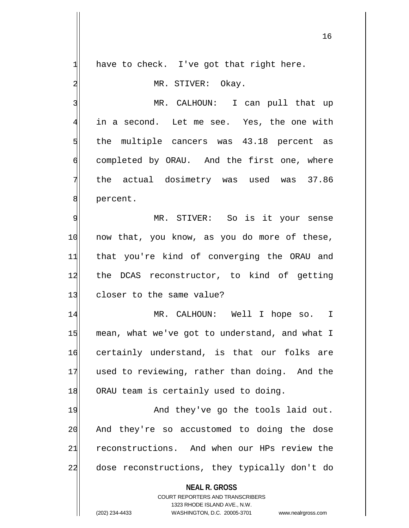$1$  have to check. I've got that right here.

2 MR. STIVER: Okay.

3 MR. CALHOUN: I can pull that up in a second. Let me see. Yes, the one with 5 5 5 5 5 s, the multiple cancers was 43.18 percent as completed by ORAU. And the first one, where the actual dosimetry was used was 37.86 **8** percent.

9 MR. STIVER: So is it your sense 10 now that, you know, as you do more of these, 11 that you're kind of converging the ORAU and 12 the DCAS reconstructor, to kind of getting 13 closer to the same value?

14 MR. CALHOUN: Well I hope so. I 15 mean, what we've got to understand, and what I 16 certainly understand, is that our folks are 17 used to reviewing, rather than doing. And the 18 ORAU team is certainly used to doing.

19 And they've go the tools laid out. 20 And they're so accustomed to doing the dose 21 reconstructions. And when our HPs review the 22 dose reconstructions, they typically don't do

**NEAL R. GROSS**

COURT REPORTERS AND TRANSCRIBERS 1323 RHODE ISLAND AVE., N.W. (202) 234-4433 WASHINGTON, D.C. 20005-3701 www.nealrgross.com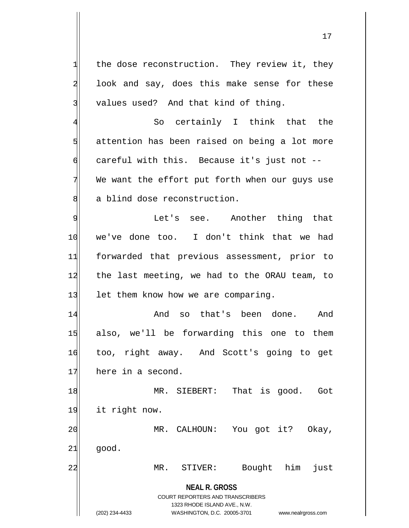$1$  the dose reconstruction. They review it, they 2 look and say, does this make sense for these  $3$  values used? And that kind of thing.

4 So certainly I think that the  $5$  attention has been raised on being a lot more  $\mathsf{d}$  careful with this. Because it's just not -- $7$  We want the effort put forth when our guys use 8 a blind dose reconstruction.

9 See. Another thing that 10 we've done too. I don't think that we had 11 forwarded that previous assessment, prior to 12 the last meeting, we had to the ORAU team, to 13 let them know how we are comparing.

14 and so that's been done. And 15 also, we'll be forwarding this one to them 16 too, right away. And Scott's going to get 17 here in a second.

18 MR. SIEBERT: That is good. Got 19 it right now. 20 MR. CALHOUN: You got it? Okay,

 $21$   $qood.$ 

22 MR. STIVER: Bought him just

**NEAL R. GROSS** COURT REPORTERS AND TRANSCRIBERS 1323 RHODE ISLAND AVE., N.W.

(202) 234-4433 WASHINGTON, D.C. 20005-3701 www.nealrgross.com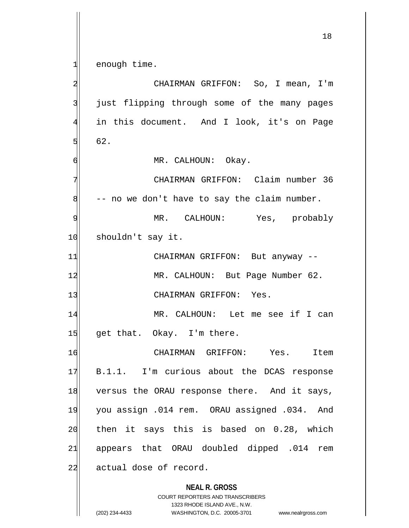**NEAL R. GROSS** COURT REPORTERS AND TRANSCRIBERS 1323 RHODE ISLAND AVE., N.W.  $1$  enough time. 2 | CHAIRMAN GRIFFON: So, I mean, I'm 3 just flipping through some of the many pages 4 in this document. And I look, it's on Page  $5$  62. 6 MR. CALHOUN: Okay. 7 | CHAIRMAN GRIFFON: Claim number 36  $8$  -- no we don't have to say the claim number. 9 MR. CALHOUN: Yes, probably 10 shouldn't say it. 11 CHAIRMAN GRIFFON: But anyway --12 MR. CALHOUN: But Page Number 62. 13 CHAIRMAN GRIFFON: Yes. 14 MR. CALHOUN: Let me see if I can 15 get that. Okay. I'm there. 16 CHAIRMAN GRIFFON: Yes. Item 17 B.1.1. I'm curious about the DCAS response 18 versus the ORAU response there. And it says, 19 you assign .014 rem. ORAU assigned .034. And  $20$  then it says this is based on 0.28, which 21 appears that ORAU doubled dipped .014 rem 22 actual dose of record.

(202) 234-4433 WASHINGTON, D.C. 20005-3701 www.nealrgross.com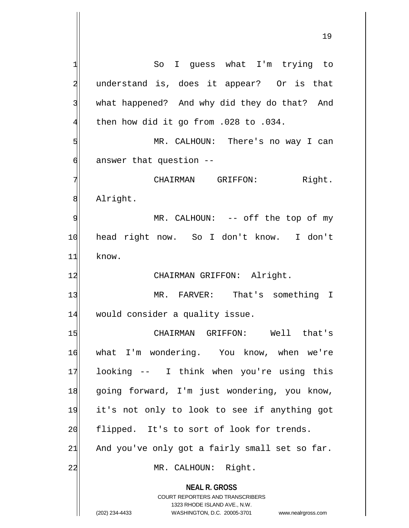**NEAL R. GROSS** COURT REPORTERS AND TRANSCRIBERS 1323 RHODE ISLAND AVE., N.W. (202) 234-4433 WASHINGTON, D.C. 20005-3701 www.nealrgross.com 1 So I guess what I'm trying to 2 understand is, does it appear? Or is that 3 what happened? And why did they do that? And  $4$  then how did it go from .028 to .034. 5 MR. CALHOUN: There's no way I can  $6$  answer that question  $-$ 7 CHAIRMAN GRIFFON: Right. 8 Alright. 9 | MR. CALHOUN: -- off the top of my 10 head right now. So I don't know. I don't 11 know. 12 CHAIRMAN GRIFFON: Alright. 13 MR. FARVER: That's something I 14 would consider a quality issue. 15 | CHAIRMAN GRIFFON: Well that's 16 what I'm wondering. You know, when we're 17 looking -- I think when you're using this 18 going forward, I'm just wondering, you know, 19 it's not only to look to see if anything got 20 flipped. It's to sort of look for trends.  $21$  And you've only got a fairly small set so far. 22 MR. CALHOUN: Right.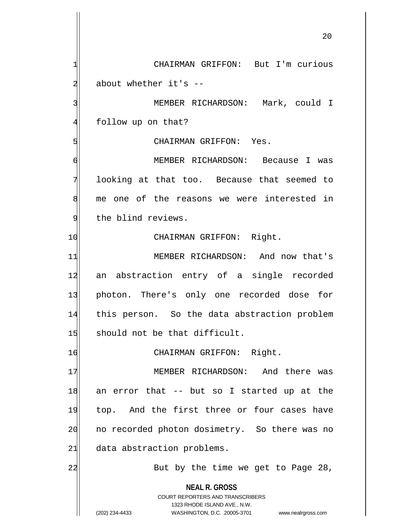**NEAL R. GROSS** COURT REPORTERS AND TRANSCRIBERS 1323 RHODE ISLAND AVE., N.W. (202) 234-4433 WASHINGTON, D.C. 20005-3701 www.nealrgross.com 1 CHAIRMAN GRIFFON: But I'm curious  $2$  about whether it's  $-$ 3 | MEMBER RICHARDSON: Mark, could I 4 follow up on that? 5 GHAIRMAN GRIFFON: Yes. 6 MEMBER RICHARDSON: Because I was 7 looking at that too. Because that seemed to 8 me one of the reasons we were interested in 9 the blind reviews. 10 CHAIRMAN GRIFFON: Right. 11 MEMBER RICHARDSON: And now that's 12 an abstraction entry of a single recorded 13 photon. There's only one recorded dose for 14 this person. So the data abstraction problem  $15$  should not be that difficult. 16 CHAIRMAN GRIFFON: Right. 17 MEMBER RICHARDSON: And there was 18 an error that -- but so I started up at the 19 top. And the first three or four cases have 20 no recorded photon dosimetry. So there was no 21 data abstraction problems. 22 But by the time we get to Page 28,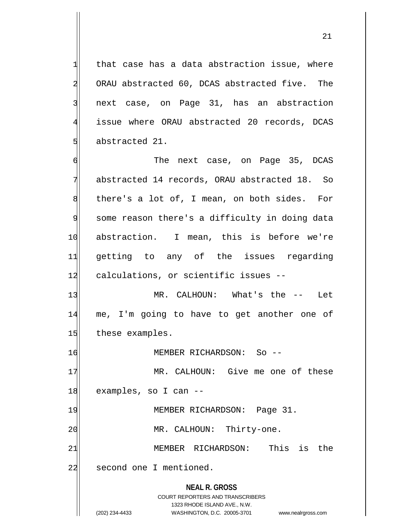that case has a data abstraction issue, where 2 ORAU abstracted 60, DCAS abstracted five. The next case, on Page 31, has an abstraction issue where ORAU abstracted 20 records, DCAS abstracted 21.

6 The next case, on Page 35, DCAS 7 abstracted 14 records, ORAU abstracted 18. So  $8$  there's a lot of, I mean, on both sides. For 9 some reason there's a difficulty in doing data 10 abstraction. I mean, this is before we're 11 getting to any of the issues regarding 12 calculations, or scientific issues --

13 MR. CALHOUN: What's the -- Let 14 me, I'm going to have to get another one of 15 these examples.

16 MEMBER RICHARDSON: So --

17 MR. CALHOUN: Give me one of these 18 examples, so I can --

19 MEMBER RICHARDSON: Page 31.

20 MR. CALHOUN: Thirty-one.

21 MEMBER RICHARDSON: This is the

22 second one I mentioned.

**NEAL R. GROSS** COURT REPORTERS AND TRANSCRIBERS

1323 RHODE ISLAND AVE., N.W.

(202) 234-4433 WASHINGTON, D.C. 20005-3701 www.nealrgross.com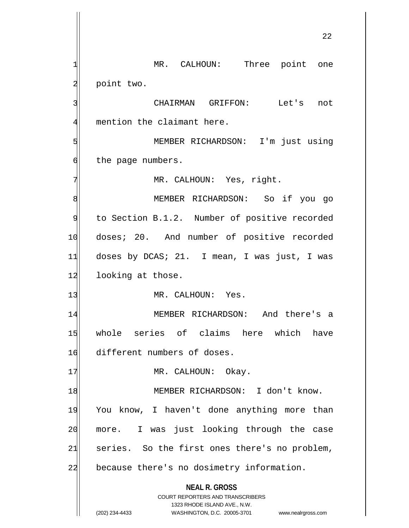**NEAL R. GROSS** COURT REPORTERS AND TRANSCRIBERS 1323 RHODE ISLAND AVE., N.W. (202) 234-4433 WASHINGTON, D.C. 20005-3701 www.nealrgross.com 1 MR. CALHOUN: Three point one 2 point two. 3 | CHAIRMAN GRIFFON: Let's not 4 mention the claimant here. 5 MEMBER RICHARDSON: I'm just using 6 the page numbers. 7 MR. CALHOUN: Yes, right. 8 | NEMBER RICHARDSON: So if you go 9 to Section B.1.2. Number of positive recorded 10 doses; 20. And number of positive recorded  $11$  doses by DCAS; 21. I mean, I was just, I was 12 looking at those. 13 MR. CALHOUN: Yes. 14 MEMBER RICHARDSON: And there's a 15 whole series of claims here which have 16 different numbers of doses. 17 MR. CALHOUN: Okay. 18 MEMBER RICHARDSON: I don't know. 19 You know, I haven't done anything more than 20 more. I was just looking through the case  $21$  series. So the first ones there's no problem, 22 because there's no dosimetry information.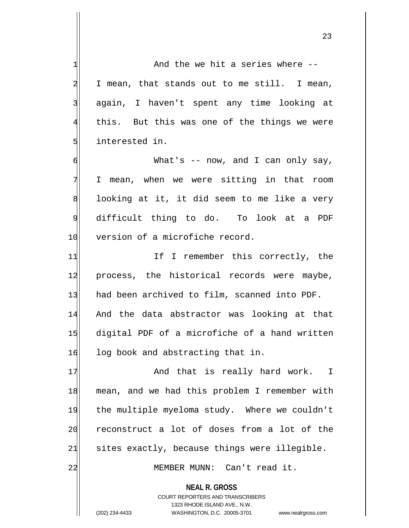**NEAL R. GROSS** 1 1 2 I mean, that stands out to me still. I mean, 3 again, I haven't spent any time looking at 4 this. But this was one of the things we were 5 slimterested in. 6 What's -- now, and I can only say, 7 I mean, when we were sitting in that room  $8$  looking at it, it did seem to me like a very 9 difficult thing to do. To look at a PDF 10 version of a microfiche record. 11 1 If I remember this correctly, the 12 process, the historical records were maybe, 13 had been archived to film, scanned into PDF. 14 And the data abstractor was looking at that 15 digital PDF of a microfiche of a hand written 16 log book and abstracting that in. 17 And that is really hard work. I 18 mean, and we had this problem I remember with 19 the multiple myeloma study. Where we couldn't 20 reconstruct a lot of doses from a lot of the  $21$  sites exactly, because things were illegible. 22 MEMBER MUNN: Can't read it.

> COURT REPORTERS AND TRANSCRIBERS 1323 RHODE ISLAND AVE., N.W.

(202) 234-4433 WASHINGTON, D.C. 20005-3701 www.nealrgross.com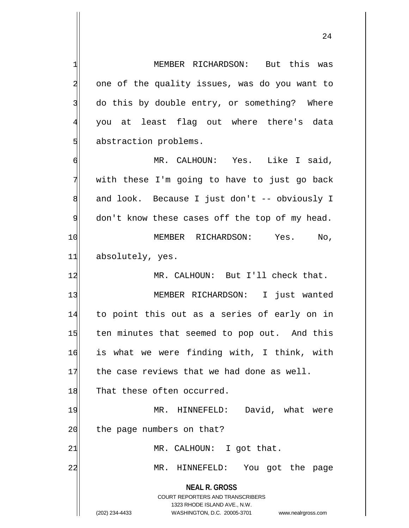| 1              | MEMBER RICHARDSON: But this was                                                                                                                                        |
|----------------|------------------------------------------------------------------------------------------------------------------------------------------------------------------------|
| $\overline{a}$ | one of the quality issues, was do you want to                                                                                                                          |
| 3              | do this by double entry, or something? Where                                                                                                                           |
| $\overline{4}$ | you at least flag out where there's data                                                                                                                               |
| 5              | abstraction problems.                                                                                                                                                  |
| $\epsilon$     | MR. CALHOUN: Yes. Like I said,                                                                                                                                         |
| 7              | with these I'm going to have to just go back                                                                                                                           |
| 8              | and look. Because I just don't -- obviously I                                                                                                                          |
| 9              | don't know these cases off the top of my head.                                                                                                                         |
| 10             | MEMBER RICHARDSON: Yes. No,                                                                                                                                            |
| 11             | absolutely, yes.                                                                                                                                                       |
| 12             | MR. CALHOUN: But I'll check that.                                                                                                                                      |
| 13             | MEMBER RICHARDSON: I just wanted                                                                                                                                       |
| 14             | to point this out as a series of early on in                                                                                                                           |
| 15             | ten minutes that seemed to pop out. And this                                                                                                                           |
| 16             | is what we were finding with, I think, with                                                                                                                            |
| 17             | the case reviews that we had done as well.                                                                                                                             |
| 18             | That these often occurred.                                                                                                                                             |
| 19             | David, what were<br>HINNEFELD:<br>MR.                                                                                                                                  |
| 20             | the page numbers on that?                                                                                                                                              |
| 21             | MR. CALHOUN: I got that.                                                                                                                                               |
| 22             | $MR$ .<br>You got the page<br>HINNEFELD:                                                                                                                               |
|                | <b>NEAL R. GROSS</b><br><b>COURT REPORTERS AND TRANSCRIBERS</b><br>1323 RHODE ISLAND AVE., N.W.<br>(202) 234-4433<br>WASHINGTON, D.C. 20005-3701<br>www.nealrgross.com |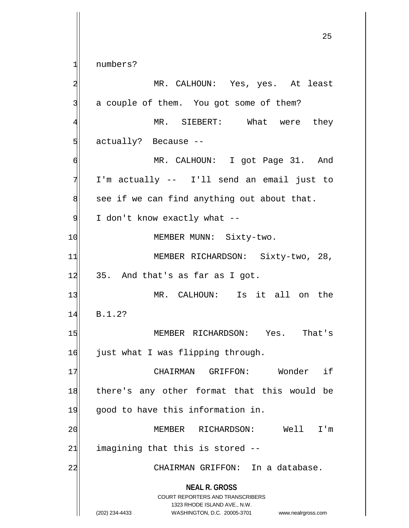**NEAL R. GROSS** COURT REPORTERS AND TRANSCRIBERS 1323 RHODE ISLAND AVE., N.W. (202) 234-4433 WASHINGTON, D.C. 20005-3701 www.nealrgross.com 25 1 numbers? 2 MR. CALHOUN: Yes, yes. At least  $3$  a couple of them. You got some of them? 4 MR. SIEBERT: What were they 5 sd actually? Because --6 MR. CALHOUN: I got Page 31. And 7 I'm actually -- I'll send an email just to  $8$  see if we can find anything out about that.  $9$  I don't know exactly what  $-$ 10 MEMBER MUNN: Sixty-two. 11 MEMBER RICHARDSON: Sixty-two, 28,  $12$  35. And that's as far as I got. 13 | MR. CALHOUN: Is it all on the 14 B.1.2? 15 MEMBER RICHARDSON: Yes. That's 16 just what I was flipping through. 17 CHAIRMAN GRIFFON: Wonder if 18 there's any other format that this would be 19 good to have this information in. 20 MEMBER RICHARDSON: Well I'm  $21$  imagining that this is stored  $-$ 22 | CHAIRMAN GRIFFON: In a database.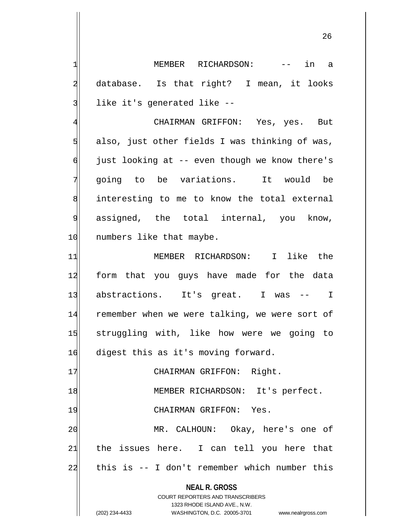1 1 MEMBER RICHARDSON: -- in a 2 database. Is that right? I mean, it looks 3 like it's generated like --

4 CHAIRMAN GRIFFON: Yes, yes. But  $5$  also, just other fields I was thinking of was,  $\mathfrak{g}$  just looking at -- even though we know there's 7 going to be variations. It would be 8 interesting to me to know the total external 9 assigned, the total internal, you know, 10 numbers like that maybe.

11 MEMBER RICHARDSON: I like the 12 form that you guys have made for the data 13 abstractions. It's great. I was -- I 14 remember when we were talking, we were sort of 15 struggling with, like how were we going to 16 digest this as it's moving forward.

17 | CHAIRMAN GRIFFON: Right. 18 MEMBER RICHARDSON: It's perfect. 19 CHAIRMAN GRIFFON: Yes. 20 MR. CALHOUN: Okay, here's one of  $21$  the issues here. I can tell you here that 22 this is -- I don't remember which number this

> **NEAL R. GROSS** COURT REPORTERS AND TRANSCRIBERS 1323 RHODE ISLAND AVE., N.W. (202) 234-4433 WASHINGTON, D.C. 20005-3701 www.nealrgross.com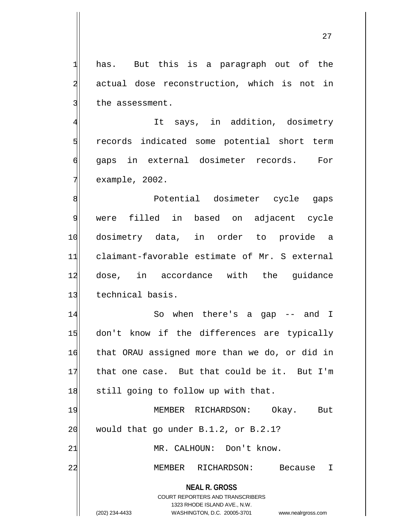$1$  has. But this is a paragraph out of the 2 actual dose reconstruction, which is not in 3 the assessment.

4 It says, in addition, dosimetry 5 state of the corrected some potential short term 6 gaps in external dosimeter records. For  $7$ | example, 2002.

8 | 8| 9 were filled in based on adjacent cycle 10 dosimetry data, in order to provide a 11 claimant-favorable estimate of Mr. S external 12 dose, in accordance with the quidance 13 technical basis.

14 So when there's a gap -- and I 15 don't know if the differences are typically 16 that ORAU assigned more than we do, or did in 17 that one case. But that could be it. But I'm 18 still going to follow up with that.

19 MEMBER RICHARDSON: Okay. But  $20$  would that go under B.1.2, or B.2.1? 21 MR. CALHOUN: Don't know. 22 MEMBER RICHARDSON: Because I

> **NEAL R. GROSS** COURT REPORTERS AND TRANSCRIBERS

> > 1323 RHODE ISLAND AVE., N.W.

(202) 234-4433 WASHINGTON, D.C. 20005-3701 www.nealrgross.com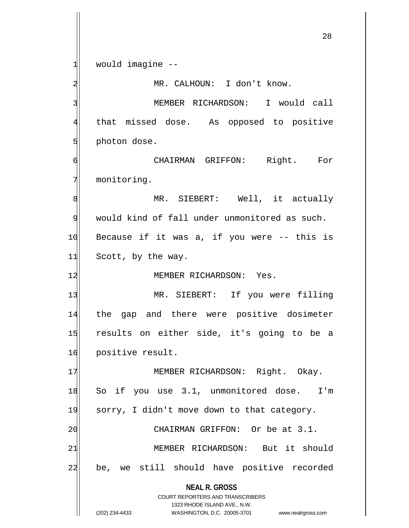**NEAL R. GROSS** COURT REPORTERS AND TRANSCRIBERS 1323 RHODE ISLAND AVE., N.W. (202) 234-4433 WASHINGTON, D.C. 20005-3701 www.nealrgross.com  $1$  would imagine  $-$ 2 MR. CALHOUN: I don't know. 3 MEMBER RICHARDSON: I would call 4 that missed dose. As opposed to positive  $5$  photon dose. 6 CHAIRMAN GRIFFON: Right. For 7 monitoring. 8 MR. SIEBERT: Well, it actually 9 would kind of fall under unmonitored as such.  $10$  Because if it was a, if you were  $-$ - this is 11 Scott, by the way. 12 MEMBER RICHARDSON: Yes. 13 MR. SIEBERT: If you were filling 14 the gap and there were positive dosimeter 15 results on either side, it's going to be a 16 positive result. 17 MEMBER RICHARDSON: Right. Okay. 18 So if you use 3.1, unmonitored dose. I'm 19 sorry, I didn't move down to that category. 20 CHAIRMAN GRIFFON: Or be at 3.1. 21 MEMBER RICHARDSON: But it should 22 be, we still should have positive recorded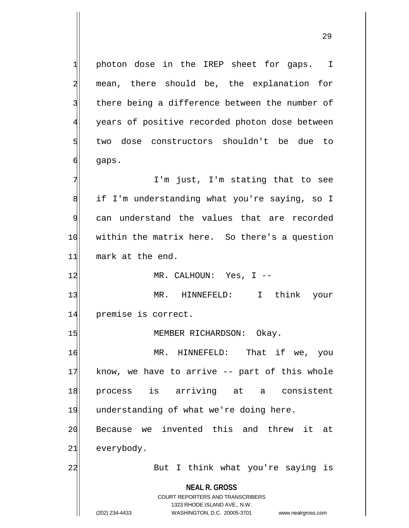**NEAL R. GROSS** COURT REPORTERS AND TRANSCRIBERS 1323 RHODE ISLAND AVE., N.W. 1 photon dose in the IREP sheet for gaps. I 2 mean, there should be, the explanation for 3 there being a difference between the number of 4 years of positive recorded photon dose between 5 two dose constructors shouldn't be due to  $6$  gaps. 7 I'm just, I'm stating that to see 8 if I'm understanding what you're saying, so I 9 can understand the values that are recorded 10 | within the matrix here. So there's a question 11 mark at the end. 12 MR. CALHOUN: Yes, I --13 MR. HINNEFELD: I think your 14 premise is correct. 15 MEMBER RICHARDSON: Okay. 16 MR. HINNEFELD: That if we, you 17 know, we have to arrive -- part of this whole 18 process is arriving at a consistent 19 understanding of what we're doing here. 20 Because we invented this and threw it at 21 everybody. 22 But I think what you're saying is

(202) 234-4433 WASHINGTON, D.C. 20005-3701 www.nealrgross.com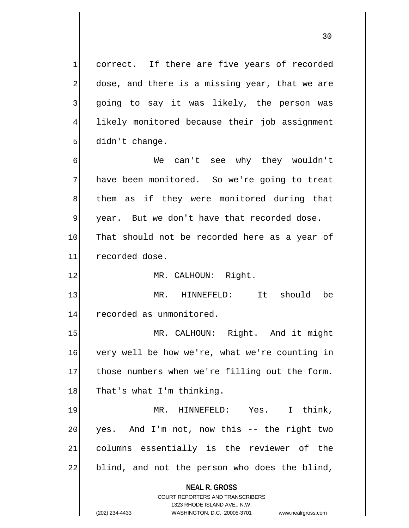1 correct. If there are five years of recorded  $2$  dose, and there is a missing year, that we are 3 going to say it was likely, the person was 4 likely monitored because their job assignment  $5$  didn't change.

6 We can't see why they wouldn't 7 have been monitored. So we're going to treat 8 8 shem as if they were monitored during that 9| year. But we don't have that recorded dose. 10 That should not be recorded here as a year of 11 recorded dose.

12 MR. CALHOUN: Right.

13 MR. HINNEFELD: It should be 14 recorded as unmonitored.

15 MR. CALHOUN: Right. And it might 16 very well be how we're, what we're counting in 17 those numbers when we're filling out the form. 18 That's what I'm thinking.

19 MR. HINNEFELD: Yes. I think,  $20$  yes. And I'm not, now this  $-$  the right two 21 columns essentially is the reviewer of the 22 blind, and not the person who does the blind,

> **NEAL R. GROSS** COURT REPORTERS AND TRANSCRIBERS

> > 1323 RHODE ISLAND AVE., N.W.

(202) 234-4433 WASHINGTON, D.C. 20005-3701 www.nealrgross.com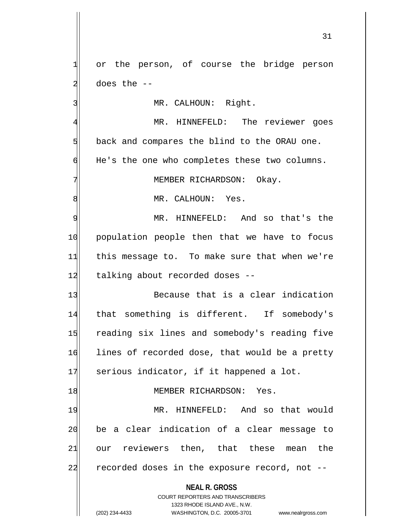1 or the person, of course the bridge person  $2$  does the  $-$ 

3 MR. CALHOUN: Right.

4 MR. HINNEFELD: The reviewer goes  $5$  back and compares the blind to the ORAU one. 6 He's the one who completes these two columns.

7 MEMBER RICHARDSON: Okay.

8 MR. CALHOUN: Yes.

9 MR. HINNEFELD: And so that's the 10 population people then that we have to focus 11 this message to. To make sure that when we're 12 talking about recorded doses --

13 Because that is a clear indication 14 that something is different. If somebody's 15 reading six lines and somebody's reading five 16 lines of recorded dose, that would be a pretty 17 serious indicator, if it happened a lot.

## 18 MEMBER RICHARDSON: Yes.

19 MR. HINNEFELD: And so that would 20 be a clear indication of a clear message to 21 our reviewers then, that these mean the  $22$  recorded doses in the exposure record, not  $-$ 

**NEAL R. GROSS**

COURT REPORTERS AND TRANSCRIBERS 1323 RHODE ISLAND AVE., N.W. (202) 234-4433 WASHINGTON, D.C. 20005-3701 www.nealrgross.com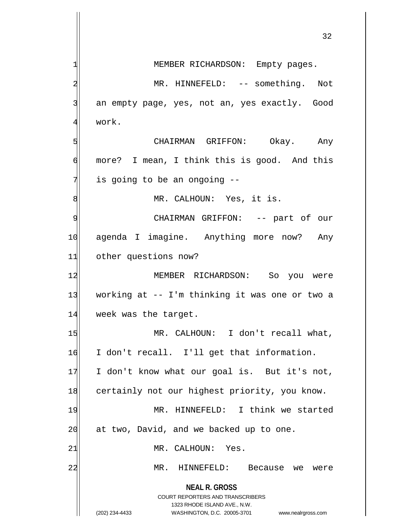|    | 32                                                               |
|----|------------------------------------------------------------------|
|    | MEMBER RICHARDSON: Empty pages.                                  |
| 2  | MR. HINNEFELD: -- something. Not                                 |
| 3  | an empty page, yes, not an, yes exactly. Good                    |
|    | work.                                                            |
| 5  | CHAIRMAN GRIFFON: Okay. Any                                      |
| 6  | more? I mean, I think this is good. And this                     |
| 7  | is going to be an ongoing --                                     |
| 8  | MR. CALHOUN: Yes, it is.                                         |
| 9  | CHAIRMAN GRIFFON: -- part of our                                 |
| 10 | agenda I imagine. Anything more now? Any                         |
| 11 | other questions now?                                             |
| 12 | MEMBER RICHARDSON: So you were                                   |
| 13 | working at -- I'm thinking it was one or two a                   |
| 14 | week was the target.                                             |
| 15 | MR. CALHOUN: I don't recall what,                                |
| 16 | I don't recall. I'll get that information.                       |
| 17 | I don't know what our goal is. But it's not,                     |
| 18 | certainly not our highest priority, you know.                    |
| 19 | MR. HINNEFELD: I think we started                                |
| 20 | at two, David, and we backed up to one.                          |
| 21 | MR. CALHOUN: Yes.                                                |
| 22 | MR.<br>HINNEFELD:<br>Because we were                             |
|    | <b>NEAL R. GROSS</b><br><b>COURT REPORTERS AND TRANSCRIBERS</b>  |
|    | 1323 RHODE ISLAND AVE., N.W.                                     |
|    | (202) 234-4433<br>WASHINGTON, D.C. 20005-3701 www.nealrgross.com |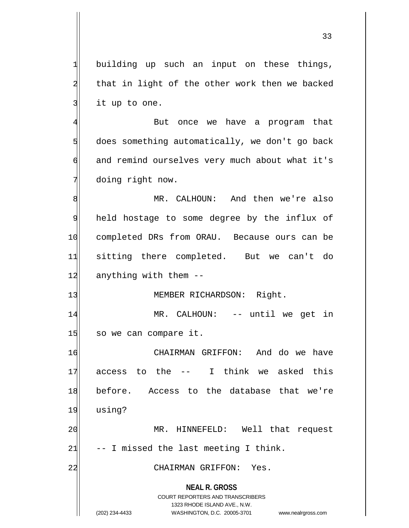$1$  building up such an input on these things, 2 that in light of the other work then we backed  $3$  it up to one.

4 But once we have a program that  $5$  does something automatically, we don't go back  $\phi$  and remind ourselves very much about what it's 7 doing right now.

8 MR. CALHOUN: And then we're also held hostage to some degree by the influx of completed DRs from ORAU. Because ours can be sitting there completed. But we can't do anything with them  $-$ 

13 MEMBER RICHARDSON: Right.

14 MR. CALHOUN: -- until we get in 15 so we can compare it.

16 CHAIRMAN GRIFFON: And do we have 17 access to the -- I think we asked this 18 before. Access to the database that we're 19 using?

20 MR. HINNEFELD: Well that request  $21$  -- I missed the last meeting I think.

22 CHAIRMAN GRIFFON: Yes.

**NEAL R. GROSS** COURT REPORTERS AND TRANSCRIBERS

1323 RHODE ISLAND AVE., N.W.

(202) 234-4433 WASHINGTON, D.C. 20005-3701 www.nealrgross.com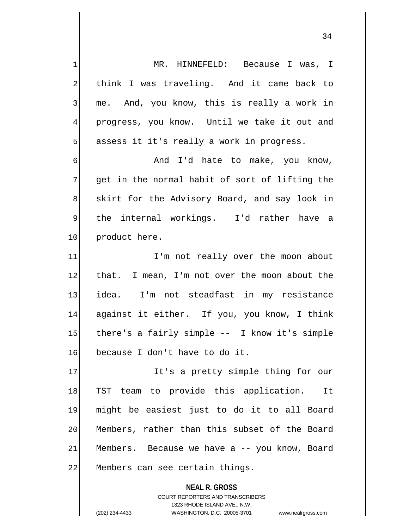1 MR. HINNEFELD: Because I was, I 2 think I was traveling. And it came back to 3 me. And, you know, this is really a work in 4 progress, you know. Until we take it out and  $5$  assess it it's really a work in progress. 6 And I'd hate to make, you know, 7 get in the normal habit of sort of lifting the 8 skirt for the Advisory Board, and say look in 9| the internal workings. I'd rather have a 10 product here. 11 I'm not really over the moon about 12 that. I mean, I'm not over the moon about the 13 idea. I'm not steadfast in my resistance 14 against it either. If you, you know, I think 15 there's a fairly simple -- I know it's simple 16 because I don't have to do it. 17 It's a pretty simple thing for our 18 TST team to provide this application. It 19 might be easiest just to do it to all Board 20 Members, rather than this subset of the Board 21 Members. Because we have a -- you know, Board 22 Members can see certain things.

> COURT REPORTERS AND TRANSCRIBERS 1323 RHODE ISLAND AVE., N.W. (202) 234-4433 WASHINGTON, D.C. 20005-3701 www.nealrgross.com

**NEAL R. GROSS**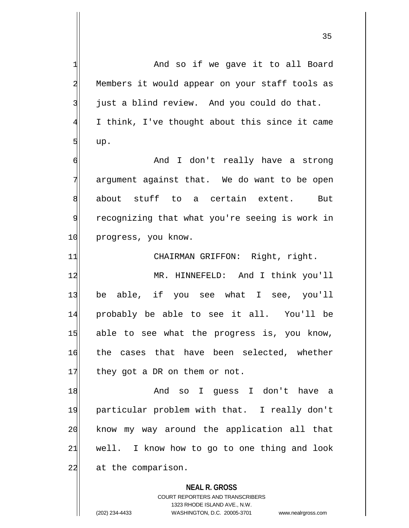**NEAL R. GROSS** COURT REPORTERS AND TRANSCRIBERS 1 and so if we gave it to all Board 2 Members it would appear on your staff tools as  $3$  just a blind review. And you could do that. 4 I think, I've thought about this since it came  $5$  up. 6 | And I don't really have a strong 7 argument against that. We do want to be open 8 about stuff to a certain extent. But 9 recognizing that what you're seeing is work in 10 progress, you know. 11 CHAIRMAN GRIFFON: Right, right. 12 MR. HINNEFELD: And I think you'll 13 be able, if you see what I see, you'll 14 probably be able to see it all. You'll be 15 able to see what the progress is, you know, 16 the cases that have been selected, whether  $17$  they got a DR on them or not. 18 and so I quess I don't have a 19 particular problem with that. I really don't 20 know my way around the application all that  $21$  well. I know how to go to one thing and look 22 at the comparison.

1323 RHODE ISLAND AVE., N.W.

(202) 234-4433 WASHINGTON, D.C. 20005-3701 www.nealrgross.com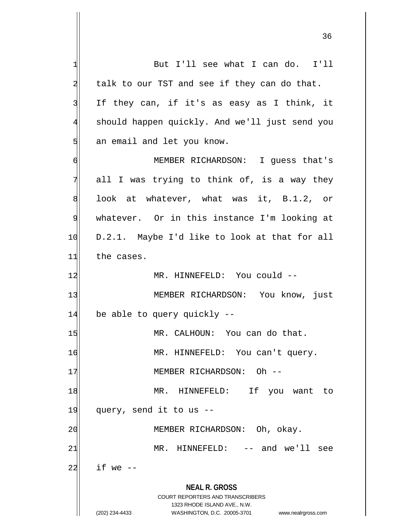**NEAL R. GROSS** COURT REPORTERS AND TRANSCRIBERS 1323 RHODE ISLAND AVE., N.W. (202) 234-4433 WASHINGTON, D.C. 20005-3701 www.nealrgross.com 1 But I'll see what I can do. I'll  $2$  talk to our TST and see if they can do that.  $3$  If they can, if it's as easy as I think, it 4 should happen quickly. And we'll just send you 5 an email and let you know. 6 MEMBER RICHARDSON: I guess that's  $7$  all I was trying to think of, is a way they 8 8 look at whatever, what was it, B.1.2, or 9 whatever. Or in this instance I'm looking at 10 D.2.1. Maybe I'd like to look at that for all 11 the cases. 12 MR. HINNEFELD: You could --13 MEMBER RICHARDSON: You know, just 14 be able to query quickly --15 MR. CALHOUN: You can do that. 16 MR. HINNEFELD: You can't query. 17 MEMBER RICHARDSON: Oh --18 MR. HINNEFELD: If you want to  $19$  query, send it to us  $-$ 20 | MEMBER RICHARDSON: Oh, okay. 21 MR. HINNEFELD: -- and we'll see  $22$  if we  $-$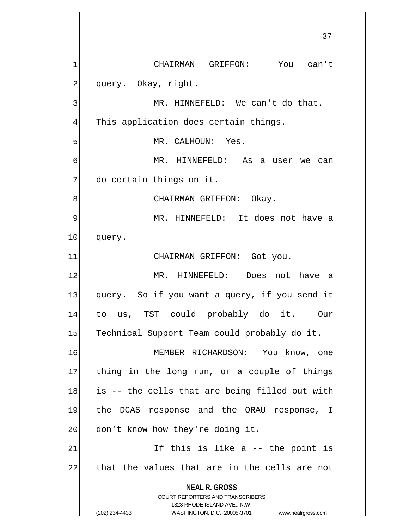**NEAL R. GROSS** COURT REPORTERS AND TRANSCRIBERS 1323 RHODE ISLAND AVE., N.W. (202) 234-4433 WASHINGTON, D.C. 20005-3701 www.nealrgross.com 1 CHAIRMAN GRIFFON: You can't 2 query. Okay, right. 3 MR. HINNEFELD: We can't do that. 4 This application does certain things. 5 MR. CALHOUN: Yes. d | MR. HINNEFELD: As a user we can  $7$  do certain things on it. 8 | CHAIRMAN GRIFFON: Okay. 9| MR. HINNEFELD: It does not have a 10 query. 11 CHAIRMAN GRIFFON: Got you. 12 MR. HINNEFELD: Does not have a 13 query. So if you want a query, if you send it 14 to us, TST could probably do it. Our 15 Technical Support Team could probably do it. 16 MEMBER RICHARDSON: You know, one 17 thing in the long run, or a couple of things  $18$  is -- the cells that are being filled out with 19 the DCAS response and the ORAU response, I 20 don't know how they're doing it.  $21$  If this is like a  $-$  the point is 22 that the values that are in the cells are not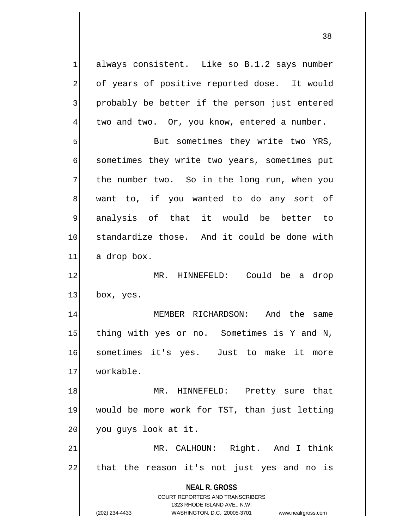$1$  always consistent. Like so B.1.2 says number 2 of years of positive reported dose. It would 3 | probably be better if the person just entered 4 two and two. Or, you know, entered a number.

5 But sometimes they write two YRS, 6 sometimes they write two years, sometimes put 7 the number two. So in the long run, when you 8 want to, if you wanted to do any sort of 9 analysis of that it would be better to 10 standardize those. And it could be done with 11 a drop box.

12 MR. HINNEFELD: Could be a drop 13 box, yes.

14 MEMBER RICHARDSON: And the same 15 thing with yes or no. Sometimes is Y and N, 16 sometimes it's yes. Just to make it more 17 workable.

18 MR. HINNEFELD: Pretty sure that 19 would be more work for TST, than just letting 20 you guys look at it.

21 MR. CALHOUN: Right. And I think 22 that the reason it's not just yes and no is

**NEAL R. GROSS**

COURT REPORTERS AND TRANSCRIBERS 1323 RHODE ISLAND AVE., N.W. (202) 234-4433 WASHINGTON, D.C. 20005-3701 www.nealrgross.com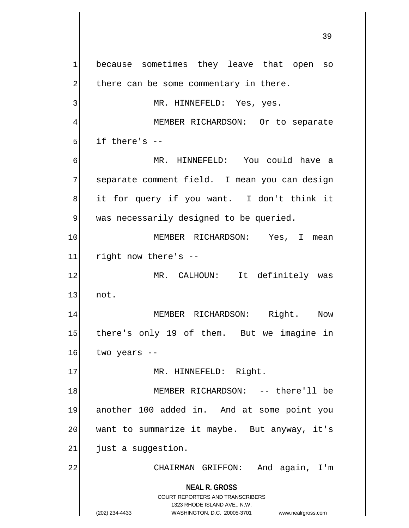**NEAL R. GROSS** COURT REPORTERS AND TRANSCRIBERS 1323 RHODE ISLAND AVE., N.W. (202) 234-4433 WASHINGTON, D.C. 20005-3701 www.nealrgross.com 1 because sometimes they leave that open so  $2$  there can be some commentary in there. 3 MR. HINNEFELD: Yes, yes. 4 MEMBER RICHARDSON: Or to separate  $5$  if there's  $-$ 6 MR. HINNEFELD: You could have a 7 separate comment field. I mean you can design 8 it for query if you want. I don't think it 9 was necessarily designed to be queried. 10 MEMBER RICHARDSON: Yes, I mean  $11$  right now there's  $-$ 12 MR. CALHOUN: It definitely was  $13$  not. 14 MEMBER RICHARDSON: Right. Now 15 there's only 19 of them. But we imagine in  $16$  two years  $-$ 17 | MR. HINNEFELD: Right. 18 | MEMBER RICHARDSON: -- there'll be 19 another 100 added in. And at some point you 20 want to summarize it maybe. But anyway, it's  $21$  just a suggestion. 22 CHAIRMAN GRIFFON: And again, I'm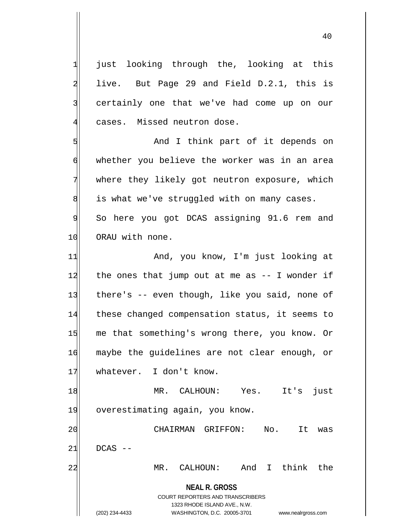1 just looking through the, looking at this  $2 \mid$  live. But Page 29 and Field D.2.1, this is 3 certainly one that we've had come up on our 4 cases. Missed neutron dose.

5 | Soldie and I think part of it depends on 6 whether you believe the worker was in an area 7 where they likely got neutron exposure, which  $8$  is what we've struggled with on many cases. 9 So here you got DCAS assigning 91.6 rem and 10 ORAU with none.

11 And, you know, I'm just looking at  $12$  the ones that jump out at me as  $-$  I wonder if 13 there's -- even though, like you said, none of 14 these changed compensation status, it seems to 15 me that something's wrong there, you know. Or 16 maybe the guidelines are not clear enough, or 17 whatever. I don't know.

18 MR. CALHOUN: Yes. It's just 19 overestimating again, you know.

20 CHAIRMAN GRIFFON: No. It was  $21$  DCAS  $-$ 22 MR. CALHOUN: And I think the

> **NEAL R. GROSS** COURT REPORTERS AND TRANSCRIBERS 1323 RHODE ISLAND AVE., N.W. (202) 234-4433 WASHINGTON, D.C. 20005-3701 www.nealrgross.com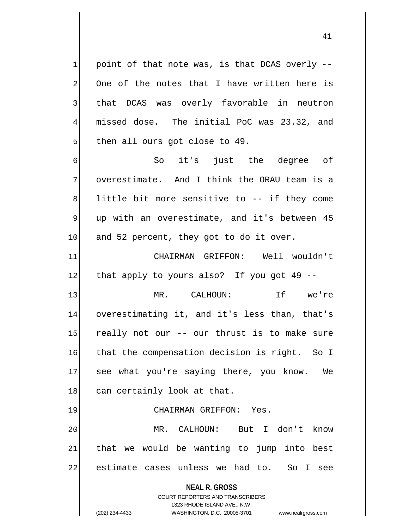$1$  point of that note was, is that DCAS overly --2 One of the notes that I have written here is 3 that DCAS was overly favorable in neutron 4 missed dose. The initial PoC was 23.32, and  $5$  then all ours got close to 49.

6 So it's just the degree of 7 overestimate. And I think the ORAU team is a  $8$  little bit more sensitive to  $-$ - if they come  $9$  up with an overestimate, and it's between 45 10 and 52 percent, they got to do it over.

11 CHAIRMAN GRIFFON: Well wouldn't  $12$  that apply to yours also? If you got 49 --

13 MR. CALHOUN: If we're 14 overestimating it, and it's less than, that's 15 really not our -- our thrust is to make sure 16 that the compensation decision is right. So I 17 see what you're saying there, you know. We 18 can certainly look at that.

## 19 CHAIRMAN GRIFFON: Yes.

20 | MR. CALHOUN: But I don't know  $21$  that we would be wanting to jump into best 22 estimate cases unless we had to. So I see

**NEAL R. GROSS**

COURT REPORTERS AND TRANSCRIBERS 1323 RHODE ISLAND AVE., N.W. (202) 234-4433 WASHINGTON, D.C. 20005-3701 www.nealrgross.com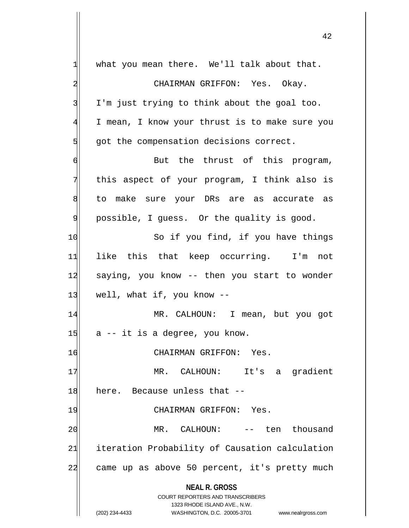| 1              | what you mean there. We'll talk about that.                                                         |
|----------------|-----------------------------------------------------------------------------------------------------|
| 2              | CHAIRMAN GRIFFON: Yes. Okay.                                                                        |
| 3              | I'm just trying to think about the goal too.                                                        |
| $\overline{4}$ | I mean, I know your thrust is to make sure you                                                      |
| 5              | got the compensation decisions correct.                                                             |
| 6              | But the thrust of this program,                                                                     |
| 7              | this aspect of your program, I think also is                                                        |
| 8              | to make sure your DRs are as accurate as                                                            |
| 9              | possible, I guess. Or the quality is good.                                                          |
| 10             | So if you find, if you have things                                                                  |
| 11             | like this that keep occurring. I'm not                                                              |
| 12             | saying, you know -- then you start to wonder                                                        |
| 13             | well, what if, you know --                                                                          |
| 14             | MR. CALHOUN: I mean, but you got                                                                    |
| 15             | a -- it is a degree, you know.                                                                      |
| 16             | CHAIRMAN GRIFFON: Yes.                                                                              |
| 17             | CALHOUN: It's a gradient<br>MR.                                                                     |
| 18             | here. Because unless that --                                                                        |
| 19             | CHAIRMAN GRIFFON: Yes.                                                                              |
| 20             | CALHOUN:<br>-- ten thousand<br>MR.                                                                  |
| 21             | iteration Probability of Causation calculation                                                      |
| 22             | came up as above 50 percent, it's pretty much                                                       |
|                |                                                                                                     |
|                | <b>NEAL R. GROSS</b>                                                                                |
|                | <b>COURT REPORTERS AND TRANSCRIBERS</b>                                                             |
|                | 1323 RHODE ISLAND AVE., N.W.<br>(202) 234-4433<br>WASHINGTON, D.C. 20005-3701<br>www.nealrgross.com |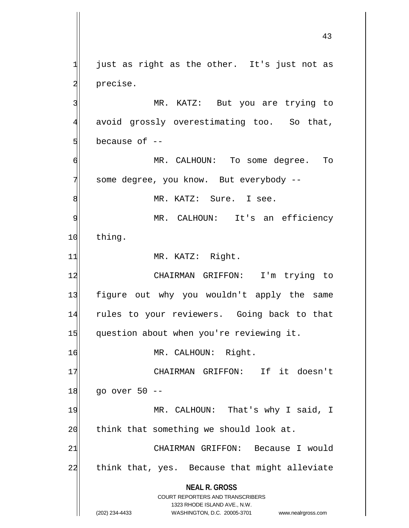**NEAL R. GROSS** COURT REPORTERS AND TRANSCRIBERS 1323 RHODE ISLAND AVE., N.W. (202) 234-4433 WASHINGTON, D.C. 20005-3701 www.nealrgross.com  $1$  just as right as the other. It's just not as 2 precise. 3 MR. KATZ: But you are trying to 4 avoid grossly overestimating too. So that,  $5$  because of  $-$ 6 MR. CALHOUN: To some degree. To 7 some degree, you know. But everybody --8 MR. KATZ: Sure. I see. 9| MR. CALHOUN: It's an efficiency 10 thing. 11 MR. KATZ: Right. 12 CHAIRMAN GRIFFON: I'm trying to 13 figure out why you wouldn't apply the same 14 rules to your reviewers. Going back to that 15 question about when you're reviewing it. 16 MR. CALHOUN: Right. 17 CHAIRMAN GRIFFON: If it doesn't  $18$  go over 50 --19 MR. CALHOUN: That's why I said, I 20 think that something we should look at. 21 CHAIRMAN GRIFFON: Because I would 22 think that, yes. Because that might alleviate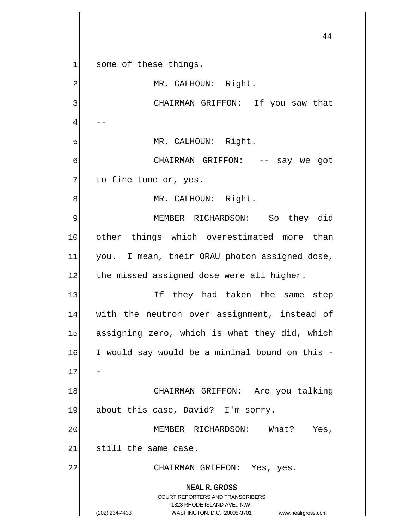**NEAL R. GROSS** COURT REPORTERS AND TRANSCRIBERS 1323 RHODE ISLAND AVE., N.W. (202) 234-4433 WASHINGTON, D.C. 20005-3701 www.nealrgross.com 44  $1$  some of these things. 2 MR. CALHOUN: Right. 3 CHAIRMAN GRIFFON: If you saw that  $4$  --5 MR. CALHOUN: Right. 6 CHAIRMAN GRIFFON: -- say we got  $7$  to fine tune or, yes. 8 MR. CALHOUN: Right. 9 MEMBER RICHARDSON: So they did 10 other things which overestimated more than 11| you. I mean, their ORAU photon assigned dose, 12 the missed assigned dose were all higher. 13 If they had taken the same step 14 with the neutron over assignment, instead of 15 assigning zero, which is what they did, which 16 I would say would be a minimal bound on this - $17$ 18 CHAIRMAN GRIFFON: Are you talking 19 about this case, David? I'm sorry. 20 MEMBER RICHARDSON: What? Yes,  $21$  still the same case. 22 CHAIRMAN GRIFFON: Yes, yes.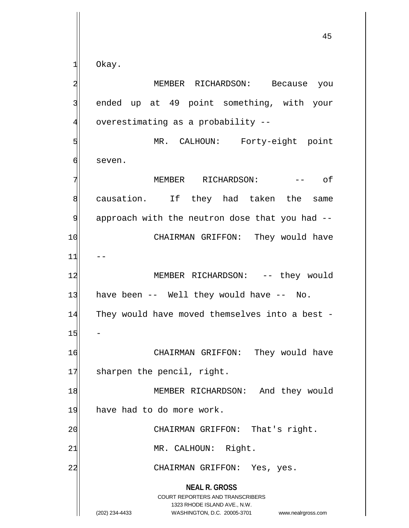$1$  Okay.

**NEAL R. GROSS** COURT REPORTERS AND TRANSCRIBERS 1323 RHODE ISLAND AVE., N.W. (202) 234-4433 WASHINGTON, D.C. 20005-3701 www.nealrgross.com 2 MEMBER RICHARDSON: Because you  $3$  ended up at 49 point something, with your 4 overestimating as a probability --5 MR. CALHOUN: Forty-eight point 6 seven. 7 MEMBER RICHARDSON: -- of 8 causation. If they had taken the same 9 approach with the neutron dose that you had --10 CHAIRMAN GRIFFON: They would have  $11$ 12 MEMBER RICHARDSON: -- they would  $13$  have been -- Well they would have -- No. 14 They would have moved themselves into a best -15 16 CHAIRMAN GRIFFON: They would have 17 sharpen the pencil, right. 18 MEMBER RICHARDSON: And they would 19 have had to do more work. 20 CHAIRMAN GRIFFON: That's right. 21 MR. CALHOUN: Right. 22 CHAIRMAN GRIFFON: Yes, yes.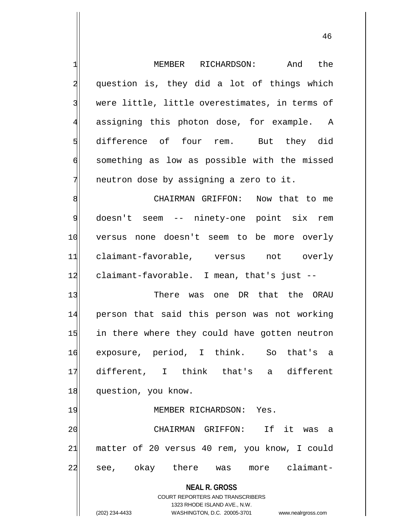**NEAL R. GROSS** COURT REPORTERS AND TRANSCRIBERS 1323 RHODE ISLAND AVE., N.W. (202) 234-4433 WASHINGTON, D.C. 20005-3701 www.nealrgross.com 1 MEMBER RICHARDSON: And the 2 question is, they did a lot of things which 3 were little, little overestimates, in terms of 4 assigning this photon dose, for example. A 5 difference of four rem. But they did 6 something as low as possible with the missed  $7$  neutron dose by assigning a zero to it. 8 8 CHAIRMAN GRIFFON: Now that to me 9 doesn't seem -- ninety-one point six rem 10 versus none doesn't seem to be more overly 11 claimant-favorable, versus not overly 12 claimant-favorable. I mean, that's just --13 There was one DR that the ORAU 14 person that said this person was not working 15 in there where they could have gotten neutron 16 exposure, period, I think. So that's a 17 different, I think that's a different 18 question, you know. 19 MEMBER RICHARDSON: Yes. 20 CHAIRMAN GRIFFON: If it was a 21 matter of 20 versus 40 rem, you know, I could 22 see, okay there was more claimant-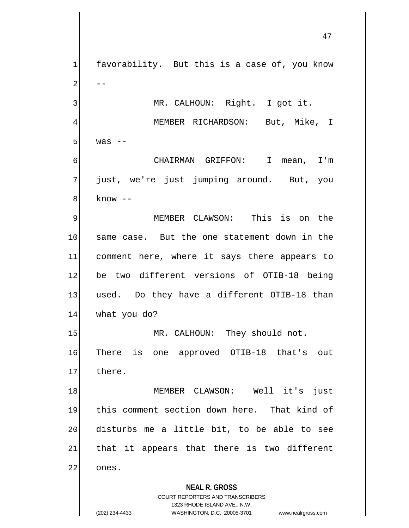$1$  favorability. But this is a case of, you know 3 MR. CALHOUN: Right. I got it.

4 MEMBER RICHARDSON: But, Mike, I  $5$  was  $-$ 

6 CHAIRMAN GRIFFON: I mean, I'm 7 just, we're just jumping around. But, you 8 know --

9 MEMBER CLAWSON: This is on the 10 same case. But the one statement down in the 11 comment here, where it says there appears to 12 be two different versions of OTIB-18 being 13 used. Do they have a different OTIB-18 than 14 what you do?

15 MR. CALHOUN: They should not. 16 There is one approved OTIB-18 that's out 17 there.

18 MEMBER CLAWSON: Well it's just 19 this comment section down here. That kind of 20 disturbs me a little bit, to be able to see  $21$  that it appears that there is two different 22 ones.

**NEAL R. GROSS**

COURT REPORTERS AND TRANSCRIBERS 1323 RHODE ISLAND AVE., N.W. (202) 234-4433 WASHINGTON, D.C. 20005-3701 www.nealrgross.com

 $2 \vert$  --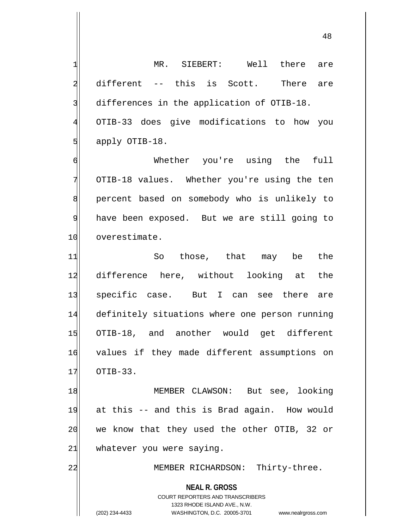1| MR. SIEBERT: Well there are 2 different -- this is Scott. There are 3 differences in the application of OTIB-18. 4 OTIB-33 does give modifications to how you  $5$  apply OTIB-18. 6 Whether you're using the full 7 OTIB-18 values. Whether you're using the ten 8 percent based on somebody who is unlikely to 9 have been exposed. But we are still going to 10 overestimate. 11 So those, that may be the 12 difference here, without looking at the 13 specific case. But I can see there are

14 definitely situations where one person running 15 OTIB-18, and another would get different 16 values if they made different assumptions on  $17$   $OTIB-33$ .

18 MEMBER CLAWSON: But see, looking 19 at this -- and this is Brad again. How would 20 we know that they used the other OTIB, 32 or  $21$  whatever you were saying.

22 MEMBER RICHARDSON: Thirty-three.

**NEAL R. GROSS**

COURT REPORTERS AND TRANSCRIBERS 1323 RHODE ISLAND AVE., N.W. (202) 234-4433 WASHINGTON, D.C. 20005-3701 www.nealrgross.com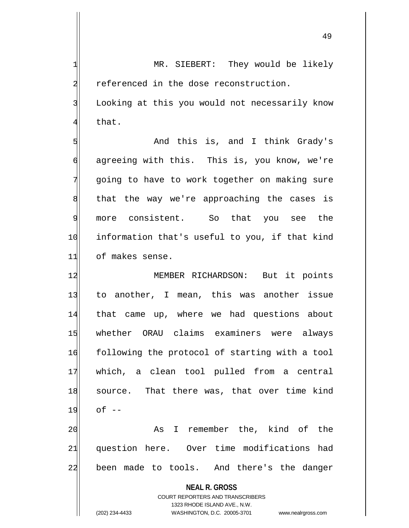**NEAL R. GROSS** 1 MR. SIEBERT: They would be likely 2 referenced in the dose reconstruction. 3 Looking at this you would not necessarily know 4 that. 5 | Show and this is, and I think Grady's  $\mathfrak{g}$  agreeing with this. This is, you know, we're 7 going to have to work together on making sure 8 | that the way we're approaching the cases is 9 more consistent. So that you see the 10 information that's useful to you, if that kind 11 of makes sense. 12 MEMBER RICHARDSON: But it points 13 to another, I mean, this was another issue 14 that came up, where we had questions about 15 whether ORAU claims examiners were always 16 following the protocol of starting with a tool 17 which, a clean tool pulled from a central 18 source. That there was, that over time kind 19 of -- 20 As I remember the, kind of the 21 question here. Over time modifications had 22 been made to tools. And there's the danger

> COURT REPORTERS AND TRANSCRIBERS 1323 RHODE ISLAND AVE., N.W.

(202) 234-4433 WASHINGTON, D.C. 20005-3701 www.nealrgross.com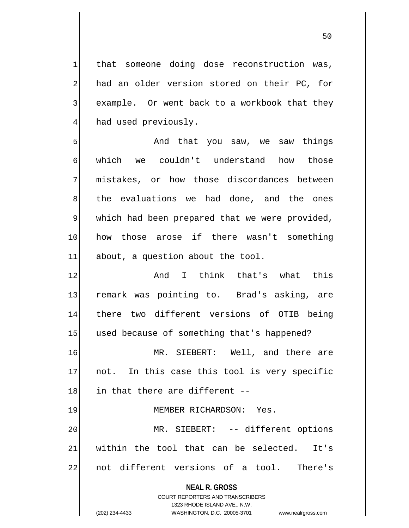$1$  that someone doing dose reconstruction was, 2 had an older version stored on their PC, for 3 example. Or went back to a workbook that they  $4$  had used previously.

5 SM And that you saw, we saw things 6 which we couldn't understand how those 7 mistakes, or how those discordances between 8 the evaluations we had done, and the ones 9 which had been prepared that we were provided, 10 how those arose if there wasn't something  $11$  about, a question about the tool.

12 and I think that's what this 13 remark was pointing to. Brad's asking, are 14 there two different versions of OTIB being 15 used because of something that's happened? 16 MR. SIEBERT: Well, and there are

 $17$  not. In this case this tool is very specific  $18$  in that there are different  $-$ 

19 MEMBER RICHARDSON: Yes. 20 MR. SIEBERT: -- different options 21 within the tool that can be selected. It's 22 not different versions of a tool. There's

> **NEAL R. GROSS** COURT REPORTERS AND TRANSCRIBERS 1323 RHODE ISLAND AVE., N.W. (202) 234-4433 WASHINGTON, D.C. 20005-3701 www.nealrgross.com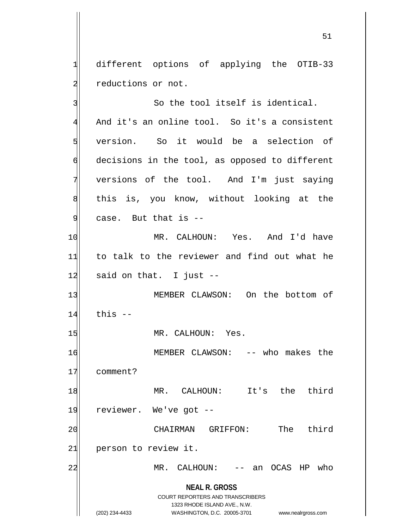1 different options of applying the OTIB-33 2 reductions or not.

**NEAL R. GROSS** COURT REPORTERS AND TRANSCRIBERS 1323 RHODE ISLAND AVE., N.W. (202) 234-4433 WASHINGTON, D.C. 20005-3701 www.nealrgross.com 3 So the tool itself is identical. 4 And it's an online tool. So it's a consistent 5 version. So it would be a selection of  $\phi$  decisions in the tool, as opposed to different 7 versions of the tool. And I'm just saying 8 all this is, you know, without looking at the  $9$  case. But that is  $-$ 10 MR. CALHOUN: Yes. And I'd have 11 to talk to the reviewer and find out what he  $12$  said on that. I just  $-$ 13 MEMBER CLAWSON: On the bottom of  $14$  this  $-$ 15 MR. CALHOUN: Yes. 16 MEMBER CLAWSON: -- who makes the 17 comment? 18 MR. CALHOUN: It's the third 19 reviewer. We've got --20 CHAIRMAN GRIFFON: The third 21 person to review it. 22 MR. CALHOUN: -- an OCAS HP who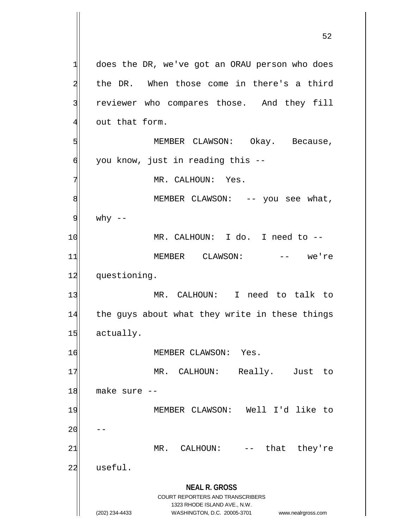**NEAL R. GROSS** COURT REPORTERS AND TRANSCRIBERS 1323 RHODE ISLAND AVE., N.W. (202) 234-4433 WASHINGTON, D.C. 20005-3701 www.nealrgross.com  $1$  does the DR, we've got an ORAU person who does 2 the DR. When those come in there's a third 3 reviewer who compares those. And they fill  $4$  out that form. 5 | S| MEMBER CLAWSON: Okay. Because,  $\left| \right|$  you know, just in reading this --7 MR. CALHOUN: Yes. 8 MEMBER CLAWSON: -- you see what,  $9$  why  $-$ 10 MR. CALHOUN: I do. I need to --11 MEMBER CLAWSON: -- we're 12 questioning. 13 MR. CALHOUN: I need to talk to 14 the guys about what they write in these things 15 actually. 16 MEMBER CLAWSON: Yes. 17 MR. CALHOUN: Really. Just to  $18$  make sure  $-$ 19 MEMBER CLAWSON: Well I'd like to  $20$ 21 MR. CALHOUN: -- that they're 22 useful.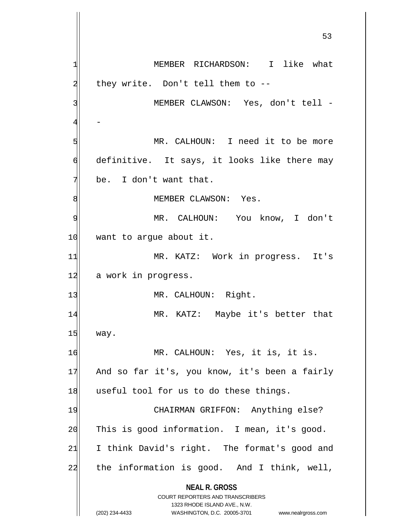**NEAL R. GROSS** COURT REPORTERS AND TRANSCRIBERS 1323 RHODE ISLAND AVE., N.W. (202) 234-4433 WASHINGTON, D.C. 20005-3701 www.nealrgross.com 53 1| MEMBER RICHARDSON: I like what  $2$  they write. Don't tell them to  $-$ -3 MEMBER CLAWSON: Yes, don't tell - 4 5 MR. CALHOUN: I need it to be more 6 definitive. It says, it looks like there may  $7$  be. I don't want that. 8 | MEMBER CLAWSON: Yes. 9 MR. CALHOUN: You know, I don't 10 want to argue about it. 11 MR. KATZ: Work in progress. It's 12 a work in progress. 13 MR. CALHOUN: Right. 14 MR. KATZ: Maybe it's better that 15 way. 16 MR. CALHOUN: Yes, it is, it is. 17 And so far it's, you know, it's been a fairly 18 useful tool for us to do these things. 19 CHAIRMAN GRIFFON: Anything else? 20 This is good information. I mean, it's good. 21 I think David's right. The format's good and  $22$  the information is good. And I think, well,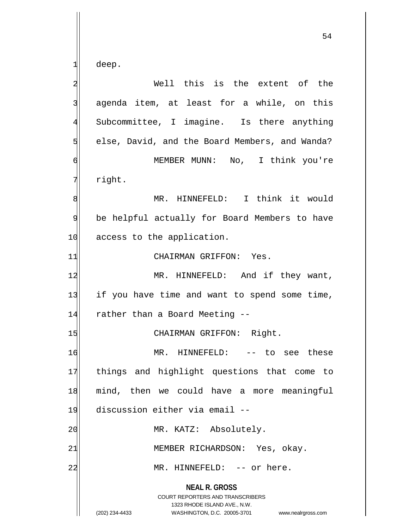deep.

| $\overline{\mathbf{c}}$ | Well this is the extent of the                                                                                                                                  |
|-------------------------|-----------------------------------------------------------------------------------------------------------------------------------------------------------------|
| 3                       | agenda item, at least for a while, on this                                                                                                                      |
| $\overline{4}$          | Subcommittee, I imagine. Is there anything                                                                                                                      |
| 5                       | else, David, and the Board Members, and Wanda?                                                                                                                  |
| 6                       | MEMBER MUNN: No, I think you're                                                                                                                                 |
| 7                       | right.                                                                                                                                                          |
| 8                       | MR. HINNEFELD: I think it would                                                                                                                                 |
| 9                       | be helpful actually for Board Members to have                                                                                                                   |
| 10                      | access to the application.                                                                                                                                      |
| 11                      | CHAIRMAN GRIFFON: Yes.                                                                                                                                          |
| 12                      | MR. HINNEFELD: And if they want,                                                                                                                                |
| 13                      | if you have time and want to spend some time,                                                                                                                   |
| 14                      | rather than a Board Meeting --                                                                                                                                  |
| 15                      | CHAIRMAN GRIFFON: Right.                                                                                                                                        |
| 16                      | MR. HINNEFELD: -- to see these                                                                                                                                  |
| 17                      | things and highlight questions that come to                                                                                                                     |
| 18                      | mind, then we could have a more meaningful                                                                                                                      |
| 19                      | discussion either via email --                                                                                                                                  |
| 20                      | MR. KATZ: Absolutely.                                                                                                                                           |
| 21                      | MEMBER RICHARDSON: Yes, okay.                                                                                                                                   |
| 22                      | MR. HINNEFELD: -- or here.                                                                                                                                      |
|                         | <b>NEAL R. GROSS</b><br>COURT REPORTERS AND TRANSCRIBERS<br>1323 RHODE ISLAND AVE., N.W.<br>(202) 234-4433<br>WASHINGTON, D.C. 20005-3701<br>www.nealrgross.com |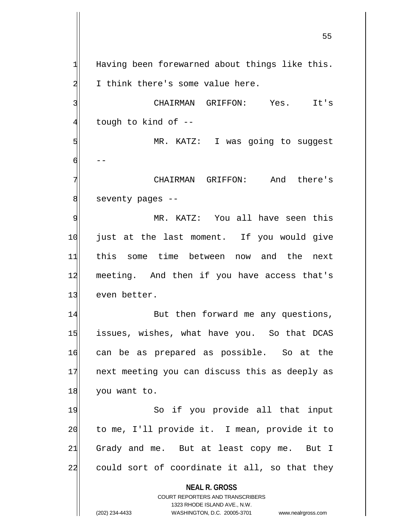$1$  Having been forewarned about things like this. 2 I think there's some value here. 3 | CHAIRMAN GRIFFON: Yes. It's

 $4$  tough to kind of  $-$ 

5 MR. KATZ: I was going to suggest 6 --

7 CHAIRMAN GRIFFON: And there's 8 seventy pages --

9 MR. KATZ: You all have seen this 10 just at the last moment. If you would give 11 this some time between now and the next 12 meeting. And then if you have access that's 13 even better.

14 But then forward me any questions, 15 issues, wishes, what have you. So that DCAS 16 can be as prepared as possible. So at the 17 next meeting you can discuss this as deeply as 18 you want to.

19 So if you provide all that input 20 to me, I'll provide it. I mean, provide it to  $21$  Grady and me. But at least copy me. But I 22 could sort of coordinate it all, so that they

**NEAL R. GROSS**

COURT REPORTERS AND TRANSCRIBERS 1323 RHODE ISLAND AVE., N.W. (202) 234-4433 WASHINGTON, D.C. 20005-3701 www.nealrgross.com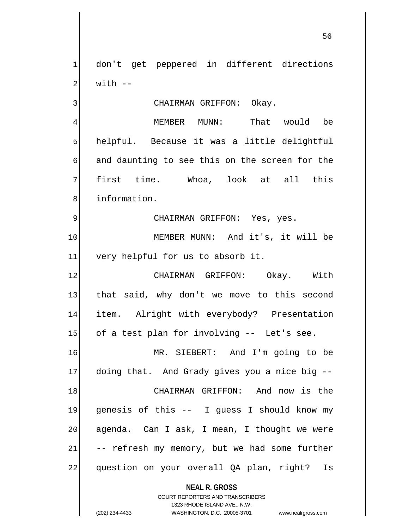1 don't get peppered in different directions  $2$  with  $-$ 

3 CHAIRMAN GRIFFON: Okay.

4 MEMBER MUNN: That would be  $5$  helpful. Because it was a little delightful  $\mathfrak{h}$  and daunting to see this on the screen for the 7 first time. Whoa, look at all this 8 solution.

9 | CHAIRMAN GRIFFON: Yes, yes.

10 | MEMBER MUNN: And it's, it will be 11 very helpful for us to absorb it.

12 CHAIRMAN GRIFFON: Okay. With 13 that said, why don't we move to this second 14 item. Alright with everybody? Presentation 15 of a test plan for involving -- Let's see.

16 MR. SIEBERT: And I'm going to be 17 doing that. And Grady gives you a nice big --18 CHAIRMAN GRIFFON: And now is the 19 genesis of this -- I guess I should know my 20 agenda. Can I ask, I mean, I thought we were  $21$  -- refresh my memory, but we had some further 22 question on your overall QA plan, right? Is

**NEAL R. GROSS**

COURT REPORTERS AND TRANSCRIBERS 1323 RHODE ISLAND AVE., N.W. (202) 234-4433 WASHINGTON, D.C. 20005-3701 www.nealrgross.com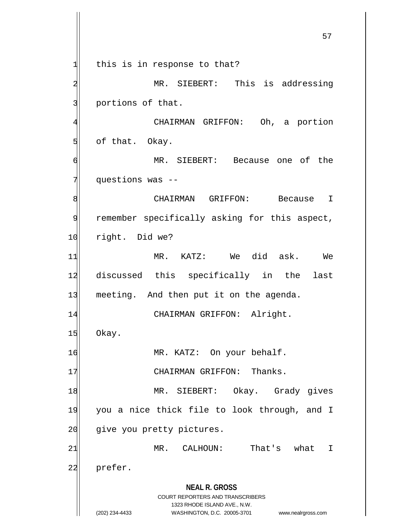**NEAL R. GROSS** COURT REPORTERS AND TRANSCRIBERS 1323 RHODE ISLAND AVE., N.W. (202) 234-4433 WASHINGTON, D.C. 20005-3701 www.nealrgross.com  $1$  this is in response to that? 2 MR. SIEBERT: This is addressing 3 portions of that. 4 | CHAIRMAN GRIFFON: Oh, a portion  $5$  of that. Okay. 6 MR. SIEBERT: Because one of the 7 questions was --8 8 CHAIRMAN GRIFFON: Because 9 remember specifically asking for this aspect, 10 right. Did we? 11 MR. KATZ: We did ask. We 12 discussed this specifically in the last 13 meeting. And then put it on the agenda. 14 CHAIRMAN GRIFFON: Alright. 15 Okay. 16 MR. KATZ: On your behalf. 17 CHAIRMAN GRIFFON: Thanks. 18 MR. SIEBERT: Okay. Grady gives 19 you a nice thick file to look through, and I 20 give you pretty pictures. 21 MR. CALHOUN: That's what I 22 prefer.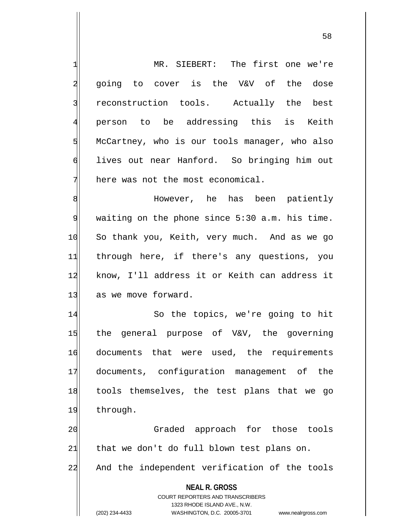**NEAL R. GROSS** COURT REPORTERS AND TRANSCRIBERS 1323 RHODE ISLAND AVE., N.W. (202) 234-4433 WASHINGTON, D.C. 20005-3701 www.nealrgross.com 1 MR. SIEBERT: The first one we're 2 going to cover is the V&V of the dose 3 reconstruction tools. Actually the best 4 person to be addressing this is Keith 5 McCartney, who is our tools manager, who also 6 lives out near Hanford. So bringing him out  $7$  here was not the most economical. 8 Metal Mowever, he has been patiently 9 waiting on the phone since 5:30 a.m. his time. 10 So thank you, Keith, very much. And as we go 11 through here, if there's any questions, you 12 know, I'll address it or Keith can address it 13 as we move forward. 14 So the topics, we're going to hit 15 the general purpose of V&V, the governing 16 documents that were used, the requirements 17 documents, configuration management of the 18 tools themselves, the test plans that we go 19 through. 20 Graded approach for those tools  $21$  that we don't do full blown test plans on. 22 And the independent verification of the tools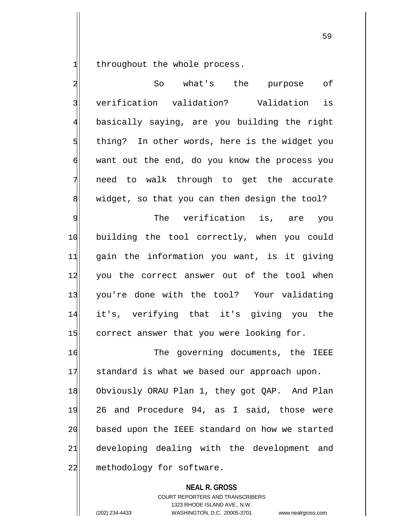$1$  throughout the whole process.

2 So what's the purpose of 3 verification validation? Validation is 4 basically saying, are you building the right 5 thing? In other words, here is the widget you 6 want out the end, do you know the process you 7 need to walk through to get the accurate  $8$  widget, so that you can then design the tool?

9 Solution The verification is, are you 10 building the tool correctly, when you could 11 gain the information you want, is it giving 12 you the correct answer out of the tool when 13 you're done with the tool? Your validating 14 it's, verifying that it's giving you the 15 correct answer that you were looking for.

16 The governing documents, the IEEE 17 standard is what we based our approach upon. 18 Obviously ORAU Plan 1, they got QAP. And Plan 19 26 and Procedure 94, as I said, those were 20 based upon the IEEE standard on how we started 21 developing dealing with the development and 22 methodology for software.

> **NEAL R. GROSS** COURT REPORTERS AND TRANSCRIBERS 1323 RHODE ISLAND AVE., N.W. (202) 234-4433 WASHINGTON, D.C. 20005-3701 www.nealrgross.com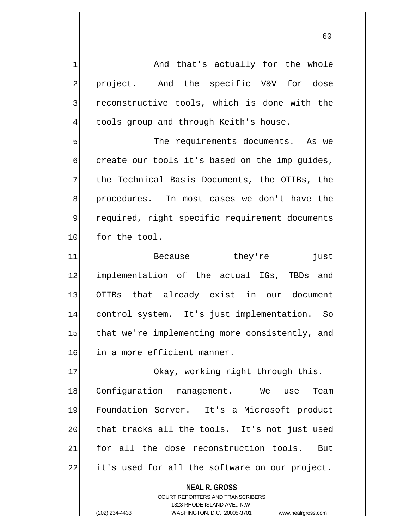1 and that's actually for the whole 2 project. And the specific V&V for dose 3 | reconstructive tools, which is done with the  $4$  tools group and through Keith's house.

5 S  $\phi$  create our tools it's based on the imp quides, 7 the Technical Basis Documents, the OTIBs, the 8 procedures. In most cases we don't have the 9 required, right specific requirement documents 10 for the tool.

11 Because they're just 12 implementation of the actual IGs, TBDs and 13 OTIBs that already exist in our document 14 control system. It's just implementation. So 15 that we're implementing more consistently, and 16 in a more efficient manner.

17 Okay, working right through this. 18 Configuration management. We use Team 19 Foundation Server. It's a Microsoft product 20 that tracks all the tools. It's not just used 21 for all the dose reconstruction tools. But 22 it's used for all the software on our project.

> **NEAL R. GROSS** COURT REPORTERS AND TRANSCRIBERS 1323 RHODE ISLAND AVE., N.W. (202) 234-4433 WASHINGTON, D.C. 20005-3701 www.nealrgross.com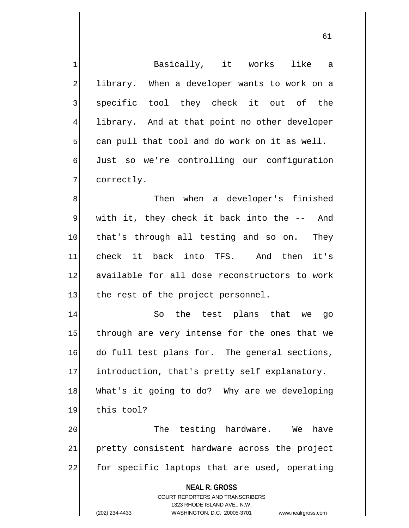**NEAL R. GROSS** COURT REPORTERS AND TRANSCRIBERS 1323 RHODE ISLAND AVE., N.W. (202) 234-4433 WASHINGTON, D.C. 20005-3701 www.nealrgross.com 1 Basically, it works like a 2 library. When a developer wants to work on a 3 specific tool they check it out of the 4 library. And at that point no other developer  $5$  can pull that tool and do work on it as well. 6 Just so we're controlling our configuration 7 correctly. 8 Solution of the when a developer's finished  $9$  with it, they check it back into the  $-$ - And 10 that's through all testing and so on. They 11 check it back into TFS. And then it's 12 available for all dose reconstructors to work 13 the rest of the project personnel. 14 So the test plans that we go 15 through are very intense for the ones that we 16 do full test plans for. The general sections, 17 introduction, that's pretty self explanatory. 18 What's it going to do? Why are we developing 19 this tool? 20 The testing hardware. We have 21 pretty consistent hardware across the project 22 for specific laptops that are used, operating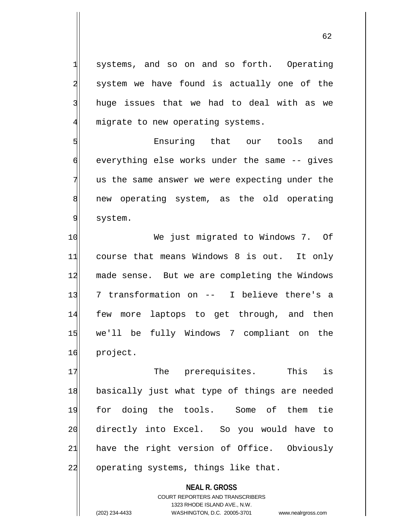1 systems, and so on and so forth. Operating 2 system we have found is actually one of the 3 | huge issues that we had to deal with as we  $4$  migrate to new operating systems.

5 **5** Ensuring that our tools and 6 everything else works under the same -- gives  $7$  us the same answer we were expecting under the 8 8| new operating system, as the old operating 9 system.

10 We just migrated to Windows 7. Of 11 course that means Windows 8 is out. It only 12 made sense. But we are completing the Windows 13 7 transformation on -- I believe there's a 14 few more laptops to get through, and then 15 we'll be fully Windows 7 compliant on the 16 project.

17 The prerequisites. This is 18 basically just what type of things are needed 19 for doing the tools. Some of them tie 20 directly into Excel. So you would have to 21 have the right version of Office. Obviously 22 operating systems, things like that.

> **NEAL R. GROSS** COURT REPORTERS AND TRANSCRIBERS 1323 RHODE ISLAND AVE., N.W. (202) 234-4433 WASHINGTON, D.C. 20005-3701 www.nealrgross.com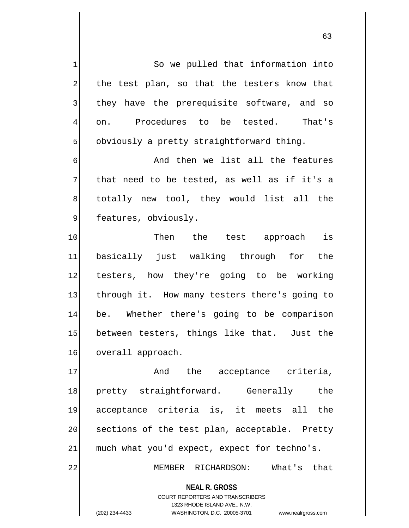1 So we pulled that information into 2 the test plan, so that the testers know that 3 I they have the prerequisite software, and so 4 on. Procedures to be tested. That's  $5$  obviously a pretty straightforward thing.

6 6 And then we list all the features  $7$  that need to be tested, as well as if it's a 8 s dotally new tool, they would list all the 9 features, obviously.

10 Then the test approach is 11 basically just walking through for the 12 testers, how they're going to be working 13 through it. How many testers there's going to 14 be. Whether there's going to be comparison 15 between testers, things like that. Just the 16 overall approach.

17 and the acceptance criteria, 18 pretty straightforward. Generally the 19 acceptance criteria is, it meets all the 20 sections of the test plan, acceptable. Pretty  $21$  much what you'd expect, expect for techno's.

22 MEMBER RICHARDSON: What's that

**NEAL R. GROSS**

COURT REPORTERS AND TRANSCRIBERS 1323 RHODE ISLAND AVE., N.W. (202) 234-4433 WASHINGTON, D.C. 20005-3701 www.nealrgross.com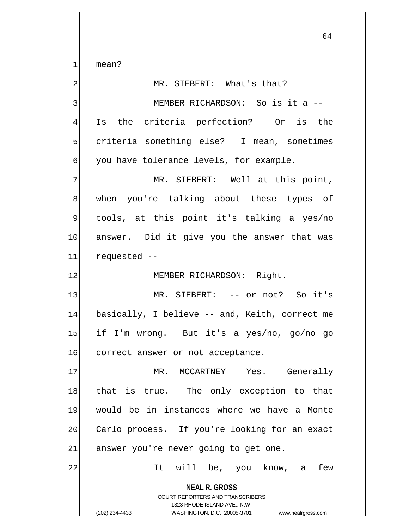1 mean?

**NEAL R. GROSS** COURT REPORTERS AND TRANSCRIBERS 1323 RHODE ISLAND AVE., N.W. (202) 234-4433 WASHINGTON, D.C. 20005-3701 www.nealrgross.com 2 MR. SIEBERT: What's that? 3| MEMBER RICHARDSON: So is it a --4 Is the criteria perfection? Or is the 5 Solutria something else? I mean, sometimes 6 you have tolerance levels, for example. 7 MR. SIEBERT: Well at this point, 8 when you're talking about these types of 9 tools, at this point it's talking a yes/no 10 answer. Did it give you the answer that was 11 requested -- 12 MEMBER RICHARDSON: Right. 13 MR. SIEBERT: -- or not? So it's 14 basically, I believe -- and, Keith, correct me 15 if I'm wrong. But it's a yes/no, go/no go 16 correct answer or not acceptance. 17 MR. MCCARTNEY Yes. Generally 18 that is true. The only exception to that 19 would be in instances where we have a Monte 20 Carlo process. If you're looking for an exact  $21$  answer you're never going to get one. 22 and the, you know, a few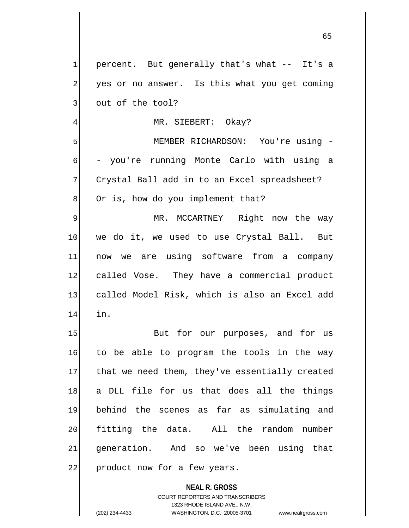1 percent. But generally that's what -- It's a 2 yes or no answer. Is this what you get coming 3 out of the tool? 4 MR. SIEBERT: Okay? 5 MEMBER RICHARDSON: You're using - 6 - you're running Monte Carlo with using a 7 Crystal Ball add in to an Excel spreadsheet?  $8$  Or is, how do you implement that? 9 MR. MCCARTNEY Right now the way 10 we do it, we used to use Crystal Ball. But 11 now we are using software from a company 12 called Vose. They have a commercial product 13 called Model Risk, which is also an Excel add 14 in. 15 But for our purposes, and for us 16 to be able to program the tools in the way 17 that we need them, they've essentially created 18 a DLL file for us that does all the things 19 behind the scenes as far as simulating and 20 fitting the data. All the random number 21 generation. And so we've been using that 22 product now for a few years.

> COURT REPORTERS AND TRANSCRIBERS 1323 RHODE ISLAND AVE., N.W. (202) 234-4433 WASHINGTON, D.C. 20005-3701 www.nealrgross.com

**NEAL R. GROSS**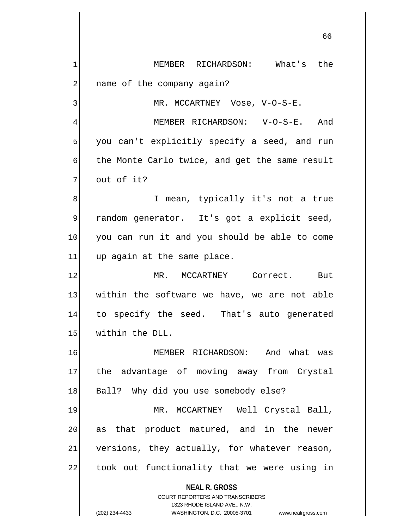**NEAL R. GROSS** COURT REPORTERS AND TRANSCRIBERS 1 MEMBER RICHARDSON: What's the 2 all name of the company again? 3 MR. MCCARTNEY Vose, V-O-S-E. 4 MEMBER RICHARDSON: V-O-S-E. And 5 you can't explicitly specify a seed, and run 6 the Monte Carlo twice, and get the same result 7 out of it? 8 8 I mean, typically it's not a true 9 random generator. It's got a explicit seed, 10 you can run it and you should be able to come  $11$  up again at the same place. 12 MR. MCCARTNEY Correct. But 13 within the software we have, we are not able 14 to specify the seed. That's auto generated 15 | within the DLL. 16 MEMBER RICHARDSON: And what was 17 the advantage of moving away from Crystal 18 Ball? Why did you use somebody else? 19 MR. MCCARTNEY Well Crystal Ball, 20 as that product matured, and in the newer  $21$  versions, they actually, for whatever reason, 22 took out functionality that we were using in

1323 RHODE ISLAND AVE., N.W.

(202) 234-4433 WASHINGTON, D.C. 20005-3701 www.nealrgross.com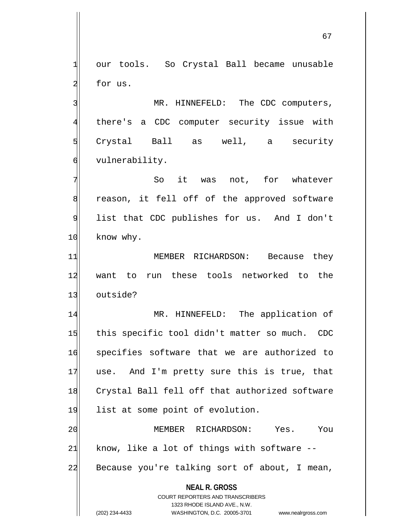1 our tools. So Crystal Ball became unusable 2 for us.

3 MR. HINNEFELD: The CDC computers, 4 there's a CDC computer security issue with  $5$  Crystal Ball as well, a security 6 vulnerability.

7 The Sout was not, for whatever 8 reason, it fell off of the approved software 9 list that CDC publishes for us. And I don't 10 know why.

11 MEMBER RICHARDSON: Because they 12 want to run these tools networked to the 13 outside?

14 MR. HINNEFELD: The application of 15 this specific tool didn't matter so much. CDC 16 specifies software that we are authorized to 17 use. And I'm pretty sure this is true, that 18 Crystal Ball fell off that authorized software 19 list at some point of evolution.

20 MEMBER RICHARDSON: Yes. You  $21$  know, like a lot of things with software  $-$ 22 Because you're talking sort of about, I mean,

> **NEAL R. GROSS** COURT REPORTERS AND TRANSCRIBERS

> > 1323 RHODE ISLAND AVE., N.W.

(202) 234-4433 WASHINGTON, D.C. 20005-3701 www.nealrgross.com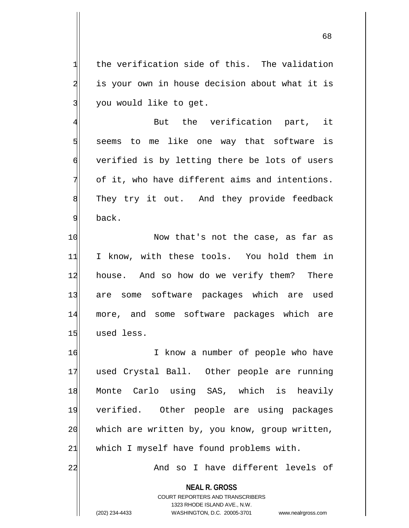$1$  the verification side of this. The validation 2 is your own in house decision about what it is 3 you would like to get.

 But the verification part, it seems to me like one way that software is verified is by letting there be lots of users of it, who have different aims and intentions. 8 They try it out. And they provide feedback 9 back.

10 Now that's not the case, as far as 11 I know, with these tools. You hold them in 12 house. And so how do we verify them? There 13 are some software packages which are used 14 more, and some software packages which are 15 used less.

16 I know a number of people who have 17 used Crystal Ball. Other people are running 18 Monte Carlo using SAS, which is heavily 19 verified. Other people are using packages 20 which are written by, you know, group written,  $21$  which I myself have found problems with.

22 And so I have different levels of

**NEAL R. GROSS**

COURT REPORTERS AND TRANSCRIBERS 1323 RHODE ISLAND AVE., N.W. (202) 234-4433 WASHINGTON, D.C. 20005-3701 www.nealrgross.com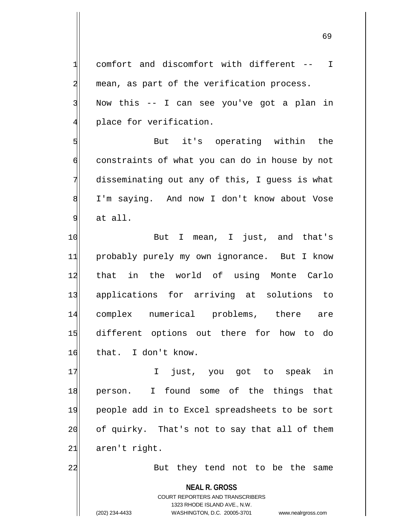69

3 Now this -- I can see you've got a plan in 4 place for verification. 5 But it's operating within the 6 constraints of what you can do in house by not 7 disseminating out any of this, I guess is what 8 I'm saying. And now I don't know about Vose  $9$  at all. 10 But I mean, I just, and that's 11 probably purely my own ignorance. But I know 12 that in the world of using Monte Carlo 13 applications for arriving at solutions to 14 complex numerical problems, there are 15 different options out there for how to do 16 that. I don't know. 17 I just, you got to speak in 18 person. I found some of the things that 19 people add in to Excel spreadsheets to be sort

1 comfort and discomfort with different -- I

2 mean, as part of the verification process.

 $21$  aren't right.

22 But they tend not to be the same

**NEAL R. GROSS**

20 of quirky. That's not to say that all of them

COURT REPORTERS AND TRANSCRIBERS 1323 RHODE ISLAND AVE., N.W. (202) 234-4433 WASHINGTON, D.C. 20005-3701 www.nealrgross.com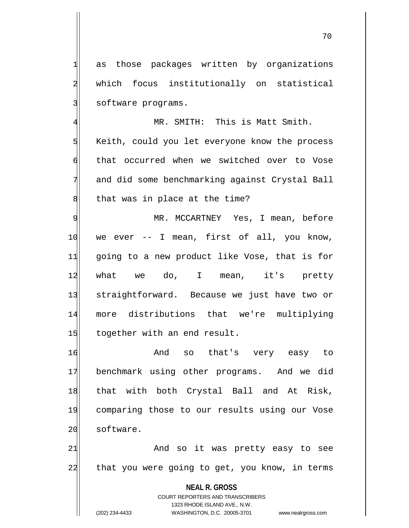1 as those packages written by organizations 2 which focus institutionally on statistical 3 software programs.

4 MR. SMITH: This is Matt Smith. 5 Keith, could you let everyone know the process 6 that occurred when we switched over to Vose 7 and did some benchmarking against Crystal Ball  $8$  that was in place at the time?

9 MR. MCCARTNEY Yes, I mean, before 10 | we ever -- I mean, first of all, you know, 11 going to a new product like Vose, that is for 12|| what we do, I mean, it's pretty 13 straightforward. Because we just have two or 14 more distributions that we're multiplying 15 together with an end result.

16 And so that's very easy to 17 benchmark using other programs. And we did 18 that with both Crystal Ball and At Risk, 19 comparing those to our results using our Vose 20 software.

21 and so it was pretty easy to see 22 that you were going to get, you know, in terms

> **NEAL R. GROSS** COURT REPORTERS AND TRANSCRIBERS

> > 1323 RHODE ISLAND AVE., N.W.

(202) 234-4433 WASHINGTON, D.C. 20005-3701 www.nealrgross.com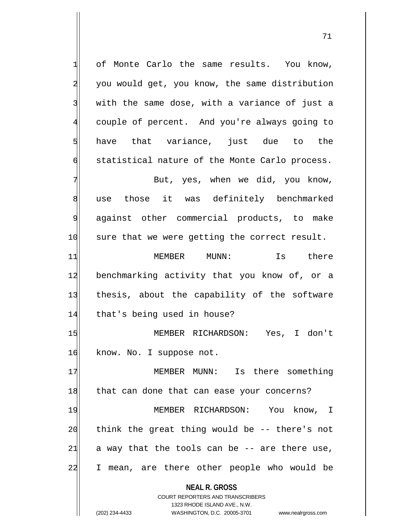1 of Monte Carlo the same results. You know, 2 you would get, you know, the same distribution  $3$  with the same dose, with a variance of just a 4 couple of percent. And you're always going to 5 have that variance, just due to the 6 statistical nature of the Monte Carlo process.

7 Rut, yes, when we did, you know, 8 use those it was definitely benchmarked 9 against other commercial products, to make 10 sure that we were getting the correct result.

11 MEMBER MUNN: Is there 12 benchmarking activity that you know of, or a 13 thesis, about the capability of the software 14 that's being used in house?

15 MEMBER RICHARDSON: Yes, I don't 16 know. No. I suppose not.

17 MEMBER MUNN: Is there something 18 that can done that can ease your concerns? 19 MEMBER RICHARDSON: You know, I  $20$  think the great thing would be  $-$  there's not  $21$  a way that the tools can be -- are there use, 22 I mean, are there other people who would be

> **NEAL R. GROSS** COURT REPORTERS AND TRANSCRIBERS

> > 1323 RHODE ISLAND AVE., N.W.

(202) 234-4433 WASHINGTON, D.C. 20005-3701 www.nealrgross.com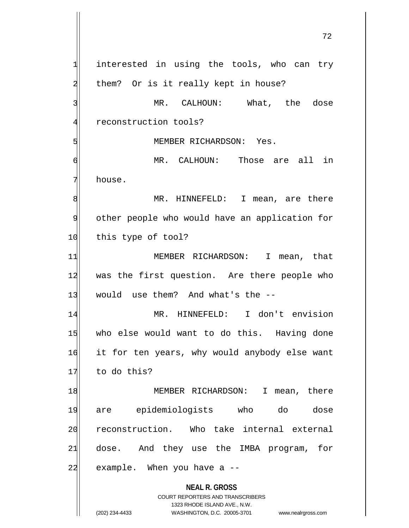**NEAL R. GROSS** COURT REPORTERS AND TRANSCRIBERS 1323 RHODE ISLAND AVE., N.W.  $1$  interested in using the tools, who can try 2 them? Or is it really kept in house? 3 MR. CALHOUN: What, the dose 4 reconstruction tools? 5 | MEMBER RICHARDSON: Yes. 6 MR. CALHOUN: Those are all in 7 house. 8| MR. HINNEFELD: I mean, are there 9 other people who would have an application for 10 this type of tool? 11 MEMBER RICHARDSON: I mean, that 12 was the first question. Are there people who  $13$  would use them? And what's the  $-$ 14 MR. HINNEFELD: I don't envision 15 who else would want to do this. Having done 16 it for ten years, why would anybody else want 17 to do this? 18 MEMBER RICHARDSON: I mean, there 19 are epidemiologists who do dose 20 reconstruction. Who take internal external 21 dose. And they use the IMBA program, for  $22$  example. When you have a  $-$ 

(202) 234-4433 WASHINGTON, D.C. 20005-3701 www.nealrgross.com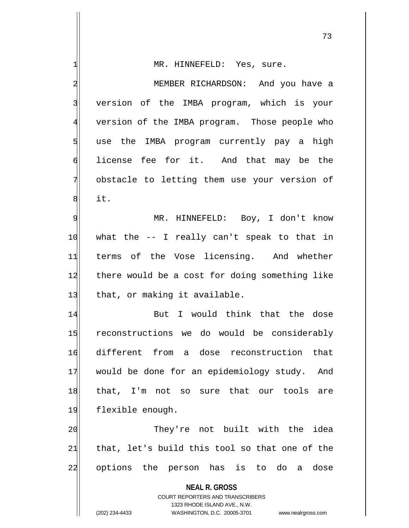| 1                       | MR. HINNEFELD: Yes, sure.                                                                           |
|-------------------------|-----------------------------------------------------------------------------------------------------|
| $\overline{\mathbf{c}}$ | MEMBER RICHARDSON: And you have a                                                                   |
| 3                       | version of the IMBA program, which is your                                                          |
| $\overline{4}$          | version of the IMBA program. Those people who                                                       |
| 5                       | use the IMBA program currently pay a high                                                           |
| 6                       | license fee for it. And that may be the                                                             |
| 7                       | obstacle to letting them use your version of                                                        |
| 8                       | it.                                                                                                 |
| $\overline{9}$          | MR. HINNEFELD: Boy, I don't know                                                                    |
| 10                      | what the -- I really can't speak to that in                                                         |
| 11                      | terms of the Vose licensing. And whether                                                            |
| 12                      | there would be a cost for doing something like                                                      |
| 13                      | that, or making it available.                                                                       |
| 14                      | But I would think that the dose                                                                     |
| 15                      | reconstructions we do would be considerably                                                         |
| 16                      | different from a dose reconstruction that                                                           |
| 17                      | would be done for an epidemiology study.<br>And                                                     |
| 18                      | that, I'm not so sure that our tools are                                                            |
| 19                      | flexible enough.                                                                                    |
| 20                      | They're not built with the<br>idea                                                                  |
| 21                      | that, let's build this tool so that one of the                                                      |
| 22                      | options the person has is to do<br>dose<br>a                                                        |
|                         | <b>NEAL R. GROSS</b><br><b>COURT REPORTERS AND TRANSCRIBERS</b>                                     |
|                         | 1323 RHODE ISLAND AVE., N.W.<br>(202) 234-4433<br>WASHINGTON, D.C. 20005-3701<br>www.nealrgross.com |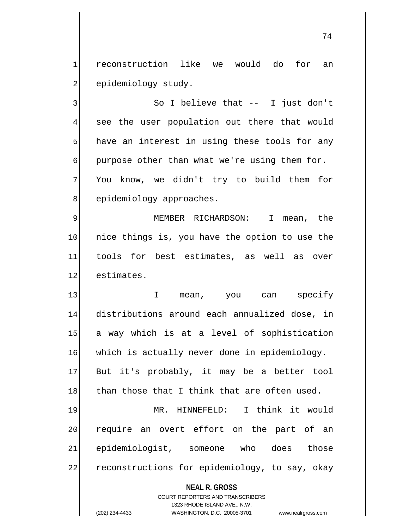1 reconstruction like we would do for an 2 epidemiology study.

3 | So I believe that -- I just don't 4 see the user population out there that would  $5$  have an interest in using these tools for any  $\phi$  purpose other than what we're using them for. 7 You know, we didn't try to build them for 8 epidemiology approaches.

9 MEMBER RICHARDSON: I mean, the 10 nice things is, you have the option to use the 11 tools for best estimates, as well as over 12 estimates.

13 I mean, you can specify 14 distributions around each annualized dose, in 15 a way which is at a level of sophistication 16 which is actually never done in epidemiology. 17 But it's probably, it may be a better tool  $18$  than those that I think that are often used. 19 MR. HINNEFELD: I think it would

20 require an overt effort on the part of an 21 epidemiologist, someone who does those 22 reconstructions for epidemiology, to say, okay

**NEAL R. GROSS**

COURT REPORTERS AND TRANSCRIBERS 1323 RHODE ISLAND AVE., N.W. (202) 234-4433 WASHINGTON, D.C. 20005-3701 www.nealrgross.com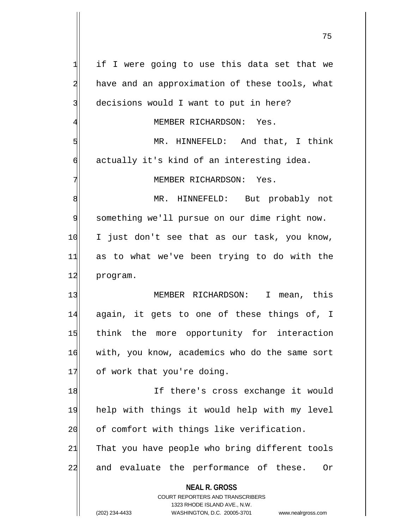**NEAL R. GROSS** COURT REPORTERS AND TRANSCRIBERS 1323 RHODE ISLAND AVE., N.W. (202) 234-4433 WASHINGTON, D.C. 20005-3701 www.nealrgross.com  $1$  if I were going to use this data set that we 2 have and an approximation of these tools, what 3 decisions would I want to put in here? 4 MEMBER RICHARDSON: Yes. 5 MR. HINNEFELD: And that, I think  $\mathfrak{h}$  actually it's kind of an interesting idea. 7 MEMBER RICHARDSON: Yes. 8 MR. HINNEFELD: But probably not 9 something we'll pursue on our dime right now. 10 I just don't see that as our task, you know, 11 as to what we've been trying to do with the 12 program. 13 MEMBER RICHARDSON: I mean, this 14 again, it gets to one of these things of, I 15 think the more opportunity for interaction 16 with, you know, academics who do the same sort 17 of work that you're doing. 18 If there's cross exchange it would 19 help with things it would help with my level 20 of comfort with things like verification.  $21$  That you have people who bring different tools 22 and evaluate the performance of these. Or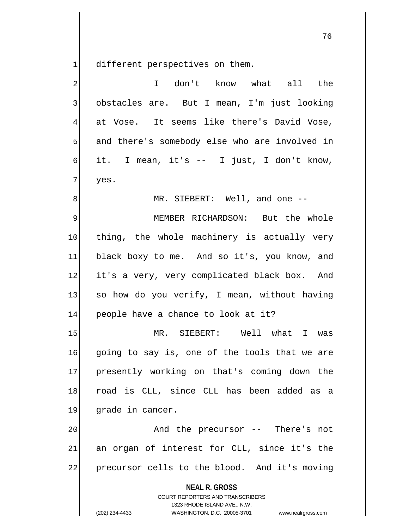different perspectives on them.

| $\overline{a}$          | I don't know what all the                                                                                                                                              |
|-------------------------|------------------------------------------------------------------------------------------------------------------------------------------------------------------------|
| $\overline{\mathbf{3}}$ | obstacles are. But I mean, I'm just looking                                                                                                                            |
| $\overline{4}$          | at Vose. It seems like there's David Vose,                                                                                                                             |
| 5                       | and there's somebody else who are involved in                                                                                                                          |
| $\overline{6}$          | it. I mean, it's -- I just, I don't know,                                                                                                                              |
| 7                       | yes.                                                                                                                                                                   |
| 8                       | MR. SIEBERT: Well, and one --                                                                                                                                          |
| 9                       | MEMBER RICHARDSON: But the whole                                                                                                                                       |
| 10                      | thing, the whole machinery is actually very                                                                                                                            |
| 11                      | black boxy to me. And so it's, you know, and                                                                                                                           |
| 12                      | it's a very, very complicated black box. And                                                                                                                           |
| 13                      | so how do you verify, I mean, without having                                                                                                                           |
| 14                      | people have a chance to look at it?                                                                                                                                    |
| 15                      | MR. SIEBERT: Well what I was                                                                                                                                           |
| 16                      | going to say is, one of the tools that we are                                                                                                                          |
| 17                      | presently working on that's coming down the                                                                                                                            |
| 18                      | road is CLL, since CLL has been added as a                                                                                                                             |
| 19                      | grade in cancer.                                                                                                                                                       |
| 20                      | And the precursor -- There's not                                                                                                                                       |
| 21                      | an organ of interest for CLL, since it's the                                                                                                                           |
| 22                      | precursor cells to the blood. And it's moving                                                                                                                          |
|                         | <b>NEAL R. GROSS</b><br><b>COURT REPORTERS AND TRANSCRIBERS</b><br>1323 RHODE ISLAND AVE., N.W.<br>(202) 234-4433<br>WASHINGTON, D.C. 20005-3701<br>www.nealrgross.com |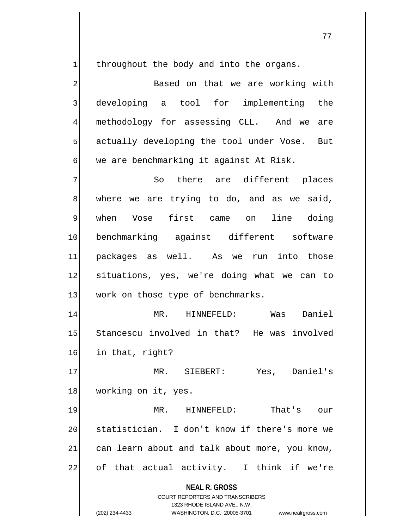$1$  throughout the body and into the organs.

2 Based on that we are working with 3 developing a tool for implementing the 4 methodology for assessing CLL. And we are  $5$  actually developing the tool under Vose. But  $\mathfrak{h}$  we are benchmarking it against At Risk.

7 So there are different places 8 where we are trying to do, and as we said, 9 when Vose first came on line doing 10 benchmarking against different software 11 packages as well. As we run into those 12 situations, yes, we're doing what we can to 13 work on those type of benchmarks.

14 MR. HINNEFELD: Was Daniel 15 Stancescu involved in that? He was involved 16 in that, right?

17 MR. SIEBERT: Yes, Daniel's 18 working on it, yes.

19 MR. HINNEFELD: That's our 20 statistician. I don't know if there's more we  $21$  can learn about and talk about more, you know, 22 of that actual activity. I think if we're

**NEAL R. GROSS**

COURT REPORTERS AND TRANSCRIBERS 1323 RHODE ISLAND AVE., N.W. (202) 234-4433 WASHINGTON, D.C. 20005-3701 www.nealrgross.com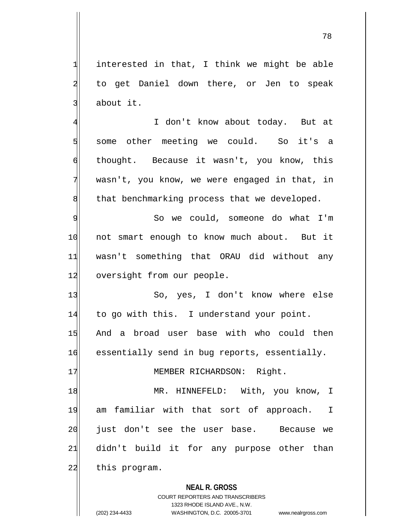$1$  interested in that, I think we might be able 2 to get Daniel down there, or Jen to speak 3 about it.

4 I don't know about today. But at 5| some other meeting we could. So it's a 6 thought. Because it wasn't, you know, this 7 wasn't, you know, we were engaged in that, in 8 6 8 10 that benchmarking process that we developed.

9 So we could, someone do what I'm 10 not smart enough to know much about. But it 11 wasn't something that ORAU did without any 12 oversight from our people.

13 So, yes, I don't know where else 14 to go with this. I understand your point. 15 And a broad user base with who could then 16 essentially send in bug reports, essentially.

17 MEMBER RICHARDSON: Right.

18 MR. HINNEFELD: With, you know, I 19 am familiar with that sort of approach. I 20 just don't see the user base. Because we 21 didn't build it for any purpose other than 22 this program.

**NEAL R. GROSS**

COURT REPORTERS AND TRANSCRIBERS 1323 RHODE ISLAND AVE., N.W. (202) 234-4433 WASHINGTON, D.C. 20005-3701 www.nealrgross.com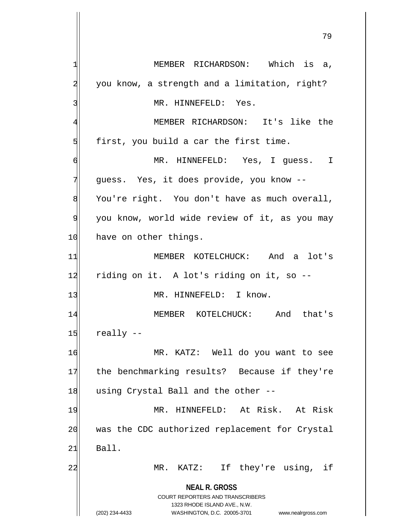**NEAL R. GROSS** COURT REPORTERS AND TRANSCRIBERS 1323 RHODE ISLAND AVE., N.W. (202) 234-4433 WASHINGTON, D.C. 20005-3701 www.nealrgross.com 1 MEMBER RICHARDSON: Which is a, 2 you know, a strength and a limitation, right? 3<sup>|</sup> MR. HINNEFELD: Yes. 4 MEMBER RICHARDSON: It's like the  $5$  first, you build a car the first time. 6 MR. HINNEFELD: Yes, I guess. I 7 guess. Yes, it does provide, you know -- $8$  You're right. You don't have as much overall, 9 you know, world wide review of it, as you may 10 have on other things. 11 MEMBER KOTELCHUCK: And a lot's 12 riding on it. A lot's riding on it, so --13 MR. HINNEFELD: I know. 14 MEMBER KOTELCHUCK: And that's  $15$  really  $-$ 16 MR. KATZ: Well do you want to see 17 the benchmarking results? Because if they're 18 using Crystal Ball and the other --19 MR. HINNEFELD: At Risk. At Risk 20 was the CDC authorized replacement for Crystal  $21$  Ball. 22 MR. KATZ: If they're using, if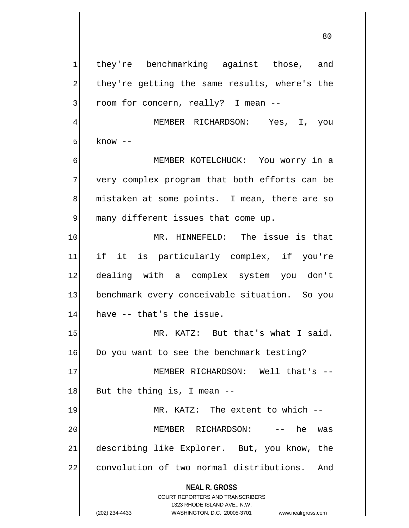**NEAL R. GROSS** COURT REPORTERS AND TRANSCRIBERS 1323 RHODE ISLAND AVE., N.W. 1 they're benchmarking against those, and 2 they're getting the same results, where's the 3 room for concern, really? I mean --4 MEMBER RICHARDSON: Yes, I, you  $5$  know  $-$ 6 MEMBER KOTELCHUCK: You worry in a 7 very complex program that both efforts can be 8 mistaken at some points. I mean, there are so 9 many different issues that come up. 10 MR. HINNEFELD: The issue is that 11 if it is particularly complex, if you're 12 dealing with a complex system you don't 13 benchmark every conceivable situation. So you  $14$  have  $-$  that's the issue. 15 MR. KATZ: But that's what I said. 16 Do you want to see the benchmark testing? 17 MEMBER RICHARDSON: Well that's -- $18$  But the thing is, I mean  $-$ 19 MR. KATZ: The extent to which --20 | MEMBER RICHARDSON: -- he was 21 describing like Explorer. But, you know, the 22 convolution of two normal distributions. And

(202) 234-4433 WASHINGTON, D.C. 20005-3701 www.nealrgross.com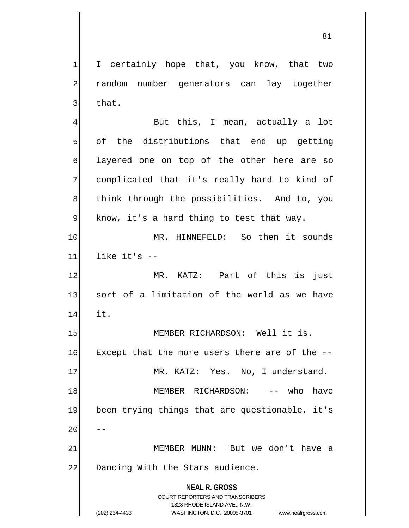1 I certainly hope that, you know, that two 2 random number generators can lay together  $3$  that.

**NEAL R. GROSS** COURT REPORTERS AND TRANSCRIBERS 1323 RHODE ISLAND AVE., N.W. 4 But this, I mean, actually a lot  $5$  of the distributions that end up getting 6 d| layered one on top of the other here are so 7 complicated that it's really hard to kind of 8 8 and think through the possibilities. And to, you  $9$  know, it's a hard thing to test that way. 10 MR. HINNEFELD: So then it sounds  $11$  like it's  $-$ 12 MR. KATZ: Part of this is just 13 sort of a limitation of the world as we have 14 it. 15 MEMBER RICHARDSON: Well it is.  $16$  Except that the more users there are of the  $-$ 17 MR. KATZ: Yes. No, I understand. 18 MEMBER RICHARDSON: -- who have 19 been trying things that are questionable, it's  $20$ 21 MEMBER MUNN: But we don't have a 22 Dancing With the Stars audience.

(202) 234-4433 WASHINGTON, D.C. 20005-3701 www.nealrgross.com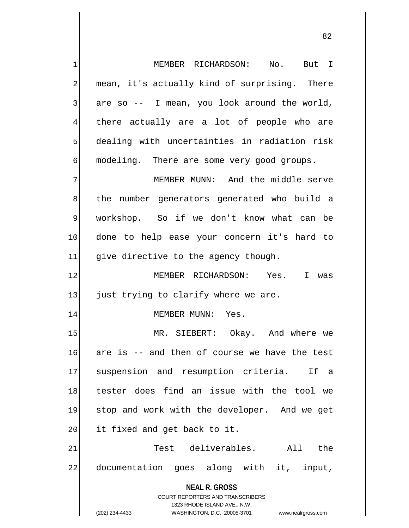1 MEMBER RICHARDSON: No. But I 2 mean, it's actually kind of surprising. There  $3$  are so  $-$  I mean, you look around the world, 4 there actually are a lot of people who are  $5$  dealing with uncertainties in radiation risk 6 modeling. There are some very good groups.

7 MEMBER MUNN: And the middle serve 8 b 8 the number generators generated who build a 9 workshop. So if we don't know what can be 10 done to help ease your concern it's hard to 11 give directive to the agency though.

12 MEMBER RICHARDSON: Yes. I was  $13$  just trying to clarify where we are.

## 14 MEMBER MUNN: Yes.

15 MR. SIEBERT: Okay. And where we 16 are is -- and then of course we have the test 17 suspension and resumption criteria. If a 18 tester does find an issue with the tool we 19 stop and work with the developer. And we get 20 it fixed and get back to it.

21 Test deliverables. All the 22 documentation goes along with it, input,

**NEAL R. GROSS**

COURT REPORTERS AND TRANSCRIBERS 1323 RHODE ISLAND AVE., N.W. (202) 234-4433 WASHINGTON, D.C. 20005-3701 www.nealrgross.com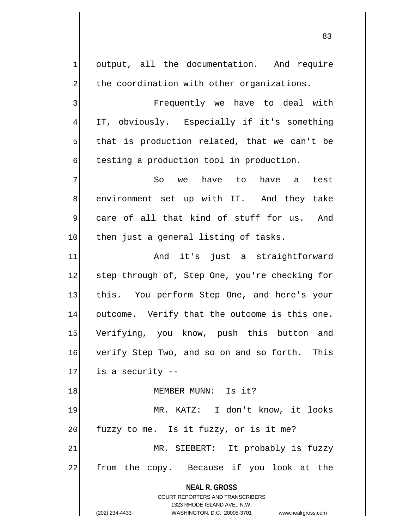**NEAL R. GROSS** COURT REPORTERS AND TRANSCRIBERS 1323 RHODE ISLAND AVE., N.W. 1 output, all the documentation. And require 2 the coordination with other organizations. 3 Brequently we have to deal with 4 IT, obviously. Especially if it's something  $5$  that is production related, that we can't be 6 testing a production tool in production. 7 So we have to have a test 8 environment set up with IT. And they take 9 care of all that kind of stuff for us. And 10 then just a general listing of tasks. 11 and it's just a straightforward 12 step through of, Step One, you're checking for 13 this. You perform Step One, and here's your 14 outcome. Verify that the outcome is this one. 15 Verifying, you know, push this button and 16 verify Step Two, and so on and so forth. This  $17$  is a security  $-$ 18 and MEMBER MUNN: Is it? 19 MR. KATZ: I don't know, it looks  $20$  fuzzy to me. Is it fuzzy, or is it me? 21 MR. SIEBERT: It probably is fuzzy 22 from the copy. Because if you look at the

(202) 234-4433 WASHINGTON, D.C. 20005-3701 www.nealrgross.com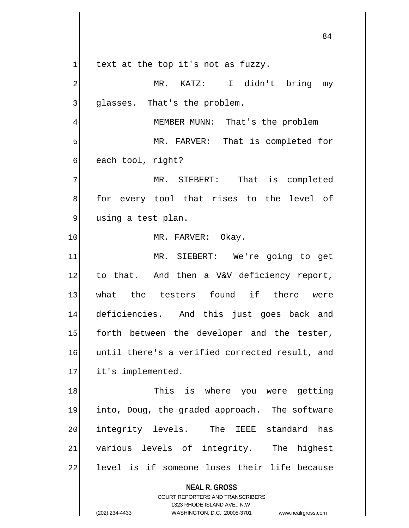**NEAL R. GROSS** COURT REPORTERS AND TRANSCRIBERS 1323 RHODE ISLAND AVE., N.W.  $1$  text at the top it's not as fuzzy. 2 MR. KATZ: I didn't bring my  $3$  qlasses. That's the problem. 4 MEMBER MUNN: That's the problem 5 MR. FARVER: That is completed for 6 each tool, right? 7 MR. SIEBERT: That is completed 8 for every tool that rises to the level of 9 using a test plan. 10 MR. FARVER: Okay. 11 MR. SIEBERT: We're going to get 12 to that. And then a V&V deficiency report, 13 what the testers found if there were 14 deficiencies. And this just goes back and 15 forth between the developer and the tester, 16 until there's a verified corrected result, and 17 it's implemented. 18 18 This is where you were getting 19 into, Doug, the graded approach. The software 20 integrity levels. The IEEE standard has 21 various levels of integrity. The highest 22 level is if someone loses their life because

<sup>(202) 234-4433</sup> WASHINGTON, D.C. 20005-3701 www.nealrgross.com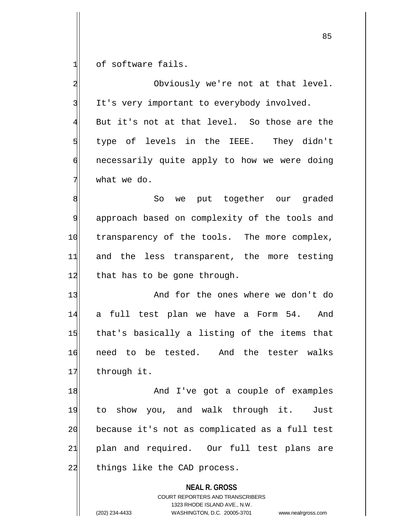1 of software fails.

**NEAL R. GROSS** COURT REPORTERS AND TRANSCRIBERS 2 Obviously we're not at that level. 3 It's very important to everybody involved.  $4$  But it's not at that level. So those are the 5 5 5 5 st versuing the IEEE. They didn't 6 6 necessarily quite apply to how we were doing  $7$  what we do. 8 8 So we put together our graded 9 approach based on complexity of the tools and 10 transparency of the tools. The more complex, 11 and the less transparent, the more testing  $12$  that has to be gone through. 13 And for the ones where we don't do 14 a full test plan we have a Form 54. And 15 that's basically a listing of the items that 16 need to be tested. And the tester walks 17 through it. 18 and I've got a couple of examples 19 to show you, and walk through it. Just 20 because it's not as complicated as a full test 21 plan and required. Our full test plans are 22 things like the CAD process.

1323 RHODE ISLAND AVE., N.W.

(202) 234-4433 WASHINGTON, D.C. 20005-3701 www.nealrgross.com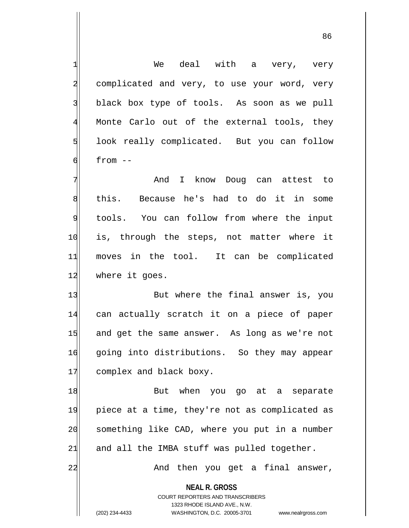**NEAL R. GROSS** COURT REPORTERS AND TRANSCRIBERS 1323 RHODE ISLAND AVE., N.W.  $1$  We deal with a very, very 2 complicated and very, to use your word, very 3 black box type of tools. As soon as we pull 4 Monte Carlo out of the external tools, they 5 Solution 100k really complicated. But you can follow  $6$  from  $-$ 7 And I know Doug can attest to 8 this. Because he's had to do it in some 9 tools. You can follow from where the input 10 is, through the steps, not matter where it 11 moves in the tool. It can be complicated 12 where it goes. 13 But where the final answer is, you 14 can actually scratch it on a piece of paper 15 and get the same answer. As long as we're not 16 going into distributions. So they may appear 17 complex and black boxy. 18 But when you go at a separate 19 piece at a time, they're not as complicated as 20 something like CAD, where you put in a number  $21$  and all the IMBA stuff was pulled together. 22 And then you get a final answer,

(202) 234-4433 WASHINGTON, D.C. 20005-3701 www.nealrgross.com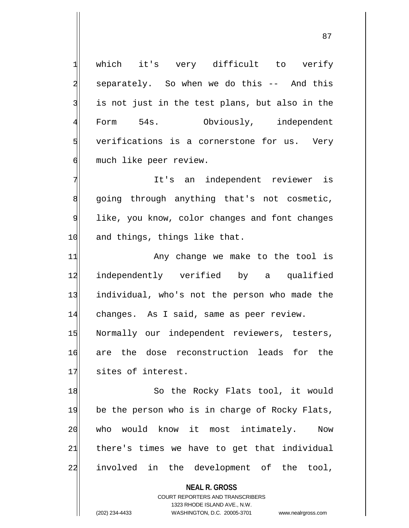1 which it's very difficult to verify 2 separately. So when we do this -- And this  $3$  is not just in the test plans, but also in the 4 Form 54s. Obviously, independent 5 verifications is a cornerstone for us. Very 6 much like peer review.

7 It's an independent reviewer is 8 going through anything that's not cosmetic, 9 like, you know, color changes and font changes 10 and things, things like that.

11 Any change we make to the tool is 12 independently verified by a qualified 13 individual, who's not the person who made the 14 changes. As I said, same as peer review. 15 Normally our independent reviewers, testers, 16 are the dose reconstruction leads for the 17 sites of interest.

18 So the Rocky Flats tool, it would 19 be the person who is in charge of Rocky Flats, 20 who would know it most intimately. Now  $21$  there's times we have to get that individual 22 involved in the development of the tool,

> **NEAL R. GROSS** COURT REPORTERS AND TRANSCRIBERS

> > 1323 RHODE ISLAND AVE., N.W.

(202) 234-4433 WASHINGTON, D.C. 20005-3701 www.nealrgross.com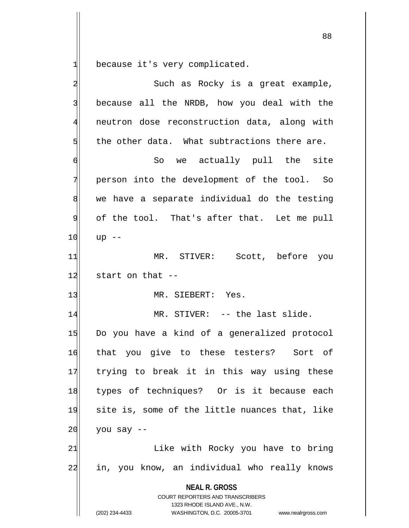1 because it's very complicated.

| $\overline{\mathbf{c}}$ | Such as Rocky is a great example,                                                                                                                                      |
|-------------------------|------------------------------------------------------------------------------------------------------------------------------------------------------------------------|
| $\overline{3}$          | because all the NRDB, how you deal with the                                                                                                                            |
| 4                       | neutron dose reconstruction data, along with                                                                                                                           |
| 5                       | the other data. What subtractions there are.                                                                                                                           |
| $\sigma$                | So we actually pull the site                                                                                                                                           |
| 7                       | person into the development of the tool. So                                                                                                                            |
| 8                       | we have a separate individual do the testing                                                                                                                           |
| 9                       | of the tool. That's after that. Let me pull                                                                                                                            |
| 10                      | $up$ --                                                                                                                                                                |
| 11                      | MR. STIVER: Scott, before you                                                                                                                                          |
| 12                      | start on that --                                                                                                                                                       |
| 13                      | MR. SIEBERT: Yes.                                                                                                                                                      |
| 14                      | MR. STIVER: -- the last slide.                                                                                                                                         |
| 15                      | Do you have a kind of a generalized protocol                                                                                                                           |
| 16                      | that you give to these testers? Sort of                                                                                                                                |
| 17                      | trying to break it in this way using these                                                                                                                             |
| 18                      | types of techniques? Or is it because each                                                                                                                             |
| 19                      | site is, some of the little nuances that, like                                                                                                                         |
| 20                      | you say --                                                                                                                                                             |
| 21                      | Like with Rocky you have to bring                                                                                                                                      |
| 22                      | in, you know, an individual who really knows                                                                                                                           |
|                         | <b>NEAL R. GROSS</b><br><b>COURT REPORTERS AND TRANSCRIBERS</b><br>1323 RHODE ISLAND AVE., N.W.<br>(202) 234-4433<br>WASHINGTON, D.C. 20005-3701<br>www.nealrgross.com |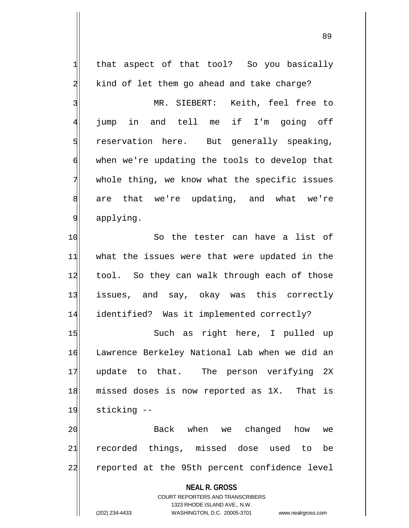| 1              | that aspect of that tool? So you basically                          |
|----------------|---------------------------------------------------------------------|
| $\overline{a}$ | kind of let them go ahead and take charge?                          |
| 3              | MR. SIEBERT: Keith, feel free to                                    |
| $\overline{4}$ | jump in and tell me if I'm going off                                |
| 5              | reservation here. But generally speaking,                           |
| $\sigma$       | when we're updating the tools to develop that                       |
| 7              | whole thing, we know what the specific issues                       |
| 8              | are that we're updating, and what we're                             |
| 9              | applying.                                                           |
| 10             | So the tester can have a list of                                    |
| 11             | what the issues were that were updated in the                       |
| 12             | tool. So they can walk through each of those                        |
| 13             | issues, and say, okay was this correctly                            |
| 14             | identified? Was it implemented correctly?                           |
| 15             | Such as right here, I pulled up                                     |
| 16             | Lawrence Berkeley National Lab when we did an                       |
| 17             | update to that. The person verifying 2X                             |
| 18             | missed doses is now reported as 1X. That is                         |
| 19             | sticking --                                                         |
| 20             | Back when we changed how<br>we                                      |
| 21             | recorded things, missed dose used to<br>be                          |
| 22             | reported at the 95th percent confidence level                       |
|                | <b>NEAL R. GROSS</b><br><b>COURT REPORTERS AND TRANSCRIBERS</b>     |
|                | 1323 RHODE ISLAND AVE., N.W.                                        |
|                | WASHINGTON, D.C. 20005-3701<br>(202) 234-4433<br>www.nealrgross.com |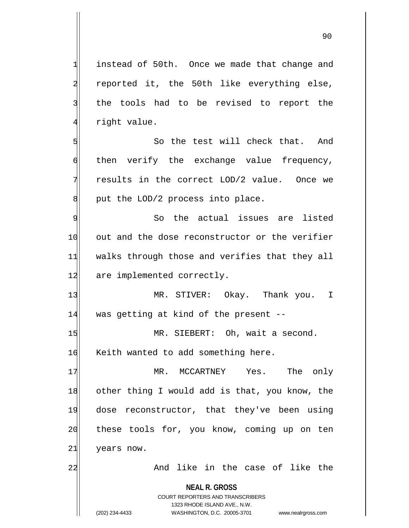1 instead of 50th. Once we made that change and 2 reported it, the 50th like everything else, 3 the tools had to be revised to report the 4 right value.

5 So the test will check that. And 6 then verify the exchange value frequency, 7 results in the correct LOD/2 value. Once we  $8$  put the LOD/2 process into place.

9 So the actual issues are listed 10 out and the dose reconstructor or the verifier 11 walks through those and verifies that they all 12 are implemented correctly.

13 MR. STIVER: Okay. Thank you. I 14 was getting at kind of the present --

15 MR. SIEBERT: Oh, wait a second. 16 Keith wanted to add something here.

17 MR. MCCARTNEY Yes. The only 18 other thing I would add is that, you know, the 19 dose reconstructor, that they've been using 20 these tools for, you know, coming up on ten 21 years now.

22 And like in the case of like the

**NEAL R. GROSS** COURT REPORTERS AND TRANSCRIBERS

1323 RHODE ISLAND AVE., N.W.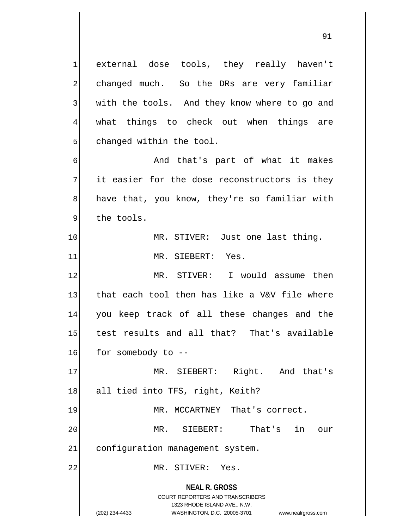**NEAL R. GROSS** COURT REPORTERS AND TRANSCRIBERS 1323 RHODE ISLAND AVE., N.W. 1 external dose tools, they really haven't 2 changed much. So the DRs are very familiar 3 with the tools. And they know where to go and 4 what things to check out when things are  $5$  changed within the tool. 6 And that's part of what it makes  $7$  it easier for the dose reconstructors is they 8 have that, you know, they're so familiar with 9 the tools. 10 MR. STIVER: Just one last thing. 11 MR. SIEBERT: Yes. 12 MR. STIVER: I would assume then 13 that each tool then has like a V&V file where 14 you keep track of all these changes and the 15 test results and all that? That's available  $16$  for somebody to  $-$ 17 MR. SIEBERT: Right. And that's 18 all tied into TFS, right, Keith? 19 MR. MCCARTNEY That's correct. 20 MR. SIEBERT: That's in our 21 configuration management system. 22 MR. STIVER: Yes.

<sup>(202) 234-4433</sup> WASHINGTON, D.C. 20005-3701 www.nealrgross.com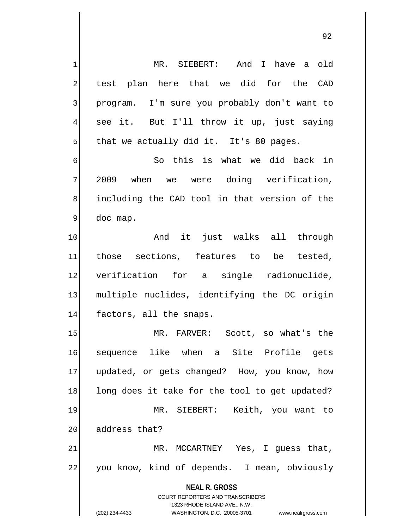**NEAL R. GROSS** COURT REPORTERS AND TRANSCRIBERS 1323 RHODE ISLAND AVE., N.W. 1 MR. SIEBERT: And I have a old 2 | test plan here that we did for the CAD 3 program. I'm sure you probably don't want to 4 see it. But I'll throw it up, just saying  $5$  that we actually did it. It's 80 pages. 6 | So this is what we did back in  $\frac{1}{2009}$  when we were doing verification, 8 including the CAD tool in that version of the 9 doc map. 10 and it just walks all through 11 those sections, features to be tested, 12 verification for a single radionuclide, 13 multiple nuclides, identifying the DC origin 14 factors, all the snaps. 15 MR. FARVER: Scott, so what's the 16 sequence like when a Site Profile gets 17 updated, or gets changed? How, you know, how 18 long does it take for the tool to get updated? 19 MR. SIEBERT: Keith, you want to 20 address that?  $21$  MR. MCCARTNEY Yes, I quess that, 22 you know, kind of depends. I mean, obviously

(202) 234-4433 WASHINGTON, D.C. 20005-3701 www.nealrgross.com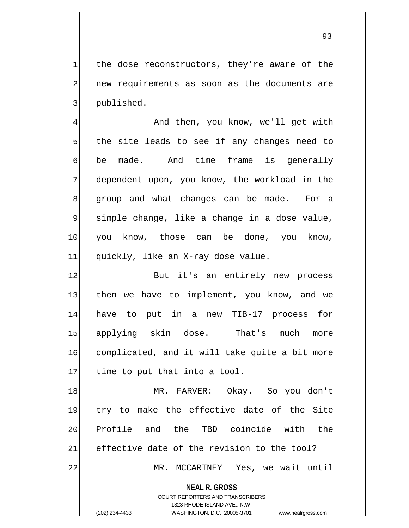$1$  the dose reconstructors, they're aware of the 2 new requirements as soon as the documents are 3 3 published.

4 And then, you know, we'll get with  $5$  the site leads to see if any changes need to 6 be made. And time frame is generally 7 dependent upon, you know, the workload in the 8 group and what changes can be made. For a 9 simple change, like a change in a dose value, 10 you know, those can be done, you know, 11 quickly, like an X-ray dose value.

12 But it's an entirely new process 13 then we have to implement, you know, and we 14 have to put in a new TIB-17 process for 15 applying skin dose. That's much more 16 complicated, and it will take quite a bit more  $17$  time to put that into a tool.

18 MR. FARVER: Okay. So you don't 19 try to make the effective date of the Site 20 Profile and the TBD coincide with the  $21$  effective date of the revision to the tool? 22 MR. MCCARTNEY Yes, we wait until

**NEAL R. GROSS**

COURT REPORTERS AND TRANSCRIBERS 1323 RHODE ISLAND AVE., N.W. (202) 234-4433 WASHINGTON, D.C. 20005-3701 www.nealrgross.com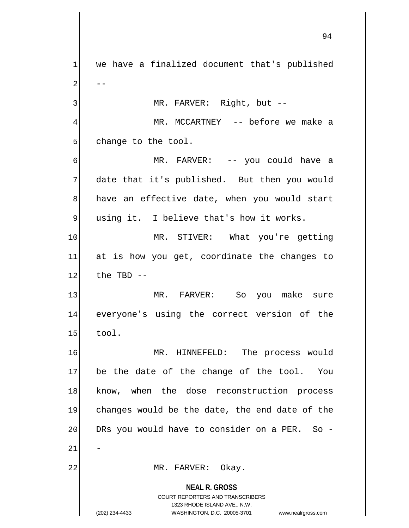**NEAL R. GROSS** COURT REPORTERS AND TRANSCRIBERS 1323 RHODE ISLAND AVE., N.W.  $1$  we have a finalized document that's published  $2 \vert$  --3 MR. FARVER: Right, but --4 MR. MCCARTNEY -- before we make a 5 change to the tool. 6 MR. FARVER: -- you could have a 7 date that it's published. But then you would  $8$  have an effective date, when you would start 9 using it. I believe that's how it works. 10 MR. STIVER: What you're getting  $11$  at is how you get, coordinate the changes to  $12$  the TBD  $-$ 13 MR. FARVER: So you make sure 14 everyone's using the correct version of the  $15$  tool. 16 MR. HINNEFELD: The process would  $17$  be the date of the change of the tool. You 18 know, when the dose reconstruction process 19 changes would be the date, the end date of the  $20$  DRs you would have to consider on a PER. So - $21$ 22 MR. FARVER: Okay.

(202) 234-4433 WASHINGTON, D.C. 20005-3701 www.nealrgross.com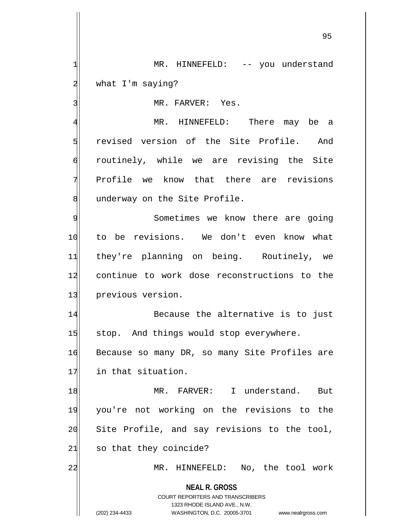1 MR. HINNEFELD: -- you understand 2 what I'm saying?

3 MR. FARVER: Yes.

4 MR. HINNEFELD: There may be a 5 s revised version of the Site Profile. And 6 routinely, while we are revising the Site 7 Profile we know that there are revisions 8 underway on the Site Profile.

9 Sometimes we know there are going 10 to be revisions. We don't even know what 11 they're planning on being. Routinely, we 12 continue to work dose reconstructions to the 13 previous version.

14 Because the alternative is to just 15 stop. And things would stop everywhere.

16 Because so many DR, so many Site Profiles are 17 in that situation.

18 MR. FARVER: I understand. But 19 you're not working on the revisions to the 20 Site Profile, and say revisions to the tool,  $21$  so that they coincide?

22 MR. HINNEFELD: No, the tool work

**NEAL R. GROSS** COURT REPORTERS AND TRANSCRIBERS

1323 RHODE ISLAND AVE., N.W.

(202) 234-4433 WASHINGTON, D.C. 20005-3701 www.nealrgross.com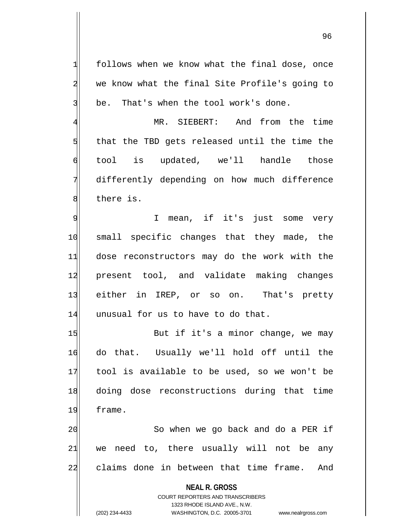$1$  follows when we know what the final dose, once 2 we know what the final Site Profile's going to  $3$  be. That's when the tool work's done.

 MR. SIEBERT: And from the time that the TBD gets released until the time the tool is updated, we'll handle those differently depending on how much difference 8 bere is.

9 | T mean, if it's just some very 10 small specific changes that they made, the 11 dose reconstructors may do the work with the 12 present tool, and validate making changes 13 either in IREP, or so on. That's pretty 14 unusual for us to have to do that.

15 But if it's a minor change, we may 16 do that. Usually we'll hold off until the 17 tool is available to be used, so we won't be 18 doing dose reconstructions during that time 19 frame.

20 So when we go back and do a PER if  $21$  we need to, there usually will not be any 22 claims done in between that time frame. And

**NEAL R. GROSS**

COURT REPORTERS AND TRANSCRIBERS 1323 RHODE ISLAND AVE., N.W. (202) 234-4433 WASHINGTON, D.C. 20005-3701 www.nealrgross.com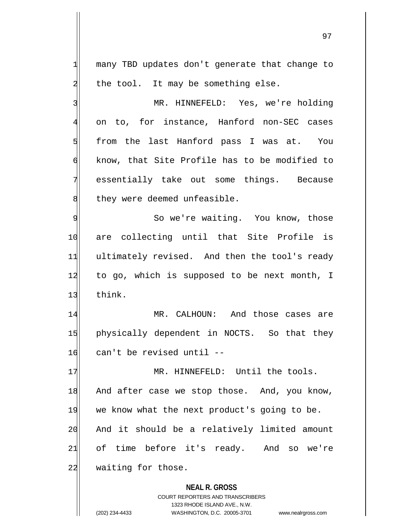$1$  many TBD updates don't generate that change to  $2$  the tool. It may be something else. 3 MR. HINNEFELD: Yes, we're holding 4 on to, for instance, Hanford non-SEC cases  $5$  from the last Hanford pass I was at. You 6 know, that Site Profile has to be modified to 7 essentially take out some things. Because 8 they were deemed unfeasible. 9 So we're waiting. You know, those 10 are collecting until that Site Profile is

11 ultimately revised. And then the tool's ready 12 to go, which is supposed to be next month, I 13 think.

14 MR. CALHOUN: And those cases are 15 physically dependent in NOCTS. So that they  $16$  can't be revised until  $-$ 

17 MR. HINNEFELD: Until the tools. 18 And after case we stop those. And, you know, 19 we know what the next product's going to be. 20 And it should be a relatively limited amount 21 of time before it's ready. And so we're 22 waiting for those.

> **NEAL R. GROSS** COURT REPORTERS AND TRANSCRIBERS 1323 RHODE ISLAND AVE., N.W. (202) 234-4433 WASHINGTON, D.C. 20005-3701 www.nealrgross.com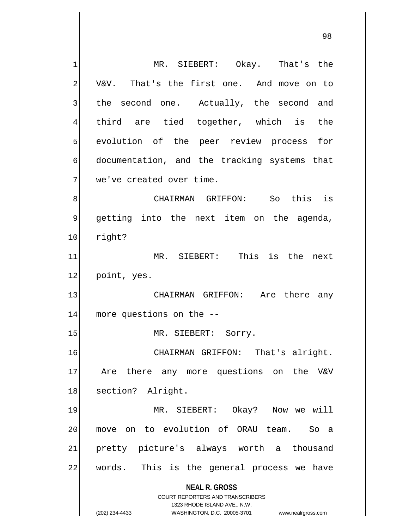**NEAL R. GROSS** COURT REPORTERS AND TRANSCRIBERS 1323 RHODE ISLAND AVE., N.W. (202) 234-4433 WASHINGTON, D.C. 20005-3701 www.nealrgross.com 1 MR. SIEBERT: Okay. That's the 2 V&V. That's the first one. And move on to 3 the second one. Actually, the second and 4 third are tied together, which is the 5 std evolution of the peer review process for 6 documentation, and the tracking systems that  $7$  we've created over time. 8 8 8 South CHAIRMAN GRIFFON: Southis is 9 getting into the next item on the agenda, 10 right? 11 MR. SIEBERT: This is the next 12 point, yes. 13 CHAIRMAN GRIFFON: Are there any 14 more questions on the --15 MR. SIEBERT: Sorry. 16 CHAIRMAN GRIFFON: That's alright. 17 Are there any more questions on the V&V 18 section? Alright. 19 MR. SIEBERT: Okay? Now we will 20 move on to evolution of ORAU team. So a 21 pretty picture's always worth a thousand 22 words. This is the general process we have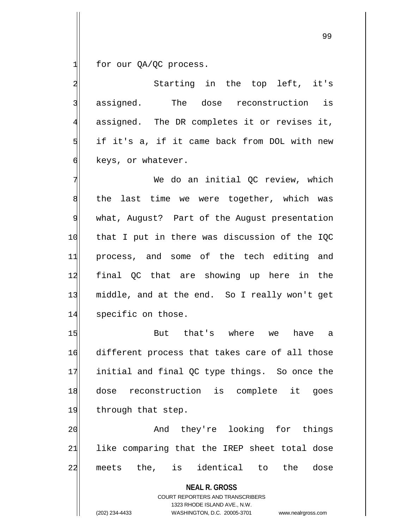$1$  for our QA/QC process.

2 3 2 Starting in the top left, it's 3 assigned. The dose reconstruction is  $4$  assigned. The DR completes it or revises it,  $5$  if it's a, if it came back from DOL with new 6 keys, or whatever.

7 We do an initial OC review, which  $8$  the last time we were together, which was 9 what, August? Part of the August presentation 10 that I put in there was discussion of the IQC 11 process, and some of the tech editing and 12 final QC that are showing up here in the 13 middle, and at the end. So I really won't get 14 specific on those.

15 But that's where we have a 16 different process that takes care of all those 17 initial and final QC type things. So once the 18 dose reconstruction is complete it goes 19 through that step.

20 and they're looking for things  $21$  like comparing that the IREP sheet total dose 22 meets the, is identical to the dose

> **NEAL R. GROSS** COURT REPORTERS AND TRANSCRIBERS

> > 1323 RHODE ISLAND AVE., N.W.

(202) 234-4433 WASHINGTON, D.C. 20005-3701 www.nealrgross.com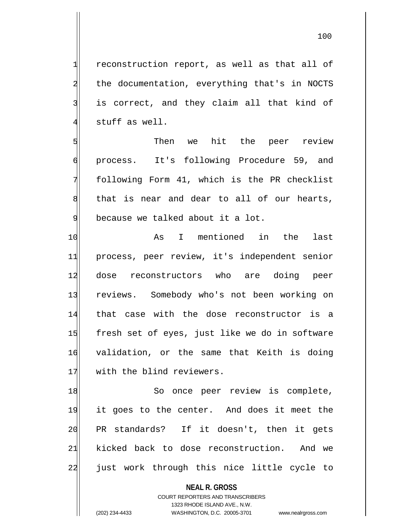$1$  reconstruction report, as well as that all of 2 the documentation, everything that's in NOCTS 3 is correct, and they claim all that kind of  $4$  stuff as well.

5 Then we hit the peer review 6 process. It's following Procedure 59, and 7 following Form 41, which is the PR checklist 8 that is near and dear to all of our hearts, 9 because we talked about it a lot.

10 as I mentioned in the last 11 process, peer review, it's independent senior 12 dose reconstructors who are doing peer 13 reviews. Somebody who's not been working on 14 that case with the dose reconstructor is a 15 fresh set of eyes, just like we do in software 16 validation, or the same that Keith is doing 17 with the blind reviewers.

18 So once peer review is complete, 19 it goes to the center. And does it meet the 20 PR standards? If it doesn't, then it gets 21 kicked back to dose reconstruction. And we 22 just work through this nice little cycle to

**NEAL R. GROSS**

COURT REPORTERS AND TRANSCRIBERS 1323 RHODE ISLAND AVE., N.W. (202) 234-4433 WASHINGTON, D.C. 20005-3701 www.nealrgross.com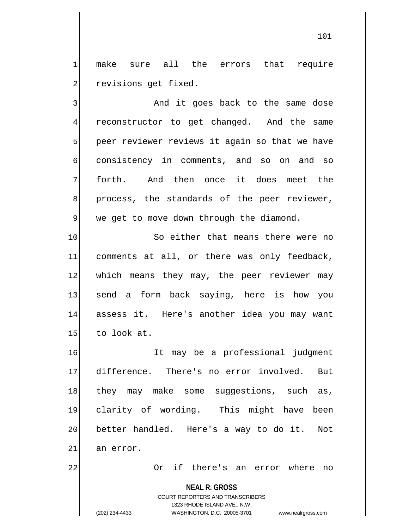1 make sure all the errors that require 2 revisions get fixed.

3 and it goes back to the same dose 4 reconstructor to get changed. And the same 5 peer reviewer reviews it again so that we have 6 consistency in comments, and so on and so  $7$  forth. And then once it does meet the 8 | process, the standards of the peer reviewer, 9 we get to move down through the diamond.

10 So either that means there were no 11 comments at all, or there was only feedback, 12 which means they may, the peer reviewer may 13 send a form back saying, here is how you 14 assess it. Here's another idea you may want  $15$  to look at.

 It may be a professional judgment difference. There's no error involved. But 18 they may make some suggestions, such as, clarity of wording. This might have been 20 better handled. Here's a way to do it. Not an error.

22 Or if there's an error where no

**NEAL R. GROSS**

COURT REPORTERS AND TRANSCRIBERS 1323 RHODE ISLAND AVE., N.W. (202) 234-4433 WASHINGTON, D.C. 20005-3701 www.nealrgross.com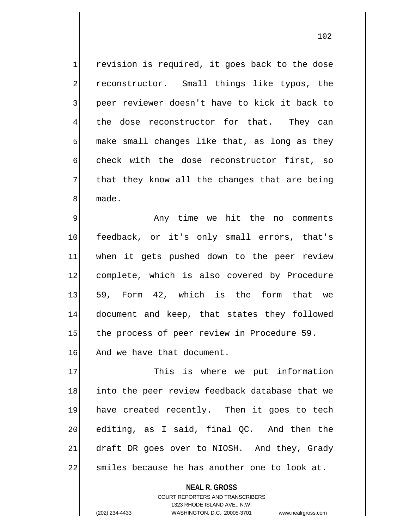$1$  revision is required, it goes back to the dose 2 reconstructor. Small things like typos, the 3 | peer reviewer doesn't have to kick it back to 4 the dose reconstructor for that. They can  $5$  make small changes like that, as long as they 6 check with the dose reconstructor first, so  $7$  that they know all the changes that are being 8 made.

9 Any time we hit the no comments 10 feedback, or it's only small errors, that's 11 when it gets pushed down to the peer review 12 complete, which is also covered by Procedure 13 59, Form 42, which is the form that we 14 document and keep, that states they followed 15 the process of peer review in Procedure 59. 16 And we have that document.

17 This is where we put information 18 into the peer review feedback database that we 19 have created recently. Then it goes to tech 20 editing, as I said, final OC. And then the 21 draft DR goes over to NIOSH. And they, Grady 22 smiles because he has another one to look at.

> **NEAL R. GROSS** COURT REPORTERS AND TRANSCRIBERS 1323 RHODE ISLAND AVE., N.W. (202) 234-4433 WASHINGTON, D.C. 20005-3701 www.nealrgross.com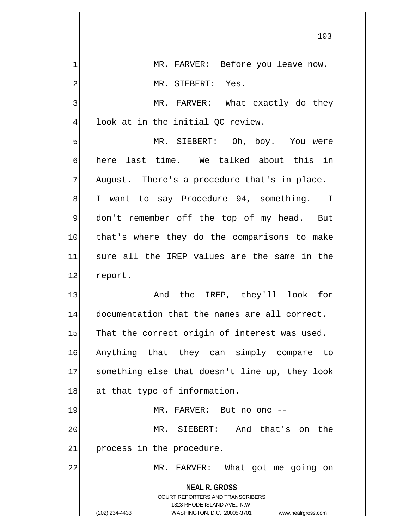| $\mathbf{1}$   | MR. FARVER: Before you leave now.                                                                   |
|----------------|-----------------------------------------------------------------------------------------------------|
| $\overline{a}$ | MR. SIEBERT: Yes.                                                                                   |
| 3              | MR. FARVER: What exactly do they                                                                    |
| $\overline{4}$ | look at in the initial QC review.                                                                   |
| 5              | MR. SIEBERT: Oh, boy. You were                                                                      |
| $\epsilon$     | here last time. We talked about this in                                                             |
| 7              | August. There's a procedure that's in place.                                                        |
| 8              | I want to say Procedure 94, something. I                                                            |
| $\overline{9}$ | don't remember off the top of my head. But                                                          |
| 10             | that's where they do the comparisons to make                                                        |
| 11             | sure all the IREP values are the same in the                                                        |
| 12             | report.                                                                                             |
| 13             | And the IREP, they'll look for                                                                      |
| 14             | documentation that the names are all correct.                                                       |
| 15             | That the correct origin of interest was used.                                                       |
| 16             | Anything that they can simply compare<br>to                                                         |
| 17             | something else that doesn't line up, they look                                                      |
| 18             | at that type of information.                                                                        |
| 19             | MR. FARVER: But no one --                                                                           |
| 20             | MR. SIEBERT: And that's on the                                                                      |
| 21             | process in the procedure.                                                                           |
| 22             | FARVER: What got me going on<br>$MR$ .                                                              |
|                | <b>NEAL R. GROSS</b>                                                                                |
|                | <b>COURT REPORTERS AND TRANSCRIBERS</b>                                                             |
|                | 1323 RHODE ISLAND AVE., N.W.<br>(202) 234-4433<br>WASHINGTON, D.C. 20005-3701<br>www.nealrgross.com |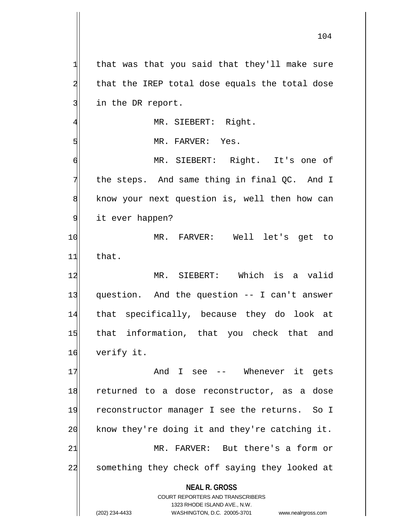**NEAL R. GROSS** COURT REPORTERS AND TRANSCRIBERS 1323 RHODE ISLAND AVE., N.W. (202) 234-4433 WASHINGTON, D.C. 20005-3701 www.nealrgross.com  $1$  that was that you said that they'll make sure  $2$  that the IREP total dose equals the total dose 3 in the DR report. 4 MR. SIEBERT: Right. 5 MR. FARVER: Yes. 6 MR. SIEBERT: Right. It's one of  $7$  the steps. And same thing in final QC. And I 8 know your next question is, well then how can 9 it ever happen? 10 MR. FARVER: Well let's get to  $11$  that. 12 MR. SIEBERT: Which is a valid 13 question. And the question -- I can't answer 14 that specifically, because they do look at 15 that information, that you check that and 16 verify it. 17 and I see -- Whenever it gets 18 returned to a dose reconstructor, as a dose 19 reconstructor manager I see the returns. So I 20 know they're doing it and they're catching it. 21 MR. FARVER: But there's a form or 22 something they check off saying they looked at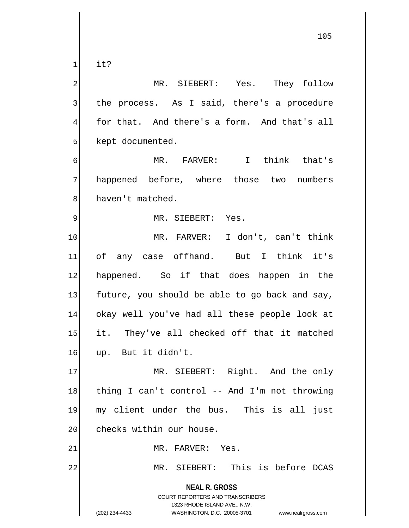$1$  it?

2 MR. SIEBERT: Yes. They follow 3 the process. As I said, there's a procedure  $4$  for that. And there's a form. And that's all 5 kept documented.

6 MR. FARVER: I think that's 7 happened before, where those two numbers 8 haven't matched.

## 9 MR. SIEBERT: Yes.

10 MR. FARVER: I don't, can't think 11 of any case offhand. But I think it's 12 happened. So if that does happen in the  $13$  future, you should be able to go back and say, 14 okay well you've had all these people look at 15 it. They've all checked off that it matched 16 up. But it didn't.

17 MR. SIEBERT: Right. And the only 18 thing I can't control -- And I'm not throwing 19 my client under the bus. This is all just 20 checks within our house.

21 MR. FARVER: Yes.

22 MR. SIEBERT: This is before DCAS

**NEAL R. GROSS** COURT REPORTERS AND TRANSCRIBERS 1323 RHODE ISLAND AVE., N.W.

(202) 234-4433 WASHINGTON, D.C. 20005-3701 www.nealrgross.com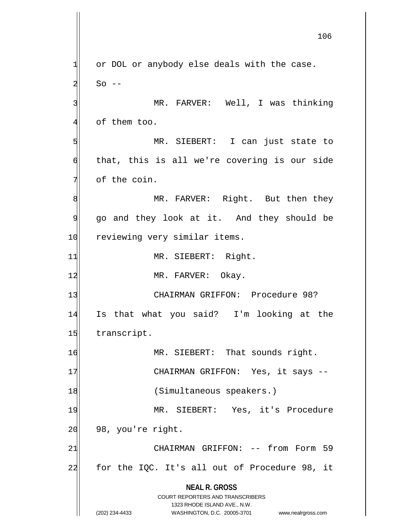**NEAL R. GROSS** COURT REPORTERS AND TRANSCRIBERS 1323 RHODE ISLAND AVE., N.W. (202) 234-4433 WASHINGTON, D.C. 20005-3701 www.nealrgross.com  $1$  or DOL or anybody else deals with the case.  $2$  So --3 MR. FARVER: Well, I was thinking  $4$  of them too. 5 MR. SIEBERT: I can just state to 6 that, this is all we're covering is our side  $7$  of the coin. 8 MR. FARVER: Right. But then they 9 go and they look at it. And they should be 10 reviewing very similar items. 11 MR. SIEBERT: Right. 12 MR. FARVER: Okay. 13 CHAIRMAN GRIFFON: Procedure 98? 14 Is that what you said? I'm looking at the 15 transcript. 16 MR. SIEBERT: That sounds right. 17 CHAIRMAN GRIFFON: Yes, it says --18 (Simultaneous speakers.) 19 MR. SIEBERT: Yes, it's Procedure  $20$  98, you're right. 21 CHAIRMAN GRIFFON: -- from Form 59  $22$  for the IQC. It's all out of Procedure 98, it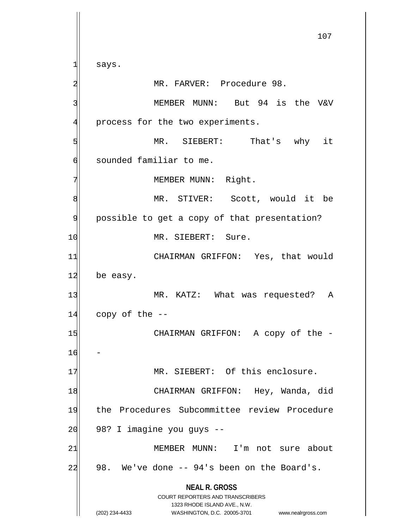**NEAL R. GROSS** COURT REPORTERS AND TRANSCRIBERS 1323 RHODE ISLAND AVE., N.W. (202) 234-4433 WASHINGTON, D.C. 20005-3701 www.nealrgross.com 107  $1$  says. 2<sup>1</sup> MR. FARVER: Procedure 98. 3 MEMBER MUNN: But 94 is the V&V 4 process for the two experiments. 5 MR. SIEBERT: That's why it 6 sounded familiar to me. 7 MEMBER MUNN: Right. 8 MR. STIVER: Scott, would it be 9 possible to get a copy of that presentation? 10 MR. SIEBERT: Sure. 11 CHAIRMAN GRIFFON: Yes, that would  $12$  be easy. 13 MR. KATZ: What was requested? A  $14$  copy of the  $-$ 15 || CHAIRMAN GRIFFON: A copy of the 16 17 MR. SIEBERT: Of this enclosure. 18 CHAIRMAN GRIFFON: Hey, Wanda, did 19 the Procedures Subcommittee review Procedure  $20$  98? I imagine you guys  $-$ 21 MEMBER MUNN: I'm not sure about  $22$  98. We've done  $-$  94's been on the Board's.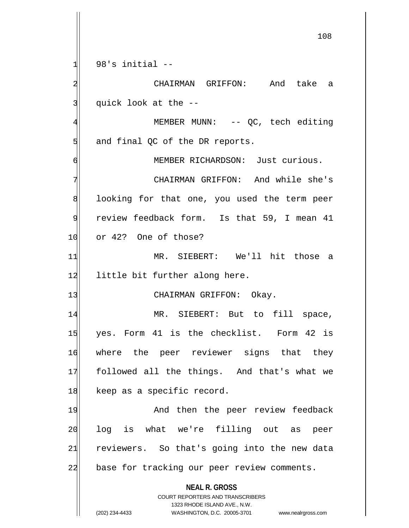$1$  98's initial  $-$ 

2 CHAIRMAN GRIFFON: And take a  $3$  quick look at the  $-$ 

4 MEMBER MUNN: -- QC, tech editing  $5$  and final QC of the DR reports.

6 MEMBER RICHARDSON: Just curious. 7 CHAIRMAN GRIFFON: And while she's 8 8 100 looking for that one, you used the term peer 9 review feedback form. Is that 59, I mean 41 10 or 42? One of those?

11 MR. SIEBERT: We'll hit those a 12 little bit further along here.

13 CHAIRMAN GRIFFON: Okay.

14 MR. SIEBERT: But to fill space, 15 yes. Form 41 is the checklist. Form 42 is 16 where the peer reviewer signs that they 17 followed all the things. And that's what we 18 keep as a specific record.

19 And then the peer review feedback 20 log is what we're filling out as peer 21 reviewers. So that's going into the new data 22 base for tracking our peer review comments.

**NEAL R. GROSS**

COURT REPORTERS AND TRANSCRIBERS 1323 RHODE ISLAND AVE., N.W. (202) 234-4433 WASHINGTON, D.C. 20005-3701 www.nealrgross.com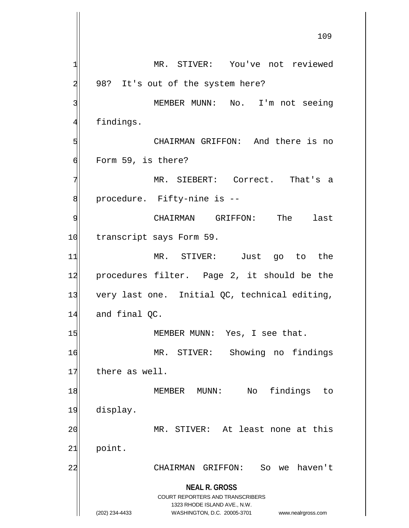**NEAL R. GROSS** COURT REPORTERS AND TRANSCRIBERS 1323 RHODE ISLAND AVE., N.W. (202) 234-4433 WASHINGTON, D.C. 20005-3701 www.nealrgross.com 109 1 MR. STIVER: You've not reviewed  $2$  98? It's out of the system here? 3 | MEMBER MUNN: No. I'm not seeing 4 findings. 5 CHAIRMAN GRIFFON: And there is no 6 Form 59, is there? 7 MR. SIEBERT: Correct. That's a 8 | procedure. Fifty-nine is --9 CHAIRMAN GRIFFON: The last 10 transcript says Form 59. 11 MR. STIVER: Just go to the 12 procedures filter. Page 2, it should be the 13 very last one. Initial QC, technical editing,  $14$  and final QC. 15 MEMBER MUNN: Yes, I see that. 16 MR. STIVER: Showing no findings 17 there as well. 18 | MEMBER MUNN: No findings to 19 display. 20 MR. STIVER: At least none at this 21 point. 22 CHAIRMAN GRIFFON: So we haven't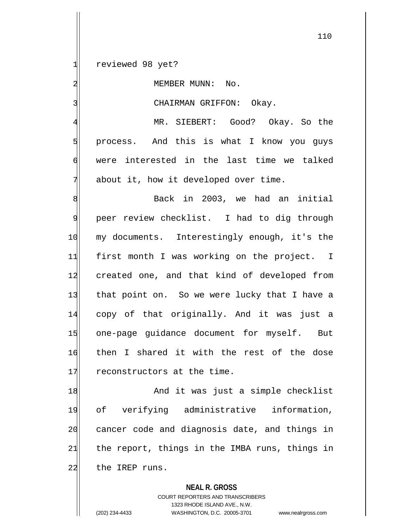1 reviewed 98 yet?

2 MEMBER MUNN: No.

3 CHAIRMAN GRIFFON: Okay.

 MR. SIEBERT: Good? Okay. So the 5 | process. And this is what I know you guys were interested in the last time we talked about it, how it developed over time.

8 Back in 2003, we had an initial 9 peer review checklist. I had to dig through 10 my documents. Interestingly enough, it's the 11 first month I was working on the project. I 12 created one, and that kind of developed from 13 that point on. So we were lucky that I have a 14 copy of that originally. And it was just a 15 one-page guidance document for myself. But 16 then I shared it with the rest of the dose 17 reconstructors at the time.

18 And it was just a simple checklist 19 of verifying administrative information, 20 cancer code and diagnosis date, and things in  $21$  the report, things in the IMBA runs, things in 22 the IREP runs.

**NEAL R. GROSS**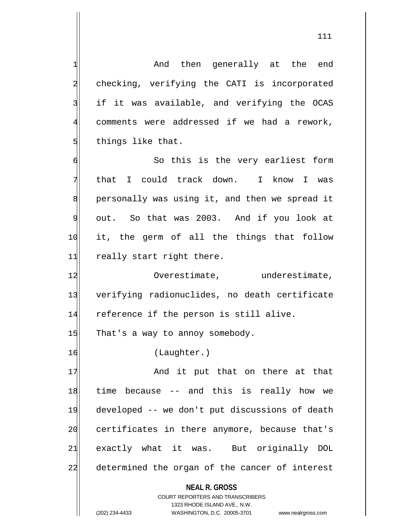111

**NEAL R. GROSS** COURT REPORTERS AND TRANSCRIBERS 1323 RHODE ISLAND AVE., N.W. 1 and then generally at the end 2 checking, verifying the CATI is incorporated 3 if it was available, and verifying the OCAS 4 comments were addressed if we had a rework, 5 things like that. 6 6 So this is the very earliest form 7 that I could track down. I know I was 8 personally was using it, and then we spread it 9 out. So that was 2003. And if you look at 10 it, the germ of all the things that follow 11 really start right there. 12 12 Overestimate, anderestimate, 13 verifying radionuclides, no death certificate 14 reference if the person is still alive.  $15$  That's a way to annoy somebody. 16 (Laughter.) 17 And it put that on there at that 18 time because -- and this is really how we 19 developed -- we don't put discussions of death 20 certificates in there anymore, because that's 21 exactly what it was. But originally DOL 22 determined the organ of the cancer of interest

(202) 234-4433 WASHINGTON, D.C. 20005-3701 www.nealrgross.com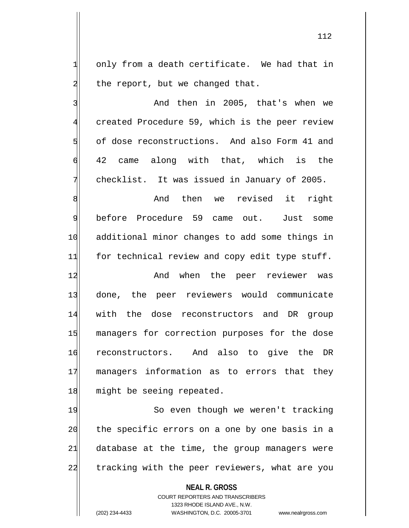$1$  only from a death certificate. We had that in  $2$  the report, but we changed that.

3 and then in 2005, that's when we 4 created Procedure 59, which is the peer review 5 of dose reconstructions. And also Form 41 and 6 42 came along with that, which is the 7 checklist. It was issued in January of 2005.

8 Billie and then we revised it right 9 before Procedure 59 came out. Just some 10 additional minor changes to add some things in 11 for technical review and copy edit type stuff.

12 and when the peer reviewer was 13 done, the peer reviewers would communicate 14 with the dose reconstructors and DR group 15 managers for correction purposes for the dose 16 reconstructors. And also to give the DR 17 managers information as to errors that they 18 might be seeing repeated.

19 So even though we weren't tracking 20 the specific errors on a one by one basis in a  $21$  database at the time, the group managers were 22 tracking with the peer reviewers, what are you

**NEAL R. GROSS**

COURT REPORTERS AND TRANSCRIBERS 1323 RHODE ISLAND AVE., N.W. (202) 234-4433 WASHINGTON, D.C. 20005-3701 www.nealrgross.com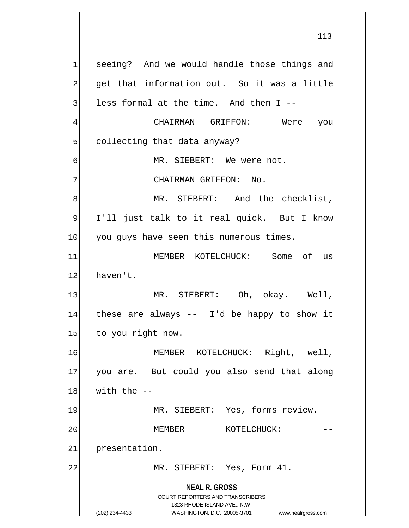**NEAL R. GROSS** COURT REPORTERS AND TRANSCRIBERS 1323 RHODE ISLAND AVE., N.W. 1 seeing? And we would handle those things and 2 get that information out. So it was a little  $3$  less formal at the time. And then I --4 CHAIRMAN GRIFFON: Were you 5 collecting that data anyway? 6 MR. SIEBERT: We were not. 7 CHAIRMAN GRIFFON: No. 8 MR. SIEBERT: And the checklist, 9 I'll just talk to it real quick. But I know 10 you guys have seen this numerous times. 11 MEMBER KOTELCHUCK: Some of us 12 haven't. 13 MR. SIEBERT: Oh, okay. Well, 14 these are always -- I'd be happy to show it 15 to you right now. 16 MEMBER KOTELCHUCK: Right, well, 17 you are. But could you also send that along  $18$  with the  $-$ 19 MR. SIEBERT: Yes, forms review. 20 | MEMBER KOTELCHUCK: 21 presentation. 22 MR. SIEBERT: Yes, Form 41.

(202) 234-4433 WASHINGTON, D.C. 20005-3701 www.nealrgross.com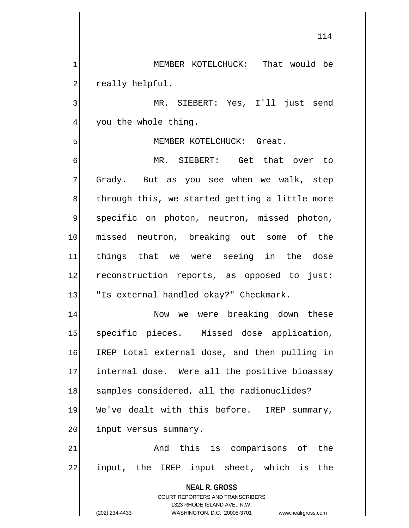1 MEMBER KOTELCHUCK: That would be 2 really helpful.

3 MR. SIEBERT: Yes, I'll just send 4 you the whole thing.

## 5 MEMBER KOTELCHUCK: Great.

6 MR. SIEBERT: Get that over to 7 Grady. But as you see when we walk, step 8 8 through this, we started getting a little more 9 specific on photon, neutron, missed photon, 10 missed neutron, breaking out some of the 11 things that we were seeing in the dose 12 reconstruction reports, as opposed to just: 13 TIS external handled okay?" Checkmark.

14 Now we were breaking down these 15 specific pieces. Missed dose application, 16 IREP total external dose, and then pulling in 17 internal dose. Were all the positive bioassay 18 samples considered, all the radionuclides? 19 We've dealt with this before. IREP summary, 20 input versus summary.

21 and this is comparisons of the 22 input, the IREP input sheet, which is the

**NEAL R. GROSS**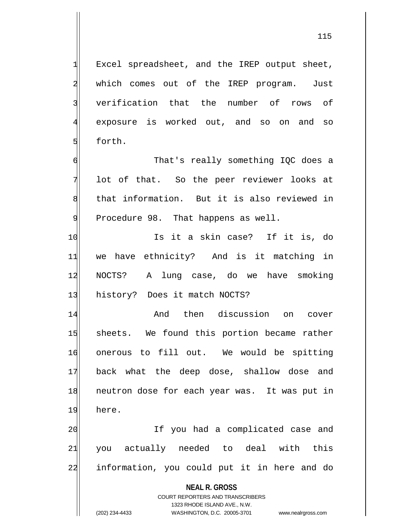$1$  Excel spreadsheet, and the IREP output sheet, 2 which comes out of the IREP program. Just 3 verification that the number of rows of 4 exposure is worked out, and so on and so 5 forth.

6 6 That's really something IQC does a 7 lot of that. So the peer reviewer looks at 8 | that information. But it is also reviewed in 9 Procedure 98. That happens as well.

10 Is it a skin case? If it is, do 11 we have ethnicity? And is it matching in 12 NOCTS? A lung case, do we have smoking 13 history? Does it match NOCTS?

14 and then discussion on cover 15 sheets. We found this portion became rather 16 onerous to fill out. We would be spitting 17 back what the deep dose, shallow dose and 18 neutron dose for each year was. It was put in 19 here.

20 If you had a complicated case and 21| you actually needed to deal with this 22 information, you could put it in here and do

**NEAL R. GROSS**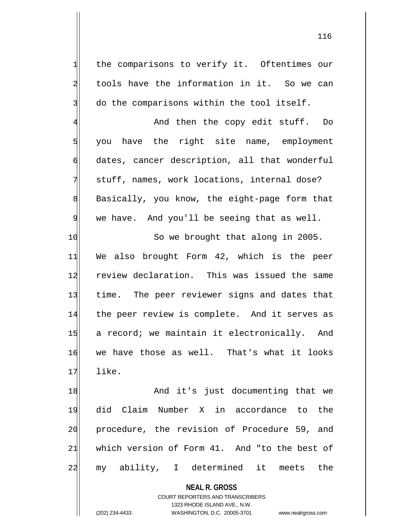1 the comparisons to verify it. Oftentimes our 2 tools have the information in it. So we can 3 do the comparisons within the tool itself.

4 And then the copy edit stuff. Do  $5$  you have the right site name, employment 6 dates, cancer description, all that wonderful 7 stuff, names, work locations, internal dose? 8 Basically, you know, the eight-page form that  $9$  we have. And you'll be seeing that as well.

10 So we brought that along in 2005. 11| We also brought Form 42, which is the peer 12 review declaration. This was issued the same 13 time. The peer reviewer signs and dates that 14 the peer review is complete. And it serves as 15 a record; we maintain it electronically. And 16 we have those as well. That's what it looks  $17$  like.

18 and it's just documenting that we 19 did Claim Number X in accordance to the 20 procedure, the revision of Procedure 59, and 21 which version of Form 41. And "to the best of 22 my ability, I determined it meets the

> **NEAL R. GROSS** COURT REPORTERS AND TRANSCRIBERS 1323 RHODE ISLAND AVE., N.W. (202) 234-4433 WASHINGTON, D.C. 20005-3701 www.nealrgross.com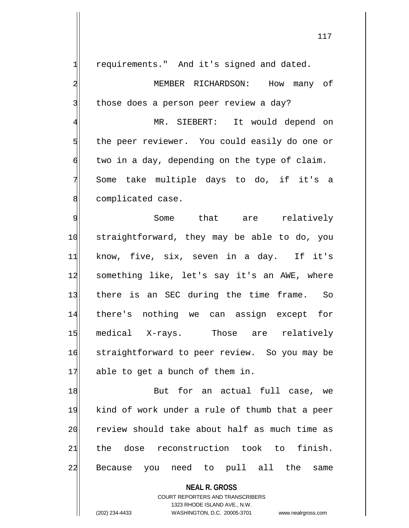$1$  requirements." And it's signed and dated.

2 MEMBER RICHARDSON: How many of  $3$  those does a person peer review a day?

4 MR. SIEBERT: It would depend on  $5$  the peer reviewer. You could easily do one or  $\mathfrak{q}$  two in a day, depending on the type of claim. 7 Some take multiple days to do, if it's a 8 complicated case.

9 Some that are relatively 10 straightforward, they may be able to do, you 11 know, five, six, seven in a day. If it's 12 something like, let's say it's an AWE, where 13 there is an SEC during the time frame. So 14 there's nothing we can assign except for 15 medical X-rays. Those are relatively 16 straightforward to peer review. So you may be 17 able to get a bunch of them in.

18 But for an actual full case, we 19 kind of work under a rule of thumb that a peer 20 review should take about half as much time as 21 the dose reconstruction took to finish. 22 Because you need to pull all the same

> **NEAL R. GROSS** COURT REPORTERS AND TRANSCRIBERS 1323 RHODE ISLAND AVE., N.W.

(202) 234-4433 WASHINGTON, D.C. 20005-3701 www.nealrgross.com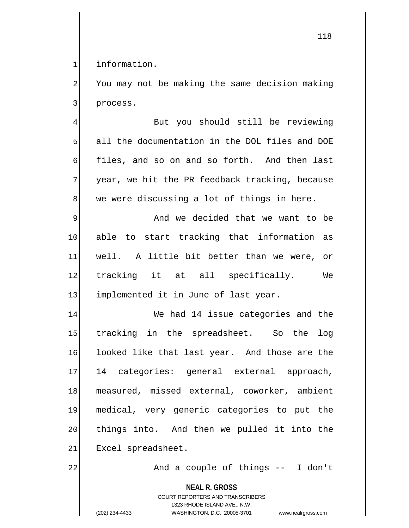1 information.

2 You may not be making the same decision making 3 process.

4 But you should still be reviewing 5 all the documentation in the DOL files and DOE 6 files, and so on and so forth. And then last 7 year, we hit the PR feedback tracking, because  $8$  we were discussing a lot of things in here.

9 And we decided that we want to be 10| able to start tracking that information as 11 well. A little bit better than we were, or 12 tracking it at all specifically. We 13 implemented it in June of last year.

14 We had 14 issue categories and the 15 tracking in the spreadsheet. So the log 16 looked like that last year. And those are the 17 14 categories: general external approach, 18 measured, missed external, coworker, ambient 19 medical, very generic categories to put the 20 things into. And then we pulled it into the 21 Excel spreadsheet.

22 and a couple of things -- I don't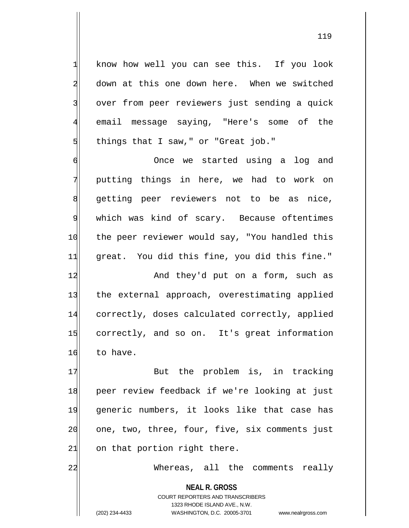1 know how well you can see this. If you look 2 down at this one down here. When we switched 3 over from peer reviewers just sending a quick 4 email message saying, "Here's some of the  $5$  things that I saw," or "Great job."

6 Once we started using a log and 7 putting things in here, we had to work on 8 getting peer reviewers not to be as nice, 9 which was kind of scary. Because oftentimes 10 the peer reviewer would say, "You handled this 11 great. You did this fine, you did this fine."

12 And they'd put on a form, such as 13 the external approach, overestimating applied 14 correctly, doses calculated correctly, applied 15 correctly, and so on. It's great information 16 to have.

17 But the problem is, in tracking 18 peer review feedback if we're looking at just 19 generic numbers, it looks like that case has 20 one, two, three, four, five, six comments just  $21$  on that portion right there.

22 Whereas, all the comments really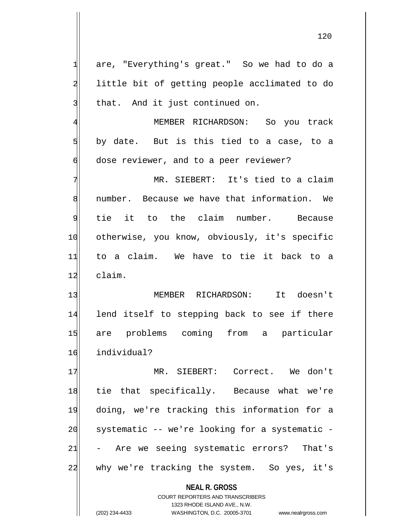1 are, "Everything's great." So we had to do a 2 little bit of getting people acclimated to do  $3$  that. And it just continued on. 4 MEMBER RICHARDSON: So you track  $5$  by date. But is this tied to a case, to a 6 dose reviewer, and to a peer reviewer? 7 MR. SIEBERT: It's tied to a claim 8 number. Because we have that information. We 9 tie it to the claim number. Because 10 otherwise, you know, obviously, it's specific 11 to a claim. We have to tie it back to a 12 claim. 13 MEMBER RICHARDSON: It doesn't 14 lend itself to stepping back to see if there 15 are problems coming from a particular 16 individual? 17 MR. SIEBERT: Correct. We don't 18 tie that specifically. Because what we're 19 doing, we're tracking this information for a  $20$  systematic -- we're looking for a systematic -21 - Are we seeing systematic errors? That's 22 why we're tracking the system. So yes, it's

> **NEAL R. GROSS** COURT REPORTERS AND TRANSCRIBERS

> > 1323 RHODE ISLAND AVE., N.W.

(202) 234-4433 WASHINGTON, D.C. 20005-3701 www.nealrgross.com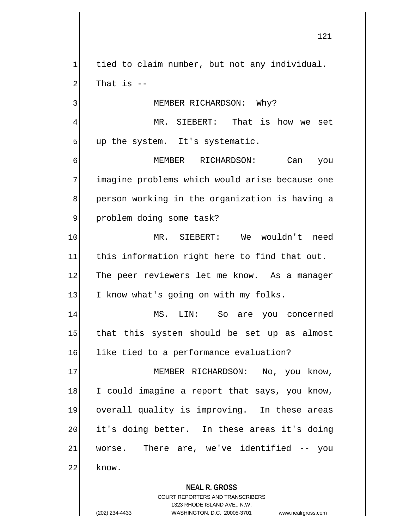$1$  tied to claim number, but not any individual. 2 That is --

3 MEMBER RICHARDSON: Why?

4 MR. SIEBERT: That is how we set  $5$  up the system. It's systematic.

6 MEMBER RICHARDSON: Can you 7 imagine problems which would arise because one 8 person working in the organization is having a 9 | problem doing some task?

10 MR. SIEBERT: We wouldn't need 11 this information right here to find that out. 12 The peer reviewers let me know. As a manager 13 I know what's going on with my folks.

14 MS. LIN: So are you concerned 15 that this system should be set up as almost 16 like tied to a performance evaluation?

17 MEMBER RICHARDSON: No, you know, 18 I could imagine a report that says, you know, 19 overall quality is improving. In these areas 20 it's doing better. In these areas it's doing  $21$  worse. There are, we've identified  $-$  you 22 know.

**NEAL R. GROSS**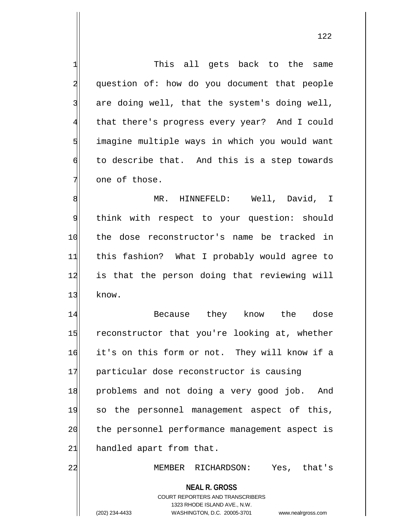**NEAL R. GROSS** COURT REPORTERS AND TRANSCRIBERS 1323 RHODE ISLAND AVE., N.W. 1 This all gets back to the same 2 question of: how do you document that people  $3$  are doing well, that the system's doing well, 4 that there's progress every year? And I could 5 | imagine multiple ways in which you would want 6 to describe that. And this is a step towards 7 one of those. 8 MR. HINNEFELD: Well, David, I 9 think with respect to your question: should 10 the dose reconstructor's name be tracked in 11 this fashion? What I probably would agree to 12 is that the person doing that reviewing will 13 know. 14 Because they know the dose 15 reconstructor that you're looking at, whether 16 it's on this form or not. They will know if a 17 particular dose reconstructor is causing 18 problems and not doing a very good job. And 19 so the personnel management aspect of this, 20 the personnel performance management aspect is  $21$  handled apart from that. 22 MEMBER RICHARDSON: Yes, that's

<sup>(202) 234-4433</sup> WASHINGTON, D.C. 20005-3701 www.nealrgross.com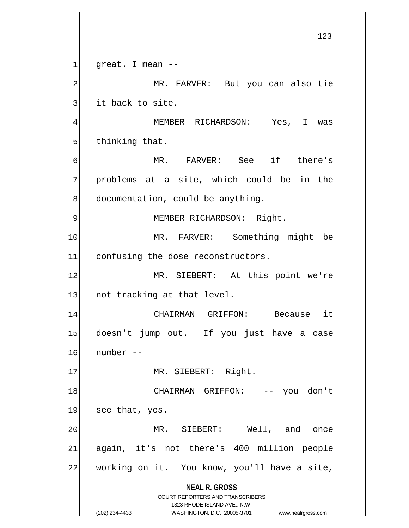**NEAL R. GROSS** COURT REPORTERS AND TRANSCRIBERS 1323 RHODE ISLAND AVE., N.W. (202) 234-4433 WASHINGTON, D.C. 20005-3701 www.nealrgross.com 123  $1$  great. I mean  $-$ 2 MR. FARVER: But you can also tie 3 it back to site. 4 MEMBER RICHARDSON: Yes, I was  $5$  thinking that. 6 MR. FARVER: See if there's  $7$  problems at a site, which could be in the  $8$  documentation, could be anything. 9 | MEMBER RICHARDSON: Right. 10 MR. FARVER: Something might be 11 confusing the dose reconstructors. 12 MR. SIEBERT: At this point we're 13 not tracking at that level. 14 CHAIRMAN GRIFFON: Because it 15 doesn't jump out. If you just have a case 16 number -- 17 MR. SIEBERT: Right. 18 CHAIRMAN GRIFFON: -- you don't  $19$  see that, yes. 20 MR. SIEBERT: Well, and once  $21$  again, it's not there's 400 million people 22 working on it. You know, you'll have a site,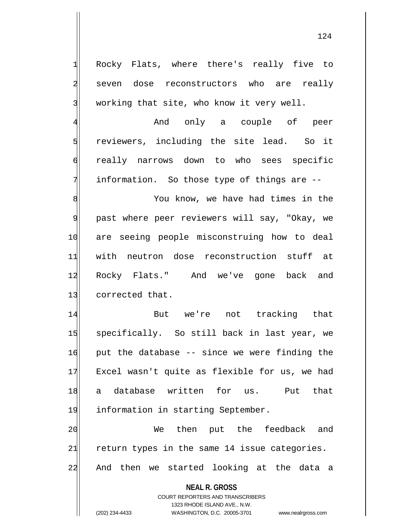1 Rocky Flats, where there's really five to 2 seven dose reconstructors who are really  $3$  working that site, who know it very well.

4 And only a couple of peer 5 | reviewers, including the site lead. So it 6 really narrows down to who sees specific 7 information. So those type of things are --

8 8 Med Ensume Mou know, we have had times in the 9 past where peer reviewers will say, "Okay, we 10 are seeing people misconstruing how to deal 11 with neutron dose reconstruction stuff at 12 Rocky Flats." And we've gone back and 13 corrected that.

14 But we're not tracking that 15 specifically. So still back in last year, we 16 put the database -- since we were finding the 17 Excel wasn't quite as flexible for us, we had 18 a database written for us. Put that 19 information in starting September.

20 | We then put the feedback and  $21$  return types in the same 14 issue categories. 22 And then we started looking at the data a

**NEAL R. GROSS**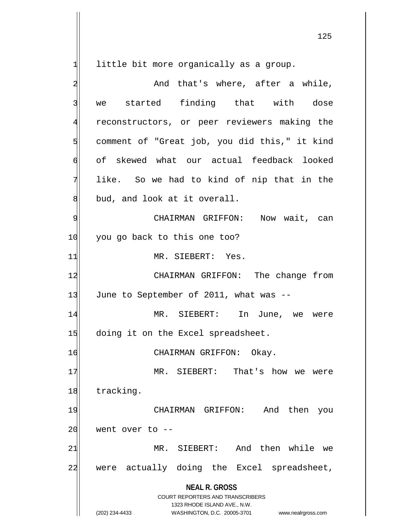little bit more organically as a group.

| And that's where, after a while,                                                                                                                                       |
|------------------------------------------------------------------------------------------------------------------------------------------------------------------------|
| we started finding that with dose                                                                                                                                      |
|                                                                                                                                                                        |
| reconstructors, or peer reviewers making the                                                                                                                           |
| comment of "Great job, you did this," it kind                                                                                                                          |
| of skewed what our actual feedback looked                                                                                                                              |
| like. So we had to kind of nip that in the                                                                                                                             |
| bud, and look at it overall.                                                                                                                                           |
| CHAIRMAN GRIFFON: Now wait, can                                                                                                                                        |
| you go back to this one too?                                                                                                                                           |
| MR. SIEBERT: Yes.                                                                                                                                                      |
| CHAIRMAN GRIFFON: The change from                                                                                                                                      |
| June to September of 2011, what was --                                                                                                                                 |
| MR. SIEBERT: In June, we were                                                                                                                                          |
| doing it on the Excel spreadsheet.                                                                                                                                     |
| CHAIRMAN GRIFFON: Okay.                                                                                                                                                |
| MR. SIEBERT: That's how we were                                                                                                                                        |
| tracking.                                                                                                                                                              |
| then<br>CHAIRMAN GRIFFON:<br>And<br>you                                                                                                                                |
| went over to --                                                                                                                                                        |
| And then while<br>SIEBERT:<br>MR.<br>we                                                                                                                                |
| were actually doing the Excel spreadsheet,                                                                                                                             |
| <b>NEAL R. GROSS</b><br><b>COURT REPORTERS AND TRANSCRIBERS</b><br>1323 RHODE ISLAND AVE., N.W.<br>(202) 234-4433<br>WASHINGTON, D.C. 20005-3701<br>www.nealrgross.com |
|                                                                                                                                                                        |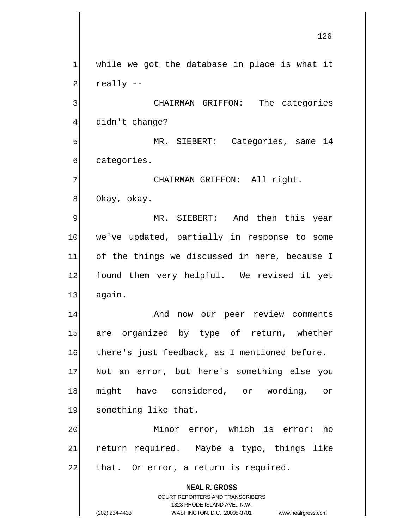**NEAL R. GROSS** COURT REPORTERS AND TRANSCRIBERS 1323 RHODE ISLAND AVE., N.W.  $1$  while we got the database in place is what it  $2$  really  $-$ 3 3 CHAIRMAN GRIFFON: The categories 4 didn't change? 5 MR. SIEBERT: Categories, same 14 6 categories. 7 CHAIRMAN GRIFFON: All right. 8 Okay, okay. 9| MR. SIEBERT: And then this year 10 we've updated, partially in response to some 11 of the things we discussed in here, because I 12 found them very helpful. We revised it yet 13 again. 14 And now our peer review comments 15 are organized by type of return, whether 16 there's just feedback, as I mentioned before. 17 Not an error, but here's something else you 18 might have considered, or wording, or 19 something like that. 20 Minor error, which is error: no 21 return required. Maybe a typo, things like 22 that. Or error, a return is required.

<sup>(202) 234-4433</sup> WASHINGTON, D.C. 20005-3701 www.nealrgross.com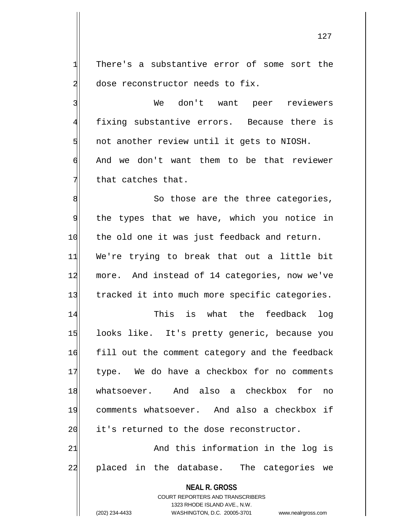1 There's a substantive error of some sort the 2 dose reconstructor needs to fix.

3 We don't want peer reviewers 4 fixing substantive errors. Because there is  $5$  not another review until it gets to NIOSH. 6 And we don't want them to be that reviewer  $7$  that catches that.

8| So those are the three categories, 9 the types that we have, which you notice in 10 the old one it was just feedback and return. 11 We're trying to break that out a little bit 12 more. And instead of 14 categories, now we've 13 tracked it into much more specific categories.

14 This is what the feedback log 15 looks like. It's pretty generic, because you 16 fill out the comment category and the feedback 17 type. We do have a checkbox for no comments 18 whatsoever. And also a checkbox for no 19 comments whatsoever. And also a checkbox if 20 it's returned to the dose reconstructor.

21 and this information in the log is 22 placed in the database. The categories we

**NEAL R. GROSS**

COURT REPORTERS AND TRANSCRIBERS 1323 RHODE ISLAND AVE., N.W. (202) 234-4433 WASHINGTON, D.C. 20005-3701 www.nealrgross.com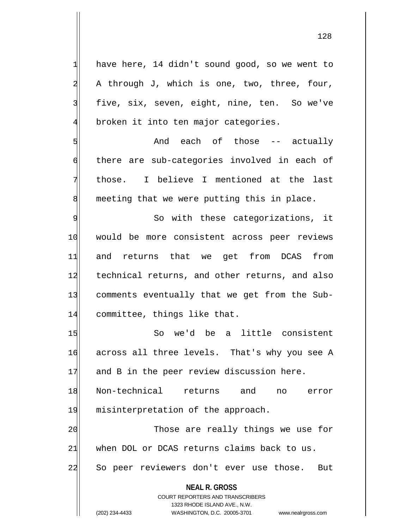**NEAL R. GROSS** COURT REPORTERS AND TRANSCRIBERS  $1$  have here, 14 didn't sound good, so we went to  $2$  A through J, which is one, two, three, four, 3 five, six, seven, eight, nine, ten. So we've 4 broken it into ten major categories. 5 Sect actually and each of those -- actually 6 there are sub-categories involved in each of 7 those. I believe I mentioned at the last 8 meeting that we were putting this in place. 9 So with these categorizations, it 10 would be more consistent across peer reviews 11 and returns that we get from DCAS from 12 technical returns, and other returns, and also 13 comments eventually that we get from the Sub-14 committee, things like that. 15 So we'd be a little consistent 16 across all three levels. That's why you see A 17 and B in the peer review discussion here. 18 Non-technical returns and no error 19 misinterpretation of the approach. 20 | Those are really things we use for 21 when DOL or DCAS returns claims back to us. 22 So peer reviewers don't ever use those. But

1323 RHODE ISLAND AVE., N.W.

(202) 234-4433 WASHINGTON, D.C. 20005-3701 www.nealrgross.com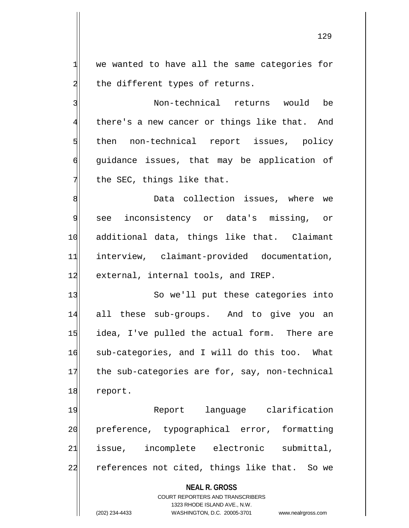$1$  we wanted to have all the same categories for  $2$  the different types of returns.

3 Non-technical returns would be 4 there's a new cancer or things like that. And 5 sthen non-technical report issues, policy 6 guidance issues, that may be application of  $7$  the SEC, things like that.

8 8 B Data collection issues, where we 9 see inconsistency or data's missing, or 10 additional data, things like that. Claimant 11 interview, claimant-provided documentation, 12 external, internal tools, and IREP.

13 So we'll put these categories into 14 all these sub-groups. And to give you an 15 idea, I've pulled the actual form. There are 16 sub-categories, and I will do this too. What 17 the sub-categories are for, say, non-technical 18 report.

19 Report language clarification 20 preference, typographical error, formatting 21 issue, incomplete electronic submittal, 22 references not cited, things like that. So we

## **NEAL R. GROSS**

COURT REPORTERS AND TRANSCRIBERS 1323 RHODE ISLAND AVE., N.W. (202) 234-4433 WASHINGTON, D.C. 20005-3701 www.nealrgross.com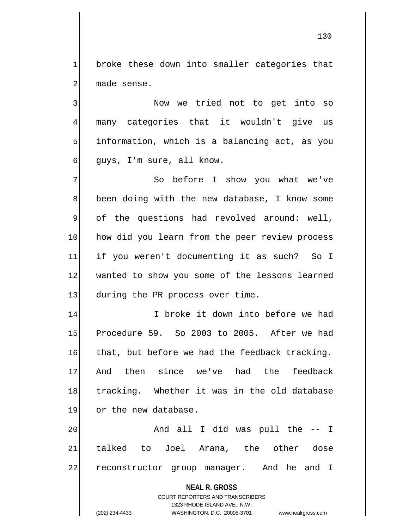1 broke these down into smaller categories that 2 made sense.

3 Now we tried not to get into so many categories that it wouldn't give us information, which is a balancing act, as you quys, I'm sure, all know.

7 So before I show you what we've 8 been doing with the new database, I know some 9 of the questions had revolved around: well, 10 how did you learn from the peer review process 11 if you weren't documenting it as such? So I 12 wanted to show you some of the lessons learned 13 during the PR process over time.

14 I I broke it down into before we had 15 Procedure 59. So 2003 to 2005. After we had  $16$  that, but before we had the feedback tracking. 17 And then since we've had the feedback 18 tracking. Whether it was in the old database 19 or the new database.

20 and all I did was pull the -- I 21 talked to Joel Arana, the other dose 22 reconstructor group manager. And he and I

**NEAL R. GROSS**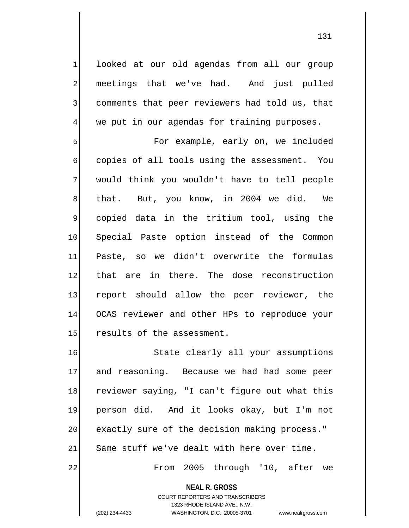1 looked at our old agendas from all our group 2 meetings that we've had. And just pulled 3 comments that peer reviewers had told us, that 4 we put in our agendas for training purposes.

5 S 6 copies of all tools using the assessment. You 7 would think you wouldn't have to tell people 8 that. But, you know, in 2004 we did. We 9 copied data in the tritium tool, using the 10 Special Paste option instead of the Common 11 Paste, so we didn't overwrite the formulas 12 that are in there. The dose reconstruction 13 report should allow the peer reviewer, the 14 OCAS reviewer and other HPs to reproduce your  $15$  results of the assessment.

16 State clearly all your assumptions 17 and reasoning. Because we had had some peer 18 reviewer saying, "I can't figure out what this 19 person did. And it looks okay, but I'm not 20 exactly sure of the decision making process."  $21$  Same stuff we've dealt with here over time. 22 | Trom 2005 through '10, after we

**NEAL R. GROSS**

COURT REPORTERS AND TRANSCRIBERS 1323 RHODE ISLAND AVE., N.W. (202) 234-4433 WASHINGTON, D.C. 20005-3701 www.nealrgross.com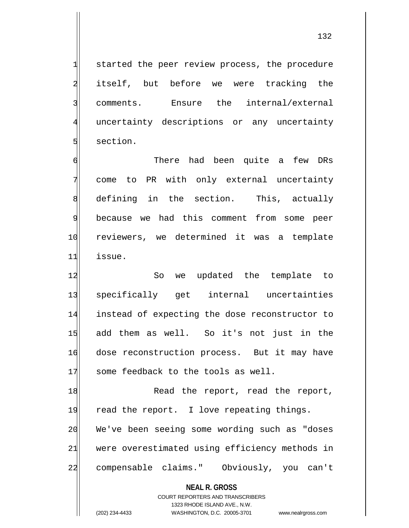132

1 started the peer review process, the procedure 2 itself, but before we were tracking the 3 comments. Ensure the internal/external 4 uncertainty descriptions or any uncertainty 5 section.

6 **6** There had been quite a few DRs 7 come to PR with only external uncertainty 8 defining in the section. This, actually 9 because we had this comment from some peer 10 reviewers, we determined it was a template 11 issue.

12 So we updated the template to 13 specifically get internal uncertainties 14 instead of expecting the dose reconstructor to 15 add them as well. So it's not just in the 16 dose reconstruction process. But it may have 17 some feedback to the tools as well.

18 Read the report, read the report, 19 read the report. I love repeating things. 20 We've been seeing some wording such as "doses 21 were overestimated using efficiency methods in 22 compensable claims." Obviously, you can't

**NEAL R. GROSS**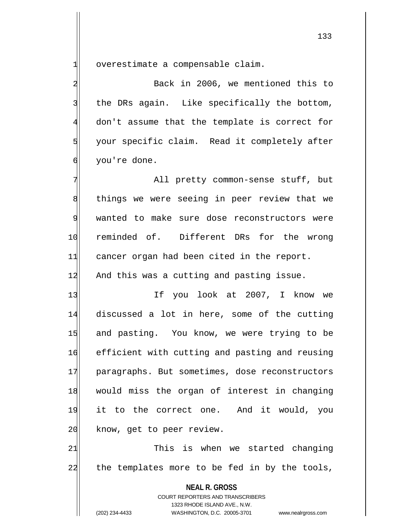$1$  overestimate a compensable claim.

2 Back in 2006, we mentioned this to  $3$  the DRs again. Like specifically the bottom, 4 don't assume that the template is correct for 5 your specific claim. Read it completely after 6 vou're done.

7 All pretty common-sense stuff, but 8 8 a things we were seeing in peer review that we 9 wanted to make sure dose reconstructors were 10 reminded of. Different DRs for the wrong 11 cancer organ had been cited in the report. 12 And this was a cutting and pasting issue.

13 If you look at 2007, I know we 14 discussed a lot in here, some of the cutting 15 and pasting. You know, we were trying to be 16 efficient with cutting and pasting and reusing 17 paragraphs. But sometimes, dose reconstructors 18 would miss the organ of interest in changing 19 it to the correct one. And it would, you 20 know, get to peer review.

21 This is when we started changing 22 the templates more to be fed in by the tools,

> **NEAL R. GROSS** COURT REPORTERS AND TRANSCRIBERS 1323 RHODE ISLAND AVE., N.W.

(202) 234-4433 WASHINGTON, D.C. 20005-3701 www.nealrgross.com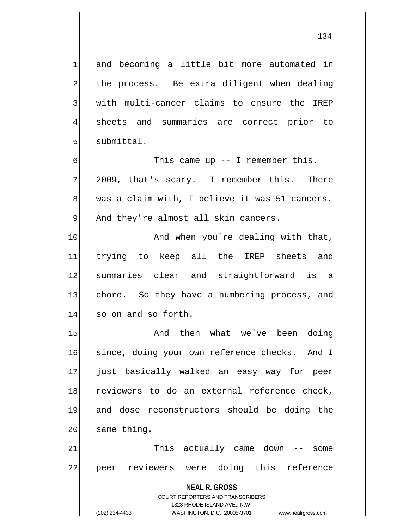1 and becoming a little bit more automated in 2 the process. Be extra diligent when dealing 3 with multi-cancer claims to ensure the IREP 4 sheets and summaries are correct prior to  $5$  submittal.

 $6$  This came up  $-$  I remember this. 7 2009, that's scary. I remember this. There 8 was a claim with, I believe it was 51 cancers. 9 And they're almost all skin cancers.

10 And when you're dealing with that, 11 trying to keep all the IREP sheets and 12 summaries clear and straightforward is a 13 chore. So they have a numbering process, and 14 so on and so forth.

15 and then what we've been doing 16 since, doing your own reference checks. And I 17 just basically walked an easy way for peer 18 reviewers to do an external reference check, 19 and dose reconstructors should be doing the  $20$  same thing.

21 This actually came down -- some 22 peer reviewers were doing this reference

**NEAL R. GROSS**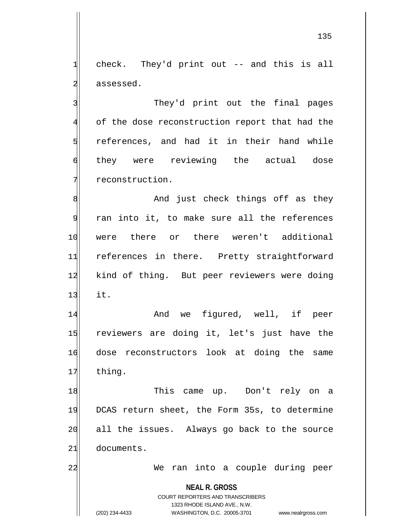$1$  check. They'd print out -- and this is all 2 assessed.

3 3 They'd print out the final pages 4 of the dose reconstruction report that had the  $5$  references, and had it in their hand while 6 they were reviewing the actual dose 7 7 reconstruction.

8 8 And just check things off as they 9 ran into it, to make sure all the references 10 were there or there weren't additional 11 references in there. Pretty straightforward 12 kind of thing. But peer reviewers were doing  $13$  it.

14 And we figured, well, if peer 15 reviewers are doing it, let's just have the 16 dose reconstructors look at doing the same 17 thing.

18 This came up. Don't rely on a 19 DCAS return sheet, the Form 35s, to determine 20 all the issues. Always go back to the source 21 documents.

22 | We ran into a couple during peer

**NEAL R. GROSS** COURT REPORTERS AND TRANSCRIBERS

1323 RHODE ISLAND AVE., N.W.

(202) 234-4433 WASHINGTON, D.C. 20005-3701 www.nealrgross.com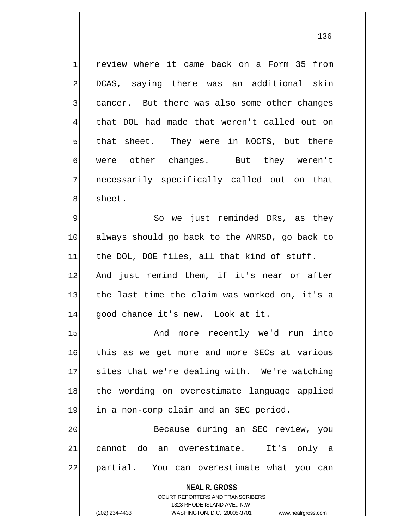1 review where it came back on a Form 35 from 2 DCAS, saying there was an additional skin  $3$  cancer. But there was also some other changes 4 that DOL had made that weren't called out on  $5$  that sheet. They were in NOCTS, but there 6 were other changes. But they weren't 7 necessarily specifically called out on that 8 sheet.

9 So we just reminded DRs, as they 10 always should go back to the ANRSD, go back to  $11$  the DOL, DOE files, all that kind of stuff. 12 And just remind them, if it's near or after 13 the last time the claim was worked on, it's a 14 good chance it's new. Look at it.

15 And more recently we'd run into 16 this as we get more and more SECs at various 17 sites that we're dealing with. We're watching 18 the wording on overestimate language applied 19 in a non-comp claim and an SEC period. 20| Because during an SEC review, you

21 cannot do an overestimate. It's only a 22 partial. You can overestimate what you can

**NEAL R. GROSS**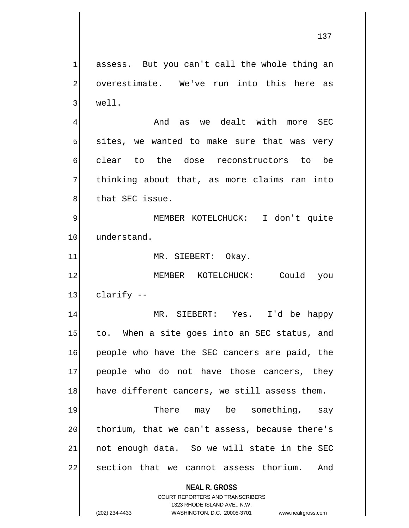$1$  assess. But you can't call the whole thing an 2 overestimate. We've run into this here as  $3$  well.

4 And as we dealt with more SEC  $5$  sites, we wanted to make sure that was very 6 clear to the dose reconstructors to be 7 thinking about that, as more claims ran into 8 b that SEC issue.

9 | MEMBER KOTELCHUCK: I don't quite 10 understand.

11 MR. SIEBERT: Okay.

12 MEMBER KOTELCHUCK: Could you  $13$  clarify  $-$ 

14 MR. SIEBERT: Yes. I'd be happy 15 to. When a site goes into an SEC status, and 16 people who have the SEC cancers are paid, the 17 people who do not have those cancers, they 18 have different cancers, we still assess them.

19 There may be something, say  $20$  thorium, that we can't assess, because there's  $21$  not enough data. So we will state in the SEC 22 section that we cannot assess thorium. And

## **NEAL R. GROSS** COURT REPORTERS AND TRANSCRIBERS

1323 RHODE ISLAND AVE., N.W. (202) 234-4433 WASHINGTON, D.C. 20005-3701 www.nealrgross.com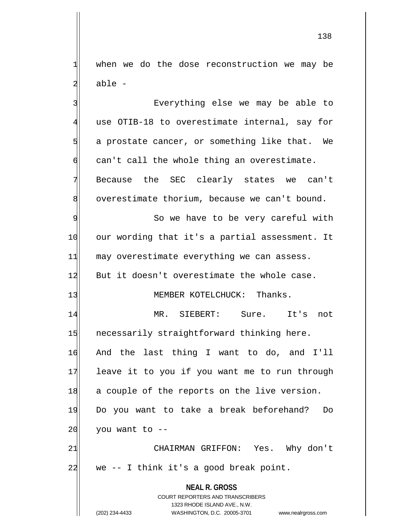$1$  when we do the dose reconstruction we may be 2 able -

**NEAL R. GROSS** COURT REPORTERS AND TRANSCRIBERS 1323 RHODE ISLAND AVE., N.W. 3 By Everything else we may be able to 4 use OTIB-18 to overestimate internal, say for 5 5 5 5 a prostate cancer, or something like that. We  $\mathfrak{g}$  can't call the whole thing an overestimate. 7 Because the SEC clearly states we can't 8 overestimate thorium, because we can't bound. 9 So we have to be very careful with 10 our wording that it's a partial assessment. It  $11$  may overestimate everything we can assess. 12 But it doesn't overestimate the whole case. 13 MEMBER KOTELCHUCK: Thanks. 14 MR. SIEBERT: Sure. It's not 15 necessarily straightforward thinking here. 16 And the last thing I want to do, and I'll 17 leave it to you if you want me to run through 18 a couple of the reports on the live version. 19 Do you want to take a break beforehand? Do  $20$  you want to  $-$ 21 CHAIRMAN GRIFFON: Yes. Why don't 22 we -- I think it's a good break point.

(202) 234-4433 WASHINGTON, D.C. 20005-3701 www.nealrgross.com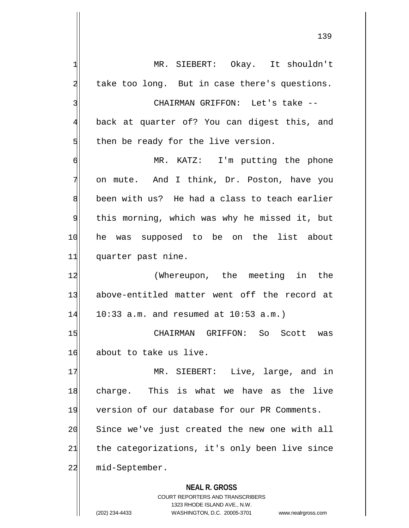**NEAL R. GROSS** 1 MR. SIEBERT: Okay. It shouldn't  $2$  take too long. But in case there's questions. 3 | CHAIRMAN GRIFFON: Let's take --4 back at quarter of? You can digest this, and  $5$  then be ready for the live version. 6 MR. KATZ: I'm putting the phone 7 on mute. And I think, Dr. Poston, have you 8 been with us? He had a class to teach earlier 9 this morning, which was why he missed it, but 10 he was supposed to be on the list about 11| quarter past nine. 12 (Whereupon, the meeting in the 13 above-entitled matter went off the record at  $14$  10:33 a.m. and resumed at 10:53 a.m.) 15 CHAIRMAN GRIFFON: So Scott was 16 about to take us live. 17 MR. SIEBERT: Live, large, and in 18 charge. This is what we have as the live 19 version of our database for our PR Comments. 20 Since we've just created the new one with all  $21$  the categorizations, it's only been live since 22 mid-September.

> COURT REPORTERS AND TRANSCRIBERS 1323 RHODE ISLAND AVE., N.W.

(202) 234-4433 WASHINGTON, D.C. 20005-3701 www.nealrgross.com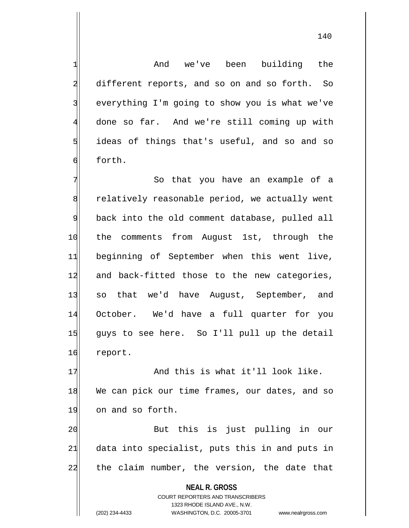140

1 and we've been building the 2 different reports, and so on and so forth. So  $3$  everything I'm going to show you is what we've 4 done so far. And we're still coming up with  $5$  ideas of things that's useful, and so and so 6 forth.

7 The So that you have an example of a 8 relatively reasonable period, we actually went 9 back into the old comment database, pulled all 10 the comments from August 1st, through the 11 beginning of September when this went live, 12 and back-fitted those to the new categories, 13 so that we'd have August, September, and 14 October. We'd have a full quarter for you 15 guys to see here. So I'll pull up the detail 16 report.

17 And this is what it'll look like. 18 We can pick our time frames, our dates, and so 19 on and so forth.

20 But this is just pulling in our  $21$  data into specialist, puts this in and puts in 22 the claim number, the version, the date that

**NEAL R. GROSS**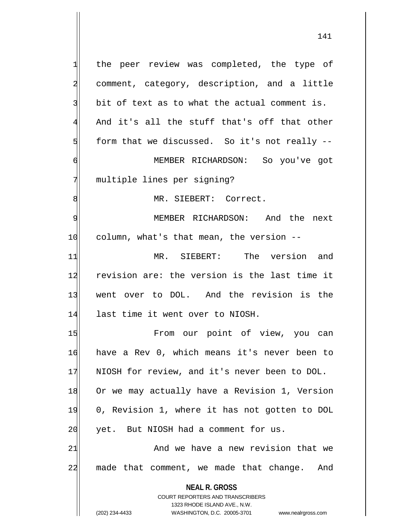**NEAL R. GROSS** COURT REPORTERS AND TRANSCRIBERS 1 the peer review was completed, the type of 2 comment, category, description, and a little  $3$  bit of text as to what the actual comment is. 4 And it's all the stuff that's off that other  $5$  form that we discussed. So it's not really  $-$ 6 MEMBER RICHARDSON: So you've got 7 multiple lines per signing? 8 MR. SIEBERT: Correct. 9 MEMBER RICHARDSON: And the next 10 column, what's that mean, the version --11 MR. SIEBERT: The version and 12 revision are: the version is the last time it 13 went over to DOL. And the revision is the 14 last time it went over to NIOSH. 15 | Trom our point of view, you can 16 have a Rev 0, which means it's never been to 17 NIOSH for review, and it's never been to DOL. 18 Or we may actually have a Revision 1, Version 19 0, Revision 1, where it has not gotten to DOL  $20$  yet. But NIOSH had a comment for us. 21 and we have a new revision that we 22 made that comment, we made that change. And

1323 RHODE ISLAND AVE., N.W.

(202) 234-4433 WASHINGTON, D.C. 20005-3701 www.nealrgross.com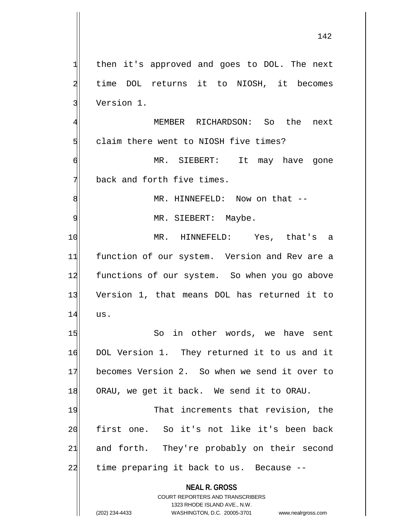**NEAL R. GROSS** COURT REPORTERS AND TRANSCRIBERS 1323 RHODE ISLAND AVE., N.W. (202) 234-4433 WASHINGTON, D.C. 20005-3701 www.nealrgross.com 1 then it's approved and goes to DOL. The next 2 time DOL returns it to NIOSH, it becomes 3 Version 1. 4 MEMBER RICHARDSON: So the next 5 claim there went to NIOSH five times? 6 MR. SIEBERT: It may have gone  $7$  back and forth five times. 8 | MR. HINNEFELD: Now on that --9 | MR. SIEBERT: Maybe. 10 MR. HINNEFELD: Yes, that's a 11 function of our system. Version and Rev are a 12 functions of our system. So when you go above 13 Version 1, that means DOL has returned it to 14 us. 15 So in other words, we have sent 16 DOL Version 1. They returned it to us and it 17 becomes Version 2. So when we send it over to 18 ORAU, we get it back. We send it to ORAU. 19 That increments that revision, the 20 first one. So it's not like it's been back 21 and forth. They're probably on their second  $22$  time preparing it back to us. Because  $-$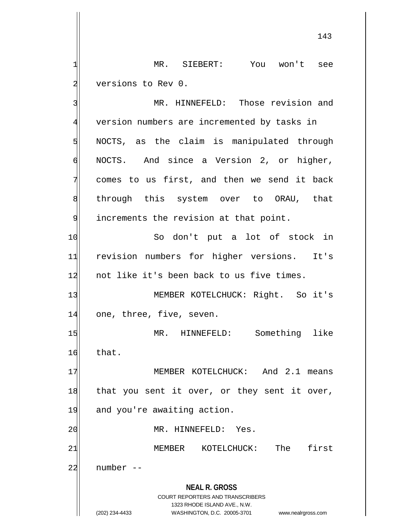1 MR. SIEBERT: You won't see 2 versions to Rev 0.

**NEAL R. GROSS** COURT REPORTERS AND TRANSCRIBERS 3 MR. HINNEFELD: Those revision and 4 version numbers are incremented by tasks in  $5$  NOCTS, as the claim is manipulated through  $\mathfrak{g}$  NOCTS. And since a Version 2, or higher, 7 comes to us first, and then we send it back 8 s all through this system over to ORAU, that 9 9 increments the revision at that point. 10 So don't put a lot of stock in 11 revision numbers for higher versions. It's 12 not like it's been back to us five times. 13 | MEMBER KOTELCHUCK: Right. So it's 14 one, three, five, seven. 15 MR. HINNEFELD: Something like  $16$  that. 17 MEMBER KOTELCHUCK: And 2.1 means 18 that you sent it over, or they sent it over, 19 and you're awaiting action. 20 | MR. HINNEFELD: Yes. 21 MEMBER KOTELCHUCK: The first  $22$  number  $-$ 

1323 RHODE ISLAND AVE., N.W.

(202) 234-4433 WASHINGTON, D.C. 20005-3701 www.nealrgross.com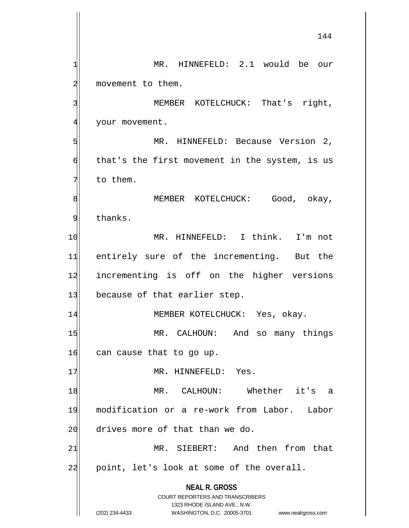**NEAL R. GROSS** COURT REPORTERS AND TRANSCRIBERS 1323 RHODE ISLAND AVE., N.W. 144 1 MR. HINNEFELD: 2.1 would be our 2 movement to them. 3 MEMBER KOTELCHUCK: That's right, 4 your movement. 5 MR. HINNEFELD: Because Version 2,  $\delta$  that's the first movement in the system, is us  $7$  to them. 8 MEMBER KOTELCHUCK: Good, okay, 9 thanks. 10 MR. HINNEFELD: I think. I'm not 11 entirely sure of the incrementing. But the 12 incrementing is off on the higher versions 13 because of that earlier step. 14 MEMBER KOTELCHUCK: Yes, okay. 15 MR. CALHOUN: And so many things  $16$  can cause that to go up. 17 MR. HINNEFELD: Yes. 18 MR. CALHOUN: Whether it's a 19 modification or a re-work from Labor. Labor 20 drives more of that than we do. 21 MR. SIEBERT: And then from that 22 point, let's look at some of the overall.

(202) 234-4433 WASHINGTON, D.C. 20005-3701 www.nealrgross.com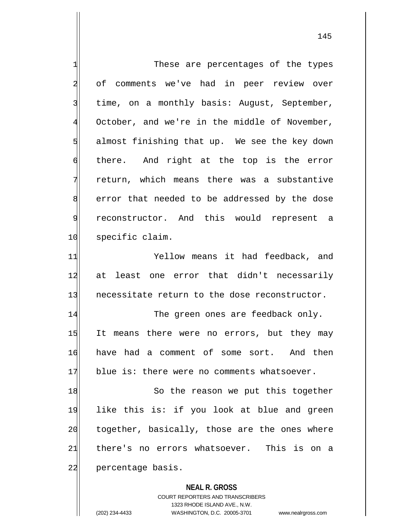| 1              | These are percentages of the types                                  |
|----------------|---------------------------------------------------------------------|
| $\overline{a}$ | of comments we've had in peer review over                           |
| 3              | time, on a monthly basis: August, September,                        |
| $\overline{4}$ | October, and we're in the middle of November,                       |
| 5              | almost finishing that up. We see the key down                       |
| 6              | there. And right at the top is the error                            |
| 7              | return, which means there was a substantive                         |
| 8              | error that needed to be addressed by the dose                       |
| 9              | reconstructor. And this would represent a                           |
| 10             | specific claim.                                                     |
| 11             | Yellow means it had feedback, and                                   |
| 12             | at least one error that didn't necessarily                          |
| 13             | necessitate return to the dose reconstructor.                       |
| 14             | The green ones are feedback only.                                   |
| 15             | It means there were no errors, but they may                         |
| 16             | have had a comment of some sort. And then                           |
| 17             | blue is: there were no comments whatsoever.                         |
| 18             | So the reason we put this together                                  |
| 19             | like this is: if you look at blue and green                         |
| 20             | together, basically, those are the ones where                       |
| 21             | there's no errors whatsoever. This is on a                          |
| 22             | percentage basis.                                                   |
|                | <b>NEAL R. GROSS</b>                                                |
|                | COURT REPORTERS AND TRANSCRIBERS                                    |
|                | 1323 RHODE ISLAND AVE., N.W.                                        |
|                | (202) 234-4433<br>WASHINGTON, D.C. 20005-3701<br>www.nealrgross.com |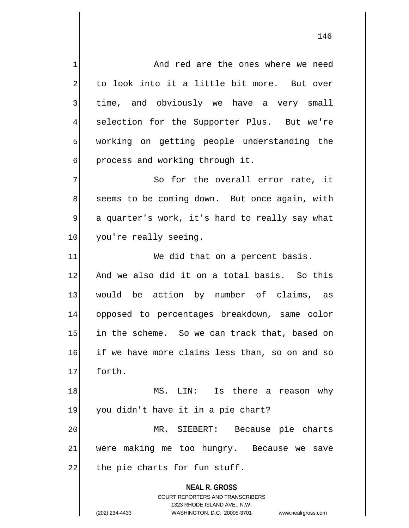1 and red are the ones where we need 2 to look into it a little bit more. But over 3 | time, and obviously we have a very small 4 selection for the Supporter Plus. But we're 5 working on getting people understanding the  $\phi$  process and working through it.  $7$  So for the overall error rate, it

8 seems to be coming down. But once again, with 9 a quarter's work, it's hard to really say what 10 you're really seeing.

11 We did that on a percent basis. 12 And we also did it on a total basis. So this 13 would be action by number of claims, as 14 opposed to percentages breakdown, same color 15 in the scheme. So we can track that, based on 16 if we have more claims less than, so on and so 17 forth.

18 MS. LIN: Is there a reason why 19 you didn't have it in a pie chart? 20 MR. SIEBERT: Because pie charts 21 were making me too hungry. Because we save  $22$  the pie charts for fun stuff.

> **NEAL R. GROSS** COURT REPORTERS AND TRANSCRIBERS 1323 RHODE ISLAND AVE., N.W. (202) 234-4433 WASHINGTON, D.C. 20005-3701 www.nealrgross.com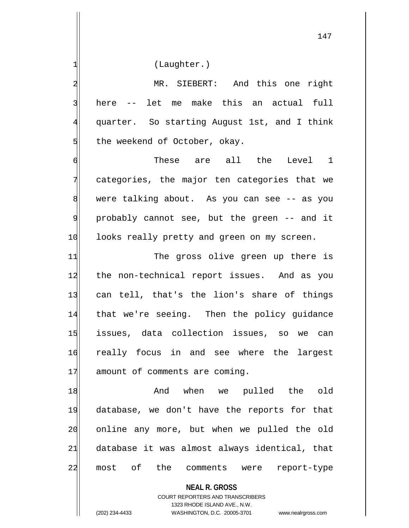1 (Laughter.)

2 MR. SIEBERT: And this one right 3 here -- let me make this an actual full 4 quarter. So starting August 1st, and I think  $5$  the weekend of October, okay.

6 These are all the Level 1 7 categories, the major ten categories that we 8 were talking about. As you can see -- as you 9 probably cannot see, but the green -- and it 10 looks really pretty and green on my screen.

11 The gross olive green up there is 12 the non-technical report issues. And as you 13 can tell, that's the lion's share of things 14 that we're seeing. Then the policy guidance 15 issues, data collection issues, so we can 16 really focus in and see where the largest 17 amount of comments are coming.

18 And when we pulled the old 19 database, we don't have the reports for that 20 online any more, but when we pulled the old 21 database it was almost always identical, that 22 most of the comments were report-type

**NEAL R. GROSS**

COURT REPORTERS AND TRANSCRIBERS 1323 RHODE ISLAND AVE., N.W. (202) 234-4433 WASHINGTON, D.C. 20005-3701 www.nealrgross.com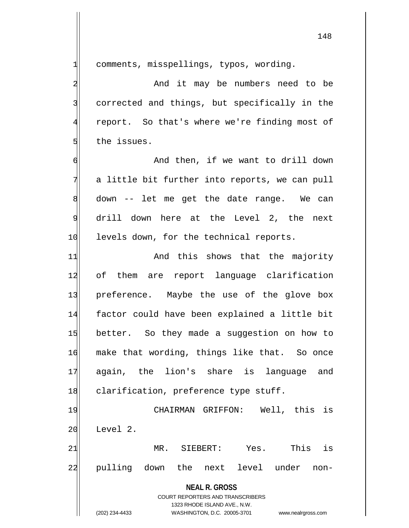| 1                       | comments, misspellings, typos, wording.                             |
|-------------------------|---------------------------------------------------------------------|
| $\overline{\mathbf{c}}$ | And it may be numbers need to be                                    |
| $\overline{3}$          | corrected and things, but specifically in the                       |
| $\overline{4}$          | report. So that's where we're finding most of                       |
| 5                       | the issues.                                                         |
| 6                       | And then, if we want to drill down                                  |
| 7                       | a little bit further into reports, we can pull                      |
| 8                       | down -- let me get the date range. We can                           |
| $\overline{9}$          | drill down here at the Level 2, the next                            |
| 10                      | levels down, for the technical reports.                             |
| 11                      | And this shows that the majority                                    |
| 12                      | of them are report language clarification                           |
| 13                      | preference. Maybe the use of the glove box                          |
| 14                      | factor could have been explained a little bit                       |
| 15                      | better. So they made a suggestion on how to                         |
| 16                      | make that wording, things like that. So once                        |
| 17                      | again, the lion's share is<br>language<br>and                       |
| 18                      | clarification, preference type stuff.                               |
| 19                      | CHAIRMAN GRIFFON: Well, this is                                     |
| 20                      | Level 2.                                                            |
| 21                      | is<br>Yes.<br>This<br>MR. SIEBERT:                                  |
| 22                      | next level under<br>pulling down the<br>non-                        |
|                         |                                                                     |
|                         | <b>NEAL R. GROSS</b><br>COURT REPORTERS AND TRANSCRIBERS            |
|                         | 1323 RHODE ISLAND AVE., N.W.                                        |
|                         | (202) 234-4433<br>WASHINGTON, D.C. 20005-3701<br>www.nealrgross.com |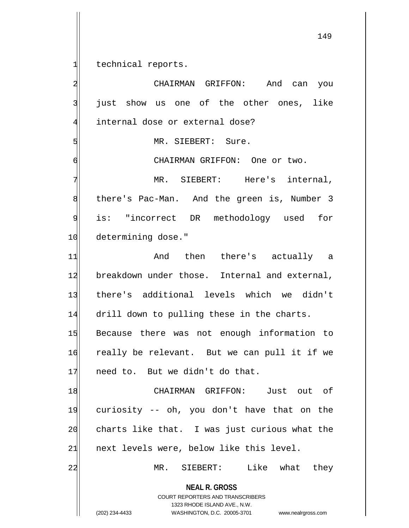1 technical reports.

**NEAL R. GROSS** COURT REPORTERS AND TRANSCRIBERS 1323 RHODE ISLAND AVE., N.W. (202) 234-4433 WASHINGTON, D.C. 20005-3701 www.nealrgross.com 2 | CHAIRMAN GRIFFON: And can you 3 just show us one of the other ones, like 4 internal dose or external dose? 5 MR. SIEBERT: Sure. 6 GILL CHAIRMAN GRIFFON: One or two. 7 MR. SIEBERT: Here's internal, 8 b there's Pac-Man. And the green is, Number 3 9 is: "incorrect DR methodology used for 10 determining dose." 11 And then there's actually a 12 breakdown under those. Internal and external, 13 there's additional levels which we didn't 14 drill down to pulling these in the charts. 15 Because there was not enough information to 16 really be relevant. But we can pull it if we 17 need to. But we didn't do that. 18 CHAIRMAN GRIFFON: Just out of 19 curiosity -- oh, you don't have that on the 20 charts like that. I was just curious what the 21 next levels were, below like this level. 22 MR. SIEBERT: Like what they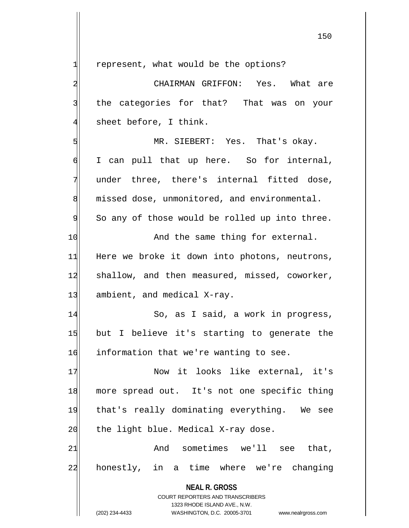$1$  represent, what would be the options?

**NEAL R. GROSS** COURT REPORTERS AND TRANSCRIBERS 1323 RHODE ISLAND AVE., N.W. 2 CHAIRMAN GRIFFON: Yes. What are 3 the categories for that? That was on your  $4$  sheet before, I think. 5 MR. SIEBERT: Yes. That's okay. 6 I can pull that up here. So for internal, 7 under three, there's internal fitted dose, 8 missed dose, unmonitored, and environmental. 9 So any of those would be rolled up into three. 10 And the same thing for external. 11 Here we broke it down into photons, neutrons, 12 shallow, and then measured, missed, coworker, 13 ambient, and medical X-ray. 14 So, as I said, a work in progress, 15 but I believe it's starting to generate the 16 information that we're wanting to see. 17 Now it looks like external, it's 18 more spread out. It's not one specific thing 19 that's really dominating everything. We see  $20$  the light blue. Medical X-ray dose.  $21$  And sometimes we'll see that, 22 honestly, in a time where we're changing

<sup>(202) 234-4433</sup> WASHINGTON, D.C. 20005-3701 www.nealrgross.com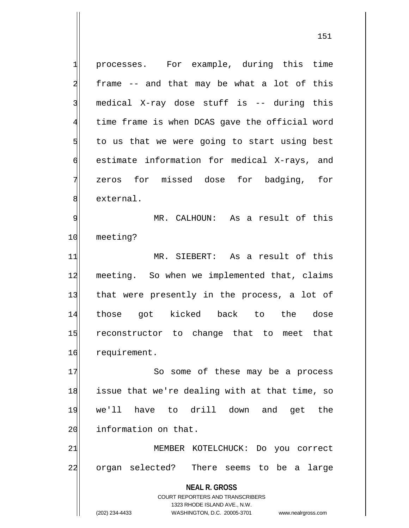**NEAL R. GROSS** COURT REPORTERS AND TRANSCRIBERS 1323 RHODE ISLAND AVE., N.W. 1 processes. For example, during this time  $2$  frame  $-$  and that may be what a lot of this 3 medical X-ray dose stuff is -- during this 4 time frame is when DCAS gave the official word  $5$  to us that we were going to start using best 6 estimate information for medical X-rays, and 7 zeros for missed dose for badging, for 8 external. 9 | MR. CALHOUN: As a result of this 10 meeting? 11 MR. SIEBERT: As a result of this 12 meeting. So when we implemented that, claims 13 | that were presently in the process, a lot of 14 those got kicked back to the dose 15 reconstructor to change that to meet that 16 requirement. 17 So some of these may be a process 18 issue that we're dealing with at that time, so 19 we'll have to drill down and get the 20 information on that. 21 MEMBER KOTELCHUCK: Do you correct 22 organ selected? There seems to be a large

(202) 234-4433 WASHINGTON, D.C. 20005-3701 www.nealrgross.com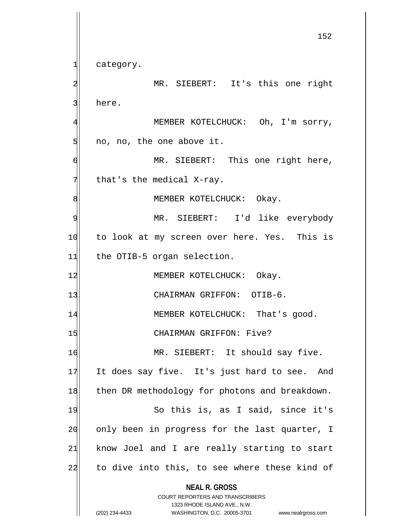**NEAL R. GROSS** COURT REPORTERS AND TRANSCRIBERS 1323 RHODE ISLAND AVE., N.W. (202) 234-4433 WASHINGTON, D.C. 20005-3701 www.nealrgross.com 152 1 category. 2 MR. SIEBERT: It's this one right 3 here. 4 MEMBER KOTELCHUCK: Oh, I'm sorry,  $5$  no, no, the one above it. 6 MR. SIEBERT: This one right here,  $7$  that's the medical X-ray. 8 | MEMBER KOTELCHUCK: Okay. 9 MR. SIEBERT: I'd like everybody 10 to look at my screen over here. Yes. This is 11 the OTIB-5 organ selection. 12 MEMBER KOTELCHUCK: Okay. 13 CHAIRMAN GRIFFON: OTIB-6. 14 MEMBER KOTELCHUCK: That's good. 15 CHAIRMAN GRIFFON: Five? 16 MR. SIEBERT: It should say five. 17 It does say five. It's just hard to see. And 18 then DR methodology for photons and breakdown. 19 So this is, as I said, since it's 20 only been in progress for the last quarter, I  $21$  know Joel and I are really starting to start 22 to dive into this, to see where these kind of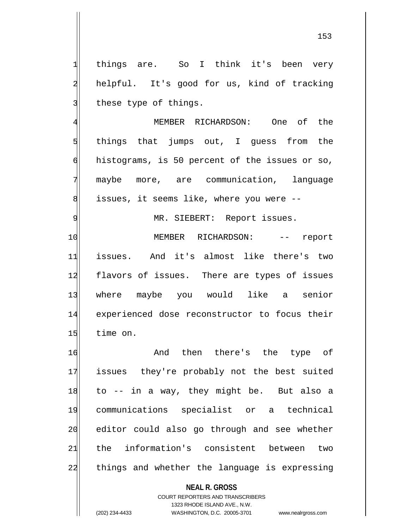1 things are. So I think it's been very 2 helpful. It's good for us, kind of tracking 3 these type of things.

4 MEMBER RICHARDSON: One of the 5 5 5 5 things that jumps out, I guess from the 6 histograms, is 50 percent of the issues or so, 7 maybe more, are communication, language 8 std issues, it seems like, where you were --

9 | MR. SIEBERT: Report issues.

10 | MEMBER RICHARDSON: -- report 11 issues. And it's almost like there's two 12 flavors of issues. There are types of issues 13 where maybe you would like a senior 14 experienced dose reconstructor to focus their 15 time on.

16 and then there's the type of 17 issues they're probably not the best suited  $18$  to  $-$  in a way, they might be. But also a 19 communications specialist or a technical 20 editor could also go through and see whether 21 the information's consistent between two 22 things and whether the language is expressing

> **NEAL R. GROSS** COURT REPORTERS AND TRANSCRIBERS 1323 RHODE ISLAND AVE., N.W.

(202) 234-4433 WASHINGTON, D.C. 20005-3701 www.nealrgross.com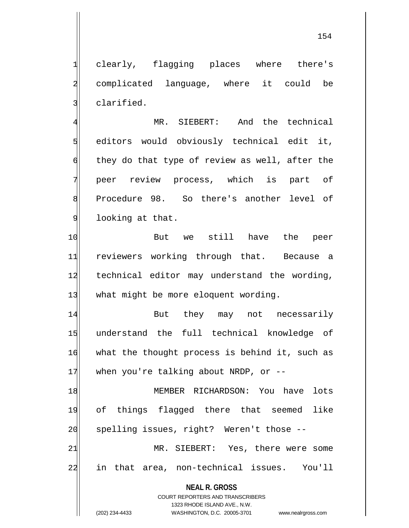1 clearly, flagging places where there's 2 complicated language, where it could be 3 slarified.

4 MR. SIEBERT: And the technical  $5$  editors would obviously technical edit it,  $\phi$  they do that type of review as well, after the 7 peer review process, which is part of 8 Procedure 98. So there's another level of 9 looking at that.

10 But we still have the peer 11 reviewers working through that. Because a 12 technical editor may understand the wording, 13 what might be more eloquent wording.

14 But they may not necessarily 15 understand the full technical knowledge of 16 what the thought process is behind it, such as  $17$  when you're talking about NRDP, or  $-$ -

18 MEMBER RICHARDSON: You have lots 19 of things flagged there that seemed like 20 spelling issues, right? Weren't those --21 MR. SIEBERT: Yes, there were some

22 in that area, non-technical issues. You'll

**NEAL R. GROSS** COURT REPORTERS AND TRANSCRIBERS

1323 RHODE ISLAND AVE., N.W.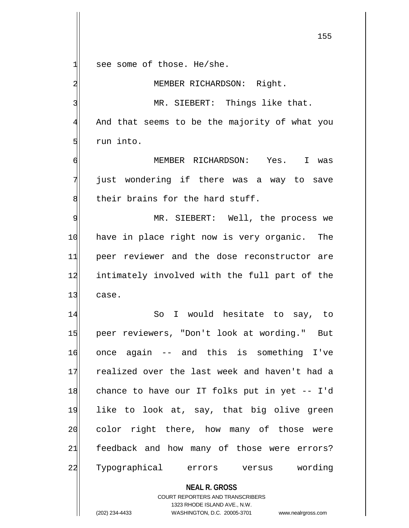**NEAL R. GROSS** COURT REPORTERS AND TRANSCRIBERS 1323 RHODE ISLAND AVE., N.W.  $1$  see some of those. He/she. 2 MEMBER RICHARDSON: Right. 3 MR. SIEBERT: Things like that. 4 And that seems to be the majority of what you  $5$  run into. 6 MEMBER RICHARDSON: Yes. I was 7 just wondering if there was a way to save 8 b their brains for the hard stuff. 9 MR. SIEBERT: Well, the process we 10 have in place right now is very organic. The 11 peer reviewer and the dose reconstructor are 12 intimately involved with the full part of the 13 case. 14 So I would hesitate to say, to 15 peer reviewers, "Don't look at wording." But 16 once again -- and this is something I've 17 realized over the last week and haven't had a 18 chance to have our IT folks put in yet -- I'd 19 like to look at, say, that big olive green 20 color right there, how many of those were 21 feedback and how many of those were errors? 22 Typographical errors versus wording

(202) 234-4433 WASHINGTON, D.C. 20005-3701 www.nealrgross.com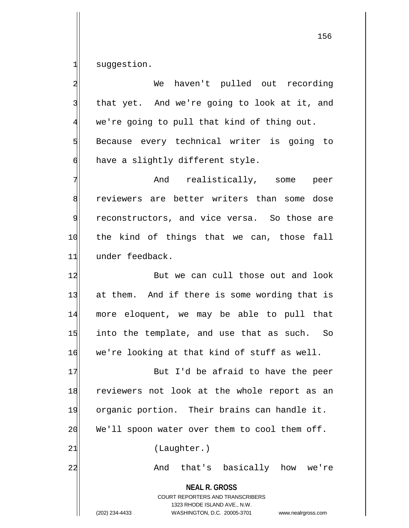1 suggestion.

**NEAL R. GROSS** COURT REPORTERS AND TRANSCRIBERS 1323 RHODE ISLAND AVE., N.W. (202) 234-4433 WASHINGTON, D.C. 20005-3701 www.nealrgross.com 2 We haven't pulled out recording  $3$  that yet. And we're going to look at it, and 4 we're going to pull that kind of thing out. 5 Because every technical writer is going to  $\delta$  have a slightly different style. 7 And realistically, some peer 8 reviewers are better writers than some dose 9 reconstructors, and vice versa. So those are 10 the kind of things that we can, those fall 11 under feedback. 12 But we can cull those out and look 13 at them. And if there is some wording that is 14 more eloquent, we may be able to pull that  $15$  into the template, and use that as such. So 16 we're looking at that kind of stuff as well. 17 But I'd be afraid to have the peer 18 reviewers not look at the whole report as an 19 organic portion. Their brains can handle it.  $20$  We'll spoon water over them to cool them off. 21 (Laughter.) 22 And that's basically how we're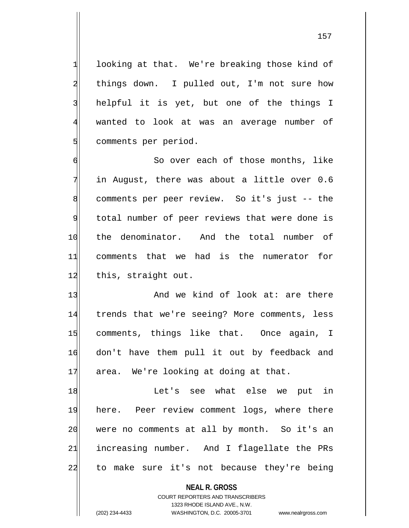$1$  looking at that. We're breaking those kind of 2 things down. I pulled out, I'm not sure how 3 helpful it is yet, but one of the things I 4 wanted to look at was an average number of 5 Somments per period.

6 | So over each of those months, like 7 in August, there was about a little over 0.6 8 comments per peer review. So it's just -- the 9 total number of peer reviews that were done is 10 the denominator. And the total number of 11 comments that we had is the numerator for 12 this, straight out.

 $13$  And we kind of look at: are there 14 trends that we're seeing? More comments, less 15 comments, things like that. Once again, I 16 don't have them pull it out by feedback and  $17$  area. We're looking at doing at that.

18 and the Let's see what else we put in 19 here. Peer review comment logs, where there 20 were no comments at all by month. So it's an 21 increasing number. And I flagellate the PRs 22 to make sure it's not because they're being

**NEAL R. GROSS**

COURT REPORTERS AND TRANSCRIBERS 1323 RHODE ISLAND AVE., N.W. (202) 234-4433 WASHINGTON, D.C. 20005-3701 www.nealrgross.com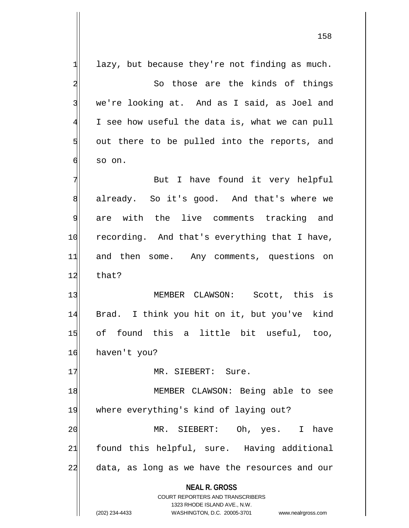**NEAL R. GROSS** COURT REPORTERS AND TRANSCRIBERS 1323 RHODE ISLAND AVE., N.W.  $1$  lazy, but because they're not finding as much. 2 So those are the kinds of things 3 | we're looking at. And as I said, as Joel and  $4$  I see how useful the data is, what we can pull  $5$  out there to be pulled into the reports, and 6 so on. 7 Rut I have found it very helpful 8 already. So it's good. And that's where we 9 are with the live comments tracking and 10 recording. And that's everything that I have, 11| and then some. Any comments, questions on 12 that? 13 MEMBER CLAWSON: Scott, this is 14 Brad. I think you hit on it, but you've kind 15 of found this a little bit useful, too, 16 haven't you? 17 MR. SIEBERT: Sure. 18 | MEMBER CLAWSON: Being able to see 19 where everything's kind of laying out? 20 MR. SIEBERT: Oh, yes. I have 21 found this helpful, sure. Having additional 22 data, as long as we have the resources and our

(202) 234-4433 WASHINGTON, D.C. 20005-3701 www.nealrgross.com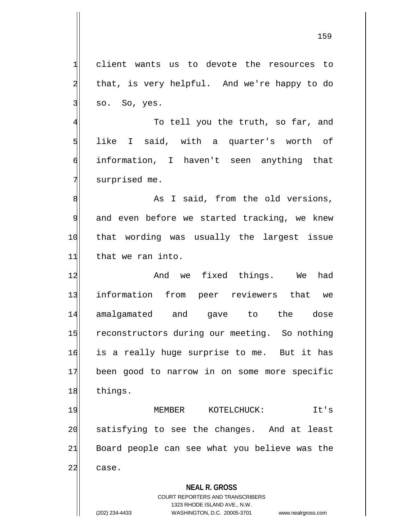1 client wants us to devote the resources to 2 that, is very helpful. And we're happy to do  $3$  so. So, yes.

4 To tell you the truth, so far, and  $5$  like I said, with a quarter's worth of 6 information, I haven't seen anything that 7 surprised me.

8 8 As I said, from the old versions,  $9$  and even before we started tracking, we knew 10 that wording was usually the largest issue 11 that we ran into.

12 and we fixed things. We had 13 information from peer reviewers that we 14 amalgamated and gave to the dose 15 reconstructors during our meeting. So nothing 16 is a really huge surprise to me. But it has 17 been good to narrow in on some more specific 18 things.

19 MEMBER KOTELCHUCK: It's 20 satisfying to see the changes. And at least 21 Board people can see what you believe was the 22 case.

## **NEAL R. GROSS**

COURT REPORTERS AND TRANSCRIBERS 1323 RHODE ISLAND AVE., N.W. (202) 234-4433 WASHINGTON, D.C. 20005-3701 www.nealrgross.com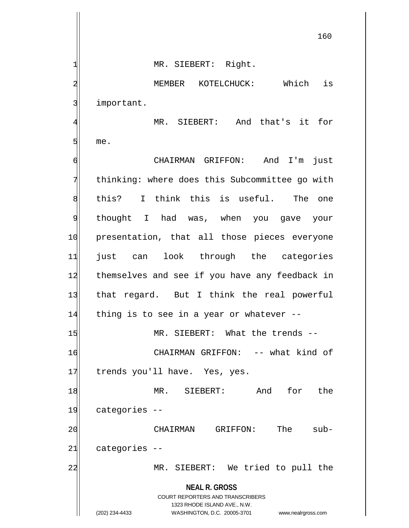**NEAL R. GROSS** COURT REPORTERS AND TRANSCRIBERS 1 MR. SIEBERT: Right. 2 MEMBER KOTELCHUCK: Which is 3 important. 4 MR. SIEBERT: And that's it for  $5$  me. 6 CHAIRMAN GRIFFON: And I'm just 7 thinking: where does this Subcommittee go with 8 this? I think this is useful. The one 9 thought I had was, when you gave your 10 presentation, that all those pieces everyone 11 just can look through the categories 12 themselves and see if you have any feedback in 13 that regard. But I think the real powerful 14 thing is to see in a year or whatever --15 MR. SIEBERT: What the trends --16 CHAIRMAN GRIFFON: -- what kind of 17 trends you'll have. Yes, yes. 18 MR. SIEBERT: And for the 19 categories --20 20 CHAIRMAN GRIFFON: The sub- $21$  categories  $-$ 22 MR. SIEBERT: We tried to pull the

1323 RHODE ISLAND AVE., N.W.

(202) 234-4433 WASHINGTON, D.C. 20005-3701 www.nealrgross.com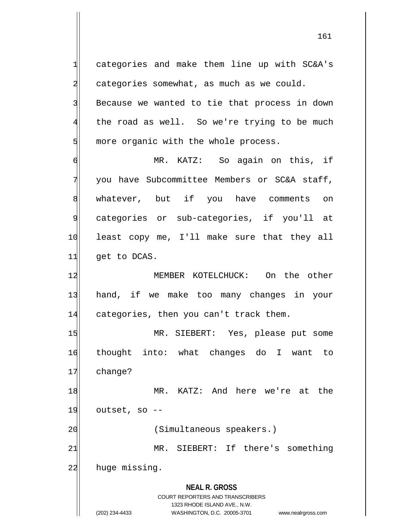**NEAL R. GROSS** COURT REPORTERS AND TRANSCRIBERS 1323 RHODE ISLAND AVE., N.W. (202) 234-4433 WASHINGTON, D.C. 20005-3701 www.nealrgross.com 1 categories and make them line up with SC&A's 2 categories somewhat, as much as we could. 3 Because we wanted to tie that process in down 4 the road as well. So we're trying to be much  $5$  more organic with the whole process. 6 MR. KATZ: So again on this, if 7 you have Subcommittee Members or SC&A staff, 8 whatever, but if you have comments on 9 categories or sub-categories, if you'll at 10 least copy me, I'll make sure that they all  $11$  get to DCAS. 12 MEMBER KOTELCHUCK: On the other 13 hand, if we make too many changes in your 14 categories, then you can't track them. 15 MR. SIEBERT: Yes, please put some 16 thought into: what changes do I want to 17 change? 18 MR. KATZ: And here we're at the  $19$  outset, so  $-$ 20 (Simultaneous speakers.) 21 MR. SIEBERT: If there's something 22 huge missing.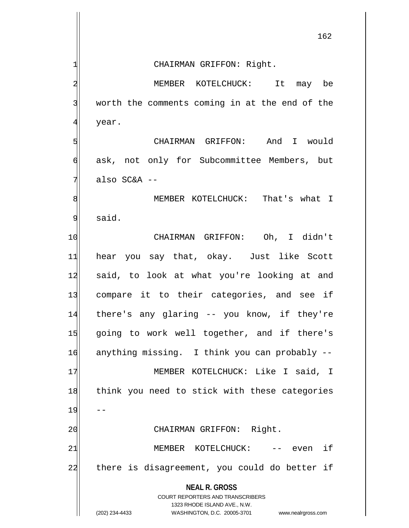|    | 162                                                                                                 |
|----|-----------------------------------------------------------------------------------------------------|
|    | CHAIRMAN GRIFFON: Right.                                                                            |
|    | MEMBER KOTELCHUCK: It may be                                                                        |
|    | worth the comments coming in at the end of the                                                      |
| 4  | year.                                                                                               |
| 5  | CHAIRMAN GRIFFON: And I would                                                                       |
| 6  | ask, not only for Subcommittee Members, but                                                         |
| 7  | also $SC&A$ --                                                                                      |
| 8  | MEMBER KOTELCHUCK: That's what I                                                                    |
| 9  | said.                                                                                               |
| 10 | CHAIRMAN GRIFFON: Oh, I didn't                                                                      |
| 11 | hear you say that, okay. Just like Scott                                                            |
| 12 | said, to look at what you're looking at and                                                         |
| 13 | compare it to their categories, and see if                                                          |
| 14 | there's any glaring -- you know, if they're                                                         |
| 15 | going to work well together, and if there's                                                         |
| 16 | anything missing. I think you can probably --                                                       |
| 17 | MEMBER KOTELCHUCK: Like I said, I                                                                   |
| 18 | think you need to stick with these categories                                                       |
| 19 |                                                                                                     |
| 20 | CHAIRMAN GRIFFON: Right.                                                                            |
| 21 | even if<br>MEMBER KOTELCHUCK:<br>$--$                                                               |
| 22 | there is disagreement, you could do better if                                                       |
|    | <b>NEAL R. GROSS</b><br><b>COURT REPORTERS AND TRANSCRIBERS</b>                                     |
|    | 1323 RHODE ISLAND AVE., N.W.<br>(202) 234-4433<br>WASHINGTON, D.C. 20005-3701<br>www.nealrgross.com |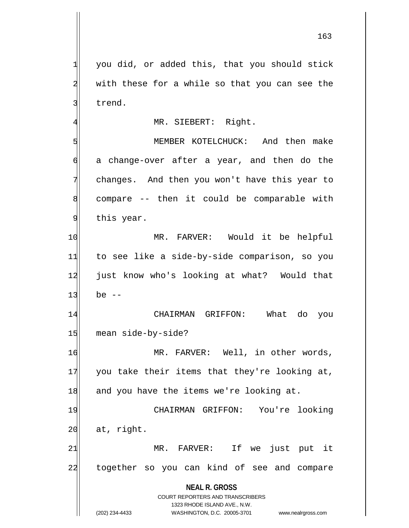1 you did, or added this, that you should stick  $2$  with these for a while so that you can see the

3 trend.

## 4 MR. SIEBERT: Right.

5 MEMBER KOTELCHUCK: And then make 6 a change-over after a year, and then do the 7 changes. And then you won't have this year to  $8$  compare  $-$  then it could be comparable with 9 this year.

10 MR. FARVER: Would it be helpful 11 to see like a side-by-side comparison, so you 12 just know who's looking at what? Would that  $13$  be  $-$ 

14 CHAIRMAN GRIFFON: What do you 15 mean side-by-side?

16 MR. FARVER: Well, in other words,  $17$  you take their items that they're looking at, 18 and you have the items we're looking at.

19 CHAIRMAN GRIFFON: You're looking  $20$  at, right.

21 MR. FARVER: If we just put it 22 together so you can kind of see and compare

> **NEAL R. GROSS** COURT REPORTERS AND TRANSCRIBERS

> > 1323 RHODE ISLAND AVE., N.W.

(202) 234-4433 WASHINGTON, D.C. 20005-3701 www.nealrgross.com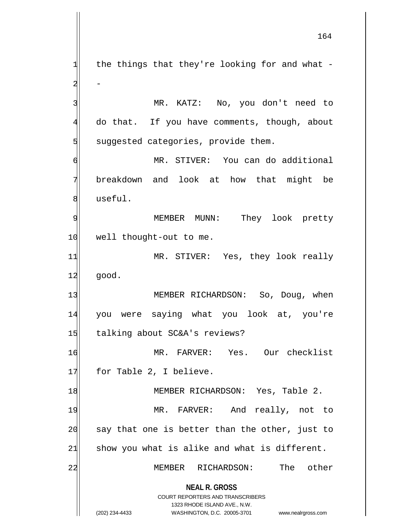**NEAL R. GROSS** COURT REPORTERS AND TRANSCRIBERS 1323 RHODE ISLAND AVE., N.W.  $1$  the things that they're looking for and what - $2$  -3 MR. KATZ: No, you don't need to 4 do that. If you have comments, though, about  $5$  suggested categories, provide them. 6 MR. STIVER: You can do additional 7 breakdown and look at how that might be 8 useful. 9 MEMBER MUNN: They look pretty 10 well thought-out to me. 11 MR. STIVER: Yes, they look really 12 good. 13 MEMBER RICHARDSON: So, Doug, when 14 you were saying what you look at, you're 15 talking about SC&A's reviews? 16 MR. FARVER: Yes. Our checklist 17 for Table 2, I believe. 18 | MEMBER RICHARDSON: Yes, Table 2. 19 MR. FARVER: And really, not to  $20$  say that one is better than the other, just to  $21$  show you what is alike and what is different. 22 MEMBER RICHARDSON: The other

<sup>(202) 234-4433</sup> WASHINGTON, D.C. 20005-3701 www.nealrgross.com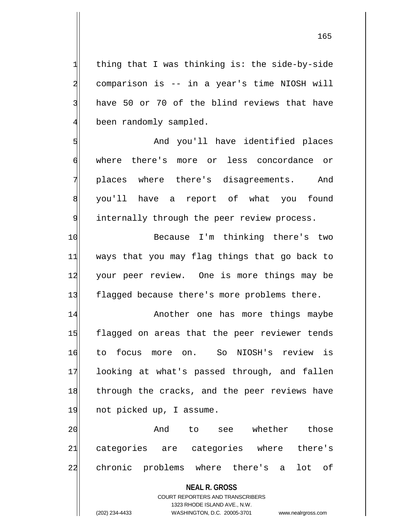$1$  thing that I was thinking is: the side-by-side 2 comparison is -- in a year's time NIOSH will 3 have 50 or 70 of the blind reviews that have  $4$  been randomly sampled.

5 | Show And you'll have identified places 6 where there's more or less concordance or 7 places where there's disagreements. And 8 | you'll have a report of what you found 9 internally through the peer review process.

10 Because I'm thinking there's two 11 ways that you may flag things that go back to 12 your peer review. One is more things may be 13 flagged because there's more problems there.

14 Another one has more things maybe 15 flagged on areas that the peer reviewer tends 16 to focus more on. So NIOSH's review is 17 looking at what's passed through, and fallen 18 through the cracks, and the peer reviews have 19 not picked up, I assume.

20 And to see whether those 21 categories are categories where there's 22 chronic problems where there's a lot of

**NEAL R. GROSS**

COURT REPORTERS AND TRANSCRIBERS 1323 RHODE ISLAND AVE., N.W. (202) 234-4433 WASHINGTON, D.C. 20005-3701 www.nealrgross.com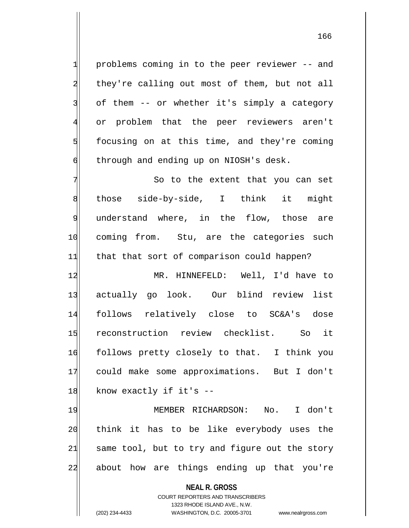problems coming in to the peer reviewer -- and 2 they're calling out most of them, but not all of them -- or whether it's simply a category or problem that the peer reviewers aren't focusing on at this time, and they're coming  $\phi$  through and ending up on NIOSH's desk.

7 The extent that you can set 8 those side-by-side, I think it might 9 understand where, in the flow, those are 10 coming from. Stu, are the categories such 11 that that sort of comparison could happen?

12 MR. HINNEFELD: Well, I'd have to 13 actually go look. Our blind review list 14 follows relatively close to SC&A's dose 15 reconstruction review checklist. So it 16 follows pretty closely to that. I think you 17 could make some approximations. But I don't  $18$  know exactly if it's  $-$ 

19 MEMBER RICHARDSON: No. I don't 20 think it has to be like everybody uses the  $21$  same tool, but to try and figure out the story 22 about how are things ending up that you're

> **NEAL R. GROSS** COURT REPORTERS AND TRANSCRIBERS 1323 RHODE ISLAND AVE., N.W. (202) 234-4433 WASHINGTON, D.C. 20005-3701 www.nealrgross.com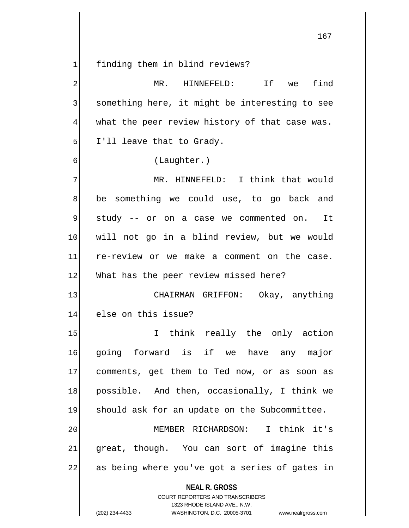1 finding them in blind reviews?

| $\overline{a}$ | If<br>find<br>MR. HINNEFELD:<br>we                       |
|----------------|----------------------------------------------------------|
| $\overline{3}$ | something here, it might be interesting to see           |
| $\overline{4}$ | what the peer review history of that case was.           |
| 5              | I'll leave that to Grady.                                |
| 6              | (Laughter.)                                              |
| 7              | MR. HINNEFELD: I think that would                        |
| 8              | be something we could use, to go back and                |
| 9              | study -- or on a case we commented on. It                |
| 10             | will not go in a blind review, but we would              |
| 11             | re-review or we make a comment on the case.              |
| 12             | What has the peer review missed here?                    |
| 13             | CHAIRMAN GRIFFON: Okay, anything                         |
| 14             | else on this issue?                                      |
| 15             | I think really the only action                           |
| 16             | going forward is if we have any major                    |
| 17             | comments, get them to Ted now, or as soon as             |
| 18             | possible. And then, occasionally, I think we             |
| 19             | should ask for an update on the Subcommittee.            |
| 20             | MEMBER RICHARDSON: I think it's                          |
| 21             | great, though. You can sort of imagine this              |
| 22             | as being where you've got a series of gates in           |
|                | <b>NEAL R. GROSS</b><br>COURT REPORTERS AND TRANSCRIBERS |

1323 RHODE ISLAND AVE., N.W.

 $\mathop{\parallel}$ 

(202) 234-4433 WASHINGTON, D.C. 20005-3701 www.nealrgross.com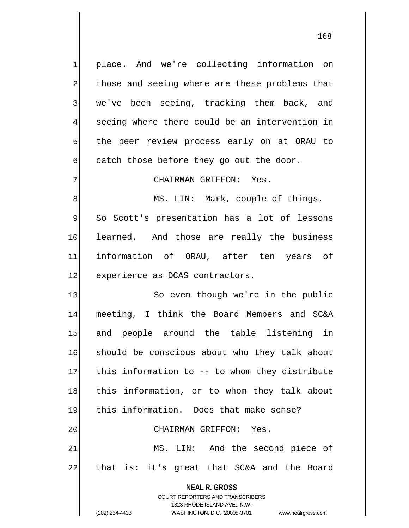1 place. And we're collecting information on 2 those and seeing where are these problems that 3 we've been seeing, tracking them back, and 4 seeing where there could be an intervention in 5 the peer review process early on at ORAU to  $\delta$  catch those before they go out the door.

7 CHAIRMAN GRIFFON: Yes.

8 MS. LIN: Mark, couple of things. 9| So Scott's presentation has a lot of lessons 10 learned. And those are really the business 11 information of ORAU, after ten years of 12 experience as DCAS contractors.

**NEAL R. GROSS** COURT REPORTERS AND TRANSCRIBERS 13 So even though we're in the public 14 meeting, I think the Board Members and SC&A 15 and people around the table listening in 16 should be conscious about who they talk about  $17$  this information to  $-$  to whom they distribute 18 this information, or to whom they talk about 19 this information. Does that make sense? 20 CHAIRMAN GRIFFON: Yes. 21 MS. LIN: And the second piece of 22 that is: it's great that SC&A and the Board

1323 RHODE ISLAND AVE., N.W.

(202) 234-4433 WASHINGTON, D.C. 20005-3701 www.nealrgross.com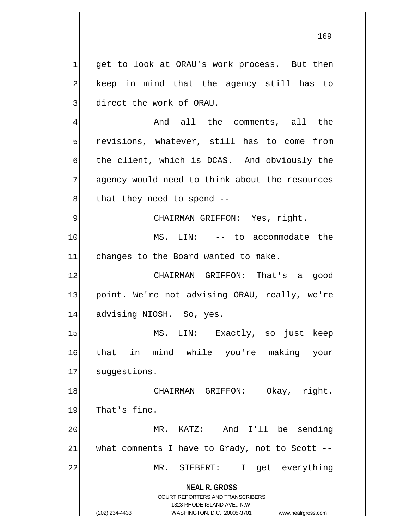$1$  get to look at ORAU's work process. But then 2 keep in mind that the agency still has to 3 direct the work of ORAU.

4 And all the comments, all the  $5$  revisions, whatever, still has to come from 6 the client, which is DCAS. And obviously the 7 agency would need to think about the resources  $8$  that they need to spend  $-$ 

9| CHAIRMAN GRIFFON: Yes, right.

10 MS. LIN: -- to accommodate the 11 changes to the Board wanted to make.

12 CHAIRMAN GRIFFON: That's a good 13 point. We're not advising ORAU, really, we're 14 advising NIOSH. So, yes.

15 MS. LIN: Exactly, so just keep 16 that in mind while you're making your 17 suggestions.

18 CHAIRMAN GRIFFON: Okay, right. 19 That's fine.

20 MR. KATZ: And I'll be sending  $21$  what comments I have to Grady, not to Scott --22 MR. SIEBERT: I get everything

**NEAL R. GROSS**

COURT REPORTERS AND TRANSCRIBERS 1323 RHODE ISLAND AVE., N.W. (202) 234-4433 WASHINGTON, D.C. 20005-3701 www.nealrgross.com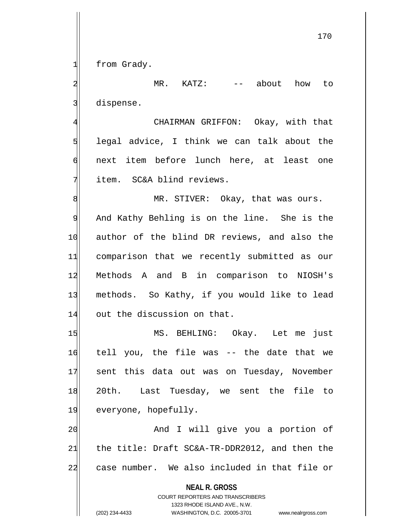$1$  from Grady.

2 MR. KATZ: -- about how to 3 dispense.

4 CHAIRMAN GRIFFON: Okay, with that  $5$  legal advice, I think we can talk about the 6 next item before lunch here, at least one  $7$  item. SC&A blind reviews.

8 MR. STIVER: Okay, that was ours. 9 And Kathy Behling is on the line. She is the 10 author of the blind DR reviews, and also the 11 comparison that we recently submitted as our 12 Methods A and B in comparison to NIOSH's 13 methods. So Kathy, if you would like to lead 14 out the discussion on that.

15 MS. BEHLING: Okay. Let me just 16 tell you, the file was -- the date that we 17 sent this data out was on Tuesday, November 18 20th. Last Tuesday, we sent the file to 19 everyone, hopefully.

20 and I will give you a portion of  $21$  the title: Draft SC&A-TR-DDR2012, and then the 22 case number. We also included in that file or

> **NEAL R. GROSS** COURT REPORTERS AND TRANSCRIBERS 1323 RHODE ISLAND AVE., N.W. (202) 234-4433 WASHINGTON, D.C. 20005-3701 www.nealrgross.com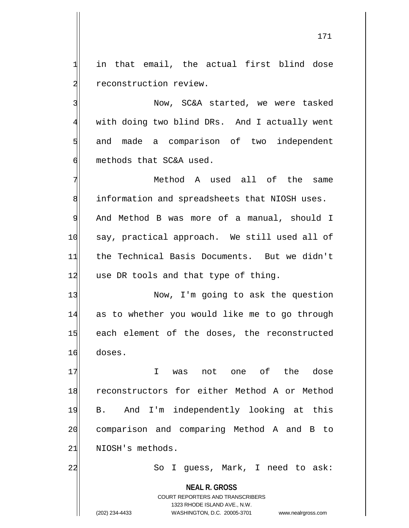$1$  in that email, the actual first blind dose 2 reconstruction review.

3 Now, SC&A started, we were tasked 4 with doing two blind DRs. And I actually went 5 and made a comparison of two independent 6 methods that SC&A used.

7 Method A used all of the same 8 information and spreadsheets that NIOSH uses. 9 And Method B was more of a manual, should I 10 say, practical approach. We still used all of 11 the Technical Basis Documents. But we didn't  $12$  use DR tools and that type of thing.

13 Now, I'm going to ask the question 14 as to whether you would like me to go through 15 each element of the doses, the reconstructed 16 doses.

17 I was not one of the dose 18 reconstructors for either Method A or Method 19 B. And I'm independently looking at this 20 comparison and comparing Method A and B to 21 NIOSH's methods.

22 So I guess, Mark, I need to ask:

**NEAL R. GROSS** COURT REPORTERS AND TRANSCRIBERS 1323 RHODE ISLAND AVE., N.W. (202) 234-4433 WASHINGTON, D.C. 20005-3701 www.nealrgross.com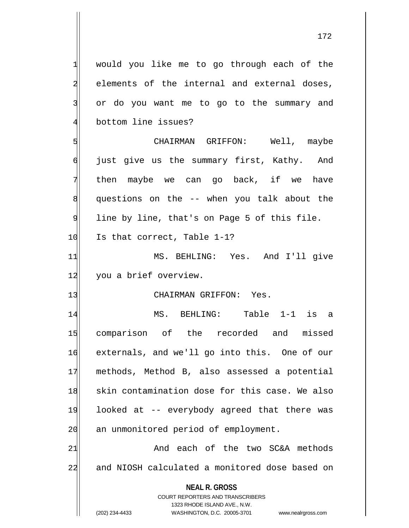**NEAL R. GROSS** COURT REPORTERS AND TRANSCRIBERS 1323 RHODE ISLAND AVE., N.W. 1 would you like me to go through each of the 2 elements of the internal and external doses, 3 or do you want me to go to the summary and 4 bottom line issues? 5 CHAIRMAN GRIFFON: Well, maybe 6 just give us the summary first, Kathy. And 7 then maybe we can go back, if we have  $8$  questions on the  $-$  when you talk about the  $9$  line by line, that's on Page 5 of this file.  $10$  Is that correct, Table 1-1? 11 MS. BEHLING: Yes. And I'll give 12 you a brief overview. 13 CHAIRMAN GRIFFON: Yes. 14 MS. BEHLING: Table 1-1 is a 15 comparison of the recorded and missed 16 externals, and we'll go into this. One of our 17 methods, Method B, also assessed a potential 18 skin contamination dose for this case. We also 19 looked at -- everybody agreed that there was 20 an unmonitored period of employment. 21 and each of the two SC&A methods 22 and NIOSH calculated a monitored dose based on

(202) 234-4433 WASHINGTON, D.C. 20005-3701 www.nealrgross.com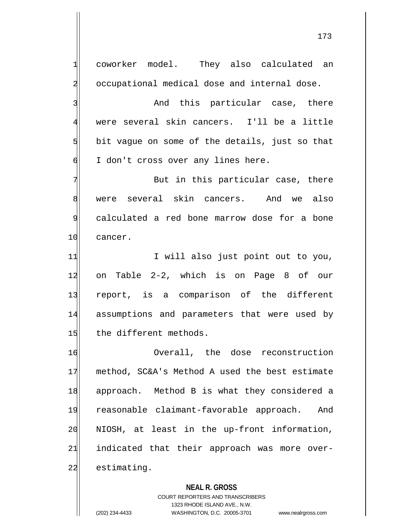1 coworker model. They also calculated an 2 occupational medical dose and internal dose. 3 and this particular case, there 4 were several skin cancers. I'll be a little  $5$  bit vague on some of the details, just so that  $\delta$  I don't cross over any lines here. 7 Rut in this particular case, there 8 were several skin cancers. And we also 9 calculated a red bone marrow dose for a bone 10 cancer. 11 I will also just point out to you, 12 on Table 2-2, which is on Page 8 of our 13 report, is a comparison of the different 14 assumptions and parameters that were used by 15 the different methods. 16 Overall, the dose reconstruction 17 method, SC&A's Method A used the best estimate 18 approach. Method B is what they considered a 19 reasonable claimant-favorable approach. And 20 NIOSH, at least in the up-front information, 21 indicated that their approach was more over-22 estimating.

> **NEAL R. GROSS** COURT REPORTERS AND TRANSCRIBERS 1323 RHODE ISLAND AVE., N.W. (202) 234-4433 WASHINGTON, D.C. 20005-3701 www.nealrgross.com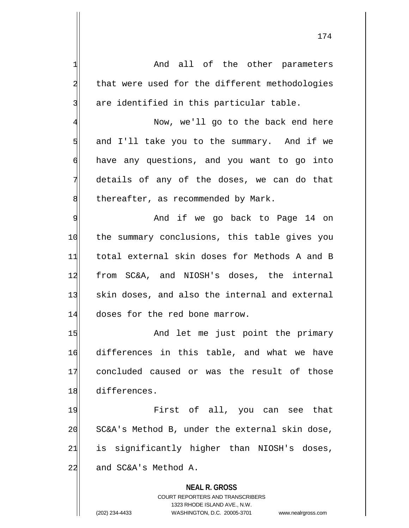**NEAL R. GROSS** COURT REPORTERS AND TRANSCRIBERS 1323 RHODE ISLAND AVE., N.W. 1 and all of the other parameters 2 that were used for the different methodologies  $3$  are identified in this particular table. 4 Now, we'll go to the back end here 5 5 5 5 and I'll take you to the summary. And if we 6 have any questions, and you want to go into 7 details of any of the doses, we can do that  $8$  thereafter, as recommended by Mark. 9 Merry 2016 And if we go back to Page 14 on 10 the summary conclusions, this table gives you 11 total external skin doses for Methods A and B 12 from SC&A, and NIOSH's doses, the internal 13 skin doses, and also the internal and external 14 doses for the red bone marrow. 15 And let me just point the primary 16 differences in this table, and what we have 17 concluded caused or was the result of those 18 differences. 19 First of all, you can see that  $20$  SC&A's Method B, under the external skin dose,  $21$  is significantly higher than NIOSH's doses, 22 and SC&A's Method A.

(202) 234-4433 WASHINGTON, D.C. 20005-3701 www.nealrgross.com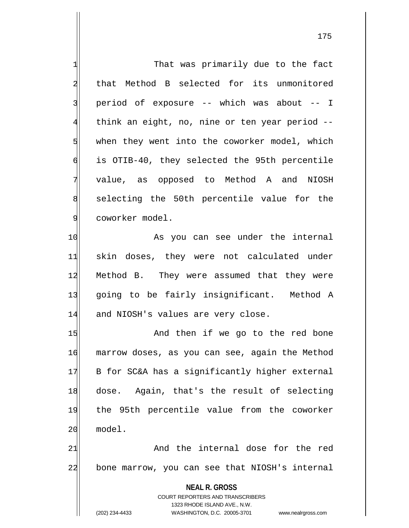**NEAL R. GROSS** COURT REPORTERS AND TRANSCRIBERS 1323 RHODE ISLAND AVE., N.W. (202) 234-4433 WASHINGTON, D.C. 20005-3701 www.nealrgross.com 1 That was primarily due to the fact 2 that Method B selected for its unmonitored 3 | period of exposure -- which was about -- I 4 think an eight, no, nine or ten year period --  $5$  when they went into the coworker model, which 6 is OTIB-40, they selected the 95th percentile 7 value, as opposed to Method A and NIOSH 8 selecting the 50th percentile value for the 9 coworker model. 10 As you can see under the internal 11 skin doses, they were not calculated under 12 Method B. They were assumed that they were 13 going to be fairly insignificant. Method A 14 and NIOSH's values are very close. 15 and then if we go to the red bone 16 marrow doses, as you can see, again the Method 17 B for SC&A has a significantly higher external 18 dose. Again, that's the result of selecting 19 the 95th percentile value from the coworker 20 model. 21 and the internal dose for the red 22 bone marrow, you can see that NIOSH's internal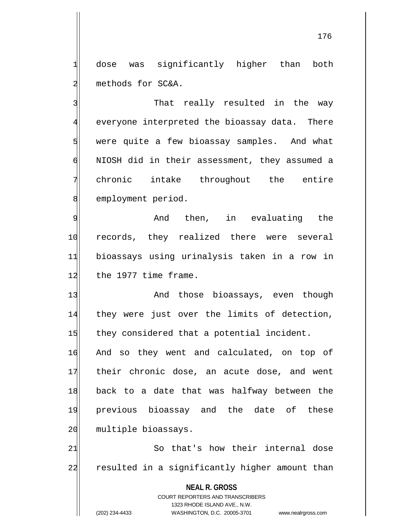1 dose was significantly higher than both 2 methods for SC&A.

3 3 That really resulted in the way  $\frac{4}{ }$  everyone interpreted the bioassay data. There 5 were quite a few bioassay samples. And what 6 NIOSH did in their assessment, they assumed a 7 chronic intake throughout the entire 8 employment period.

9 And then, in evaluating the 10 records, they realized there were several 11 bioassays using urinalysis taken in a row in 12 the 1977 time frame.

13 And those bioassays, even though 14 they were just over the limits of detection, 15 they considered that a potential incident.

16 And so they went and calculated, on top of 17 their chronic dose, an acute dose, and went 18 back to a date that was halfway between the 19 previous bioassay and the date of these 20 multiple bioassays.

21 So that's how their internal dose 22 resulted in a significantly higher amount than

**NEAL R. GROSS**

COURT REPORTERS AND TRANSCRIBERS 1323 RHODE ISLAND AVE., N.W. (202) 234-4433 WASHINGTON, D.C. 20005-3701 www.nealrgross.com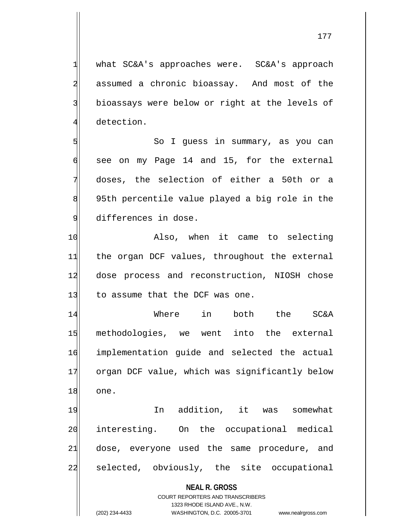1 what SC&A's approaches were. SC&A's approach 2 assumed a chronic bioassay. And most of the 3 bioassays were below or right at the levels of 4 detection.

5 So I guess in summary, as you can  $\left| \right|$  see on my Page 14 and 15, for the external 7 doses, the selection of either a 50th or a 8 8 95th percentile value played a big role in the 9 differences in dose.

10 Also, when it came to selecting 11 the organ DCF values, throughout the external 12 dose process and reconstruction, NIOSH chose 13 to assume that the DCF was one.

14 Where in both the SC&A 15 methodologies, we went into the external 16 implementation guide and selected the actual 17 organ DCF value, which was significantly below 18 one.

19 In addition, it was somewhat 20 interesting. On the occupational medical 21 dose, everyone used the same procedure, and 22 selected, obviously, the site occupational

**NEAL R. GROSS**

COURT REPORTERS AND TRANSCRIBERS 1323 RHODE ISLAND AVE., N.W. (202) 234-4433 WASHINGTON, D.C. 20005-3701 www.nealrgross.com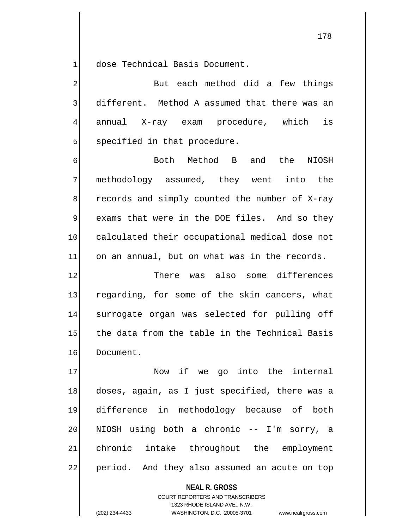1 dose Technical Basis Document.

2 But each method did a few things  $3$  different. Method A assumed that there was an 4 annual X-ray exam procedure, which is 5 specified in that procedure.

6 6 Both Method B and the NIOSH 7 methodology assumed, they went into the  $8$  records and simply counted the number of X-ray 9 exams that were in the DOE files. And so they 10 calculated their occupational medical dose not  $11$  on an annual, but on what was in the records.

12 There was also some differences 13 regarding, for some of the skin cancers, what 14 surrogate organ was selected for pulling off 15 the data from the table in the Technical Basis 16 Document.

17 Now if we go into the internal 18 doses, again, as I just specified, there was a 19 difference in methodology because of both 20 NIOSH using both a chronic -- I'm sorry, a 21 chronic intake throughout the employment 22 period. And they also assumed an acute on top

> **NEAL R. GROSS** COURT REPORTERS AND TRANSCRIBERS 1323 RHODE ISLAND AVE., N.W. (202) 234-4433 WASHINGTON, D.C. 20005-3701 www.nealrgross.com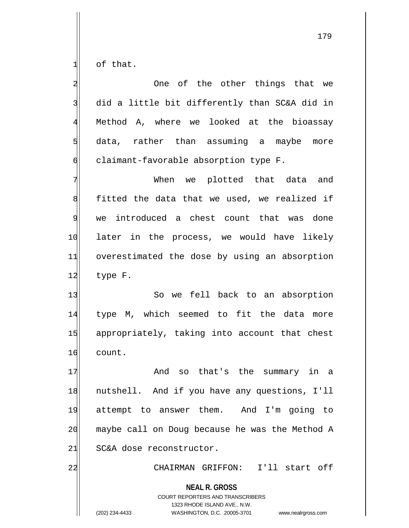of that.

| $\overline{\mathbf{c}}$ | One of the other things that we                                                                                                                                        |
|-------------------------|------------------------------------------------------------------------------------------------------------------------------------------------------------------------|
| 3                       | did a little bit differently than SC&A did in                                                                                                                          |
| $\overline{4}$          | Method A, where we looked at the bioassay                                                                                                                              |
| 5                       | data, rather than assuming a maybe more                                                                                                                                |
| $\sigma$                | claimant-favorable absorption type F.                                                                                                                                  |
| 7                       | When we plotted that data and                                                                                                                                          |
| 8                       | fitted the data that we used, we realized if                                                                                                                           |
| $\overline{9}$          | we introduced a chest count that was done                                                                                                                              |
| 10                      | later in the process, we would have likely                                                                                                                             |
| 11                      | overestimated the dose by using an absorption                                                                                                                          |
| 12                      | type F.                                                                                                                                                                |
| 13                      | So we fell back to an absorption                                                                                                                                       |
| 14                      | type M, which seemed to fit the data more                                                                                                                              |
| 15                      | appropriately, taking into account that chest                                                                                                                          |
| 16                      | count.                                                                                                                                                                 |
| 17                      | so that's the summary in a<br>And                                                                                                                                      |
| 18                      | nutshell. And if you have any questions, I'll                                                                                                                          |
| 19                      | attempt to answer them. And I'm going to                                                                                                                               |
| 20                      | maybe call on Doug because he was the Method A                                                                                                                         |
| 21                      | SC&A dose reconstructor.                                                                                                                                               |
| 22                      | CHAIRMAN GRIFFON: I'll start off                                                                                                                                       |
|                         | <b>NEAL R. GROSS</b><br><b>COURT REPORTERS AND TRANSCRIBERS</b><br>1323 RHODE ISLAND AVE., N.W.<br>(202) 234-4433<br>WASHINGTON, D.C. 20005-3701<br>www.nealrgross.com |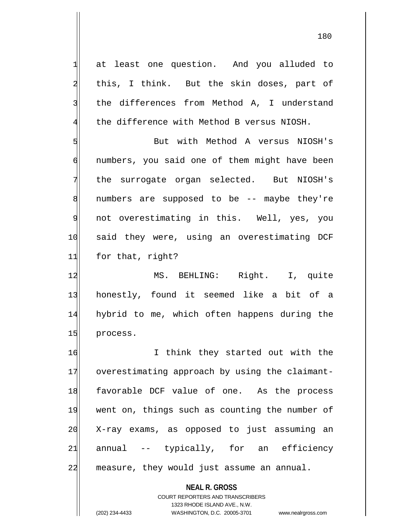1 at least one question. And you alluded to 2 | this, I think. But the skin doses, part of 3 the differences from Method A, I understand  $4$  the difference with Method B versus NIOSH.

5 But with Method A versus NIOSH's 6 numbers, you said one of them might have been 7 the surrogate organ selected. But NIOSH's 8 8 numbers are supposed to be -- maybe they're 9 not overestimating in this. Well, yes, you 10 said they were, using an overestimating DCF 11 for that, right?

12 MS. BEHLING: Right. I, quite 13 honestly, found it seemed like a bit of a 14 hybrid to me, which often happens during the 15 process.

16 I think they started out with the 17 overestimating approach by using the claimant-18 favorable DCF value of one. As the process 19 went on, things such as counting the number of 20 X-ray exams, as opposed to just assuming an  $21$  annual -- typically, for an efficiency 22 measure, they would just assume an annual.

> **NEAL R. GROSS** COURT REPORTERS AND TRANSCRIBERS 1323 RHODE ISLAND AVE., N.W. (202) 234-4433 WASHINGTON, D.C. 20005-3701 www.nealrgross.com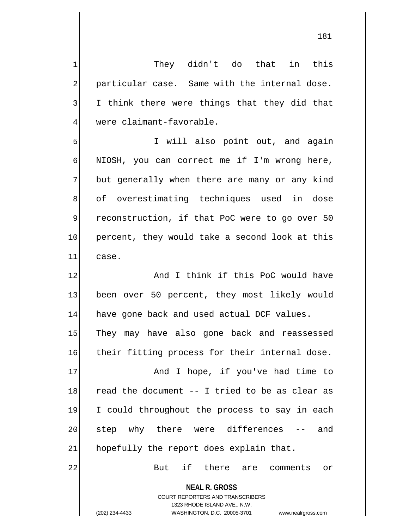181

**NEAL R. GROSS** COURT REPORTERS AND TRANSCRIBERS 2 particular case. Same with the internal dose. 3 I think there were things that they did that 4 were claimant-favorable. 5 | Solution I will also point out, and again 6 NIOSH, you can correct me if I'm wrong here, 7 but generally when there are many or any kind 8 of overestimating techniques used in dose 9 reconstruction, if that PoC were to go over 50 10 percent, they would take a second look at this 11 case. 12 And I think if this PoC would have 13 been over 50 percent, they most likely would 14 have gone back and used actual DCF values. 15 They may have also gone back and reassessed 16 their fitting process for their internal dose. 17 and I hope, if you've had time to  $18$  read the document -- I tried to be as clear as 19 I could throughout the process to say in each 20 | step why there were differences -- and  $21$  hopefully the report does explain that. 22 But if there are comments or

1 They didn't do that in this

1323 RHODE ISLAND AVE., N.W.

(202) 234-4433 WASHINGTON, D.C. 20005-3701 www.nealrgross.com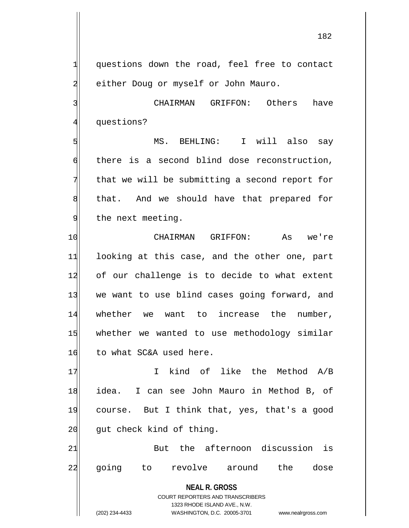1 questions down the road, feel free to contact 2 either Doug or myself or John Mauro.

3 3 CHAIRMAN GRIFFON: Others have 4 questions?

5 | Sommar MS. BEHLING: I will also say 6 there is a second blind dose reconstruction,  $7$  that we will be submitting a second report for 8 sthat. And we should have that prepared for 9 the next meeting.

10 CHAIRMAN GRIFFON: As we're 11 looking at this case, and the other one, part 12 of our challenge is to decide to what extent 13 we want to use blind cases going forward, and 14 whether we want to increase the number, 15 whether we wanted to use methodology similar 16 to what SC&A used here.

17 I kind of like the Method A/B 18 idea. I can see John Mauro in Method B, of 19 course. But I think that, yes, that's a good 20 gut check kind of thing.

21 But the afternoon discussion is 22 going to revolve around the dose

> **NEAL R. GROSS** COURT REPORTERS AND TRANSCRIBERS 1323 RHODE ISLAND AVE., N.W.

<sup>(202) 234-4433</sup> WASHINGTON, D.C. 20005-3701 www.nealrgross.com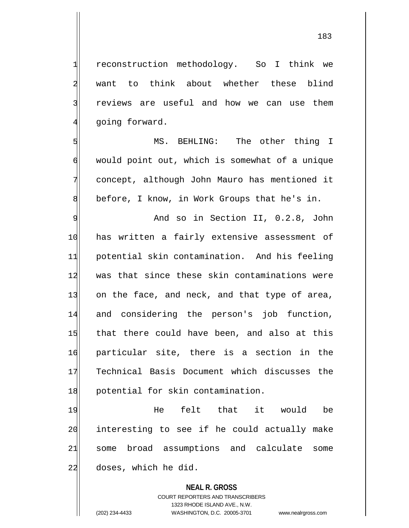1 reconstruction methodology. So I think we 2 want to think about whether these blind 3 reviews are useful and how we can use them 4 going forward.

5 MS. BEHLING: The other thing I 6 would point out, which is somewhat of a unique 7 concept, although John Mauro has mentioned it 8 before, I know, in Work Groups that he's in.

9 | Rand so in Section II, 0.2.8, John 10 has written a fairly extensive assessment of 11 potential skin contamination. And his feeling 12 was that since these skin contaminations were  $13$  on the face, and neck, and that type of area, 14 and considering the person's job function, 15 that there could have been, and also at this 16 particular site, there is a section in the 17 Technical Basis Document which discusses the 18 potential for skin contamination.

19 He felt that it would be 20 interesting to see if he could actually make 21 some broad assumptions and calculate some 22 doses, which he did.

## **NEAL R. GROSS**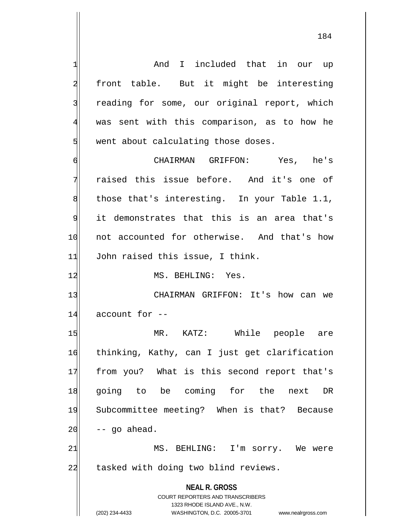**NEAL R. GROSS** COURT REPORTERS AND TRANSCRIBERS 1323 RHODE ISLAND AVE., N.W. (202) 234-4433 WASHINGTON, D.C. 20005-3701 www.nealrgross.com 1 and I included that in our up 2 front table. But it might be interesting 3 reading for some, our original report, which 4 was sent with this comparison, as to how he  $5$  went about calculating those doses. 6 CHAIRMAN GRIFFON: Yes, he's 7 raised this issue before. And it's one of  $8$  those that's interesting. In your Table 1.1,  $9$  it demonstrates that this is an area that's 10 not accounted for otherwise. And that's how 11 John raised this issue, I think. 12 MS. BEHLING: Yes. 13 CHAIRMAN GRIFFON: It's how can we  $14$  account for  $-$ 15 MR. KATZ: While people are 16 thinking, Kathy, can I just get clarification 17 from you? What is this second report that's 18 going to be coming for the next DR 19 Subcommittee meeting? When is that? Because  $20$  -- go ahead. 21 MS. BEHLING: I'm sorry. We were 22 tasked with doing two blind reviews.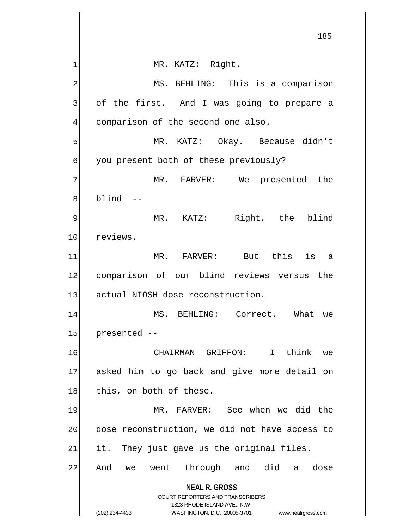**NEAL R. GROSS** COURT REPORTERS AND TRANSCRIBERS 1323 RHODE ISLAND AVE., N.W. (202) 234-4433 WASHINGTON, D.C. 20005-3701 www.nealrgross.com 1 MR. KATZ: Right. 2 MS. BEHLING: This is a comparison 3 of the first. And I was going to prepare a 4 comparison of the second one also. 5 MR. KATZ: Okay. Because didn't 6 | you present both of these previously? 7 MR. FARVER: We presented the  $8$  blind  $-$ 9 MR. KATZ: Right, the blind 10 reviews. 11 MR. FARVER: But this is a 12 comparison of our blind reviews versus the 13 actual NIOSH dose reconstruction. 14 MS. BEHLING: Correct. What we  $15$  presented  $-$ 16 CHAIRMAN GRIFFON: I think we 17 asked him to go back and give more detail on  $18$  this, on both of these. 19 MR. FARVER: See when we did the 20 dose reconstruction, we did not have access to  $21$  it. They just gave us the original files. 22 And we went through and did a dose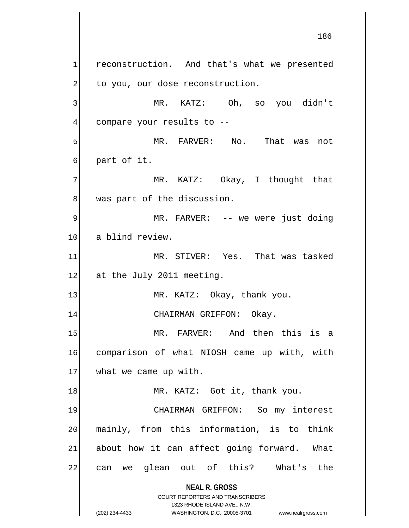**NEAL R. GROSS** COURT REPORTERS AND TRANSCRIBERS  $1$  reconstruction. And that's what we presented 2 to you, our dose reconstruction. 3 MR. KATZ: Oh, so you didn't 4 compare your results to --5 MR. FARVER: No. That was not  $6$  part of it. 7 MR. KATZ: Okay, I thought that 8 was part of the discussion. 9 MR. FARVER: -- we were just doing 10 a blind review. 11 MR. STIVER: Yes. That was tasked 12 at the July 2011 meeting. 13 MR. KATZ: Okay, thank you. 14 CHAIRMAN GRIFFON: Okay. 15 MR. FARVER: And then this is a 16 comparison of what NIOSH came up with, with 17 what we came up with. 18 MR. KATZ: Got it, thank you. 19 CHAIRMAN GRIFFON: So my interest 20 mainly, from this information, is to think  $21$  about how it can affect going forward. What 22 can we glean out of this? What's the

1323 RHODE ISLAND AVE., N.W.

<sup>(202) 234-4433</sup> WASHINGTON, D.C. 20005-3701 www.nealrgross.com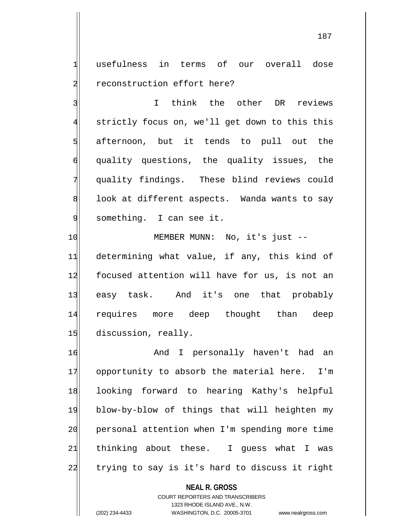1 usefulness in terms of our overall dose 2 reconstruction effort here?

3 I think the other DR reviews 4 strictly focus on, we'll get down to this this  $5$  afternoon, but it tends to pull out the 6 quality questions, the quality issues, the 7 quality findings. These blind reviews could  $\left| \right|$  look at different aspects. Wanda wants to say 9 something. I can see it.

10 MEMBER MUNN: No, it's just --11 determining what value, if any, this kind of 12 focused attention will have for us, is not an 13 easy task. And it's one that probably 14 requires more deep thought than deep 15 discussion, really.

16 and I personally haven't had an 17 opportunity to absorb the material here. I'm 18 looking forward to hearing Kathy's helpful 19 blow-by-blow of things that will heighten my 20 personal attention when I'm spending more time  $21$  thinking about these. I guess what I was 22 trying to say is it's hard to discuss it right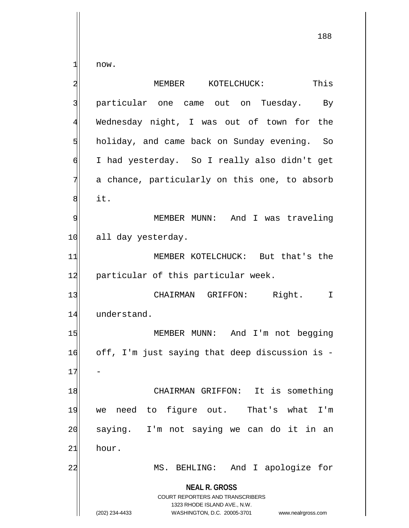now.

| 2              | This<br>MEMBER KOTELCHUCK:                                                                                                                                      |
|----------------|-----------------------------------------------------------------------------------------------------------------------------------------------------------------|
| 3              | particular one came out on Tuesday.<br>By                                                                                                                       |
| $\overline{4}$ | Wednesday night, I was out of town for the                                                                                                                      |
| 5              | holiday, and came back on Sunday evening. So                                                                                                                    |
| 6              | I had yesterday. So I really also didn't get                                                                                                                    |
| 7              | a chance, particularly on this one, to absorb                                                                                                                   |
| 8              | it.                                                                                                                                                             |
| 9              | MEMBER MUNN: And I was traveling                                                                                                                                |
| 10             | all day yesterday.                                                                                                                                              |
| 11             | MEMBER KOTELCHUCK: But that's the                                                                                                                               |
| 12             | particular of this particular week.                                                                                                                             |
| 13             | CHAIRMAN GRIFFON: Right.<br>I                                                                                                                                   |
| 14             | understand.                                                                                                                                                     |
| 15             | MEMBER MUNN: And I'm not begging                                                                                                                                |
| 16             | off, I'm just saying that deep discussion is -                                                                                                                  |
| 17             |                                                                                                                                                                 |
| 18             | CHAIRMAN GRIFFON: It is something                                                                                                                               |
| 19             | need to figure out. That's what I'm<br>we                                                                                                                       |
| 20             | saying. I'm not saying we can do it in<br>an                                                                                                                    |
| 21             | hour.                                                                                                                                                           |
| 22             | BEHLING: And I apologize for<br>MS.                                                                                                                             |
|                | <b>NEAL R. GROSS</b><br>COURT REPORTERS AND TRANSCRIBERS<br>1323 RHODE ISLAND AVE., N.W.<br>WASHINGTON, D.C. 20005-3701<br>(202) 234-4433<br>www.nealrgross.com |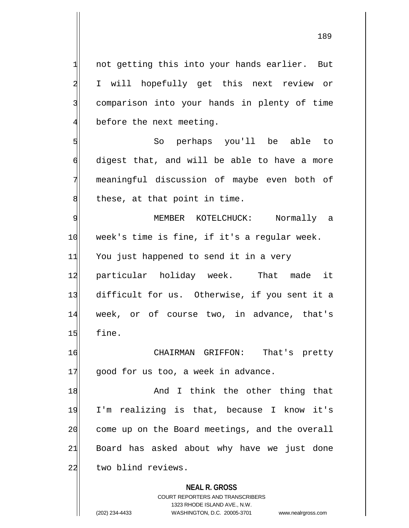**NEAL R. GROSS**  $1$  not getting this into your hands earlier. But 2 I will hopefully get this next review or 3 comparison into your hands in plenty of time 4 before the next meeting. 5 So perhaps you'll be able to 6 digest that, and will be able to have a more 7 meaningful discussion of maybe even both of  $8$  these, at that point in time. 9 MEMBER KOTELCHUCK: Normally a 10 week's time is fine, if it's a regular week. 11 You just happened to send it in a very 12 particular holiday week. That made it 13 difficult for us. Otherwise, if you sent it a 14 week, or of course two, in advance, that's  $15$  fine. 16 CHAIRMAN GRIFFON: That's pretty  $17$  good for us too, a week in advance. 18 and I think the other thing that 19 I'm realizing is that, because I know it's 20 come up on the Board meetings, and the overall  $21$  Board has asked about why have we just done 22 two blind reviews.

> COURT REPORTERS AND TRANSCRIBERS 1323 RHODE ISLAND AVE., N.W.

(202) 234-4433 WASHINGTON, D.C. 20005-3701 www.nealrgross.com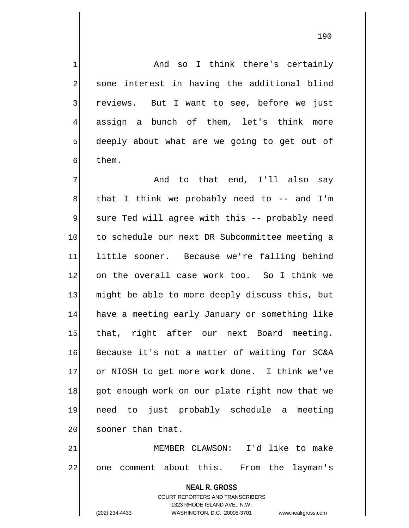1 And so I think there's certainly 2 some interest in having the additional blind 3 reviews. But I want to see, before we just 4 assign a bunch of them, let's think more 5 deeply about what are we going to get out of 6 them.

7 And to that end, I'll also say  $8$  that I think we probably need to -- and I'm 9 sure Ted will agree with this -- probably need 10 to schedule our next DR Subcommittee meeting a 11 little sooner. Because we're falling behind 12 on the overall case work too. So I think we 13 might be able to more deeply discuss this, but 14 have a meeting early January or something like 15 that, right after our next Board meeting. 16 Because it's not a matter of waiting for SC&A 17 or NIOSH to get more work done. I think we've 18 got enough work on our plate right now that we 19 need to just probably schedule a meeting 20 sooner than that.

21 MEMBER CLAWSON: I'd like to make 22 one comment about this. From the layman's

> **NEAL R. GROSS** COURT REPORTERS AND TRANSCRIBERS 1323 RHODE ISLAND AVE., N.W. (202) 234-4433 WASHINGTON, D.C. 20005-3701 www.nealrgross.com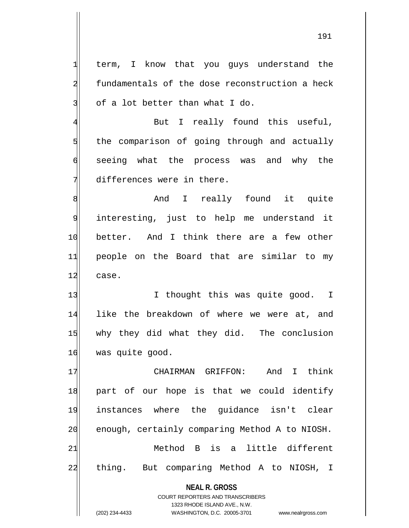1 term, I know that you guys understand the 2 fundamentals of the dose reconstruction a heck  $3$  of a lot better than what I do.

4 But I really found this useful, the comparison of going through and actually seeing what the process was and why the differences were in there.

8 and I really found it quite 9 interesting, just to help me understand it 10 better. And I think there are a few other 11 people on the Board that are similar to my 12 case.

13 I thought this was quite good. I 14 like the breakdown of where we were at, and 15 why they did what they did. The conclusion 16 was quite good.

17 CHAIRMAN GRIFFON: And I think 18 part of our hope is that we could identify 19 instances where the guidance isn't clear 20 enough, certainly comparing Method A to NIOSH. 21 Method B is a little different 22 thing. But comparing Method A to NIOSH, I

> **NEAL R. GROSS** COURT REPORTERS AND TRANSCRIBERS

> > 1323 RHODE ISLAND AVE., N.W.

(202) 234-4433 WASHINGTON, D.C. 20005-3701 www.nealrgross.com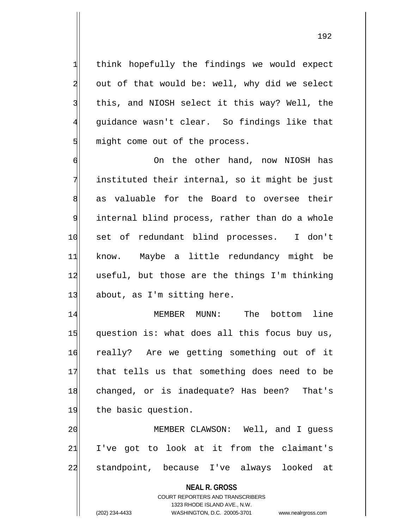think hopefully the findings we would expect out of that would be: well, why did we select 3 Iblis, and NIOSH select it this way? Well, the guidance wasn't clear. So findings like that might come out of the process.

6 On the other hand, now NIOSH has 7 instituted their internal, so it might be just 8 as valuable for the Board to oversee their 9 internal blind process, rather than do a whole 10 set of redundant blind processes. I don't 11 know. Maybe a little redundancy might be 12 useful, but those are the things I'm thinking  $13$  about, as I'm sitting here.

14 MEMBER MUNN: The bottom line  $15$  question is: what does all this focus buy us, 16 really? Are we getting something out of it 17 that tells us that something does need to be 18 changed, or is inadequate? Has been? That's 19 the basic question.

20 MEMBER CLAWSON: Well, and I quess  $21$  I've got to look at it from the claimant's 22 standpoint, because I've always looked at

> **NEAL R. GROSS** COURT REPORTERS AND TRANSCRIBERS

1323 RHODE ISLAND AVE., N.W. (202) 234-4433 WASHINGTON, D.C. 20005-3701 www.nealrgross.com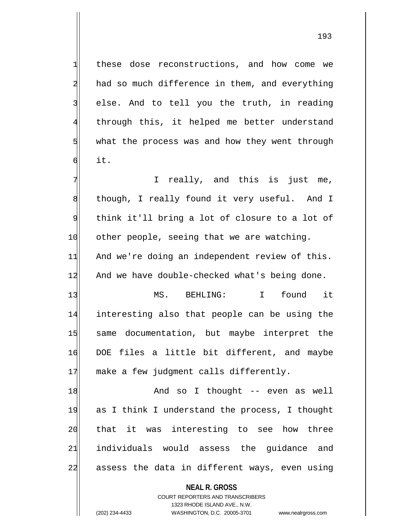1 these dose reconstructions, and how come we 2 had so much difference in them, and everything  $3$  else. And to tell you the truth, in reading 4 through this, it helped me better understand  $5$  what the process was and how they went through 6 it.

 $7$  I really, and this is just me, 8 though, I really found it very useful. And I 9 think it'll bring a lot of closure to a lot of 10 other people, seeing that we are watching. 11 And we're doing an independent review of this. 12 And we have double-checked what's being done.

13 MS. BEHLING: I found it 14 interesting also that people can be using the 15 same documentation, but maybe interpret the 16 DOE files a little bit different, and maybe 17 make a few judgment calls differently.

18 and so I thought -- even as well 19 as I think I understand the process, I thought 20 that it was interesting to see how three 21 individuals would assess the guidance and 22 assess the data in different ways, even using

**NEAL R. GROSS**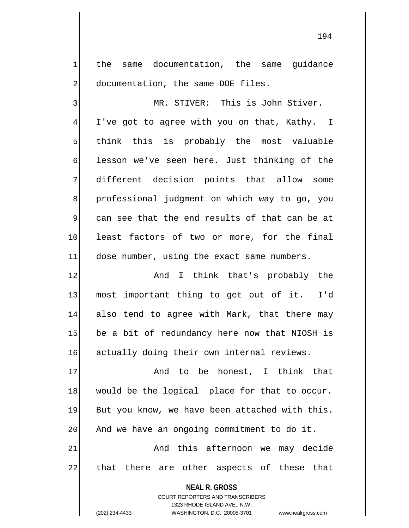1 the same documentation, the same guidance 2 documentation, the same DOE files.

3 MR. STIVER: This is John Stiver. 4 I've got to agree with you on that, Kathy. I  $5$  think this is probably the most valuable 6 lesson we've seen here. Just thinking of the 7 different decision points that allow some 8 professional judgment on which way to go, you 9 can see that the end results of that can be at 10 least factors of two or more, for the final 11 dose number, using the exact same numbers.

12 and I think that's probably the 13 most important thing to get out of it. I'd 14 also tend to agree with Mark, that there may 15 be a bit of redundancy here now that NIOSH is 16 actually doing their own internal reviews.

17 and to be honest, I think that 18 would be the logical place for that to occur. 19 But you know, we have been attached with this.  $20$  And we have an ongoing commitment to do it. 21 and this afternoon we may decide 22 that there are other aspects of these that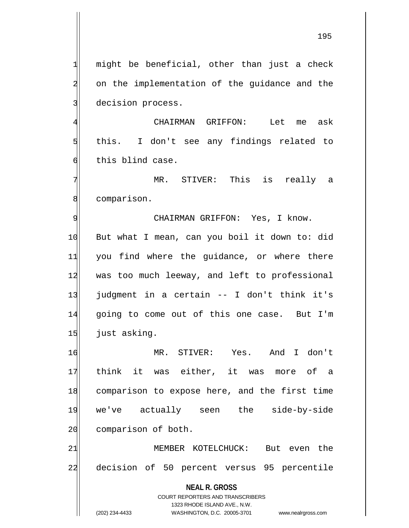195

 $1$  might be beneficial, other than just a check 2 on the implementation of the guidance and the 3 decision process.

4 CHAIRMAN GRIFFON: Let me ask 5 s don't see any findings related to 6 this blind case.

7 MR. STIVER: This is really a 8 comparison.

9 CHAIRMAN GRIFFON: Yes, I know. 10 But what I mean, can you boil it down to: did 11 you find where the guidance, or where there 12 was too much leeway, and left to professional 13 judgment in a certain -- I don't think it's 14 going to come out of this one case. But I'm 15 just asking.

16 MR. STIVER: Yes. And I don't 17 think it was either, it was more of a 18 comparison to expose here, and the first time 19 we've actually seen the side-by-side 20 comparison of both.

21 MEMBER KOTELCHUCK: But even the 22 decision of 50 percent versus 95 percentile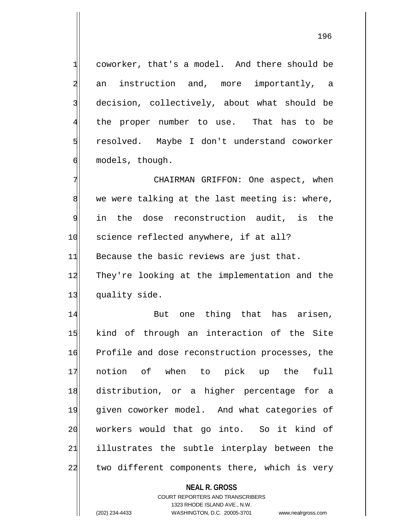$1$  coworker, that's a model. And there should be 2 an instruction and, more importantly, a 3 decision, collectively, about what should be 4 the proper number to use. That has to be 5 resolved. Maybe I don't understand coworker 6 models, though.

7 CHAIRMAN GRIFFON: One aspect, when 8 we were talking at the last meeting is: where, 9 in the dose reconstruction audit, is the 10 science reflected anywhere, if at all? 11 Because the basic reviews are just that. 12 They're looking at the implementation and the 13 quality side.

14 But one thing that has arisen, 15 kind of through an interaction of the Site 16 Profile and dose reconstruction processes, the 17 notion of when to pick up the full 18 distribution, or a higher percentage for a 19 given coworker model. And what categories of 20| workers would that go into. So it kind of 21 illustrates the subtle interplay between the 22 two different components there, which is very

**NEAL R. GROSS**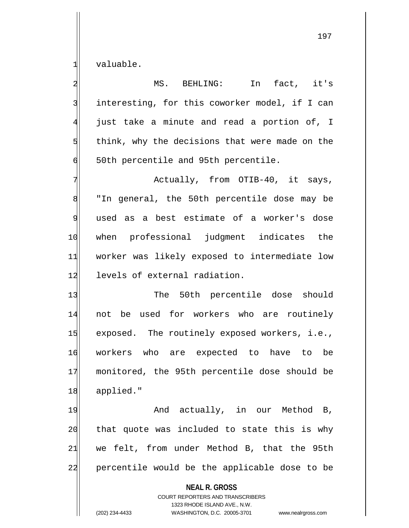1 valuable.

**NEAL R. GROSS** COURT REPORTERS AND TRANSCRIBERS 1323 RHODE ISLAND AVE., N.W. 2 MS. BEHLING: In fact, it's  $3$  interesting, for this coworker model, if I can  $\frac{4}{ }$  just take a minute and read a portion of, I  $5$  think, why the decisions that were made on the  $\phi$  50th percentile and 95th percentile. 7 Actually, from OTIB-40, it says, 8 | "In general, the 50th percentile dose may be 9 used as a best estimate of a worker's dose 10 when professional judgment indicates the 11 worker was likely exposed to intermediate low 12 levels of external radiation. 13 The 50th percentile dose should 14 not be used for workers who are routinely 15 exposed. The routinely exposed workers, i.e., 16 workers who are expected to have to be 17 monitored, the 95th percentile dose should be 18 applied." 19 and actually, in our Method B,  $20$  that quote was included to state this is why  $21$  we felt, from under Method B, that the 95th 22 percentile would be the applicable dose to be

(202) 234-4433 WASHINGTON, D.C. 20005-3701 www.nealrgross.com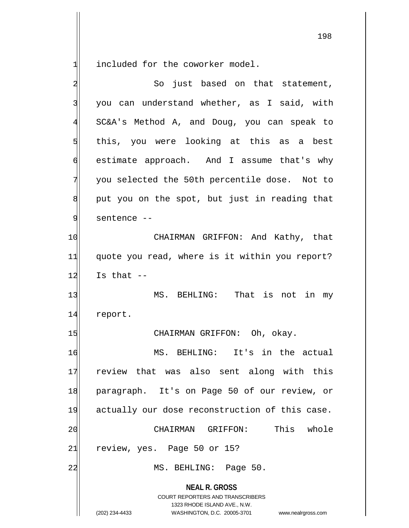included for the coworker model.

| $\overline{a}$ | So just based on that statement,                                                                                                                                |
|----------------|-----------------------------------------------------------------------------------------------------------------------------------------------------------------|
| 3              | you can understand whether, as I said, with                                                                                                                     |
| $\overline{4}$ | SC&A's Method A, and Doug, you can speak to                                                                                                                     |
| $\overline{5}$ | this, you were looking at this as a best                                                                                                                        |
| 6              | estimate approach. And I assume that's why                                                                                                                      |
| 7              | you selected the 50th percentile dose. Not to                                                                                                                   |
| 8              | put you on the spot, but just in reading that                                                                                                                   |
| $\mathfrak{g}$ | sentence --                                                                                                                                                     |
| 10             | CHAIRMAN GRIFFON: And Kathy, that                                                                                                                               |
| 11             | quote you read, where is it within you report?                                                                                                                  |
| 12             | Is that $--$                                                                                                                                                    |
| 13             | MS. BEHLING: That is not in my                                                                                                                                  |
| 14             | report.                                                                                                                                                         |
| 15             | CHAIRMAN GRIFFON: Oh, okay.                                                                                                                                     |
| 16             | MS. BEHLING: It's in the actual                                                                                                                                 |
| 17             | review that was also sent along with this                                                                                                                       |
| 18             | paragraph. It's on Page 50 of our review, or                                                                                                                    |
| 19             | actually our dose reconstruction of this case.                                                                                                                  |
| 20             | This<br>whole<br>CHAIRMAN GRIFFON:                                                                                                                              |
| 21             | review, yes. Page 50 or 15?                                                                                                                                     |
| 22             | MS. BEHLING: Page 50.                                                                                                                                           |
|                | <b>NEAL R. GROSS</b><br>COURT REPORTERS AND TRANSCRIBERS<br>1323 RHODE ISLAND AVE., N.W.<br>WASHINGTON, D.C. 20005-3701<br>(202) 234-4433<br>www.nealrgross.com |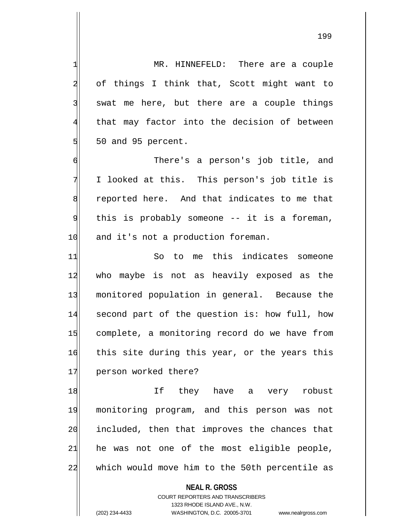1 MR. HINNEFELD: There are a couple 2 of things I think that, Scott might want to  $3$  swat me here, but there are a couple things 4 that may factor into the decision of between  $5$  50 and 95 percent.

6 There's a person's job title, and 7 I looked at this. This person's job title is 8 reported here. And that indicates to me that 9 this is probably someone -- it is a foreman, 10 and it's not a production foreman.

11 So to me this indicates someone 12 who maybe is not as heavily exposed as the 13 monitored population in general. Because the 14 second part of the question is: how full, how 15 complete, a monitoring record do we have from 16 this site during this year, or the years this 17 person worked there?

18|| If they have a very robust 19 monitoring program, and this person was not 20 included, then that improves the chances that  $21$  he was not one of the most eligible people, 22 which would move him to the 50th percentile as

**NEAL R. GROSS**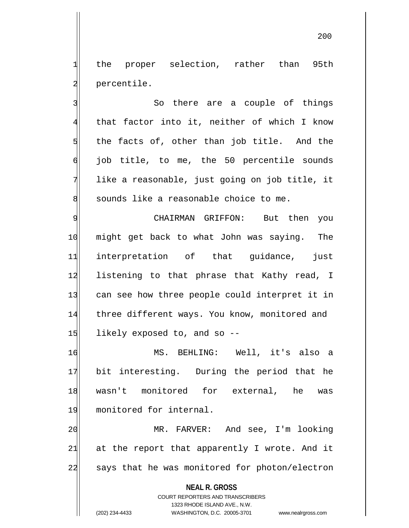1 the proper selection, rather than 95th 2 percentile.

3 So there are a couple of things 4 that factor into it, neither of which I know  $5$  the facts of, other than job title. And the 6 job title, to me, the 50 percentile sounds  $7$  like a reasonable, just going on job title, it 8 sounds like a reasonable choice to me.

9 CHAIRMAN GRIFFON: But then you 10 might get back to what John was saying. The 11 interpretation of that guidance, just 12 listening to that phrase that Kathy read, I 13 can see how three people could interpret it in 14 three different ways. You know, monitored and  $15$  likely exposed to, and so  $-$ -

16 MS. BEHLING: Well, it's also a 17 bit interesting. During the period that he 18 wasn't monitored for external, he was 19 monitored for internal.

20 MR. FARVER: And see, I'm looking  $21$  at the report that apparently I wrote. And it 22 says that he was monitored for photon/electron

**NEAL R. GROSS**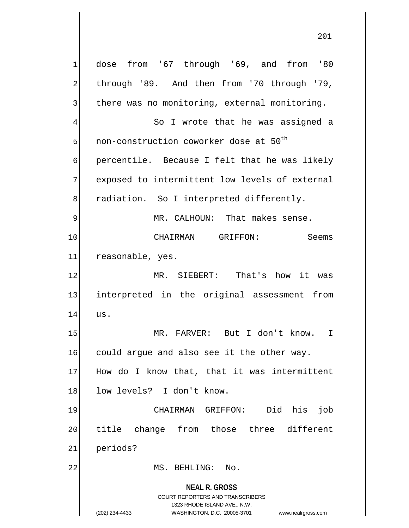**NEAL R. GROSS** COURT REPORTERS AND TRANSCRIBERS 1323 RHODE ISLAND AVE., N.W.  $1$  dose from '67 through '69, and from '80 2 through '89. And then from '70 through '79, 3 there was no monitoring, external monitoring. 4 So I wrote that he was assigned a  $5$  non-construction coworker dose at  $50^{th}$ 6 percentile. Because I felt that he was likely 7 exposed to intermittent low levels of external 8 radiation. So I interpreted differently. 9 MR. CALHOUN: That makes sense. 10 CHAIRMAN GRIFFON: Seems 11 reasonable, yes. 12 MR. SIEBERT: That's how it was 13 interpreted in the original assessment from 14 us. 15 | MR. FARVER: But I don't know. I 16 could argue and also see it the other way. 17 How do I know that, that it was intermittent 18 low levels? I don't know. 19 CHAIRMAN GRIFFON: Did his job 20 title change from those three different 21 periods? 22 MS. BEHLING: No.

<sup>(202) 234-4433</sup> WASHINGTON, D.C. 20005-3701 www.nealrgross.com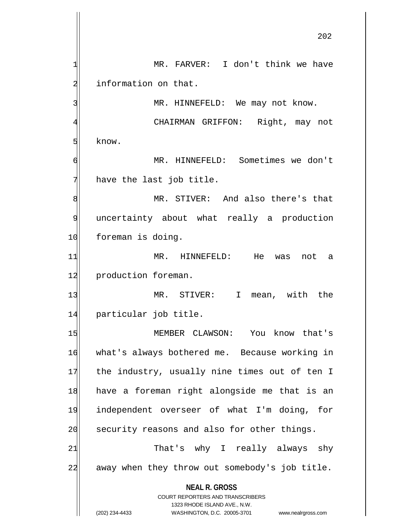**NEAL R. GROSS** COURT REPORTERS AND TRANSCRIBERS 1 MR. FARVER: I don't think we have 2 information on that. 3 MR. HINNEFELD: We may not know. 4 CHAIRMAN GRIFFON: Right, may not 5 know. 6 MR. HINNEFELD: Sometimes we don't  $7$  have the last job title. 8 MR. STIVER: And also there's that 9 uncertainty about what really a production 10 foreman is doing. 11 MR. HINNEFELD: He was not a 12 production foreman. 13 MR. STIVER: I mean, with the 14 particular job title. 15 MEMBER CLAWSON: You know that's 16 what's always bothered me. Because working in 17 the industry, usually nine times out of ten I 18 have a foreman right alongside me that is an 19 independent overseer of what I'm doing, for 20 security reasons and also for other things. 21 That's why I really always shy 22 away when they throw out somebody's job title.

1323 RHODE ISLAND AVE., N.W.

(202) 234-4433 WASHINGTON, D.C. 20005-3701 www.nealrgross.com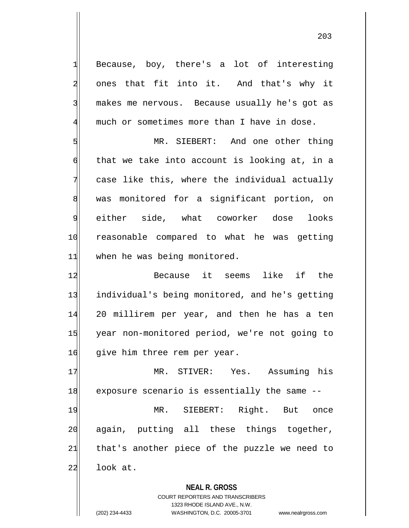1 Because, boy, there's a lot of interesting 2 ones that fit into it. And that's why it 3 makes me nervous. Because usually he's got as 4 much or sometimes more than I have in dose.

5 MR. SIEBERT: And one other thing  $\mathfrak{h}$  that we take into account is looking at, in a 7 case like this, where the individual actually 8 was monitored for a significant portion, on 9 either side, what coworker dose looks 10 reasonable compared to what he was getting 11 when he was being monitored.

12 Because it seems like if the 13 individual's being monitored, and he's getting 14 20 millirem per year, and then he has a ten 15 year non-monitored period, we're not going to 16 give him three rem per year.

17 MR. STIVER: Yes. Assuming his 18 exposure scenario is essentially the same --

19 MR. SIEBERT: Right. But once 20 again, putting all these things together,  $21$  that's another piece of the puzzle we need to  $22$  look at.

**NEAL R. GROSS**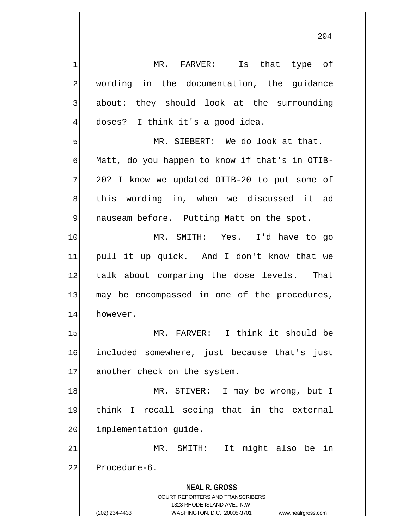**NEAL R. GROSS** COURT REPORTERS AND TRANSCRIBERS 1323 RHODE ISLAND AVE., N.W. 1 MR. FARVER: Is that type of 2 wording in the documentation, the guidance 3 about: they should look at the surrounding 4 doses? I think it's a good idea. 5 MR. SIEBERT: We do look at that. 6 Matt, do you happen to know if that's in OTIB- $7$  20? I know we updated OTIB-20 to put some of 8 this wording in, when we discussed it ad 9 | nauseam before. Putting Matt on the spot. 10 MR. SMITH: Yes. I'd have to go 11 pull it up quick. And I don't know that we 12 talk about comparing the dose levels. That 13 may be encompassed in one of the procedures, 14 however. 15 MR. FARVER: I think it should be 16 included somewhere, just because that's just 17 another check on the system. 18 MR. STIVER: I may be wrong, but I 19 think I recall seeing that in the external 20 implementation guide. 21 MR. SMITH: It might also be in 22 Procedure-6.

<sup>(202) 234-4433</sup> WASHINGTON, D.C. 20005-3701 www.nealrgross.com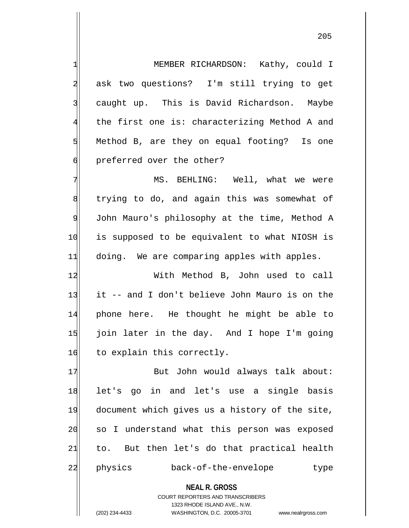1 MEMBER RICHARDSON: Kathy, could I 2 ask two questions? I'm still trying to get 3 caught up. This is David Richardson. Maybe  $4$  the first one is: characterizing Method A and  $5$  Method B, are they on equal footing? Is one 6 6 6 preferred over the other?

7 MS. BEHLING: Well, what we were 8 trying to do, and again this was somewhat of 9 John Mauro's philosophy at the time, Method A 10 is supposed to be equivalent to what NIOSH is 11 doing. We are comparing apples with apples.

12 With Method B, John used to call 13 it -- and I don't believe John Mauro is on the 14 phone here. He thought he might be able to 15 join later in the day. And I hope I'm going 16 to explain this correctly.

17 But John would always talk about: 18 let's go in and let's use a single basis 19 document which gives us a history of the site, 20 so I understand what this person was exposed  $21$  to. But then let's do that practical health 22 physics back-of-the-envelope type

**NEAL R. GROSS**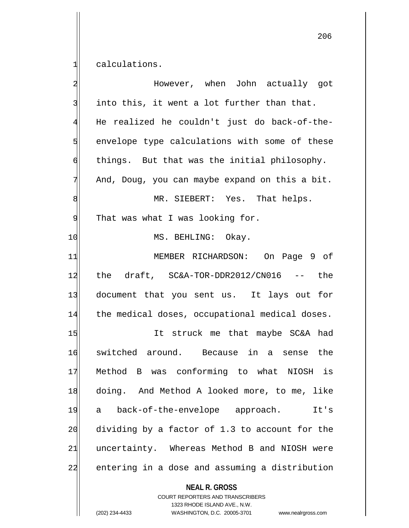calculations.

| However, when John actually got                |
|------------------------------------------------|
| into this, it went a lot further than that.    |
| He realized he couldn't just do back-of-the-   |
| envelope type calculations with some of these  |
| things. But that was the initial philosophy.   |
| And, Doug, you can maybe expand on this a bit. |
| MR. SIEBERT: Yes. That helps.                  |
| That was what I was looking for.               |
| MS. BEHLING: Okay.                             |
| MEMBER RICHARDSON: On Page 9 of                |
| the draft, SC&A-TOR-DDR2012/CN016 --<br>the    |
| document that you sent us. It lays out for     |
| the medical doses, occupational medical doses. |
| It struck me that maybe SC&A had               |
| switched around. Because in a sense the        |
| Method B was conforming to what NIOSH is       |
| doing. And Method A looked more, to me, like   |
| back-of-the-envelope approach.<br>It's<br>a    |
| dividing by a factor of 1.3 to account for the |
| uncertainty. Whereas Method B and NIOSH were   |
| entering in a dose and assuming a distribution |
|                                                |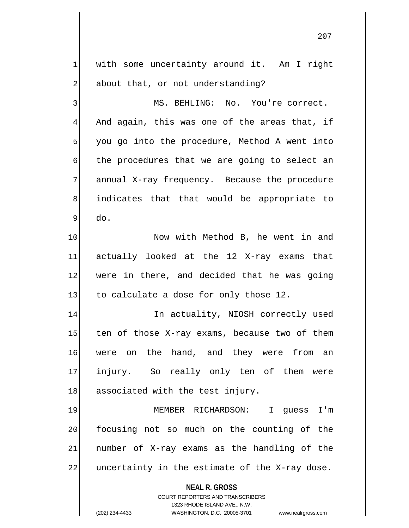1 with some uncertainty around it. Am I right 2 about that, or not understanding?

3 MS. BEHLING: No. You're correct.  $4$  And again, this was one of the areas that, if  $5$  you go into the procedure, Method A went into 6 the procedures that we are going to select an 7 annual X-ray frequency. Because the procedure 8 indicates that that would be appropriate to 9 do.

10 Now with Method B, he went in and 11 actually looked at the 12 X-ray exams that 12 were in there, and decided that he was going  $13$  to calculate a dose for only those 12.

14 In actuality, NIOSH correctly used  $15$  ten of those X-ray exams, because two of them 16 were on the hand, and they were from an 17 injury. So really only ten of them were 18 associated with the test injury.

19 MEMBER RICHARDSON: I guess I'm 20 focusing not so much on the counting of the  $21$  number of X-ray exams as the handling of the  $22$  uncertainty in the estimate of the X-ray dose.

**NEAL R. GROSS**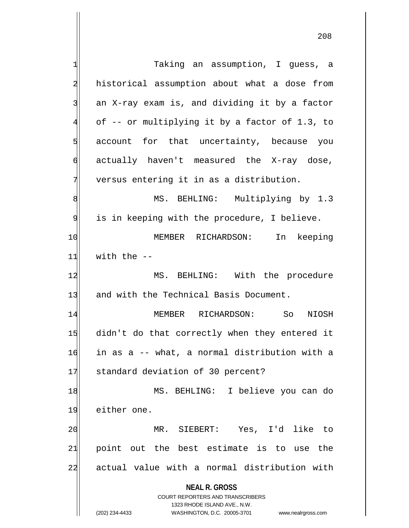**NEAL R. GROSS** COURT REPORTERS AND TRANSCRIBERS 1323 RHODE ISLAND AVE., N.W. 1 1 Taking an assumption, I quess, a 2 historical assumption about what a dose from  $3$  an X-ray exam is, and dividing it by a factor 4 of -- or multiplying it by a factor of 1.3, to  $5$  account for that uncertainty, because you 6 actually haven't measured the X-ray dose,  $7$  versus entering it in as a distribution. 8 MS. BEHLING: Multiplying by 1.3 9 is in keeping with the procedure, I believe. 10 MEMBER RICHARDSON: In keeping  $11$  with the  $-$ 12 MS. BEHLING: With the procedure 13 and with the Technical Basis Document. 14 MEMBER RICHARDSON: So NIOSH 15 didn't do that correctly when they entered it 16 in as a -- what, a normal distribution with a 17 standard deviation of 30 percent? 18 MS. BEHLING: I believe you can do 19 either one. 20 MR. SIEBERT: Yes, I'd like to  $21$  point out the best estimate is to use the 22 actual value with a normal distribution with

(202) 234-4433 WASHINGTON, D.C. 20005-3701 www.nealrgross.com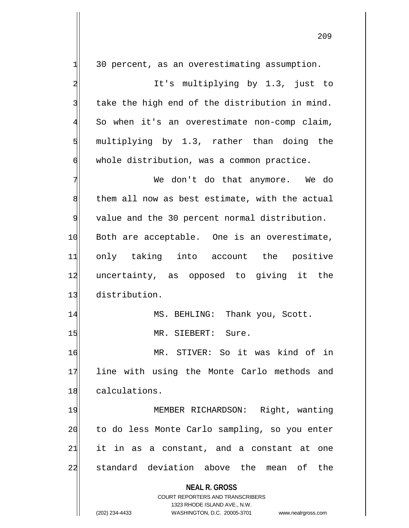**NEAL R. GROSS** COURT REPORTERS AND TRANSCRIBERS 1323 RHODE ISLAND AVE., N.W.  $1$  30 percent, as an overestimating assumption. 2 al int's multiplying by 1.3, just to 3 take the high end of the distribution in mind. 4 So when it's an overestimate non-comp claim,  $5$  multiplying by 1.3, rather than doing the 6 whole distribution, was a common practice. 7 We don't do that anymore. We do 8 them all now as best estimate, with the actual 9 value and the 30 percent normal distribution. 10 Both are acceptable. One is an overestimate, 11 only taking into account the positive 12 uncertainty, as opposed to giving it the 13 distribution. 14 MS. BEHLING: Thank you, Scott. 15 MR. SIEBERT: Sure. 16 MR. STIVER: So it was kind of in 17 line with using the Monte Carlo methods and 18 calculations. 19 MEMBER RICHARDSON: Right, wanting 20 to do less Monte Carlo sampling, so you enter  $21$  it in as a constant, and a constant at one 22 standard deviation above the mean of the

(202) 234-4433 WASHINGTON, D.C. 20005-3701 www.nealrgross.com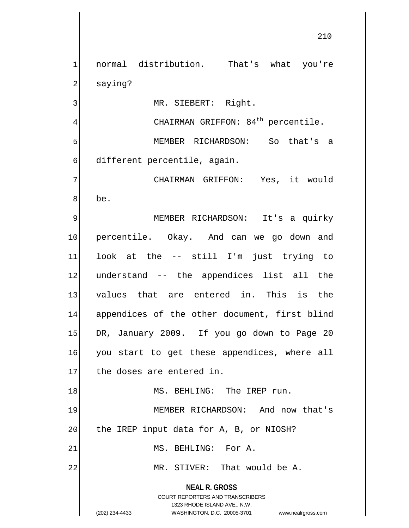**NEAL R. GROSS** COURT REPORTERS AND TRANSCRIBERS 1323 RHODE ISLAND AVE., N.W. 1 normal distribution. That's what you're 2 saying? 3 MR. SIEBERT: Right.  $4$  CHAIRMAN GRIFFON: 84<sup>th</sup> percentile. 5 MEMBER RICHARDSON: So that's a 6 different percentile, again. 7 CHAIRMAN GRIFFON: Yes, it would 8 be. 9 MEMBER RICHARDSON: It's a quirky 10 percentile. Okay. And can we go down and 11 look at the -- still I'm just trying to 12 understand -- the appendices list all the 13 values that are entered in. This is the 14 appendices of the other document, first blind 15 DR, January 2009. If you go down to Page 20 16 you start to get these appendices, where all 17 the doses are entered in. 18 MS. BEHLING: The IREP run. 19 MEMBER RICHARDSON: And now that's 20 the IREP input data for A, B, or NIOSH? 21 MS. BEHLING: For A. 22 MR. STIVER: That would be A.

(202) 234-4433 WASHINGTON, D.C. 20005-3701 www.nealrgross.com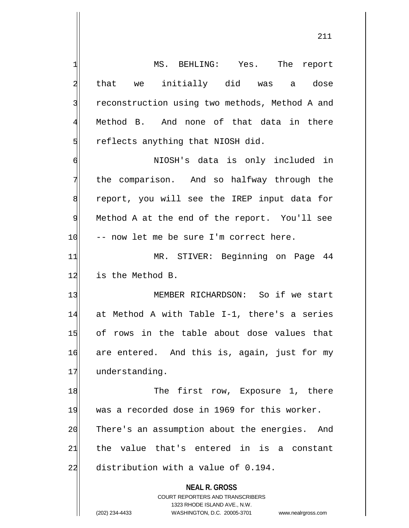**NEAL R. GROSS** COURT REPORTERS AND TRANSCRIBERS 1323 RHODE ISLAND AVE., N.W. 1 MS. BEHLING: Yes. The report 2 that we initially did was a dose 3 3 reconstruction using two methods, Method A and 4 Method B. And none of that data in there  $5$  reflects anything that NIOSH did. 6 NIOSH's data is only included in 7 the comparison. And so halfway through the 8 report, you will see the IREP input data for 9| Method A at the end of the report. You'll see 10 -- now let me be sure I'm correct here. 11 MR. STIVER: Beginning on Page 44 12 is the Method B. 13 MEMBER RICHARDSON: So if we start 14 at Method A with Table I-1, there's a series 15 of rows in the table about dose values that 16 are entered. And this is, again, just for my 17 understanding. 18 The first row, Exposure 1, there 19 was a recorded dose in 1969 for this worker. 20 There's an assumption about the energies. And  $21$  the value that's entered in is a constant  $22$  distribution with a value of  $0.194$ .

(202) 234-4433 WASHINGTON, D.C. 20005-3701 www.nealrgross.com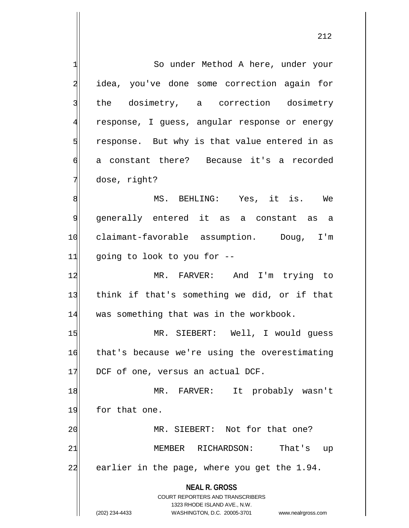**NEAL R. GROSS** COURT REPORTERS AND TRANSCRIBERS 1323 RHODE ISLAND AVE., N.W. (202) 234-4433 WASHINGTON, D.C. 20005-3701 www.nealrgross.com 1 So under Method A here, under your 2 idea, you've done some correction again for 3 the dosimetry, a correction dosimetry 4 response, I guess, angular response or energy  $5$  response. But why is that value entered in as 6 a constant there? Because it's a recorded 7 dose, right? 8| MS. BEHLING: Yes, it is. We 9 generally entered it as a constant as a 10 claimant-favorable assumption. Doug, I'm  $11$  going to look to you for  $-$ 12 MR. FARVER: And I'm trying to 13 think if that's something we did, or if that 14 was something that was in the workbook. 15 MR. SIEBERT: Well, I would guess 16 that's because we're using the overestimating 17 DCF of one, versus an actual DCF. 18 MR. FARVER: It probably wasn't 19 for that one. 20 MR. SIEBERT: Not for that one? 21 MEMBER RICHARDSON: That's up 22 earlier in the page, where you get the 1.94.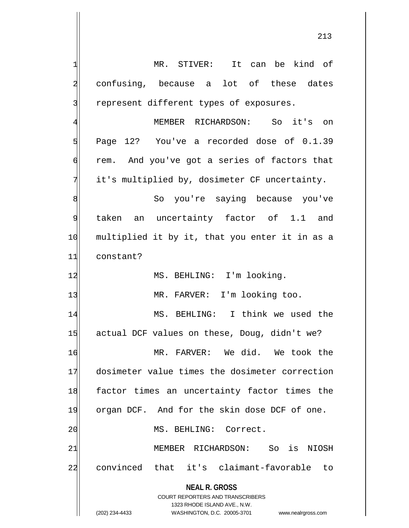| 1              | MR. STIVER: It can be kind of                                       |
|----------------|---------------------------------------------------------------------|
| $\overline{a}$ | confusing, because a lot of these dates                             |
| 3              | represent different types of exposures.                             |
| 4              | MEMBER RICHARDSON: So it's<br>on on                                 |
| 5              | Page 12? You've a recorded dose of 0.1.39                           |
| 6              | rem. And you've got a series of factors that                        |
| 7              | it's multiplied by, dosimeter CF uncertainty.                       |
| 8              | So you're saying because you've                                     |
| 9              | taken an uncertainty factor of 1.1 and                              |
| 10             | multiplied it by it, that you enter it in as a                      |
| 11             | constant?                                                           |
| 12             | MS. BEHLING: I'm looking.                                           |
| 13             | MR. FARVER: I'm looking too.                                        |
| 14             | MS. BEHLING: I think we used the                                    |
| 15             | actual DCF values on these, Doug, didn't we?                        |
| 16             | MR. FARVER: We did. We took the                                     |
| 17             | dosimeter value times the dosimeter correction                      |
| 18             | factor times an uncertainty factor times the                        |
| 19             | organ DCF. And for the skin dose DCF of one.                        |
| 20             | MS. BEHLING: Correct.                                               |
| 21             | So is NIOSH<br>MEMBER RICHARDSON:                                   |
| 22             | convinced that it's claimant-favorable to                           |
|                | <b>NEAL R. GROSS</b>                                                |
|                | <b>COURT REPORTERS AND TRANSCRIBERS</b>                             |
|                | 1323 RHODE ISLAND AVE., N.W.                                        |
|                | (202) 234-4433<br>WASHINGTON, D.C. 20005-3701<br>www.nealrgross.com |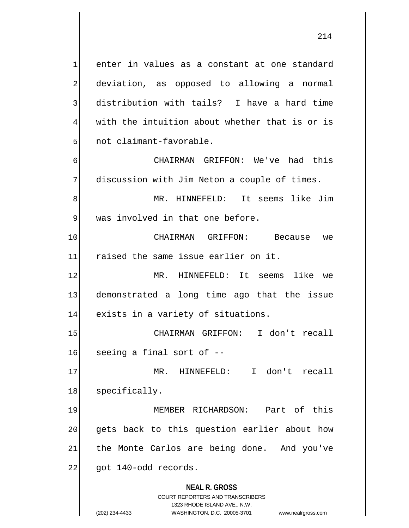$1$  enter in values as a constant at one standard 2 deviation, as opposed to allowing a normal 3 distribution with tails? I have a hard time

4 with the intuition about whether that is or is 5 not claimant-favorable.

6 CHAIRMAN GRIFFON: We've had this 7 discussion with Jim Neton a couple of times.

8 MR. HINNEFELD: It seems like Jim 9 was involved in that one before.

10 CHAIRMAN GRIFFON: Because we 11 raised the same issue earlier on it.

12 MR. HINNEFELD: It seems like we 13 demonstrated a long time ago that the issue 14 exists in a variety of situations.

15 CHAIRMAN GRIFFON: I don't recall  $16$  seeing a final sort of  $-$ 

17 MR. HINNEFELD: I don't recall 18 specifically.

19 MEMBER RICHARDSON: Part of this 20 gets back to this question earlier about how  $21$  the Monte Carlos are being done. And you've 22 got 140-odd records.

**NEAL R. GROSS**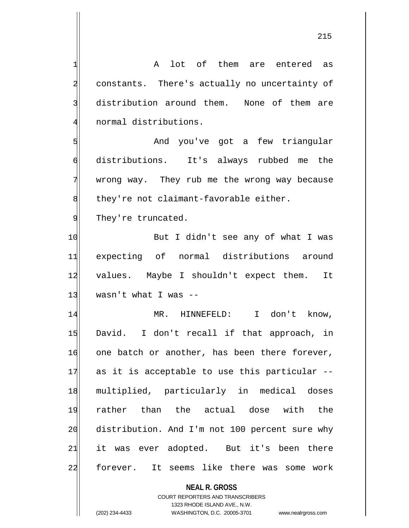1 A lot of them are entered as 2 constants. There's actually no uncertainty of 3 distribution around them. None of them are 4 normal distributions. 5 | Sould Mand you've got a few triangular 6 distributions. It's always rubbed me the 7 wrong way. They rub me the wrong way because  $\left| \right|$  they're not claimant-favorable either. 9 They're truncated. 10 But I didn't see any of what I was 11 expecting of normal distributions around 12 values. Maybe I shouldn't expect them. It  $13$  wasn't what I was  $-$ 14 MR. HINNEFELD: I don't know, 15 David. I don't recall if that approach, in 16 one batch or another, has been there forever,  $17$  as it is acceptable to use this particular --18 multiplied, particularly in medical doses 19 rather than the actual dose with the 20 distribution. And I'm not 100 percent sure why  $21$  it was ever adopted. But it's been there 22 forever. It seems like there was some work

> **NEAL R. GROSS** COURT REPORTERS AND TRANSCRIBERS 1323 RHODE ISLAND AVE., N.W.

(202) 234-4433 WASHINGTON, D.C. 20005-3701 www.nealrgross.com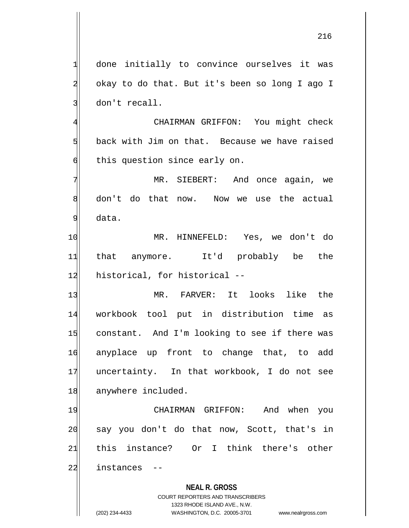1 done initially to convince ourselves it was 2 okay to do that. But it's been so long I ago I 3 don't recall.

4 CHAIRMAN GRIFFON: You might check  $5$  back with Jim on that. Because we have raised 6 this question since early on.

7 MR. SIEBERT: And once again, we 8 don't do that now. Now we use the actual 9 data.

10 MR. HINNEFELD: Yes, we don't do 11 that anymore. It'd probably be the 12 historical, for historical --

13 MR. FARVER: It looks like the 14 workbook tool put in distribution time as 15 constant. And I'm looking to see if there was 16 anyplace up front to change that, to add 17 uncertainty. In that workbook, I do not see 18 anywhere included.

19 CHAIRMAN GRIFFON: And when you 20 | say you don't do that now, Scott, that's in 21 this instance? Or I think there's other 22 instances --

## **NEAL R. GROSS**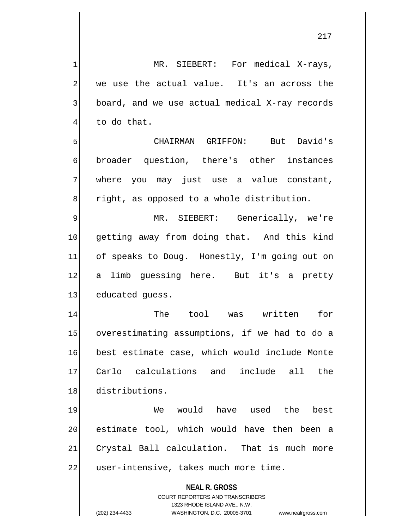1| MR. SIEBERT: For medical X-rays, 2 we use the actual value. It's an across the  $3$  board, and we use actual medical X-ray records  $4$  to do that.

5| CHAIRMAN GRIFFON: But David's 6 broader question, there's other instances 7 where you may just use a value constant, 8 8 right, as opposed to a whole distribution.

9 MR. SIEBERT: Generically, we're 10 getting away from doing that. And this kind 11 of speaks to Doug. Honestly, I'm going out on 12 a limb quessing here. But it's a pretty 13 educated guess.

14 The tool was written for 15 overestimating assumptions, if we had to do a 16 best estimate case, which would include Monte 17 Carlo calculations and include all the 18 distributions.

19 We would have used the best 20 estimate tool, which would have then been a 21 Crystal Ball calculation. That is much more 22 user-intensive, takes much more time.

> **NEAL R. GROSS** COURT REPORTERS AND TRANSCRIBERS 1323 RHODE ISLAND AVE., N.W.

(202) 234-4433 WASHINGTON, D.C. 20005-3701 www.nealrgross.com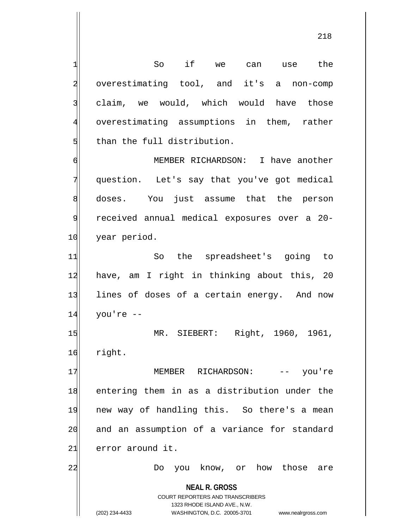$1$  So if we can use the 2 overestimating tool, and it's a non-comp 3 claim, we would, which would have those 4 overestimating assumptions in them, rather 5 than the full distribution.

6 MEMBER RICHARDSON: I have another 7 question. Let's say that you've got medical 8 doses. You just assume that the person 9 received annual medical exposures over a 20- 10 year period.

11 So the spreadsheet's going to 12 have, am I right in thinking about this, 20 13 lines of doses of a certain energy. And now  $14$  you're  $-$ 

15 MR. SIEBERT: Right, 1960, 1961, 16 right.

17 MEMBER RICHARDSON: -- you're 18 entering them in as a distribution under the 19 new way of handling this. So there's a mean 20 and an assumption of a variance for standard 21 error around it.

22 Do you know, or how those are

**NEAL R. GROSS** COURT REPORTERS AND TRANSCRIBERS

1323 RHODE ISLAND AVE., N.W.

(202) 234-4433 WASHINGTON, D.C. 20005-3701 www.nealrgross.com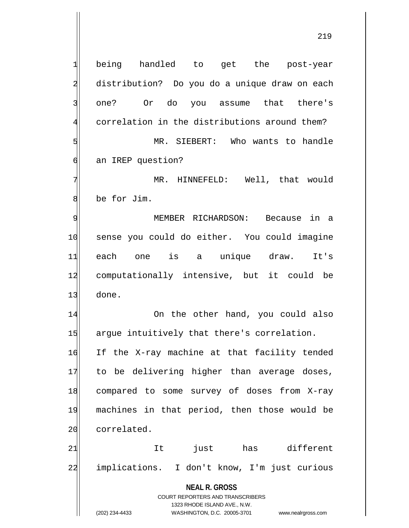**NEAL R. GROSS** COURT REPORTERS AND TRANSCRIBERS 1323 RHODE ISLAND AVE., N.W. (202) 234-4433 WASHINGTON, D.C. 20005-3701 www.nealrgross.com 1 being handled to get the post-year 2 distribution? Do you do a unique draw on each 3| one? Or do you assume that there's 4 correlation in the distributions around them? 5 MR. SIEBERT: Who wants to handle 6 6 6 an IREP question? 7 MR. HINNEFELD: Well, that would 8 be for Jim. 9 MEMBER RICHARDSON: Because in a 10 sense you could do either. You could imagine 11 each one is a unique draw. It's 12 computationally intensive, but it could be 13 done. 14 On the other hand, you could also 15 argue intuitively that there's correlation. 16 If the X-ray machine at that facility tended 17 to be delivering higher than average doses, 18 compared to some survey of doses from X-ray 19 machines in that period, then those would be 20 correlated. 21 and the view of the set of the set of the 21 and the 12 and the 12 and the 12 and the 12 and the 21 and the 1 22 implications. I don't know, I'm just curious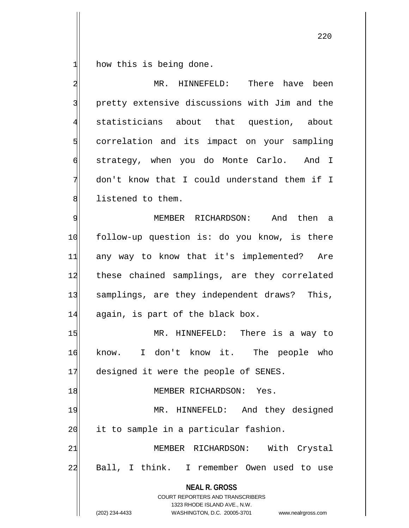1 how this is being done.

| $\overline{\mathbf{c}}$ | MR. HINNEFELD:<br>There have been                                                                                                                                      |
|-------------------------|------------------------------------------------------------------------------------------------------------------------------------------------------------------------|
| 3                       | pretty extensive discussions with Jim and the                                                                                                                          |
| $\overline{4}$          | statisticians about that question, about                                                                                                                               |
| $\overline{5}$          | correlation and its impact on your sampling                                                                                                                            |
| $\sigma$                | strategy, when you do Monte Carlo. And I                                                                                                                               |
| 7                       | don't know that I could understand them if I                                                                                                                           |
| 8                       | listened to them.                                                                                                                                                      |
| 9                       | MEMBER RICHARDSON: And then a                                                                                                                                          |
| 10                      | follow-up question is: do you know, is there                                                                                                                           |
| 11                      | any way to know that it's implemented? Are                                                                                                                             |
| 12                      | these chained samplings, are they correlated                                                                                                                           |
| 13                      | samplings, are they independent draws? This,                                                                                                                           |
| 14                      | again, is part of the black box.                                                                                                                                       |
| 15                      | MR. HINNEFELD: There is a way to                                                                                                                                       |
| 16                      | I don't know it. The people who<br>know.                                                                                                                               |
| 17                      | designed it were the people of SENES.                                                                                                                                  |
| 18                      | MEMBER RICHARDSON: Yes.                                                                                                                                                |
| 19                      | HINNEFELD: And they designed<br>MR.                                                                                                                                    |
| 20                      | it to sample in a particular fashion.                                                                                                                                  |
| 21                      | With Crystal<br>MEMBER RICHARDSON:                                                                                                                                     |
| 22                      | Ball, I think. I remember Owen used to use                                                                                                                             |
|                         | <b>NEAL R. GROSS</b><br><b>COURT REPORTERS AND TRANSCRIBERS</b><br>1323 RHODE ISLAND AVE., N.W.<br>(202) 234-4433<br>WASHINGTON, D.C. 20005-3701<br>www.nealrgross.com |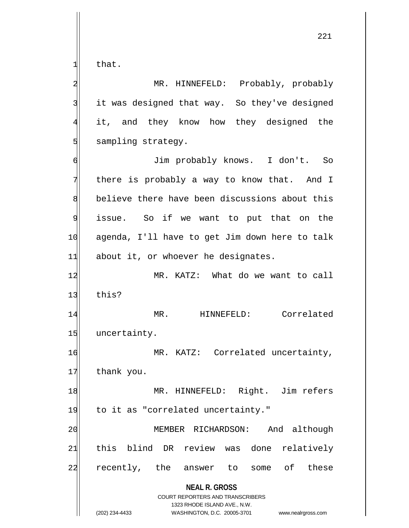$1$  that.

**NEAL R. GROSS** COURT REPORTERS AND TRANSCRIBERS 1323 RHODE ISLAND AVE., N.W. 2 MR. HINNEFELD: Probably, probably 3 it was designed that way. So they've designed 4 it, and they know how they designed the 5 sampling strategy. 6 Jim probably knows. I don't. So 7 There is probably a way to know that. And I 8 believe there have been discussions about this 9 issue. So if we want to put that on the 10 agenda, I'll have to get Jim down here to talk  $11$  about it, or whoever he designates. 12 MR. KATZ: What do we want to call  $13$  this? 14 MR. HINNEFELD: Correlated 15 uncertainty. 16 MR. KATZ: Correlated uncertainty, 17 thank you. 18 MR. HINNEFELD: Right. Jim refers 19 to it as "correlated uncertainty." 20 MEMBER RICHARDSON: And although 21 this blind DR review was done relatively 22 recently, the answer to some of these

(202) 234-4433 WASHINGTON, D.C. 20005-3701 www.nealrgross.com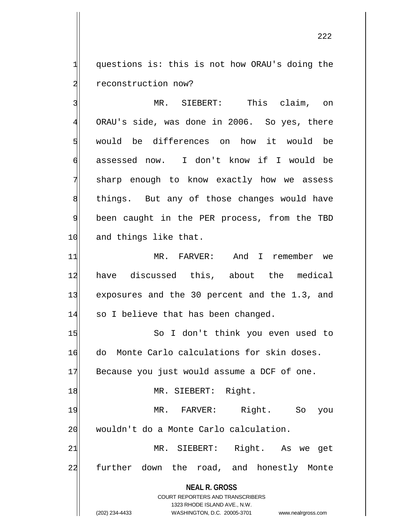$1$  questions is: this is not how ORAU's doing the 2 reconstruction now?

3 | MR. SIEBERT: This claim, on 4 ORAU's side, was done in 2006. So yes, there 5 would be differences on how it would be 6 assessed now. I don't know if I would be 7 sharp enough to know exactly how we assess 8 bed in things. But any of those changes would have 9 been caught in the PER process, from the TBD 10 and things like that.

11 MR. FARVER: And I remember we 12 have discussed this, about the medical 13 exposures and the 30 percent and the 1.3, and 14 so I believe that has been changed.

**NEAL R. GROSS** COURT REPORTERS AND TRANSCRIBERS 15 So I don't think you even used to 16 do Monte Carlo calculations for skin doses.  $17$  Because you just would assume a DCF of one. 18 MR. SIEBERT: Right. 19 MR. FARVER: Right. So you 20 wouldn't do a Monte Carlo calculation. 21 MR. SIEBERT: Right. As we get 22 further down the road, and honestly Monte

1323 RHODE ISLAND AVE., N.W.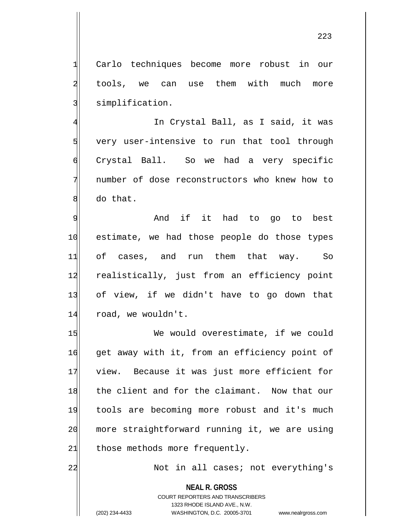1 Carlo techniques become more robust in our 2 tools, we can use them with much more 3 simplification.

4 In Crystal Ball, as I said, it was  $5$  very user-intensive to run that tool through 6 Crystal Ball. So we had a very specific 7 number of dose reconstructors who knew how to 8 do that.

9 and if it had to go to best 10 estimate, we had those people do those types 11 of cases, and run them that way. So 12 realistically, just from an efficiency point 13 of view, if we didn't have to go down that 14 road, we wouldn't.

15 We would overestimate, if we could 16 get away with it, from an efficiency point of 17 view. Because it was just more efficient for 18 the client and for the claimant. Now that our 19 tools are becoming more robust and it's much 20 more straightforward running it, we are using  $21$  those methods more frequently.

22 | Not in all cases; not everything's

**NEAL R. GROSS** COURT REPORTERS AND TRANSCRIBERS 1323 RHODE ISLAND AVE., N.W. (202) 234-4433 WASHINGTON, D.C. 20005-3701 www.nealrgross.com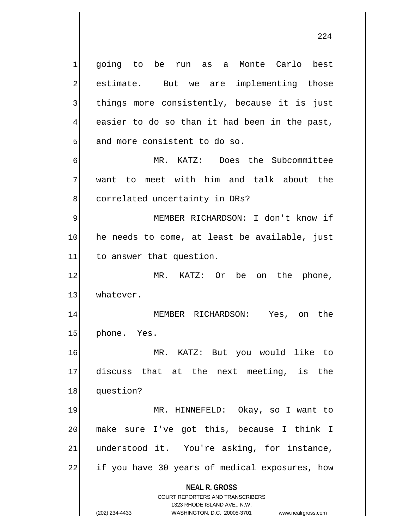**NEAL R. GROSS** COURT REPORTERS AND TRANSCRIBERS 1323 RHODE ISLAND AVE., N.W. 1 going to be run as a Monte Carlo best 2 estimate. But we are implementing those 3 things more consistently, because it is just  $4$  easier to do so than it had been in the past, 5 and more consistent to do so. 6 MR. KATZ: Does the Subcommittee 7 want to meet with him and talk about the 8 correlated uncertainty in DRs? 9 MEMBER RICHARDSON: I don't know if 10 he needs to come, at least be available, just 11 to answer that question. 12 MR. KATZ: Or be on the phone, 13 whatever. 14 MEMBER RICHARDSON: Yes, on the 15 phone. Yes. 16 MR. KATZ: But you would like to 17 discuss that at the next meeting, is the 18 question? 19 MR. HINNEFELD: Okay, so I want to 20 make sure I've got this, because I think I 21 understood it. You're asking, for instance, 22 if you have 30 years of medical exposures, how

(202) 234-4433 WASHINGTON, D.C. 20005-3701 www.nealrgross.com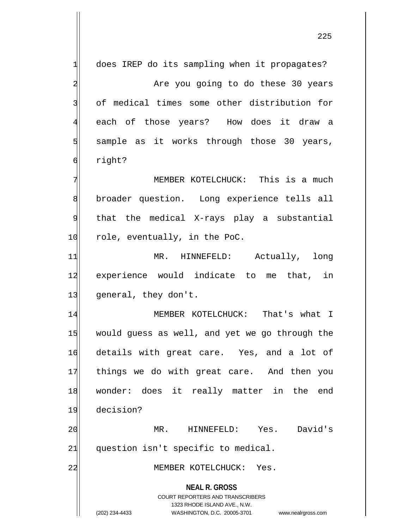**NEAL R. GROSS** COURT REPORTERS AND TRANSCRIBERS 1323 RHODE ISLAND AVE., N.W. (202) 234-4433 WASHINGTON, D.C. 20005-3701 www.nealrgross.com  $1$  does IREP do its sampling when it propagates? 2 Are you going to do these 30 years 3 of medical times some other distribution for 4 each of those years? How does it draw a  $5$  sample as it works through those 30 years, 6 right? 7 | MEMBER KOTELCHUCK: This is a much 8 broader question. Long experience tells all 9 | that the medical X-rays play a substantial 10 role, eventually, in the PoC. 11 MR. HINNEFELD: Actually, long 12 experience would indicate to me that, in 13 general, they don't. 14 MEMBER KOTELCHUCK: That's what I 15 would guess as well, and yet we go through the 16 details with great care. Yes, and a lot of 17 things we do with great care. And then you 18 wonder: does it really matter in the end 19 decision? 20 MR. HINNEFELD: Yes. David's  $21$  question isn't specific to medical. 22 MEMBER KOTELCHUCK: Yes.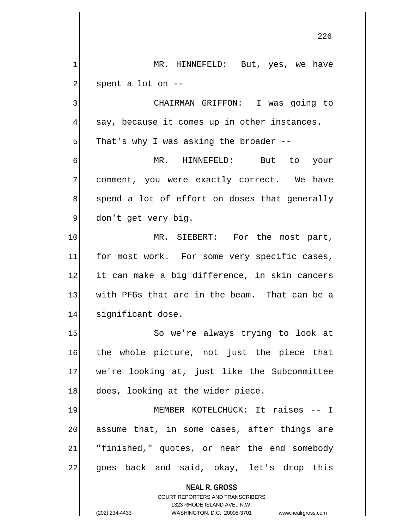$2$  spent a lot on  $-$ 3 | CHAIRMAN GRIFFON: I was going to  $4$  say, because it comes up in other instances.  $5$  That's why I was asking the broader  $-$ -6 MR. HINNEFELD: But to your 7 comment, you were exactly correct. We have  $\|$  spend a lot of effort on doses that generally 9 don't get very big. 10 MR. SIEBERT: For the most part, 11 for most work. For some very specific cases,

1 MR. HINNEFELD: But, yes, we have

12 it can make a big difference, in skin cancers 13 with PFGs that are in the beam. That can be a 14 significant dose.

15 So we're always trying to look at 16 the whole picture, not just the piece that 17 we're looking at, just like the Subcommittee 18 does, looking at the wider piece.

19 MEMBER KOTELCHUCK: It raises -- I 20 assume that, in some cases, after things are  $21$  "finished," quotes, or near the end somebody 22| goes back and said, okay, let's drop this

> **NEAL R. GROSS** COURT REPORTERS AND TRANSCRIBERS 1323 RHODE ISLAND AVE., N.W. (202) 234-4433 WASHINGTON, D.C. 20005-3701 www.nealrgross.com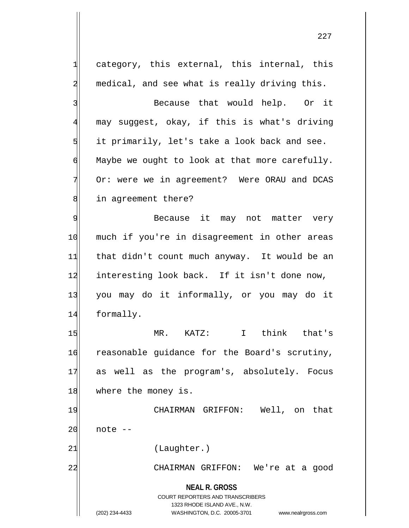**NEAL R. GROSS** COURT REPORTERS AND TRANSCRIBERS 1323 RHODE ISLAND AVE., N.W. (202) 234-4433 WASHINGTON, D.C. 20005-3701 www.nealrgross.com  $1$  category, this external, this internal, this 2 medical, and see what is really driving this. 3 Because that would help. Or it 4 may suggest, okay, if this is what's driving  $5$  it primarily, let's take a look back and see.  $\mathfrak{g}$  Maybe we ought to look at that more carefully. 7 Or: were we in agreement? Were ORAU and DCAS 8 in agreement there? 9 Because it may not matter very 10 much if you're in disagreement in other areas 11 that didn't count much anyway. It would be an 12 interesting look back. If it isn't done now, 13 you may do it informally, or you may do it 14 formally. 15 MR. KATZ: I think that's 16 reasonable guidance for the Board's scrutiny, 17 as well as the program's, absolutely. Focus 18 where the money is. 19 CHAIRMAN GRIFFON: Well, on that  $20$  note  $-$ 21 (Laughter.) 22 CHAIRMAN GRIFFON: We're at a good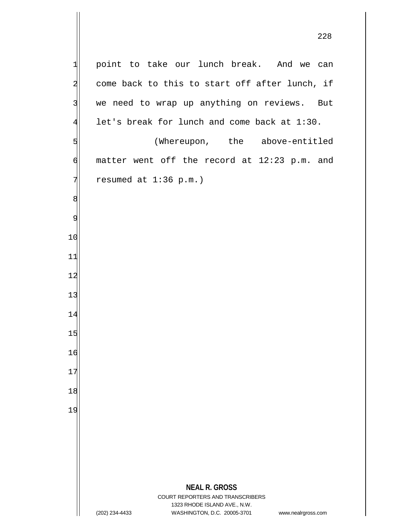**NEAL R. GROSS** COURT REPORTERS AND TRANSCRIBERS 1323 RHODE ISLAND AVE., N.W. (202) 234-4433 WASHINGTON, D.C. 20005-3701 www.nealrgross.com point to take our lunch break. And we can come back to this to start off after lunch, if 3 we need to wrap up anything on reviews. But let's break for lunch and come back at 1:30. 5 (Whereupon, the above-entitled  $\phi$  matter went off the record at 12:23 p.m. and resumed at 1:36 p.m.)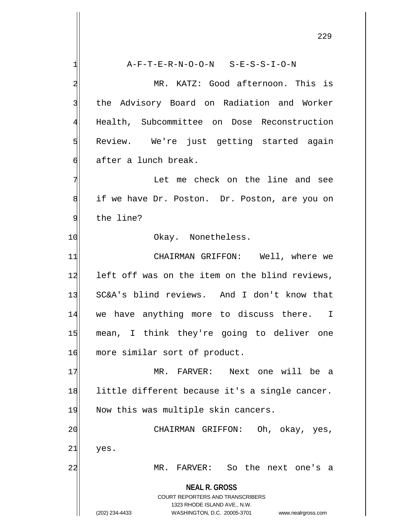|                | ムムン                                                                     |
|----------------|-------------------------------------------------------------------------|
| $\mathbf{1}$   | $A-F-T-E-R-N-O-O-N$ $S-E-S-S-I-O-N$                                     |
| $\overline{a}$ | MR. KATZ: Good afternoon. This is                                       |
| 3              | the Advisory Board on Radiation and Worker                              |
| $\overline{4}$ | Health, Subcommittee on Dose Reconstruction                             |
| 5              | Review. We're just getting started again                                |
| $\sigma$       | after a lunch break.                                                    |
| 7              | Let me check on the line and see                                        |
| 8              | if we have Dr. Poston. Dr. Poston, are you on                           |
| $\overline{9}$ | the line?                                                               |
| 10             | Okay. Nonetheless.                                                      |
| 11             | CHAIRMAN GRIFFON: Well, where we                                        |
| 12             | left off was on the item on the blind reviews,                          |
| 13             | SC&A's blind reviews. And I don't know that                             |
| 14             | we have anything more to discuss there. I                               |
| 15             | mean, I think they're going to deliver one                              |
| 16             | more similar sort of product.                                           |
| 17             | MR.<br>FARVER: Next one will be a                                       |
| 18             | little different because it's a single cancer.                          |
| 19             | Now this was multiple skin cancers.                                     |
| 20             | CHAIRMAN GRIFFON: Oh, okay, yes,                                        |
| 21             | yes.                                                                    |
| 22             | So the next one's a<br>$MR$ .<br>$\mathtt{FARVER}$ :                    |
|                | <b>NEAL R. GROSS</b>                                                    |
|                | <b>COURT REPORTERS AND TRANSCRIBERS</b><br>1323 RHODE ISLAND AVE., N.W. |
|                | (202) 234-4433<br>WASHINGTON, D.C. 20005-3701<br>www.nealrgross.com     |

 $\overline{\phantom{a}}$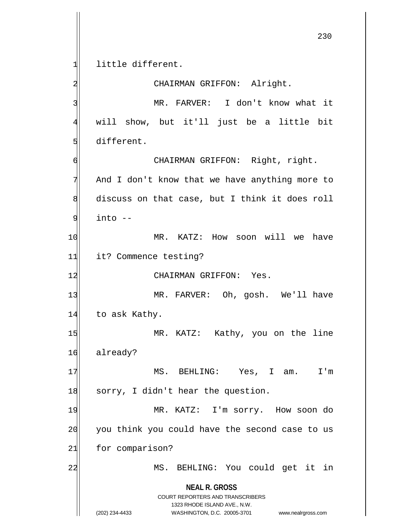**NEAL R. GROSS** COURT REPORTERS AND TRANSCRIBERS 1323 RHODE ISLAND AVE., N.W. 1 little different. 2 CHAIRMAN GRIFFON: Alright. 3 MR. FARVER: I don't know what it 4 will show, but it'll just be a little bit 5 different. 6 CHAIRMAN GRIFFON: Right, right.  $7$  And I don't know that we have anything more to  $8$  discuss on that case, but I think it does roll  $9$  into  $-$ 10 | MR. KATZ: How soon will we have 11 it? Commence testing? 12 CHAIRMAN GRIFFON: Yes. 13 MR. FARVER: Oh, gosh. We'll have 14 to ask Kathy. 15 MR. KATZ: Kathy, you on the line 16 already? 17 MS. BEHLING: Yes, I am. I'm 18 sorry, I didn't hear the question. 19 MR. KATZ: I'm sorry. How soon do 20 you think you could have the second case to us 21 for comparison? 22 MS. BEHLING: You could get it in

(202) 234-4433 WASHINGTON, D.C. 20005-3701 www.nealrgross.com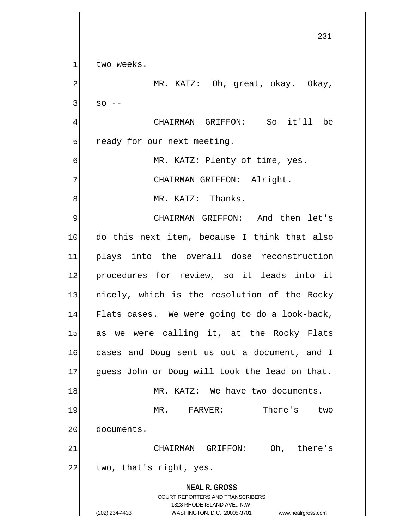**NEAL R. GROSS** COURT REPORTERS AND TRANSCRIBERS 1323 RHODE ISLAND AVE., N.W. (202) 234-4433 WASHINGTON, D.C. 20005-3701 www.nealrgross.com 231 1 two weeks. 2 MR. KATZ: Oh, great, okay. Okay,  $3$  so  $-$ 4 CHAIRMAN GRIFFON: So it'll be 5 Solut ready for our next meeting. 6 MR. KATZ: Plenty of time, yes. 7 CHAIRMAN GRIFFON: Alright. 8 MR. KATZ: Thanks. 9 | CHAIRMAN GRIFFON: And then let's 10 do this next item, because I think that also 11 plays into the overall dose reconstruction 12 procedures for review, so it leads into it 13 nicely, which is the resolution of the Rocky 14 Flats cases. We were going to do a look-back, 15 as we were calling it, at the Rocky Flats 16 cases and Doug sent us out a document, and I 17 guess John or Doug will took the lead on that. 18 MR. KATZ: We have two documents. 19 MR. FARVER: There's two 20 documents. 21 CHAIRMAN GRIFFON: Oh, there's  $22$  two, that's right, yes.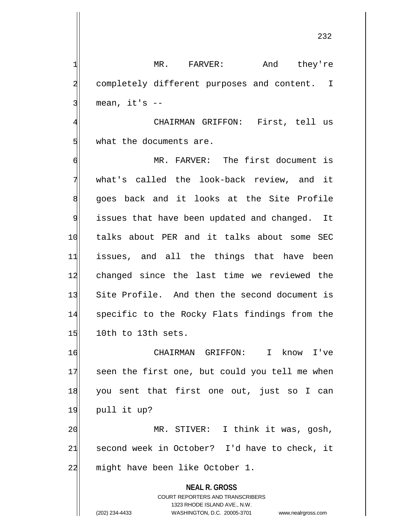232

1 MR. FARVER: And they're 2 completely different purposes and content. I 3 | mean, it's --

4 CHAIRMAN GRIFFON: First, tell us 5 what the documents are.

6 MR. FARVER: The first document is 7 what's called the look-back review, and it 8 goes back and it looks at the Site Profile 9 issues that have been updated and changed. It 10 talks about PER and it talks about some SEC 11 issues, and all the things that have been 12 changed since the last time we reviewed the 13 Site Profile. And then the second document is 14 specific to the Rocky Flats findings from the 15 10th to 13th sets.

16 CHAIRMAN GRIFFON: I know I've 17 seen the first one, but could you tell me when 18 you sent that first one out, just so I can 19 pull it up?

20 MR. STIVER: I think it was, gosh,  $21$  second week in October? I'd have to check, it 22 might have been like October 1.

> **NEAL R. GROSS** COURT REPORTERS AND TRANSCRIBERS 1323 RHODE ISLAND AVE., N.W. (202) 234-4433 WASHINGTON, D.C. 20005-3701 www.nealrgross.com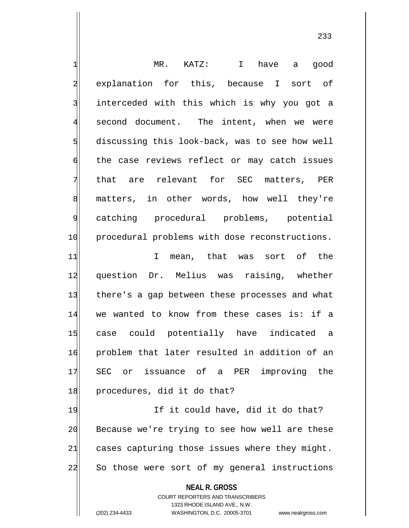| 긔              | MR. KATZ: I have a good                                             |
|----------------|---------------------------------------------------------------------|
| $\overline{a}$ | explanation for this, because I sort of                             |
| 3              | interceded with this which is why you got a                         |
| $\overline{4}$ | second document. The intent, when we were                           |
| 5              | discussing this look-back, was to see how well                      |
| $\sigma$       | the case reviews reflect or may catch issues                        |
| 7              | that are relevant for SEC matters, PER                              |
| 8              | matters, in other words, how well they're                           |
| $\overline{9}$ | catching procedural problems, potential                             |
| 10             | procedural problems with dose reconstructions.                      |
| 11             | mean, that was sort of the<br>$\mathbf I$                           |
| 12             | question Dr. Melius was raising, whether                            |
| 13             | there's a gap between these processes and what                      |
| 14             | we wanted to know from these cases is: if a                         |
| 15             | case could potentially have indicated a                             |
| 16             | problem that later resulted in addition of an                       |
| 17             | SEC or issuance of a PER improving the                              |
| 18             | procedures, did it do that?                                         |
| 19             | If it could have, did it do that?                                   |
| 20             | Because we're trying to see how well are these                      |
| 21             | cases capturing those issues where they might.                      |
| 22             | So those were sort of my general instructions                       |
|                | <b>NEAL R. GROSS</b>                                                |
|                | <b>COURT REPORTERS AND TRANSCRIBERS</b>                             |
|                | 1323 RHODE ISLAND AVE., N.W.                                        |
|                | (202) 234-4433<br>WASHINGTON, D.C. 20005-3701<br>www.nealrgross.com |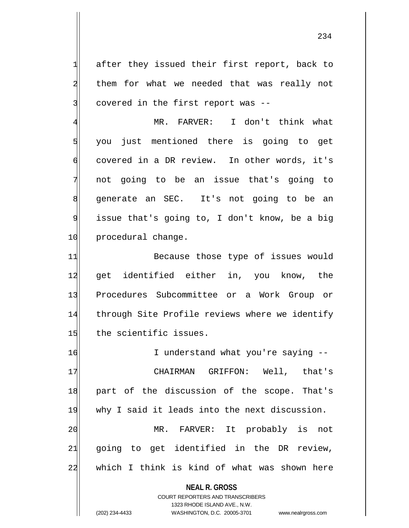1 after they issued their first report, back to 2 them for what we needed that was really not 3 covered in the first report was --

 MR. FARVER: I don't think what you just mentioned there is going to get covered in a DR review. In other words, it's not going to be an issue that's going to 8 generate an SEC. It's not going to be an issue that's going to, I don't know, be a big 10 procedural change.

11 Because those type of issues would 12 get identified either in, you know, the 13 Procedures Subcommittee or a Work Group or 14 through Site Profile reviews where we identify 15 the scientific issues.

16 I understand what you're saying --17 CHAIRMAN GRIFFON: Well, that's 18 part of the discussion of the scope. That's 19 why I said it leads into the next discussion. 20 MR. FARVER: It probably is not  $21$  going to get identified in the DR review,  $22$  which I think is kind of what was shown here

> **NEAL R. GROSS** COURT REPORTERS AND TRANSCRIBERS

> > 1323 RHODE ISLAND AVE., N.W.

(202) 234-4433 WASHINGTON, D.C. 20005-3701 www.nealrgross.com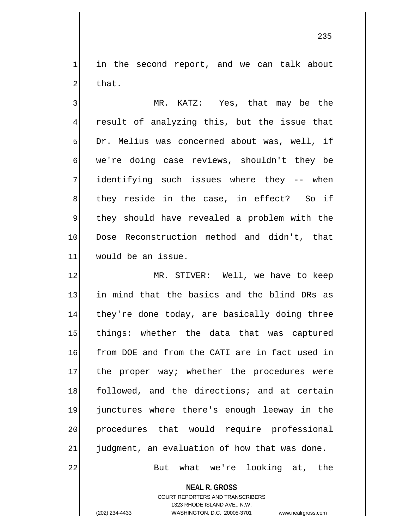$1$  in the second report, and we can talk about  $2$  that.

3 MR. KATZ: Yes, that may be the 4 result of analyzing this, but the issue that  $5$  Dr. Melius was concerned about was, well, if  $\mathfrak{h}$  we're doing case reviews, shouldn't they be 7 identifying such issues where they -- when  $8$  they reside in the case, in effect? So if 9 should have revealed a problem with the 10 Dose Reconstruction method and didn't, that 11 would be an issue.

12 MR. STIVER: Well, we have to keep 13 in mind that the basics and the blind DRs as 14 they're done today, are basically doing three 15 things: whether the data that was captured 16 from DOE and from the CATI are in fact used in 17 the proper way; whether the procedures were 18 followed, and the directions; and at certain 19 junctures where there's enough leeway in the 20 procedures that would require professional  $21$  judgment, an evaluation of how that was done.

22 But what we're looking at, the

**NEAL R. GROSS**

COURT REPORTERS AND TRANSCRIBERS 1323 RHODE ISLAND AVE., N.W. (202) 234-4433 WASHINGTON, D.C. 20005-3701 www.nealrgross.com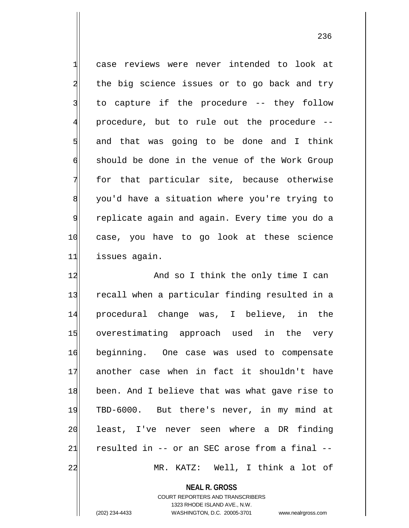1 case reviews were never intended to look at 2 the big science issues or to go back and try  $3$  to capture if the procedure -- they follow 4 procedure, but to rule out the procedure --  $5$  and that was going to be done and I think 6 should be done in the venue of the Work Group 7 for that particular site, because otherwise 8 you'd have a situation where you're trying to 9 replicate again and again. Every time you do a 10 case, you have to go look at these science 11 issues again.

12 And so I think the only time I can 13 recall when a particular finding resulted in a 14 procedural change was, I believe, in the 15 overestimating approach used in the very 16 beginning. One case was used to compensate 17 another case when in fact it shouldn't have 18 been. And I believe that was what gave rise to 19 TBD-6000. But there's never, in my mind at 20 least, I've never seen where a DR finding 21 resulted in  $-$  or an SEC arose from a final  $-$ 22 MR. KATZ: Well, I think a lot of

**NEAL R. GROSS**

COURT REPORTERS AND TRANSCRIBERS 1323 RHODE ISLAND AVE., N.W. (202) 234-4433 WASHINGTON, D.C. 20005-3701 www.nealrgross.com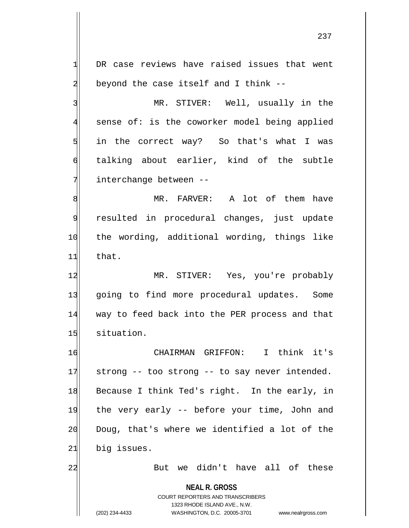**NEAL R. GROSS** COURT REPORTERS AND TRANSCRIBERS 1323 RHODE ISLAND AVE., N.W.  $1$  DR case reviews have raised issues that went  $2$  beyond the case itself and I think  $-$ -3 MR. STIVER: Well, usually in the 4 sense of: is the coworker model being applied  $5$  in the correct way? So that's what I was 6 talking about earlier, kind of the subtle 7 interchange between --8 MR. FARVER: A lot of them have 9 resulted in procedural changes, just update 10 the wording, additional wording, things like  $11$  that. 12 MR. STIVER: Yes, you're probably 13 going to find more procedural updates. Some 14 way to feed back into the PER process and that 15 situation. 16 CHAIRMAN GRIFFON: I think it's  $17$  strong -- too strong -- to say never intended. 18 Because I think Ted's right. In the early, in 19 the very early -- before your time, John and  $20$  Doug, that's where we identified a lot of the 21 big issues. 22 But we didn't have all of these

(202) 234-4433 WASHINGTON, D.C. 20005-3701 www.nealrgross.com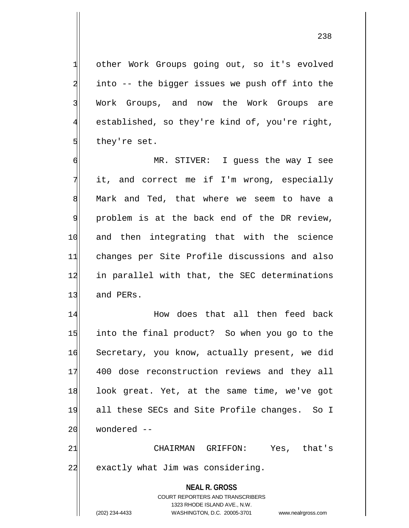other Work Groups going out, so it's evolved into  $-$  the bigger issues we push off into the 3 Work Groups, and now the Work Groups are established, so they're kind of, you're right, they're set.

6 MR. STIVER: I guess the way I see  $7$  it, and correct me if I'm wrong, especially 8 Mark and Ted, that where we seem to have a  $9$  problem is at the back end of the DR review, 10 and then integrating that with the science 11 changes per Site Profile discussions and also 12 in parallel with that, the SEC determinations 13 and PERs.

14 How does that all then feed back 15 into the final product? So when you go to the 16 Secretary, you know, actually present, we did 17 400 dose reconstruction reviews and they all 18 look great. Yet, at the same time, we've got 19 all these SECs and Site Profile changes. So I  $20$  wondered  $-$ 

21 CHAIRMAN GRIFFON: Yes, that's 22 exactly what Jim was considering.

> **NEAL R. GROSS** COURT REPORTERS AND TRANSCRIBERS 1323 RHODE ISLAND AVE., N.W. (202) 234-4433 WASHINGTON, D.C. 20005-3701 www.nealrgross.com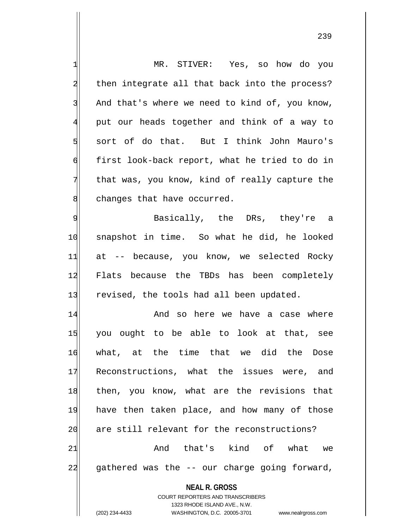| $\mathbf{1}$   | MR. STIVER: Yes, so how do you                                                                      |
|----------------|-----------------------------------------------------------------------------------------------------|
| $\overline{a}$ | then integrate all that back into the process?                                                      |
| $\overline{3}$ | And that's where we need to kind of, you know,                                                      |
| $\overline{4}$ | put our heads together and think of a way to                                                        |
| $\overline{5}$ | sort of do that. But I think John Mauro's                                                           |
| 6              | first look-back report, what he tried to do in                                                      |
| 7              | that was, you know, kind of really capture the                                                      |
| 8              | changes that have occurred.                                                                         |
| $\mathsf{S}$   | Basically, the DRs, they're a                                                                       |
| 10             | snapshot in time. So what he did, he looked                                                         |
| 11             | at -- because, you know, we selected Rocky                                                          |
| 12             | Flats because the TBDs has been completely                                                          |
| 13             | revised, the tools had all been updated.                                                            |
| 14             | And so here we have a case where                                                                    |
| 15             | you ought to be able to look at that, see                                                           |
| 16             | what, at the time that we did the Dose                                                              |
| 17             | Reconstructions, what the issues were, and                                                          |
| 18             | then, you know, what are the revisions that                                                         |
| 19             | have then taken place, and how many of those                                                        |
| 20             | are still relevant for the reconstructions?                                                         |
| 21             | And that's kind of what<br>we                                                                       |
| 22             | gathered was the -- our charge going forward,                                                       |
|                | <b>NEAL R. GROSS</b>                                                                                |
|                | <b>COURT REPORTERS AND TRANSCRIBERS</b>                                                             |
|                | 1323 RHODE ISLAND AVE., N.W.<br>(202) 234-4433<br>WASHINGTON, D.C. 20005-3701<br>www.nealrgross.com |
|                |                                                                                                     |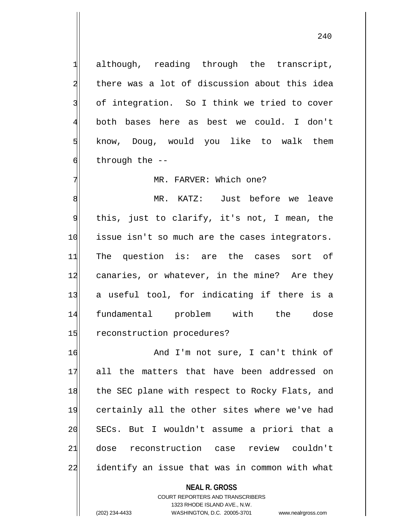1 although, reading through the transcript, 2 there was a lot of discussion about this idea 3 of integration. So I think we tried to cover 4 both bases here as best we could. I don't  $5$  know, Doug, would you like to walk them  $\mathfrak{g}$  through the --

## 7 MR. FARVER: Which one?

8 MR. KATZ: Just before we leave 9 this, just to clarify, it's not, I mean, the 10 issue isn't so much are the cases integrators. 11 The question is: are the cases sort of 12 canaries, or whatever, in the mine? Are they 13 a useful tool, for indicating if there is a 14 fundamental problem with the dose 15 reconstruction procedures?

16 And I'm not sure, I can't think of 17 all the matters that have been addressed on 18 the SEC plane with respect to Rocky Flats, and 19 certainly all the other sites where we've had 20 SECs. But I wouldn't assume a priori that a 21 dose reconstruction case review couldn't 22 identify an issue that was in common with what

## **NEAL R. GROSS**

COURT REPORTERS AND TRANSCRIBERS 1323 RHODE ISLAND AVE., N.W. (202) 234-4433 WASHINGTON, D.C. 20005-3701 www.nealrgross.com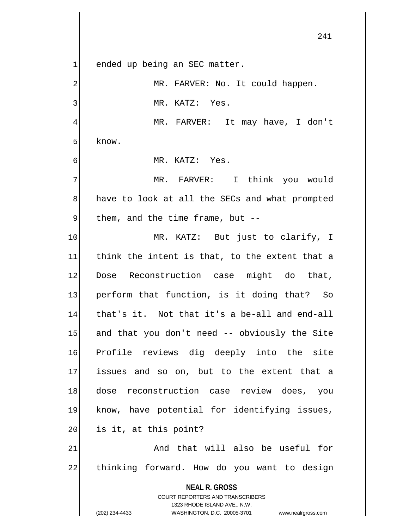**NEAL R. GROSS** COURT REPORTERS AND TRANSCRIBERS  $1$  ended up being an SEC matter. 2 MR. FARVER: No. It could happen. 3 MR. KATZ: Yes. 4 MR. FARVER: It may have, I don't 5 know. 6 MR. KATZ: Yes. 7 | Think you would 8 have to look at all the SECs and what prompted  $9$  them, and the time frame, but  $-$ -10 MR. KATZ: But just to clarify, I  $11$  think the intent is that, to the extent that a 12 Dose Reconstruction case might do that, 13 perform that function, is it doing that? So 14 that's it. Not that it's a be-all and end-all 15 and that you don't need -- obviously the Site 16 Profile reviews dig deeply into the site 17 issues and so on, but to the extent that a 18 dose reconstruction case review does, you 19 know, have potential for identifying issues,  $20$  is it, at this point? 21 and that will also be useful for 22 thinking forward. How do you want to design

1323 RHODE ISLAND AVE., N.W.

(202) 234-4433 WASHINGTON, D.C. 20005-3701 www.nealrgross.com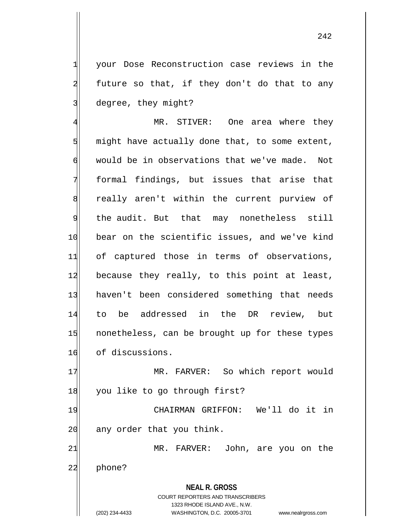1 your Dose Reconstruction case reviews in the  $2$  future so that, if they don't do that to any 3 degree, they might?

4 MR. STIVER: One area where they  $5$  might have actually done that, to some extent, 6 would be in observations that we've made. Not 7 formal findings, but issues that arise that 8 really aren't within the current purview of 9 the audit. But that may nonetheless still 10 bear on the scientific issues, and we've kind 11 of captured those in terms of observations, 12 because they really, to this point at least, 13 haven't been considered something that needs 14 to be addressed in the DR review, but 15 nonetheless, can be brought up for these types 16 of discussions.

17 MR. FARVER: So which report would 18 you like to go through first?

19 CHAIRMAN GRIFFON: We'll do it in  $20$  any order that you think.

21 MR. FARVER: John, are you on the 22 phone?

> **NEAL R. GROSS** COURT REPORTERS AND TRANSCRIBERS 1323 RHODE ISLAND AVE., N.W. (202) 234-4433 WASHINGTON, D.C. 20005-3701 www.nealrgross.com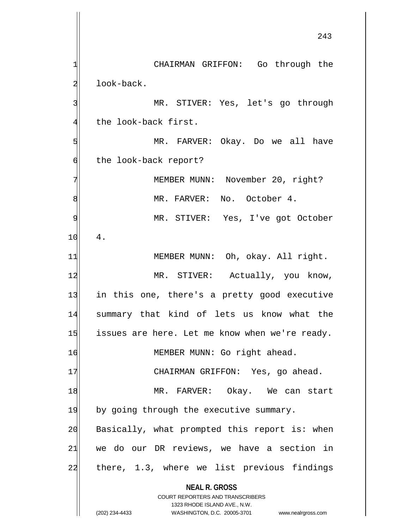**NEAL R. GROSS** COURT REPORTERS AND TRANSCRIBERS 1323 RHODE ISLAND AVE., N.W. (202) 234-4433 WASHINGTON, D.C. 20005-3701 www.nealrgross.com 1| CHAIRMAN GRIFFON: Go through the 2 look-back. 3 MR. STIVER: Yes, let's go through 4 the look-back first. 5 MR. FARVER: Okay. Do we all have 6 the look-back report? 7 MEMBER MUNN: November 20, right? 8 MR. FARVER: No. October 4. 9 MR. STIVER: Yes, I've got October  $10 | 4.$ 11 MEMBER MUNN: Oh, okay. All right. 12 MR. STIVER: Actually, you know, 13 in this one, there's a pretty good executive 14 summary that kind of lets us know what the  $15$  issues are here. Let me know when we're ready. 16 MEMBER MUNN: Go right ahead. 17 CHAIRMAN GRIFFON: Yes, go ahead. 18 MR. FARVER: Okay. We can start 19 by going through the executive summary.  $20$  Basically, what prompted this report is: when  $21$  we do our DR reviews, we have a section in 22 there, 1.3, where we list previous findings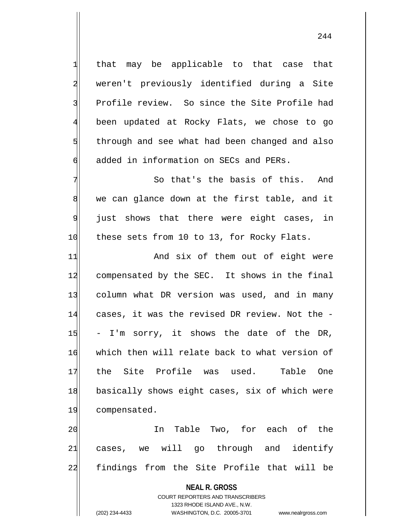$1$  that may be applicable to that case that 2 weren't previously identified during a Site 3 Profile review. So since the Site Profile had 4 been updated at Rocky Flats, we chose to go 5 s 5 through and see what had been changed and also 6 added in information on SECs and PERs.

 $7$   $\vert$  So that's the basis of this. And  $8$  we can glance down at the first table, and it 9 just shows that there were eight cases, in 10 these sets from 10 to 13, for Rocky Flats.

11 And six of them out of eight were 12 compensated by the SEC. It shows in the final 13 column what DR version was used, and in many 14 cases, it was the revised DR review. Not the - $15$  - I'm sorry, it shows the date of the DR, 16 which then will relate back to what version of 17 the Site Profile was used. Table One 18 basically shows eight cases, six of which were 19 compensated.

20 In Table Two, for each of the  $21$  cases, we will go through and identify 22 findings from the Site Profile that will be

**NEAL R. GROSS**

COURT REPORTERS AND TRANSCRIBERS 1323 RHODE ISLAND AVE., N.W. (202) 234-4433 WASHINGTON, D.C. 20005-3701 www.nealrgross.com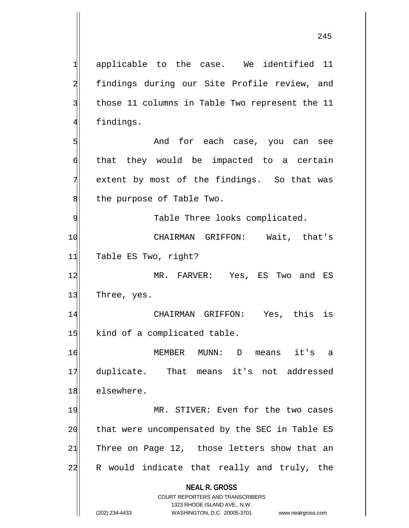**NEAL R. GROSS** COURT REPORTERS AND TRANSCRIBERS 1323 RHODE ISLAND AVE., N.W. (202) 234-4433 WASHINGTON, D.C. 20005-3701 www.nealrgross.com 1 applicable to the case. We identified 11 2 findings during our Site Profile review, and 3 those 11 columns in Table Two represent the 11 4 findings. 5 | Show and for each case, you can see  $\mathfrak{h}$  that they would be impacted to a certain  $7$  extent by most of the findings. So that was 8 the purpose of Table Two. 9 | Table Three looks complicated. 10 | CHAIRMAN GRIFFON: Wait, that's 11 Table ES Two, right? 12 MR. FARVER: Yes, ES Two and ES 13 Three, yes. 14 CHAIRMAN GRIFFON: Yes, this is 15 kind of a complicated table. 16 MEMBER MUNN: D means it's a 17 duplicate. That means it's not addressed 18 elsewhere. 19 MR. STIVER: Even for the two cases 20 that were uncompensated by the SEC in Table ES  $21$  Three on Page 12, those letters show that an 22 R would indicate that really and truly, the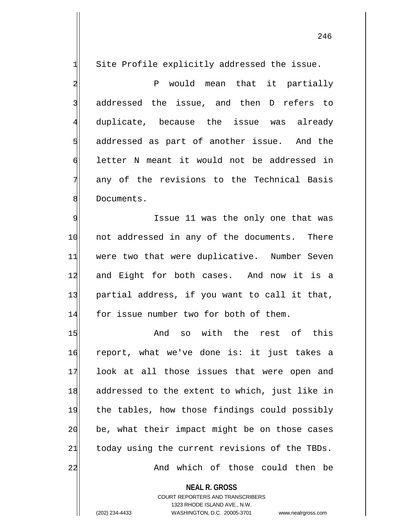$1$  Site Profile explicitly addressed the issue.

2 P would mean that it partially  $3$  addressed the issue, and then D refers to 4 duplicate, because the issue was already  $5$  addressed as part of another issue. And the 6 letter N meant it would not be addressed in 7 any of the revisions to the Technical Basis 8 Bocuments.

9 | Same 11 was the only one that was 10 not addressed in any of the documents. There 11 were two that were duplicative. Number Seven 12 and Eight for both cases. And now it is a 13 partial address, if you want to call it that, 14 for issue number two for both of them.

15 And so with the rest of this 16 report, what we've done is: it just takes a 17 look at all those issues that were open and 18 addressed to the extent to which, just like in 19 the tables, how those findings could possibly  $20$  be, what their impact might be on those cases  $21$  today using the current revisions of the TBDs. 22 And which of those could then be

> **NEAL R. GROSS** COURT REPORTERS AND TRANSCRIBERS 1323 RHODE ISLAND AVE., N.W. (202) 234-4433 WASHINGTON, D.C. 20005-3701 www.nealrgross.com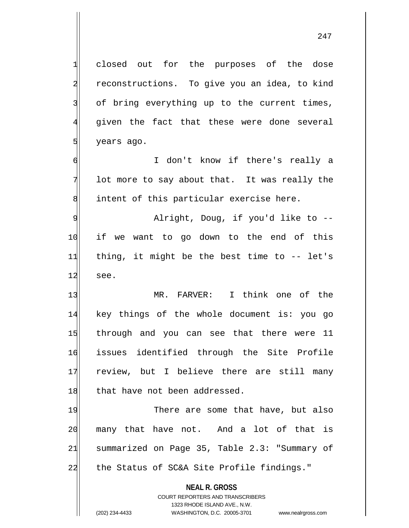**NEAL R. GROSS** COURT REPORTERS AND TRANSCRIBERS 1 closed out for the purposes of the dose 2 reconstructions. To give you an idea, to kind 3 of bring everything up to the current times, 4 given the fact that these were done several  $5$  years ago. 6 I don't know if there's really a  $7$  lot more to say about that. It was really the 8 intent of this particular exercise here. 9 alright, Doug, if you'd like to --10 if we want to go down to the end of this  $11$  thing, it might be the best time to  $-$  let's  $12$  see. 13 MR. FARVER: I think one of the 14 key things of the whole document is: you go 15 through and you can see that there were 11 16 issues identified through the Site Profile 17 review, but I believe there are still many 18 that have not been addressed. 19 There are some that have, but also 20 many that have not. And a lot of that is 21 summarized on Page 35, Table 2.3: "Summary of 22 the Status of SC&A Site Profile findings."

1323 RHODE ISLAND AVE., N.W.

(202) 234-4433 WASHINGTON, D.C. 20005-3701 www.nealrgross.com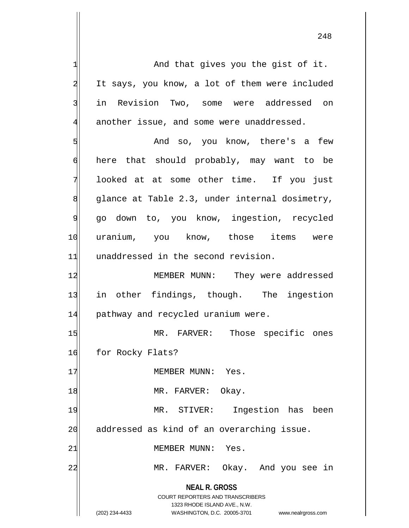**NEAL R. GROSS** COURT REPORTERS AND TRANSCRIBERS 1323 RHODE ISLAND AVE., N.W. (202) 234-4433 WASHINGTON, D.C. 20005-3701 www.nealrgross.com  $1$  And that gives you the gist of it. 2 It says, you know, a lot of them were included 3 in Revision Two, some were addressed on  $4$  another issue, and some were unaddressed. 5 | So, you know, there's a few 6 here that should probably, may want to be 7 looked at at some other time. If you just  $8$  glance at Table 2.3, under internal dosimetry, 9 go down to, you know, ingestion, recycled 10 uranium, you know, those items were 11 unaddressed in the second revision. 12 MEMBER MUNN: They were addressed 13 in other findings, though. The ingestion 14 pathway and recycled uranium were. 15 MR. FARVER: Those specific ones 16 for Rocky Flats? 17 MEMBER MUNN: Yes. 18 MR. FARVER: Okay. 19 MR. STIVER: Ingestion has been 20 addressed as kind of an overarching issue. 21 MEMBER MUNN: Yes. 22 MR. FARVER: Okay. And you see in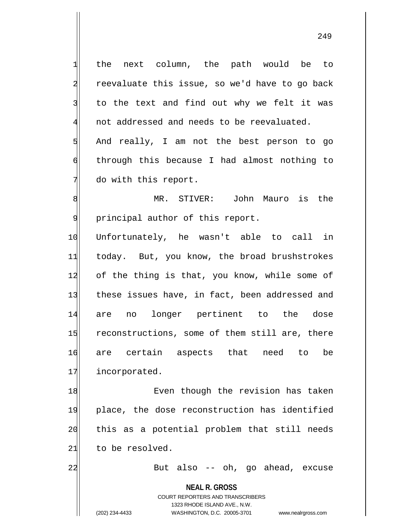the next column, the path would be to reevaluate this issue, so we'd have to go back to the text and find out why we felt it was not addressed and needs to be reevaluated. 5 And really, I am not the best person to go through this because I had almost nothing to do with this report.

8 MR. STIVER: John Mauro is the 9 | principal author of this report.

10 Unfortunately, he wasn't able to call in 11 today. But, you know, the broad brushstrokes 12 of the thing is that, you know, while some of 13 these issues have, in fact, been addressed and 14 are no longer pertinent to the dose 15 reconstructions, some of them still are, there 16 are certain aspects that need to be 17 incorporated.

18 Even though the revision has taken 19 place, the dose reconstruction has identified 20 this as a potential problem that still needs 21 to be resolved.

22 But also -- oh, go ahead, excuse

**NEAL R. GROSS**

COURT REPORTERS AND TRANSCRIBERS 1323 RHODE ISLAND AVE., N.W. (202) 234-4433 WASHINGTON, D.C. 20005-3701 www.nealrgross.com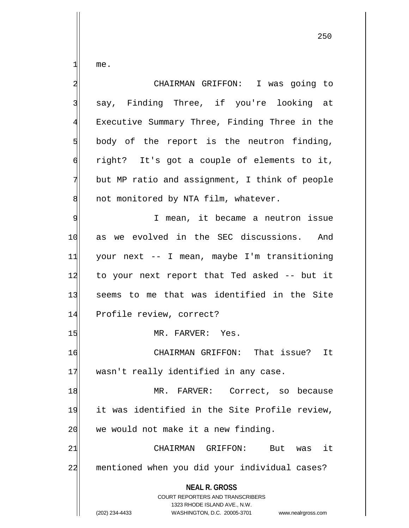me.

| CHAIRMAN GRIFFON: I was going to                                                                    |
|-----------------------------------------------------------------------------------------------------|
| say, Finding Three, if you're looking at                                                            |
| Executive Summary Three, Finding Three in the                                                       |
| body of the report is the neutron finding,                                                          |
| right? It's got a couple of elements to it,                                                         |
| but MP ratio and assignment, I think of people                                                      |
| not monitored by NTA film, whatever.                                                                |
| I mean, it became a neutron issue                                                                   |
| we evolved in the SEC discussions. And<br>as                                                        |
| your next -- I mean, maybe I'm transitioning                                                        |
| to your next report that Ted asked -- but it                                                        |
| seems to me that was identified in the Site                                                         |
| Profile review, correct?                                                                            |
| MR. FARVER: Yes.                                                                                    |
| CHAIRMAN GRIFFON: That issue? It                                                                    |
| wasn't really identified in any case.                                                               |
| MR. FARVER: Correct, so because                                                                     |
| it was identified in the Site Profile review,                                                       |
| we would not make it a new finding.                                                                 |
| CHAIRMAN GRIFFON:<br>it<br>But<br>was                                                               |
| mentioned when you did your individual cases?                                                       |
| <b>NEAL R. GROSS</b><br><b>COURT REPORTERS AND TRANSCRIBERS</b>                                     |
| 1323 RHODE ISLAND AVE., N.W.<br>(202) 234-4433<br>WASHINGTON, D.C. 20005-3701<br>www.nealrgross.com |
|                                                                                                     |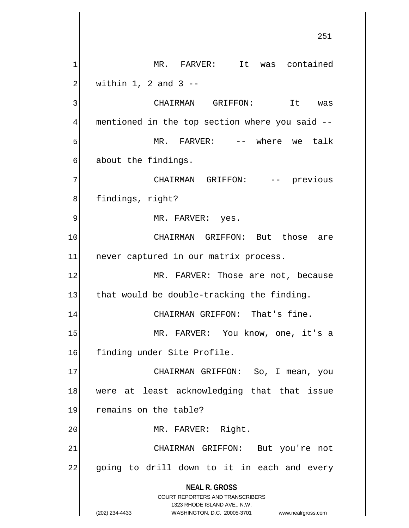**NEAL R. GROSS** COURT REPORTERS AND TRANSCRIBERS 1323 RHODE ISLAND AVE., N.W. (202) 234-4433 WASHINGTON, D.C. 20005-3701 www.nealrgross.com 1 MR. FARVER: It was contained  $2 \mid$  within 1, 2 and 3 --3 3 CHAIRMAN GRIFFON: It was 4 mentioned in the top section where you said --5 | S| MR. FARVER: -- where we talk 6 about the findings. 7 CHAIRMAN GRIFFON: -- previous 8 findings, right? 9 MR. FARVER: yes. 10 CHAIRMAN GRIFFON: But those are 11 never captured in our matrix process. 12 MR. FARVER: Those are not, because 13 that would be double-tracking the finding. 14 CHAIRMAN GRIFFON: That's fine. 15 MR. FARVER: You know, one, it's a 16 finding under Site Profile. 17 | CHAIRMAN GRIFFON: So, I mean, you 18 were at least acknowledging that that issue 19 remains on the table? 20 | MR. FARVER: Right. 21 CHAIRMAN GRIFFON: But you're not 22 going to drill down to it in each and every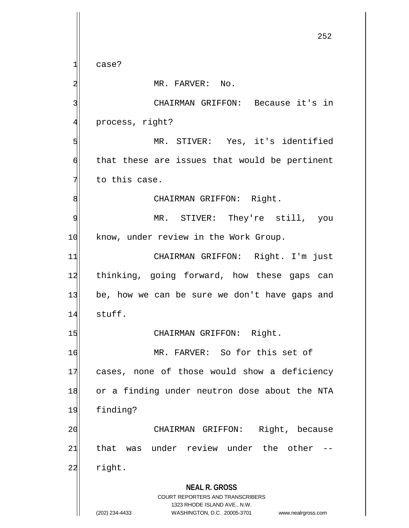1 case?

2 MR. FARVER: No.

3 | CHAIRMAN GRIFFON: Because it's in 4 process, right?

5 MR. STIVER: Yes, it's identified  $\phi$  that these are issues that would be pertinent  $7$  to this case.

8 | CHAIRMAN GRIFFON: Right.

9 MR. STIVER: They're still, you 10 know, under review in the Work Group.

11 CHAIRMAN GRIFFON: Right. I'm just 12 thinking, going forward, how these gaps can 13 be, how we can be sure we don't have gaps and 14 stuff.

15 CHAIRMAN GRIFFON: Right.

16 MR. FARVER: So for this set of 17 cases, none of those would show a deficiency 18 or a finding under neutron dose about the NTA 19 finding?

20 CHAIRMAN GRIFFON: Right, because 21 that was under review under the other --22 right.

> **NEAL R. GROSS** COURT REPORTERS AND TRANSCRIBERS

> > 1323 RHODE ISLAND AVE., N.W.

(202) 234-4433 WASHINGTON, D.C. 20005-3701 www.nealrgross.com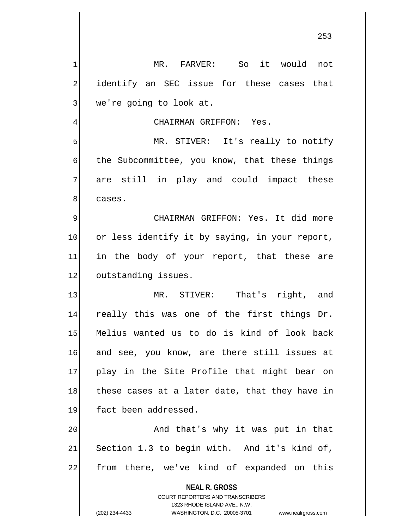253

**NEAL R. GROSS** COURT REPORTERS AND TRANSCRIBERS 1323 RHODE ISLAND AVE., N.W. (202) 234-4433 WASHINGTON, D.C. 20005-3701 www.nealrgross.com 1 MR. FARVER: So it would not 2 identify an SEC issue for these cases that 3 we're going to look at. 4 GHAIRMAN GRIFFON: Yes. 5 MR. STIVER: It's really to notify 6 6 folloch of the Subcommittee, you know, that these things 7 are still in play and could impact these 8 cases. 9| CHAIRMAN GRIFFON: Yes. It did more 10 or less identify it by saying, in your report, 11 in the body of your report, that these are 12 outstanding issues. 13 MR. STIVER: That's right, and 14 really this was one of the first things Dr. 15 Melius wanted us to do is kind of look back 16 and see, you know, are there still issues at 17 play in the Site Profile that might bear on 18 these cases at a later date, that they have in 19 fact been addressed. 20 and that's why it was put in that  $21$  Section 1.3 to begin with. And it's kind of, 22 from there, we've kind of expanded on this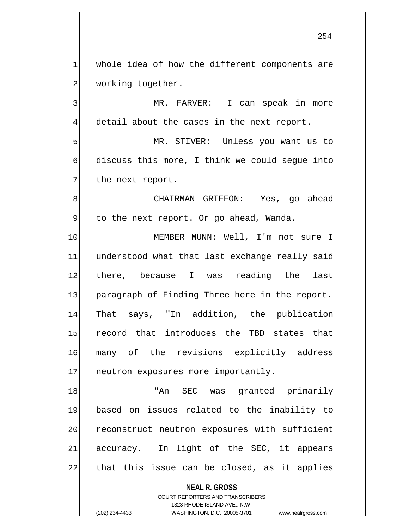$1$  whole idea of how the different components are 2 working together.

3 MR. FARVER: I can speak in more 4 detail about the cases in the next report.

5 MR. STIVER: Unless you want us to 6 discuss this more, I think we could segue into  $7$  the next report.

8 8 CHAIRMAN GRIFFON: Yes, go ahead 9 to the next report. Or go ahead, Wanda.

10 MEMBER MUNN: Well, I'm not sure I 11 understood what that last exchange really said 12 there, because I was reading the last 13 paragraph of Finding Three here in the report. 14 That says, "In addition, the publication 15 record that introduces the TBD states that 16 many of the revisions explicitly address 17 neutron exposures more importantly.

18 | TAN SEC was granted primarily 19 based on issues related to the inability to 20 reconstruct neutron exposures with sufficient  $21$  accuracy. In light of the SEC, it appears 22 that this issue can be closed, as it applies

> **NEAL R. GROSS** COURT REPORTERS AND TRANSCRIBERS 1323 RHODE ISLAND AVE., N.W. (202) 234-4433 WASHINGTON, D.C. 20005-3701 www.nealrgross.com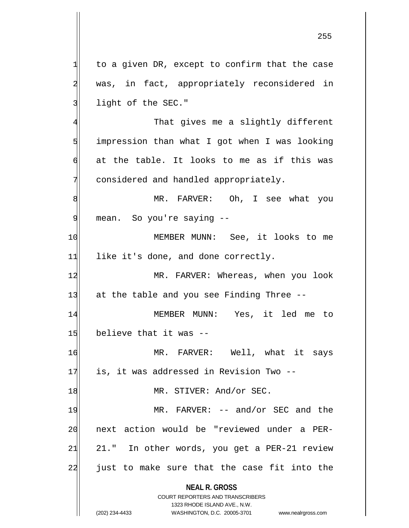$1$  to a given DR, except to confirm that the case 2 was, in fact, appropriately reconsidered in 3 light of the SEC."

4 That gives me a slightly different impression than what I got when I was looking at the table. It looks to me as if this was considered and handled appropriately.

8 MR. FARVER: Oh, I see what you 9 mean. So you're saying --

10 MEMBER MUNN: See, it looks to me  $11$  like it's done, and done correctly.

12 MR. FARVER: Whereas, when you look  $13$  at the table and you see Finding Three  $-$ -

14 MEMBER MUNN: Yes, it led me to  $15$  believe that it was  $-$ 

16 MR. FARVER: Well, what it says 17 is, it was addressed in Revision Two --

18 MR. STIVER: And/or SEC.

19 MR. FARVER: -- and/or SEC and the 20 next action would be "reviewed under a PER- $21 \mid 21.$ " In other words, you get a PER-21 review 22 just to make sure that the case fit into the

> **NEAL R. GROSS** COURT REPORTERS AND TRANSCRIBERS

> > 1323 RHODE ISLAND AVE., N.W.

(202) 234-4433 WASHINGTON, D.C. 20005-3701 www.nealrgross.com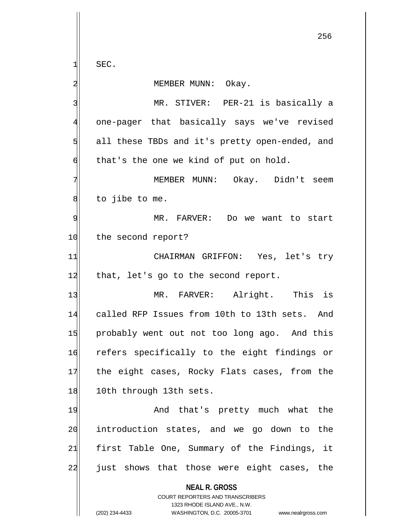$1$  SEC.

## 2 MEMBER MUNN: Okay.

 MR. STIVER: PER-21 is basically a one-pager that basically says we've revised all these TBDs and it's pretty open-ended, and  $\mathfrak{h}$  that's the one we kind of put on hold.

7 MEMBER MUNN: Okay. Didn't seem  $8$  to jibe to me.

9 MR. FARVER: Do we want to start 10 the second report?

11 CHAIRMAN GRIFFON: Yes, let's try  $12$  that, let's go to the second report.

13 MR. FARVER: Alright. This is 14 called RFP Issues from 10th to 13th sets. And 15 probably went out not too long ago. And this 16 refers specifically to the eight findings or 17 the eight cases, Rocky Flats cases, from the 18 10th through 13th sets.

19 And that's pretty much what the 20 introduction states, and we go down to the 21 first Table One, Summary of the Findings, it 22 | just shows that those were eight cases, the

**NEAL R. GROSS**

COURT REPORTERS AND TRANSCRIBERS 1323 RHODE ISLAND AVE., N.W. (202) 234-4433 WASHINGTON, D.C. 20005-3701 www.nealrgross.com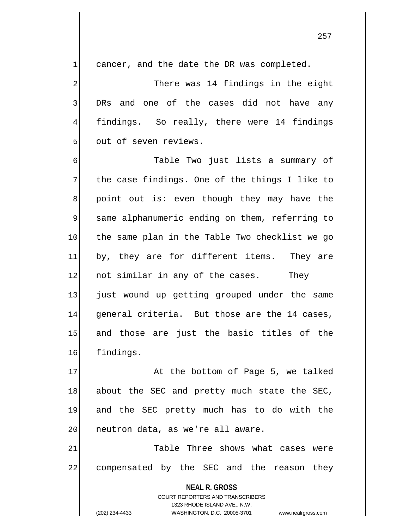$1$  cancer, and the date the DR was completed.

2 There was 14 findings in the eight 3 DRs and one of the cases did not have any 4 findings. So really, there were 14 findings 5 out of seven reviews.

6 Table Two just lists a summary of  $7$  the case findings. One of the things I like to  $8$  point out is: even though they may have the 9 same alphanumeric ending on them, referring to 10 the same plan in the Table Two checklist we go 11 by, they are for different items. They are 12 not similar in any of the cases. They 13 just wound up getting grouped under the same 14 general criteria. But those are the 14 cases, 15 and those are just the basic titles of the 16 findings.

17 at the bottom of Page 5, we talked 18 about the SEC and pretty much state the SEC, 19 and the SEC pretty much has to do with the 20 | neutron data, as we're all aware.

21 Table Three shows what cases were 22 compensated by the SEC and the reason they

> **NEAL R. GROSS** COURT REPORTERS AND TRANSCRIBERS 1323 RHODE ISLAND AVE., N.W. (202) 234-4433 WASHINGTON, D.C. 20005-3701 www.nealrgross.com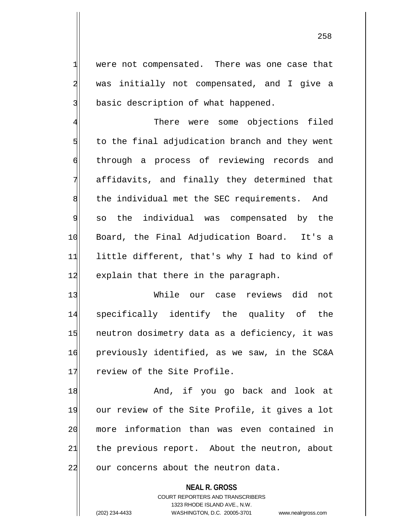1 were not compensated. There was one case that 2 was initially not compensated, and I give a 3 basic description of what happened.

4 There were some objections filed  $5$  to the final adjudication branch and they went 6 through a process of reviewing records and 7 affidavits, and finally they determined that 8 the individual met the SEC requirements. And  $\mathcal{G}$  so the individual was compensated by the 10 Board, the Final Adjudication Board. It's a 11 little different, that's why I had to kind of 12 explain that there in the paragraph.

13 While our case reviews did not 14 specifically identify the quality of the 15 neutron dosimetry data as a deficiency, it was 16 previously identified, as we saw, in the SC&A 17 review of the Site Profile.

18 and, if you go back and look at 19 our review of the Site Profile, it gives a lot 20 more information than was even contained in 21 the previous report. About the neutron, about 22 our concerns about the neutron data.

> **NEAL R. GROSS** COURT REPORTERS AND TRANSCRIBERS 1323 RHODE ISLAND AVE., N.W. (202) 234-4433 WASHINGTON, D.C. 20005-3701 www.nealrgross.com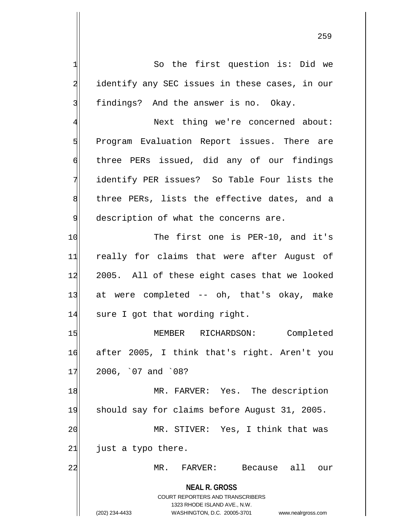**NEAL R. GROSS** COURT REPORTERS AND TRANSCRIBERS 1323 RHODE ISLAND AVE., N.W. 1 So the first question is: Did we 2 identify any SEC issues in these cases, in our 3 findings? And the answer is no. Okay. 4 Next thing we're concerned about: 5 Brogram Evaluation Report issues. There are 6 three PERs issued, did any of our findings 7 identify PER issues? So Table Four lists the 8 three PERs, lists the effective dates, and a  $9$  description of what the concerns are. 10 The first one is PER-10, and it's 11 really for claims that were after August of 12 2005. All of these eight cases that we looked 13 at were completed -- oh, that's okay, make 14 sure I got that wording right. 15 MEMBER RICHARDSON: Completed 16 after 2005, I think that's right. Aren't you  $17$  2006, `07 and `08? 18 MR. FARVER: Yes. The description 19 should say for claims before August 31, 2005. 20 MR. STIVER: Yes, I think that was  $21$  just a typo there. 22 MR. FARVER: Because all our

(202) 234-4433 WASHINGTON, D.C. 20005-3701 www.nealrgross.com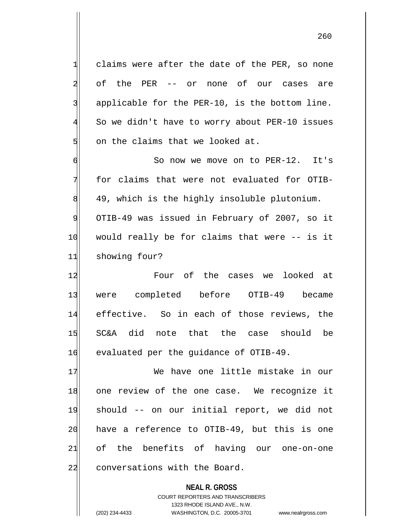claims were after the date of the PER, so none 2 of the PER -- or none of our cases are applicable for the PER-10, is the bottom line. So we didn't have to worry about PER-10 issues on the claims that we looked at.

6 d 7 for claims that were not evaluated for OTIB-8 49, which is the highly insoluble plutonium. 9 OTIB-49 was issued in February of 2007, so it  $10$  would really be for claims that were  $-$  is it 11 showing four?

12 and 12 Four of the cases we looked at 13 were completed before OTIB-49 became 14 effective. So in each of those reviews, the 15 SC&A did note that the case should be 16 evaluated per the guidance of OTIB-49.

17 We have one little mistake in our 18 one review of the one case. We recognize it 19 should -- on our initial report, we did not  $20$  have a reference to OTIB-49, but this is one 21 of the benefits of having our one-on-one 22 conversations with the Board.

> **NEAL R. GROSS** COURT REPORTERS AND TRANSCRIBERS 1323 RHODE ISLAND AVE., N.W. (202) 234-4433 WASHINGTON, D.C. 20005-3701 www.nealrgross.com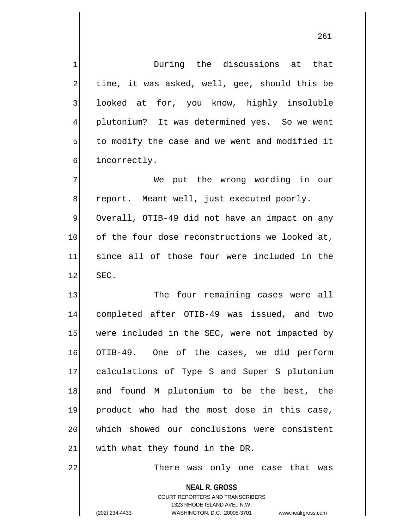1 During the discussions at that 2 time, it was asked, well, gee, should this be 3 looked at for, you know, highly insoluble 4 plutonium? It was determined yes. So we went  $5$  to modify the case and we went and modified it 6 incorrectly. 7 We put the wrong wording in our 8 report. Meant well, just executed poorly. 9 Overall, OTIB-49 did not have an impact on any 10 of the four dose reconstructions we looked at, 11 since all of those four were included in the  $12$  SEC. 13 The four remaining cases were all

14 completed after OTIB-49 was issued, and two 15 were included in the SEC, were not impacted by 16 OTIB-49. One of the cases, we did perform 17 calculations of Type S and Super S plutonium 18 and found M plutonium to be the best, the 19 product who had the most dose in this case, 20 which showed our conclusions were consistent  $21$  with what they found in the DR.

22 There was only one case that was

**NEAL R. GROSS** COURT REPORTERS AND TRANSCRIBERS 1323 RHODE ISLAND AVE., N.W. (202) 234-4433 WASHINGTON, D.C. 20005-3701 www.nealrgross.com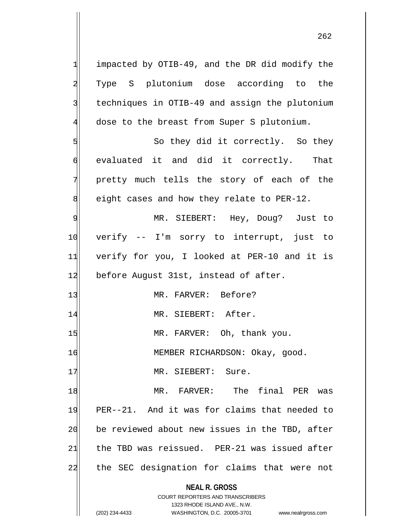$1$  impacted by OTIB-49, and the DR did modify the 2 Type S plutonium dose according to the 3 techniques in OTIB-49 and assign the plutonium 4 dose to the breast from Super S plutonium. 5 So they did it correctly. So they 6 evaluated it and did it correctly. That 7 pretty much tells the story of each of the  $8$  eight cases and how they relate to PER-12. 9 MR. SIEBERT: Hey, Doug? Just to 10 verify -- I'm sorry to interrupt, just to 11 verify for you, I looked at PER-10 and it is 12 before August 31st, instead of after. 13 MR. FARVER: Before? 14 MR. SIEBERT: After. 15 MR. FARVER: Oh, thank you. 16 MEMBER RICHARDSON: Okay, good. 17 MR. SIEBERT: Sure. 18 MR. FARVER: The final PER was 19 PER--21. And it was for claims that needed to 20 be reviewed about new issues in the TBD, after  $21$  the TBD was reissued. PER-21 was issued after

22 the SEC designation for claims that were not

**NEAL R. GROSS** COURT REPORTERS AND TRANSCRIBERS

1323 RHODE ISLAND AVE., N.W.

(202) 234-4433 WASHINGTON, D.C. 20005-3701 www.nealrgross.com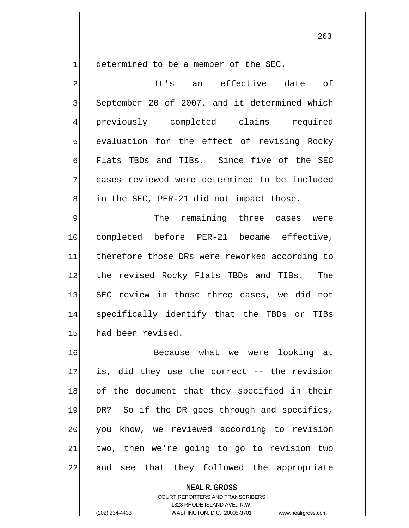$1$  determined to be a member of the SEC.

2 an effective date of 3 September 20 of 2007, and it determined which 4 previously completed claims required 5 std evaluation for the effect of revising Rocky 6 Flats TBDs and TIBs. Since five of the SEC 7 cases reviewed were determined to be included  $8$  in the SEC, PER-21 did not impact those.

9 Solution of the remaining three cases were 10 completed before PER-21 became effective, 11 therefore those DRs were reworked according to 12 the revised Rocky Flats TBDs and TIBs. The 13 SEC review in those three cases, we did not 14 specifically identify that the TBDs or TIBs 15 had been revised.

16 Because what we were looking at  $17$  is, did they use the correct  $-$ - the revision 18 of the document that they specified in their 19 DR? So if the DR goes through and specifies, 20 you know, we reviewed according to revision 21 two, then we're going to go to revision two 22 and see that they followed the appropriate

**NEAL R. GROSS**

COURT REPORTERS AND TRANSCRIBERS 1323 RHODE ISLAND AVE., N.W. (202) 234-4433 WASHINGTON, D.C. 20005-3701 www.nealrgross.com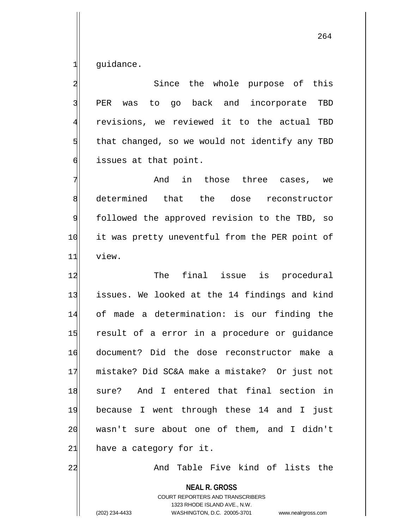$1$  quidance.

2 Since the whole purpose of this 3 PER was to go back and incorporate TBD 4 revisions, we reviewed it to the actual TBD  $5$  that changed, so we would not identify any TBD 6 dissues at that point.

7 and in those three cases, we 8 determined that the dose reconstructor 9 followed the approved revision to the TBD, so 10 it was pretty uneventful from the PER point of 11 view.

12 The final issue is procedural 13 issues. We looked at the 14 findings and kind 14 of made a determination: is our finding the 15 result of a error in a procedure or guidance 16 document? Did the dose reconstructor make a 17 mistake? Did SC&A make a mistake? Or just not 18 sure? And I entered that final section in 19 because I went through these 14 and I just 20 wasn't sure about one of them, and I didn't  $21$  have a category for it.

22 and Table Five kind of lists the

**NEAL R. GROSS**

COURT REPORTERS AND TRANSCRIBERS 1323 RHODE ISLAND AVE., N.W. (202) 234-4433 WASHINGTON, D.C. 20005-3701 www.nealrgross.com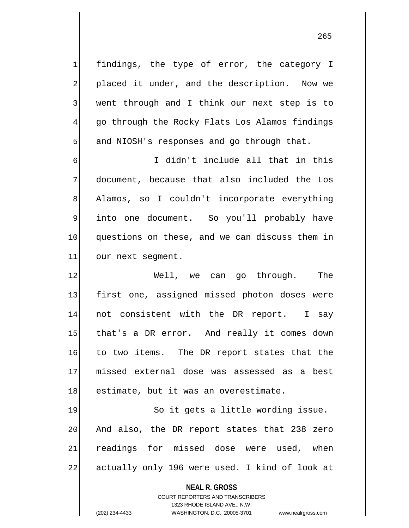1 findings, the type of error, the category I 2 placed it under, and the description. Now we 3 | went through and I think our next step is to 4 go through the Rocky Flats Los Alamos findings  $5$  and NIOSH's responses and go through that.

6 I didn't include all that in this 7 document, because that also included the Los 8 Alamos, so I couldn't incorporate everything 9 into one document. So you'll probably have 10 questions on these, and we can discuss them in 11 our next segment.

12 Well, we can go through. The 13 first one, assigned missed photon doses were 14 not consistent with the DR report. I say 15 that's a DR error. And really it comes down 16 to two items. The DR report states that the 17 missed external dose was assessed as a best 18 estimate, but it was an overestimate.

19 So it gets a little wording issue. 20 And also, the DR report states that 238 zero 21 readings for missed dose were used, when 22 actually only 196 were used. I kind of look at

**NEAL R. GROSS**

COURT REPORTERS AND TRANSCRIBERS 1323 RHODE ISLAND AVE., N.W. (202) 234-4433 WASHINGTON, D.C. 20005-3701 www.nealrgross.com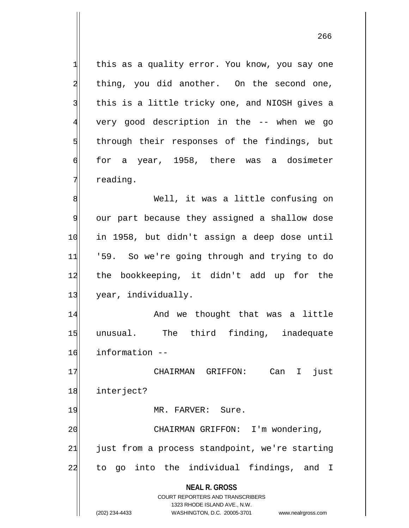**NEAL R. GROSS** COURT REPORTERS AND TRANSCRIBERS 1323 RHODE ISLAND AVE., N.W. (202) 234-4433 WASHINGTON, D.C. 20005-3701 www.nealrgross.com  $1$  this as a quality error. You know, you say one  $2$  thing, you did another. On the second one, 3 | this is a little tricky one, and NIOSH gives a 4 very good description in the -- when we go 5 5 5 5 5 through their responses of the findings, but  $\left| \right|$  for a year, 1958, there was a dosimeter 7 reading. 8 Mell, it was a little confusing on 9 our part because they assigned a shallow dose 10 in 1958, but didn't assign a deep dose until 11 '59. So we're going through and trying to do 12 the bookkeeping, it didn't add up for the 13 year, individually. 14 And we thought that was a little 15 unusual. The third finding, inadequate 16 information -- 17 | CHAIRMAN GRIFFON: Can I just 18 interject? 19 MR. FARVER: Sure. 20 CHAIRMAN GRIFFON: I'm wondering,  $21$  just from a process standpoint, we're starting 22 to go into the individual findings, and I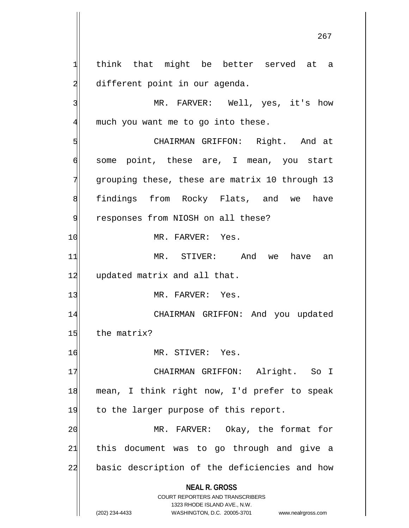**NEAL R. GROSS** COURT REPORTERS AND TRANSCRIBERS 1323 RHODE ISLAND AVE., N.W. 1 think that might be better served at a 2 different point in our agenda. 3 MR. FARVER: Well, yes, it's how 4 much you want me to go into these. 5 S 6 some point, these are, I mean, you start 7 grouping these, these are matrix 10 through 13 8 findings from Rocky Flats, and we have 9 | responses from NIOSH on all these? 10 MR. FARVER: Yes. 11 MR. STIVER: And we have an 12 updated matrix and all that. 13 MR. FARVER: Yes. 14 CHAIRMAN GRIFFON: And you updated 15 the matrix? 16 MR. STIVER: Yes. 17 | CHAIRMAN GRIFFON: Alright. So I 18 mean, I think right now, I'd prefer to speak 19 to the larger purpose of this report. 20 MR. FARVER: Okay, the format for 21 this document was to go through and give a 22 basic description of the deficiencies and how

(202) 234-4433 WASHINGTON, D.C. 20005-3701 www.nealrgross.com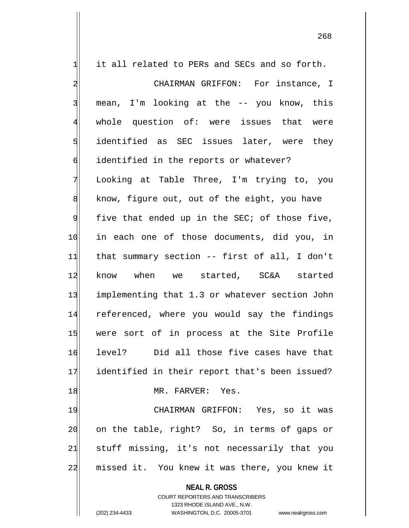$1$  it all related to PERs and SECs and so forth. 2 CHAIRMAN GRIFFON: For instance, I 3 mean, I'm looking at the -- you know, this 4 whole question of: were issues that were 5 identified as SEC issues later, were they 6 identified in the reports or whatever? 7 Looking at Table Three, I'm trying to, you 8 8 know, figure out, out of the eight, you have  $9$  five that ended up in the SEC; of those five, 10 in each one of those documents, did you, in 11 that summary section -- first of all, I don't 12 know when we started, SC&A started 13 implementing that 1.3 or whatever section John 14 referenced, where you would say the findings 15 were sort of in process at the Site Profile 16 level? Did all those five cases have that 17 identified in their report that's been issued? 18 MR. FARVER: Yes. 19 CHAIRMAN GRIFFON: Yes, so it was 20 on the table, right? So, in terms of gaps or

 $21$  stuff missing, it's not necessarily that you 22 missed it. You knew it was there, you knew it

**NEAL R. GROSS**

COURT REPORTERS AND TRANSCRIBERS 1323 RHODE ISLAND AVE., N.W. (202) 234-4433 WASHINGTON, D.C. 20005-3701 www.nealrgross.com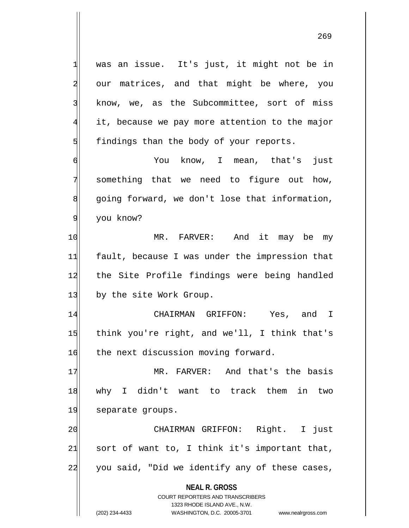1 was an issue. It's just, it might not be in 2 our matrices, and that might be where, you 3 know, we, as the Subcommittee, sort of miss 4 it, because we pay more attention to the major  $5$  findings than the body of your reports.

6 You know, I mean, that's just 7 something that we need to figure out how,  $8$  going forward, we don't lose that information, 9 you know?

10 MR. FARVER: And it may be my 11 fault, because I was under the impression that 12 the Site Profile findings were being handled 13 by the site Work Group.

14 CHAIRMAN GRIFFON: Yes, and I 15 think you're right, and we'll, I think that's 16 the next discussion moving forward.

17 MR. FARVER: And that's the basis 18 why I didn't want to track them in two 19 separate groups.

20 CHAIRMAN GRIFFON: Right. I just  $21$  sort of want to, I think it's important that, 22 you said, "Did we identify any of these cases,

**NEAL R. GROSS**

COURT REPORTERS AND TRANSCRIBERS 1323 RHODE ISLAND AVE., N.W. (202) 234-4433 WASHINGTON, D.C. 20005-3701 www.nealrgross.com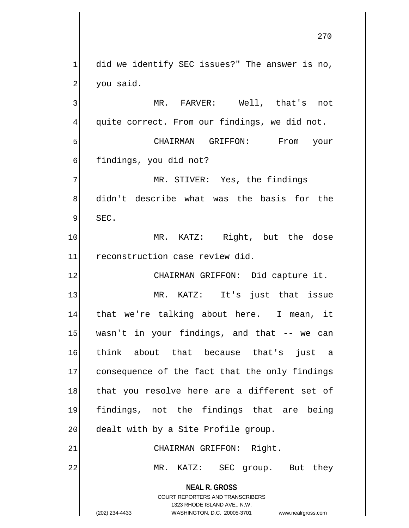**NEAL R. GROSS** COURT REPORTERS AND TRANSCRIBERS 1323 RHODE ISLAND AVE., N.W. (202) 234-4433 WASHINGTON, D.C. 20005-3701 www.nealrgross.com  $1$  did we identify SEC issues?" The answer is no, 2 you said. 3 MR. FARVER: Well, that's not 4 quite correct. From our findings, we did not. 5 | SINTERTAN GRIFFON: From your 6 findings, you did not? 7 MR. STIVER: Yes, the findings 8 didn't describe what was the basis for the 9 SEC. 10 MR. KATZ: Right, but the dose 11 reconstruction case review did. 12 CHAIRMAN GRIFFON: Did capture it. 13 MR. KATZ: It's just that issue 14 that we're talking about here. I mean, it 15 wasn't in your findings, and that -- we can 16 think about that because that's just a 17 consequence of the fact that the only findings 18 that you resolve here are a different set of 19 findings, not the findings that are being 20 dealt with by a Site Profile group. 21 CHAIRMAN GRIFFON: Right. 22 MR. KATZ: SEC group. But they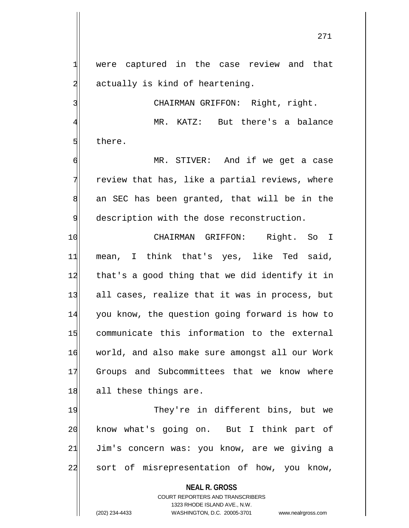271

1| were captured in the case review and that  $2$  actually is kind of heartening.

4 MR. KATZ: But there's a balance 5 **b** there.

3 CHAIRMAN GRIFFON: Right, right.

6 MR. STIVER: And if we get a case 7 review that has, like a partial reviews, where 8 an SEC has been granted, that will be in the 9 description with the dose reconstruction.

10 CHAIRMAN GRIFFON: Right. So I 11 mean, I think that's yes, like Ted said, 12 that's a good thing that we did identify it in 13 all cases, realize that it was in process, but 14 you know, the question going forward is how to 15 communicate this information to the external 16 world, and also make sure amongst all our Work 17 Groups and Subcommittees that we know where 18 all these things are.

19 They're in different bins, but we 20 know what's going on. But I think part of 21 Jim's concern was: you know, are we giving a 22 sort of misrepresentation of how, you know,

**NEAL R. GROSS**

COURT REPORTERS AND TRANSCRIBERS 1323 RHODE ISLAND AVE., N.W. (202) 234-4433 WASHINGTON, D.C. 20005-3701 www.nealrgross.com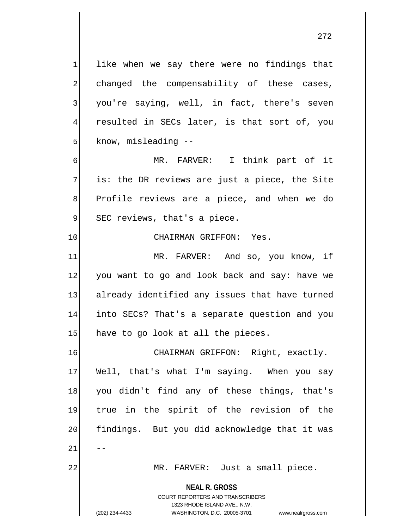$1$  like when we say there were no findings that 2 changed the compensability of these cases, 3 you're saying, well, in fact, there's seven 4 resulted in SECs later, is that sort of, you 5 know, misleading --

6 MR. FARVER: I think part of it  $7$  is: the DR reviews are just a piece, the Site 8 Profile reviews are a piece, and when we do 9 SEC reviews, that's a piece.

## 10 CHAIRMAN GRIFFON: Yes.

11 MR. FARVER: And so, you know, if 12 you want to go and look back and say: have we 13 already identified any issues that have turned 14 into SECs? That's a separate question and you  $15$  have to go look at all the pieces.

16 CHAIRMAN GRIFFON: Right, exactly. 17 Well, that's what I'm saying. When you say 18 you didn't find any of these things, that's 19 true in the spirit of the revision of the 20 findings. But you did acknowledge that it was  $21$   $-$ 

22 | MR. FARVER: Just a small piece.

**NEAL R. GROSS**

COURT REPORTERS AND TRANSCRIBERS 1323 RHODE ISLAND AVE., N.W. (202) 234-4433 WASHINGTON, D.C. 20005-3701 www.nealrgross.com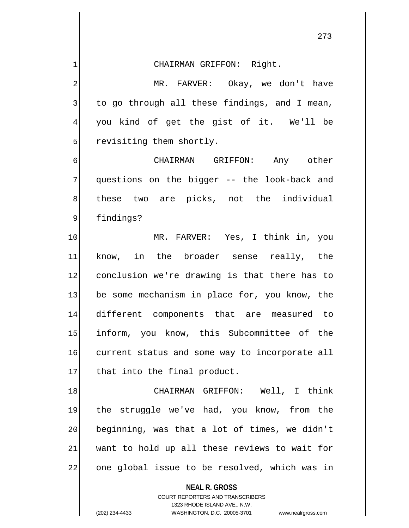**NEAL R. GROSS** COURT REPORTERS AND TRANSCRIBERS 1 CHAIRMAN GRIFFON: Right. 2 MR. FARVER: Okay, we don't have  $3$  to go through all these findings, and I mean, 4 you kind of get the gist of it. We'll be 5 state of them shortly. 6 CHAIRMAN GRIFFON: Any other 7 questions on the bigger -- the look-back and 8 these two are picks, not the individual 9 findings? 10 MR. FARVER: Yes, I think in, you 11 know, in the broader sense really, the 12 conclusion we're drawing is that there has to 13 be some mechanism in place for, you know, the 14 different components that are measured to 15 inform, you know, this Subcommittee of the 16 current status and some way to incorporate all 17 that into the final product. 18 CHAIRMAN GRIFFON: Well, I think 19 the struggle we've had, you know, from the 20 beginning, was that a lot of times, we didn't  $21$  want to hold up all these reviews to wait for 22 one global issue to be resolved, which was in

1323 RHODE ISLAND AVE., N.W.

<sup>(202) 234-4433</sup> WASHINGTON, D.C. 20005-3701 www.nealrgross.com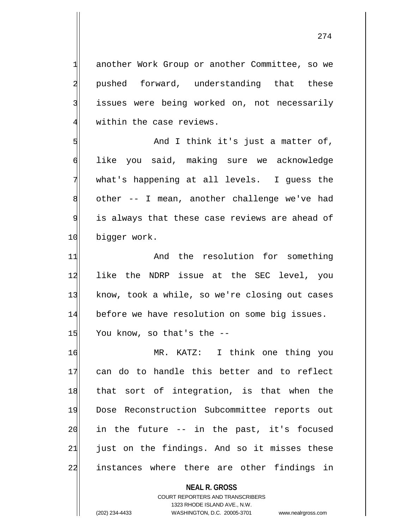1 another Work Group or another Committee, so we 2 pushed forward, understanding that these 3 issues were being worked on, not necessarily  $4$  within the case reviews.

5 | Solution and I think it's just a matter of, 6 like you said, making sure we acknowledge 7 what's happening at all levels. I guess the  $8$  other  $-$  I mean, another challenge we've had 9 is always that these case reviews are ahead of 10 bigger work.

11 and the resolution for something 12 like the NDRP issue at the SEC level, you 13 know, took a while, so we're closing out cases 14 before we have resolution on some big issues.  $15$  You know, so that's the  $-$ -

16 MR. KATZ: I think one thing you 17 can do to handle this better and to reflect 18 that sort of integration, is that when the 19 Dose Reconstruction Subcommittee reports out  $20$  in the future  $-$  in the past, it's focused  $21$  just on the findings. And so it misses these 22 instances where there are other findings in

> **NEAL R. GROSS** COURT REPORTERS AND TRANSCRIBERS 1323 RHODE ISLAND AVE., N.W. (202) 234-4433 WASHINGTON, D.C. 20005-3701 www.nealrgross.com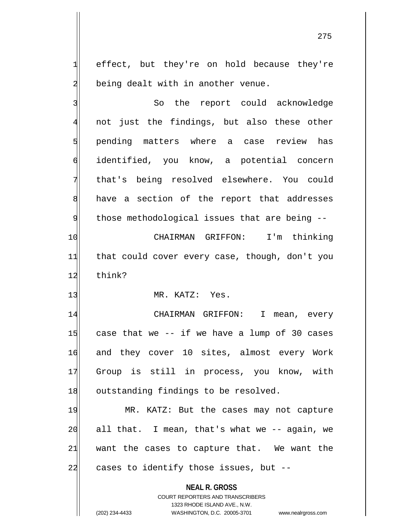1 effect, but they're on hold because they're 2 being dealt with in another venue.

**NEAL R. GROSS** COURT REPORTERS AND TRANSCRIBERS 1323 RHODE ISLAND AVE., N.W. 3 So the report could acknowledge 4 not just the findings, but also these other 5 pending matters where a case review has 6 identified, you know, a potential concern 7 that's being resolved elsewhere. You could 8 have a section of the report that addresses  $9$  those methodological issues that are being  $-$ 10 CHAIRMAN GRIFFON: I'm thinking 11 that could cover every case, though, don't you 12 think? 13 MR. KATZ: Yes. 14 CHAIRMAN GRIFFON: I mean, every  $15$  case that we -- if we have a lump of 30 cases 16 and they cover 10 sites, almost every Work 17 Group is still in process, you know, with 18 outstanding findings to be resolved. 19 MR. KATZ: But the cases may not capture  $20$  all that. I mean, that's what we  $-$  again, we  $21$  want the cases to capture that. We want the  $22$  cases to identify those issues, but  $-$ 

<sup>(202) 234-4433</sup> WASHINGTON, D.C. 20005-3701 www.nealrgross.com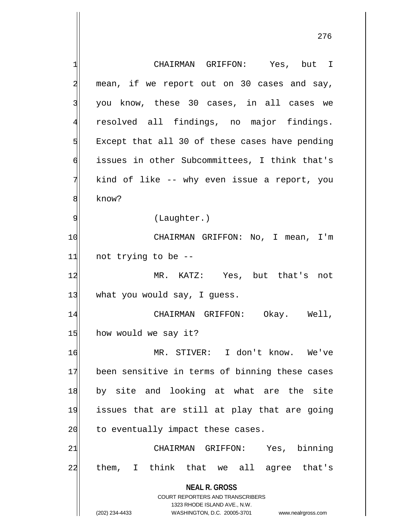**NEAL R. GROSS** COURT REPORTERS AND TRANSCRIBERS 1323 RHODE ISLAND AVE., N.W. (202) 234-4433 WASHINGTON, D.C. 20005-3701 www.nealrgross.com 1 CHAIRMAN GRIFFON: Yes, but I  $2$  mean, if we report out on 30 cases and say, 3 you know, these 30 cases, in all cases we 4 resolved all findings, no major findings.  $5$  Except that all 30 of these cases have pending 6 issues in other Subcommittees, I think that's  $7$  kind of like -- why even issue a report, you 8<sup>8</sup> know? 9 (Laughter.) 10 CHAIRMAN GRIFFON: No, I mean, I'm  $11$  not trying to be  $-$ 12 MR. KATZ: Yes, but that's not 13 what you would say, I guess. 14 CHAIRMAN GRIFFON: Okay. Well, 15 how would we say it? 16 MR. STIVER: I don't know. We've 17 been sensitive in terms of binning these cases 18 by site and looking at what are the site 19 issues that are still at play that are going 20 to eventually impact these cases. 21 CHAIRMAN GRIFFON: Yes, binning 22 them, I think that we all agree that's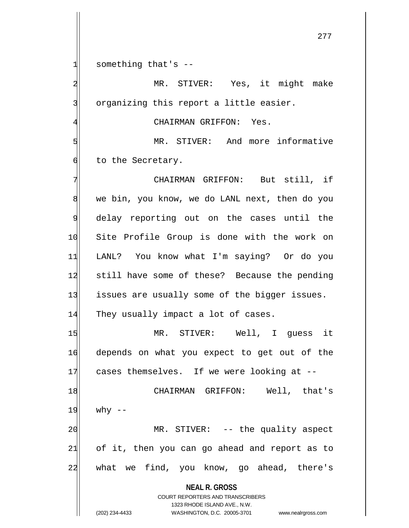$1$  something that's  $-$ 

2 MR. STIVER: Yes, it might make 3 organizing this report a little easier.

4 GHAIRMAN GRIFFON: Yes.

5 MR. STIVER: And more informative 6 to the Secretary.

7 CHAIRMAN GRIFFON: But still, if 8 we bin, you know, we do LANL next, then do you 9 delay reporting out on the cases until the 10 Site Profile Group is done with the work on 11 LANL? You know what I'm saying? Or do you 12 still have some of these? Because the pending 13 issues are usually some of the bigger issues. 14 They usually impact a lot of cases. 15 MR. STIVER: Well, I guess it 16 depends on what you expect to get out of the 17 cases themselves. If we were looking at --18 | CHAIRMAN GRIFFON: Well, that's  $19$  why  $-$ 20 | MR. STIVER: -- the quality aspect  $21$  of it, then you can go ahead and report as to

22 what we find, you know, go ahead, there's

**NEAL R. GROSS** COURT REPORTERS AND TRANSCRIBERS

1323 RHODE ISLAND AVE., N.W. (202) 234-4433 WASHINGTON, D.C. 20005-3701 www.nealrgross.com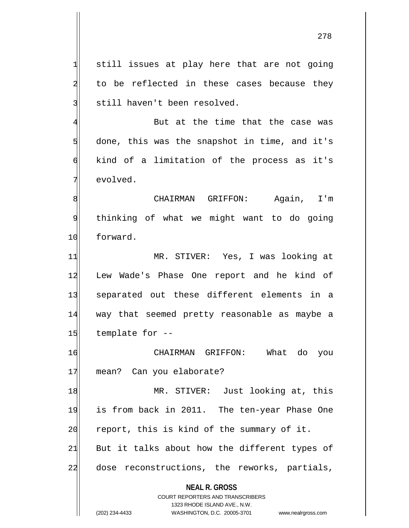**NEAL R. GROSS** COURT REPORTERS AND TRANSCRIBERS 1323 RHODE ISLAND AVE., N.W.  $1$  still issues at play here that are not going  $2$  to be reflected in these cases because they 3 still haven't been resolved. 4 But at the time that the case was  $5$  done, this was the snapshot in time, and it's 6 kind of a limitation of the process as it's 7 evolved. 8 | CHAIRMAN GRIFFON: Aqain, I'm 9 thinking of what we might want to do going 10 forward. 11 MR. STIVER: Yes, I was looking at 12 Lew Wade's Phase One report and he kind of 13 separated out these different elements in a 14 way that seemed pretty reasonable as maybe a  $15$  template for  $-$ 16 CHAIRMAN GRIFFON: What do you 17 mean? Can you elaborate? 18 MR. STIVER: Just looking at, this 19 is from back in 2011. The ten-year Phase One  $20$  report, this is kind of the summary of it.  $21$  But it talks about how the different types of 22 dose reconstructions, the reworks, partials,

<sup>(202) 234-4433</sup> WASHINGTON, D.C. 20005-3701 www.nealrgross.com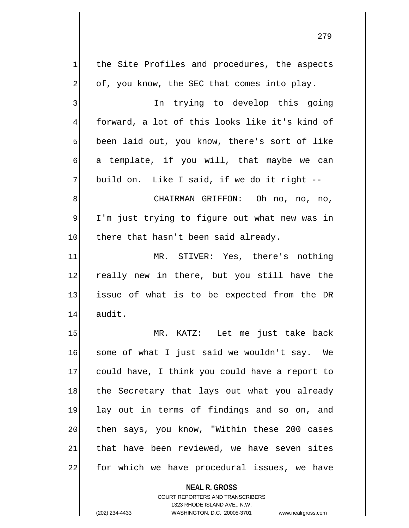279

**NEAL R. GROSS**  $1$  the Site Profiles and procedures, the aspects  $2$  of, you know, the SEC that comes into play. 3 3 In trying to develop this going 4 forward, a lot of this looks like it's kind of 5 been laid out, you know, there's sort of like  $\mathfrak{h}$  a template, if you will, that maybe we can 7 build on. Like I said, if we do it right --8 8 CHAIRMAN GRIFFON: Oh no, no, no, 9 I'm just trying to figure out what new was in 10 there that hasn't been said already. 11 MR. STIVER: Yes, there's nothing 12 really new in there, but you still have the 13 issue of what is to be expected from the DR 14 audit. 15 MR. KATZ: Let me just take back 16 some of what I just said we wouldn't say. We 17 could have, I think you could have a report to 18 the Secretary that lays out what you already 19 lay out in terms of findings and so on, and 20 then says, you know, "Within these 200 cases  $21$  that have been reviewed, we have seven sites 22 for which we have procedural issues, we have

> COURT REPORTERS AND TRANSCRIBERS 1323 RHODE ISLAND AVE., N.W.

(202) 234-4433 WASHINGTON, D.C. 20005-3701 www.nealrgross.com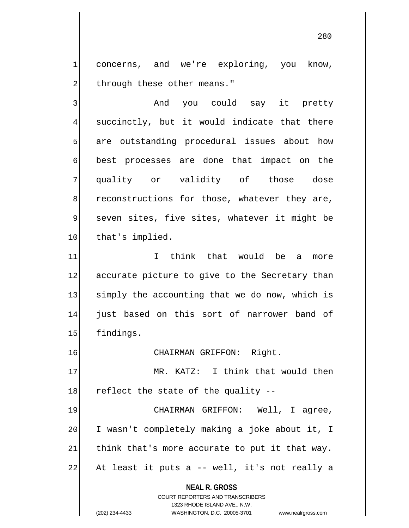1 concerns, and we're exploring, you know, 2 through these other means."

3 3 And you could say it pretty 4 succinctly, but it would indicate that there 5 s are outstanding procedural issues about how 6 best processes are done that impact on the 7 quality or validity of those dose  $8$  reconstructions for those, whatever they are, 9 seven sites, five sites, whatever it might be 10 that's implied.

11 11 I think that would be a more 12 accurate picture to give to the Secretary than 13 simply the accounting that we do now, which is 14 just based on this sort of narrower band of 15 findings.

16 CHAIRMAN GRIFFON: Right.

17 MR. KATZ: I think that would then  $18$  reflect the state of the quality  $-$ 

19 CHAIRMAN GRIFFON: Well, I agree, 20 I wasn't completely making a joke about it, I  $21$  think that's more accurate to put it that way.  $22$  At least it puts a -- well, it's not really a

**NEAL R. GROSS**

COURT REPORTERS AND TRANSCRIBERS 1323 RHODE ISLAND AVE., N.W. (202) 234-4433 WASHINGTON, D.C. 20005-3701 www.nealrgross.com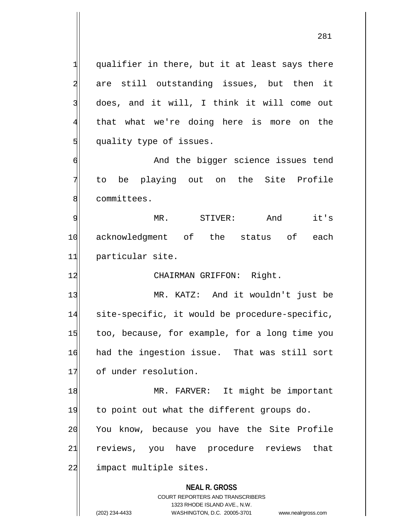$1$  qualifier in there, but it at least says there 2 are still outstanding issues, but then it 3 does, and it will, I think it will come out 4 that what we're doing here is more on the 5 quality type of issues.

6 6 And the bigger science issues tend 7 to be playing out on the Site Profile 8 committees.

9 MR. STIVER: And it's 10 acknowledgment of the status of each 11 particular site.

12 CHAIRMAN GRIFFON: Right.

13 MR. KATZ: And it wouldn't just be 14 site-specific, it would be procedure-specific, 15 too, because, for example, for a long time you 16 had the ingestion issue. That was still sort 17 of under resolution.

18 MR. FARVER: It might be important 19 to point out what the different groups do. 20 You know, because you have the Site Profile 21 reviews, you have procedure reviews that 22 impact multiple sites.

> **NEAL R. GROSS** COURT REPORTERS AND TRANSCRIBERS

1323 RHODE ISLAND AVE., N.W. (202) 234-4433 WASHINGTON, D.C. 20005-3701 www.nealrgross.com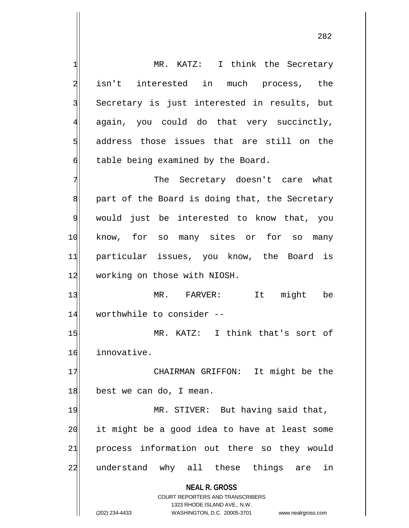**NEAL R. GROSS** COURT REPORTERS AND TRANSCRIBERS 1323 RHODE ISLAND AVE., N.W. 1 MR. KATZ: I think the Secretary 2 isn't interested in much process, the 3 Secretary is just interested in results, but 4 again, you could do that very succinctly, 5 address those issues that are still on the  $\delta$  table being examined by the Board. 7 The Secretary doesn't care what 8 8 part of the Board is doing that, the Secretary 9 would just be interested to know that, you 10 know, for so many sites or for so many 11 particular issues, you know, the Board is 12 working on those with NIOSH. 13 MR. FARVER: It might be 14 worthwhile to consider --15 MR. KATZ: I think that's sort of 16 innovative. 17 CHAIRMAN GRIFFON: It might be the 18 best we can do, I mean. 19 MR. STIVER: But having said that,  $20$  it might be a good idea to have at least some 21 process information out there so they would 22 understand why all these things are in

(202) 234-4433 WASHINGTON, D.C. 20005-3701 www.nealrgross.com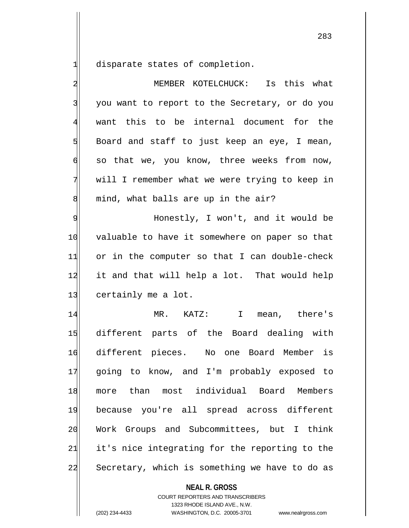disparate states of completion.

| $\overline{\mathbf{c}}$ | MEMBER KOTELCHUCK: Is this what                |
|-------------------------|------------------------------------------------|
| $\overline{3}$          | you want to report to the Secretary, or do you |
| $\overline{4}$          | want this to be internal document for the      |
| $\overline{5}$          | Board and staff to just keep an eye, I mean,   |
| 6                       | so that we, you know, three weeks from now,    |
| 7                       | will I remember what we were trying to keep in |
| 8                       | mind, what balls are up in the air?            |
| $\overline{9}$          | Honestly, I won't, and it would be             |
| 10                      | valuable to have it somewhere on paper so that |
| 11                      | or in the computer so that I can double-check  |
| 12                      | it and that will help a lot. That would help   |
| 13                      | certainly me a lot.                            |
| 14                      | MR. KATZ: I mean, there's                      |
| 15                      | different parts of the Board dealing with      |
| 16                      | different pieces. No one Board Member is       |
| 17                      | going to know, and I'm probably exposed to     |
| 18                      | more than most individual Board Members        |
| 19                      | because you're all spread across different     |
| 20                      | Work Groups and Subcommittees, but I think     |
| 21                      | it's nice integrating for the reporting to the |
| 22                      | Secretary, which is something we have to do as |
|                         | <b>NEAL R. GROSS</b>                           |

COURT REPORTERS AND TRANSCRIBERS 1323 RHODE ISLAND AVE., N.W.

(202) 234-4433 WASHINGTON, D.C. 20005-3701 www.nealrgross.com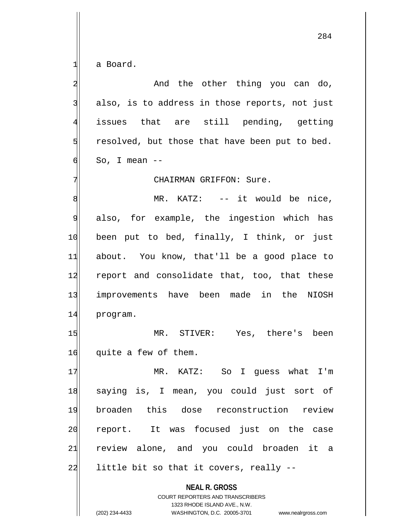$1$  a Board.

2 and the other thing you can do,  $3$  also, is to address in those reports, not just 4 issues that are still pending, getting  $5$  resolved, but those that have been put to bed.  $\mathsf{d}$  So, I mean --7 CHAIRMAN GRIFFON: Sure. 8 MR. KATZ: -- it would be nice, 9 also, for example, the ingestion which has 10 been put to bed, finally, I think, or just 11 about. You know, that'll be a good place to 12 report and consolidate that, too, that these 13 improvements have been made in the NIOSH 14 program. 15 MR. STIVER: Yes, there's been 16 quite a few of them. 17 MR. KATZ: So I quess what I'm 18 saying is, I mean, you could just sort of 19 broaden this dose reconstruction review 20 report. It was focused just on the case 21 review alone, and you could broaden it a  $22$  little bit so that it covers, really  $-$ 

> **NEAL R. GROSS** COURT REPORTERS AND TRANSCRIBERS 1323 RHODE ISLAND AVE., N.W.

(202) 234-4433 WASHINGTON, D.C. 20005-3701 www.nealrgross.com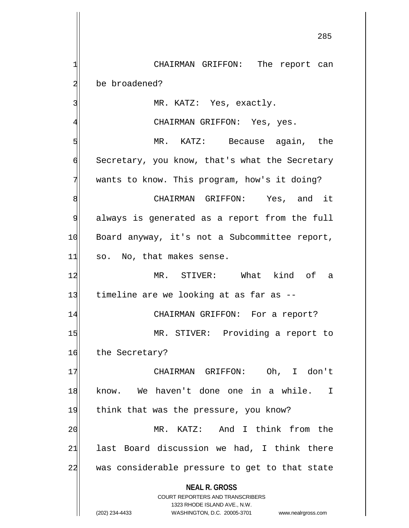**NEAL R. GROSS** COURT REPORTERS AND TRANSCRIBERS 1 CHAIRMAN GRIFFON: The report can 2 be broadened? 3 MR. KATZ: Yes, exactly. 4 CHAIRMAN GRIFFON: Yes, yes. 5 MR. KATZ: Because again, the 6 Secretary, you know, that's what the Secretary 7 wants to know. This program, how's it doing? 8 8 SHAIRMAN GRIFFON: Yes, and it 9 always is generated as a report from the full 10 Board anyway, it's not a Subcommittee report,  $11$  so. No, that makes sense. 12 MR. STIVER: What kind of a 13 timeline are we looking at as far as --14 CHAIRMAN GRIFFON: For a report? 15 MR. STIVER: Providing a report to 16 the Secretary? 17 | CHAIRMAN GRIFFON: Oh, I don't 18 know. We haven't done one in a while. I 19 think that was the pressure, you know? 20 MR. KATZ: And I think from the  $21$  last Board discussion we had, I think there 22 was considerable pressure to get to that state

1323 RHODE ISLAND AVE., N.W.

(202) 234-4433 WASHINGTON, D.C. 20005-3701 www.nealrgross.com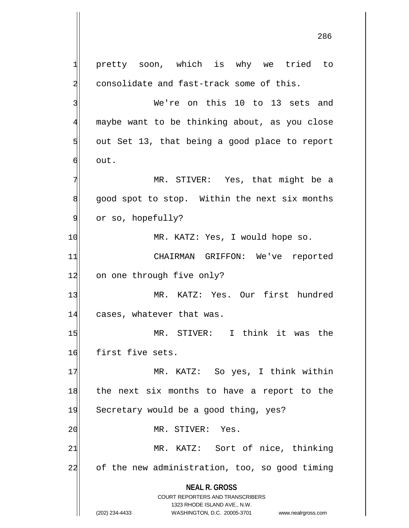**NEAL R. GROSS** COURT REPORTERS AND TRANSCRIBERS 1323 RHODE ISLAND AVE., N.W. (202) 234-4433 WASHINGTON, D.C. 20005-3701 www.nealrgross.com 1 pretty soon, which is why we tried to 2 consolidate and fast-track some of this. 3 Ne're on this 10 to 13 sets and 4 maybe want to be thinking about, as you close  $5$  out Set 13, that being a good place to report  $6$  out. 7 MR. STIVER: Yes, that might be a 8 good spot to stop. Within the next six months 9 or so, hopefully? 10 MR. KATZ: Yes, I would hope so. 11 CHAIRMAN GRIFFON: We've reported 12 on one through five only? 13 MR. KATZ: Yes. Our first hundred 14 cases, whatever that was. 15 MR. STIVER: I think it was the 16 first five sets. 17 MR. KATZ: So yes, I think within 18 the next six months to have a report to the 19 Secretary would be a good thing, yes? 20 MR. STIVER: Yes. 21 MR. KATZ: Sort of nice, thinking 22 of the new administration, too, so good timing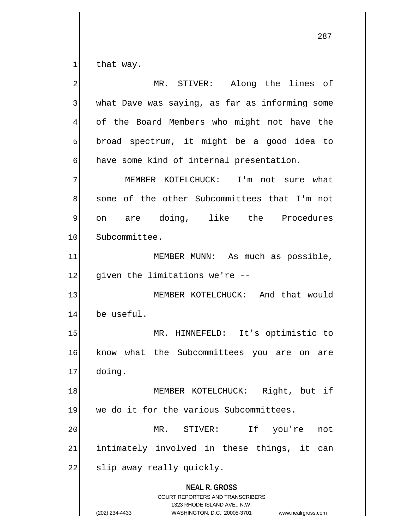$1$  that way.

**NEAL R. GROSS** COURT REPORTERS AND TRANSCRIBERS 1323 RHODE ISLAND AVE., N.W. (202) 234-4433 WASHINGTON, D.C. 20005-3701 www.nealrgross.com 2 MR. STIVER: Along the lines of 3 what Dave was saying, as far as informing some 4 of the Board Members who might not have the  $5$  broad spectrum, it might be a good idea to  $\phi$  have some kind of internal presentation. 7 MEMBER KOTELCHUCK: I'm not sure what 8 some of the other Subcommittees that I'm not 9 on are doing, like the Procedures 10 Subcommittee. 11 MEMBER MUNN: As much as possible,  $12$  given the limitations we're  $-$ 13 MEMBER KOTELCHUCK: And that would 14 be useful. 15 MR. HINNEFELD: It's optimistic to 16 know what the Subcommittees you are on are 17 doing. 18 | MEMBER KOTELCHUCK: Right, but if 19 we do it for the various Subcommittees. 20 MR. STIVER: If you're not  $21$  intimately involved in these things, it can 22 slip away really quickly.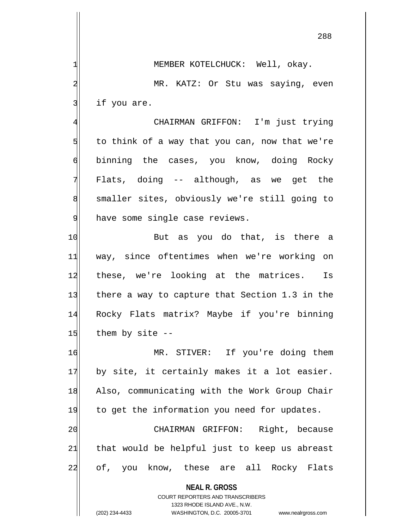**NEAL R. GROSS** COURT REPORTERS AND TRANSCRIBERS 1| MEMBER KOTELCHUCK: Well, okay. 2 MR. KATZ: Or Stu was saying, even  $3$  if you are. 4 CHAIRMAN GRIFFON: I'm just trying  $5$  to think of a way that you can, now that we're 6 binning the cases, you know, doing Rocky  $7$  Flats, doing  $-$  although, as we get the 8 smaller sites, obviously we're still going to 9 have some single case reviews. 10 But as you do that, is there a 11 way, since oftentimes when we're working on 12 these, we're looking at the matrices. Is 13 there a way to capture that Section 1.3 in the 14 Rocky Flats matrix? Maybe if you're binning  $15$  them by site  $-$ 16 MR. STIVER: If you're doing them  $17$  by site, it certainly makes it a lot easier. 18 Also, communicating with the Work Group Chair 19 to get the information you need for updates. 20 CHAIRMAN GRIFFON: Right, because 21 that would be helpful just to keep us abreast 22 of, you know, these are all Rocky Flats

1323 RHODE ISLAND AVE., N.W.

(202) 234-4433 WASHINGTON, D.C. 20005-3701 www.nealrgross.com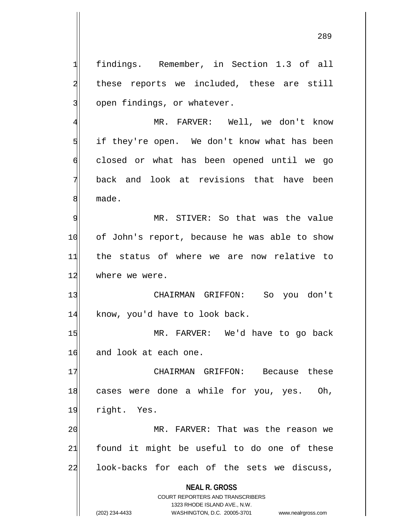**NEAL R. GROSS** COURT REPORTERS AND TRANSCRIBERS 1 findings. Remember, in Section 1.3 of all 2 these reports we included, these are still 3 open findings, or whatever. 4 MR. FARVER: Well, we don't know 5 | if they're open. We don't know what has been 6 closed or what has been opened until we go 7 back and look at revisions that have been 8 made. 9| MR. STIVER: So that was the value 10 of John's report, because he was able to show 11 the status of where we are now relative to 12 where we were. 13 CHAIRMAN GRIFFON: So you don't 14 know, you'd have to look back. 15 MR. FARVER: We'd have to go back 16 and look at each one. 17 CHAIRMAN GRIFFON: Because these 18 cases were done a while for you, yes. Oh, 19 right. Yes. 20 MR. FARVER: That was the reason we  $21$  found it might be useful to do one of these 22 look-backs for each of the sets we discuss,

> 1323 RHODE ISLAND AVE., N.W. (202) 234-4433 WASHINGTON, D.C. 20005-3701 www.nealrgross.com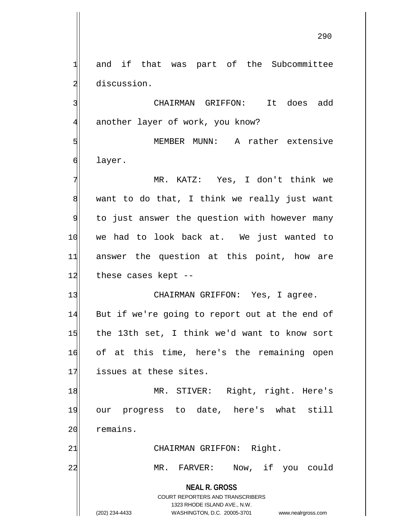1 and if that was part of the Subcommittee 2 discussion.

3 CHAIRMAN GRIFFON: It does add 4 another layer of work, you know?

5 MEMBER MUNN: A rather extensive 6 layer.

7 MR. KATZ: Yes, I don't think we  $8$  want to do that, I think we really just want 9 to just answer the question with however many 10 we had to look back at. We just wanted to 11 answer the question at this point, how are 12 these cases kept --

13 CHAIRMAN GRIFFON: Yes, I agree. 14 But if we're going to report out at the end of 15 the 13th set, I think we'd want to know sort 16 of at this time, here's the remaining open 17 issues at these sites.

18 MR. STIVER: Right, right. Here's 19 our progress to date, here's what still 20 remains.

21 CHAIRMAN GRIFFON: Right.

22 MR. FARVER: Now, if you could

**NEAL R. GROSS** COURT REPORTERS AND TRANSCRIBERS 1323 RHODE ISLAND AVE., N.W.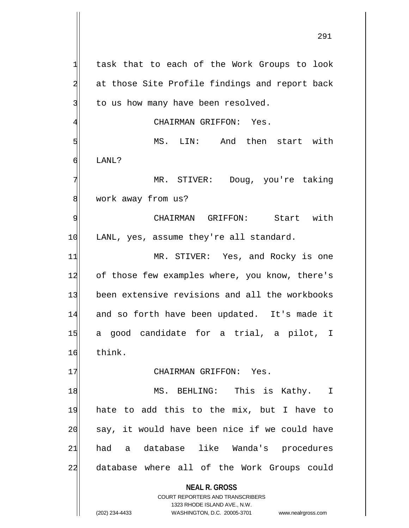**NEAL R. GROSS** COURT REPORTERS AND TRANSCRIBERS 1323 RHODE ISLAND AVE., N.W.  $1$  task that to each of the Work Groups to look 2 at those Site Profile findings and report back  $3$  to us how many have been resolved. 4 GHAIRMAN GRIFFON: Yes. 5 MS. LIN: And then start with 6 LANL? 7 MR. STIVER: Doug, you're taking 8 work away from us? 9 CHAIRMAN GRIFFON: Start with 10 LANL, yes, assume they're all standard. 11 MR. STIVER: Yes, and Rocky is one 12 of those few examples where, you know, there's 13 been extensive revisions and all the workbooks 14 and so forth have been updated. It's made it 15 a good candidate for a trial, a pilot, I 16 think. 17 CHAIRMAN GRIFFON: Yes. 18 MS. BEHLING: This is Kathy. I 19 hate to add this to the mix, but I have to 20 say, it would have been nice if we could have 21 had a database like Wanda's procedures 22 database where all of the Work Groups could

(202) 234-4433 WASHINGTON, D.C. 20005-3701 www.nealrgross.com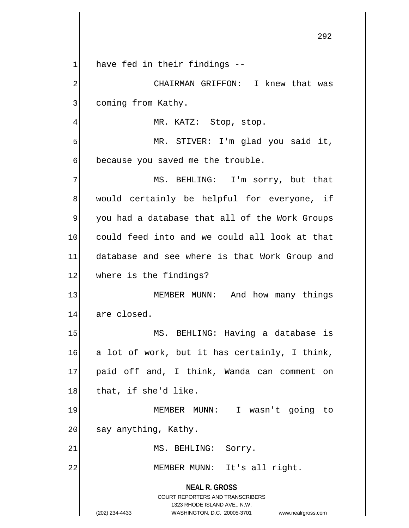**NEAL R. GROSS** COURT REPORTERS AND TRANSCRIBERS 1323 RHODE ISLAND AVE., N.W. (202) 234-4433 WASHINGTON, D.C. 20005-3701 www.nealrgross.com  $1$  have fed in their findings --2 CHAIRMAN GRIFFON: I knew that was 3 coming from Kathy. 4 MR. KATZ: Stop, stop. 5 MR. STIVER: I'm glad you said it,  $\delta$  because you saved me the trouble. 7 MS. BEHLING: I'm sorry, but that 8 would certainly be helpful for everyone, if 9 you had a database that all of the Work Groups 10 could feed into and we could all look at that 11 database and see where is that Work Group and 12 where is the findings? 13 MEMBER MUNN: And how many things 14 are closed. 15 MS. BEHLING: Having a database is  $16$  a lot of work, but it has certainly, I think, 17 paid off and, I think, Wanda can comment on  $18$  that, if she'd like. 19 MEMBER MUNN: I wasn't going to 20 say anything, Kathy. 21 MS. BEHLING: Sorry. 22 MEMBER MUNN: It's all right.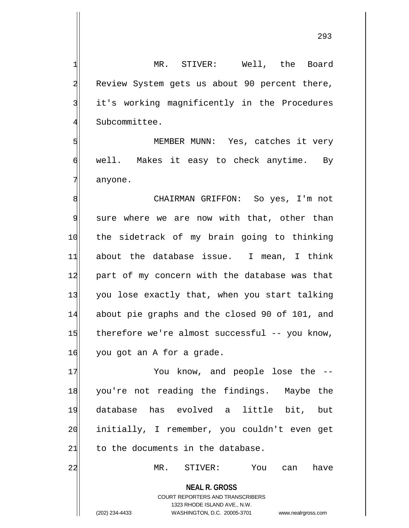293

**NEAL R. GROSS** COURT REPORTERS AND TRANSCRIBERS 1323 RHODE ISLAND AVE., N.W. 1 MR. STIVER: Well, the Board 2 Review System gets us about 90 percent there, 3 it's working magnificently in the Procedures 4 Subcommittee. 5 | S  $\mathfrak{g}$  well. Makes it easy to check anytime. By 7 anyone. 8 SI CHAIRMAN GRIFFON: So yes, I'm not 9 sure where we are now with that, other than 10 the sidetrack of my brain going to thinking 11 about the database issue. I mean, I think 12 part of my concern with the database was that 13 you lose exactly that, when you start talking 14 about pie graphs and the closed 90 of 101, and  $15$  therefore we're almost successful -- you know,  $16$  you got an A for a grade. 17 You know, and people lose the --18 you're not reading the findings. Maybe the 19 database has evolved a little bit, but 20 initially, I remember, you couldn't even get  $21$  to the documents in the database. 22 MR. STIVER: You can have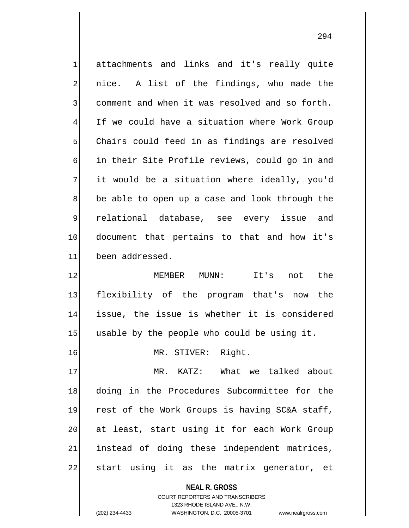1 attachments and links and it's really quite 2 || nice. A list of the findings, who made the 3 comment and when it was resolved and so forth. 4 If we could have a situation where Work Group  $5$  Chairs could feed in as findings are resolved 6 in their Site Profile reviews, could go in and  $7$  it would be a situation where ideally, you'd 8 be able to open up a case and look through the 9 relational database, see every issue and 10 document that pertains to that and how it's 11 been addressed. 12 MEMBER MUNN: It's not the 13 flexibility of the program that's now the 14 issue, the issue is whether it is considered  $15$  usable by the people who could be using it. 16 MR. STIVER: Right. 17 MR. KATZ: What we talked about 18 doing in the Procedures Subcommittee for the 19 rest of the Work Groups is having SC&A staff, 20| at least, start using it for each Work Group 21 instead of doing these independent matrices,

22 start using it as the matrix generator, et

**NEAL R. GROSS** COURT REPORTERS AND TRANSCRIBERS

1323 RHODE ISLAND AVE., N.W.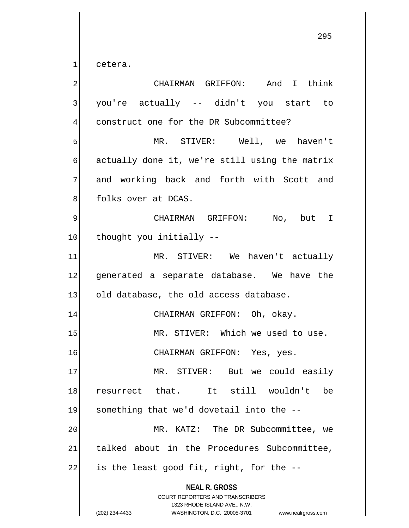$1$  cetera.

**NEAL R. GROSS** COURT REPORTERS AND TRANSCRIBERS 1323 RHODE ISLAND AVE., N.W. (202) 234-4433 WASHINGTON, D.C. 20005-3701 www.nealrgross.com 2 CHAIRMAN GRIFFON: And I think 3 you're actually -- didn't you start to 4 construct one for the DR Subcommittee? 5 MR. STIVER: Well, we haven't  $\mathfrak{h}$  actually done it, we're still using the matrix 7 and working back and forth with Scott and 8 | folks over at DCAS. 9 CHAIRMAN GRIFFON: No, but I 10 thought you initially --11 MR. STIVER: We haven't actually 12 generated a separate database. We have the 13 old database, the old access database. 14 CHAIRMAN GRIFFON: Oh, okay. 15 MR. STIVER: Which we used to use. 16 CHAIRMAN GRIFFON: Yes, yes. 17 MR. STIVER: But we could easily 18 resurrect that. It still wouldn't be 19 something that we'd dovetail into the --20 MR. KATZ: The DR Subcommittee, we 21 talked about in the Procedures Subcommittee,  $22$  is the least good fit, right, for the  $-$ -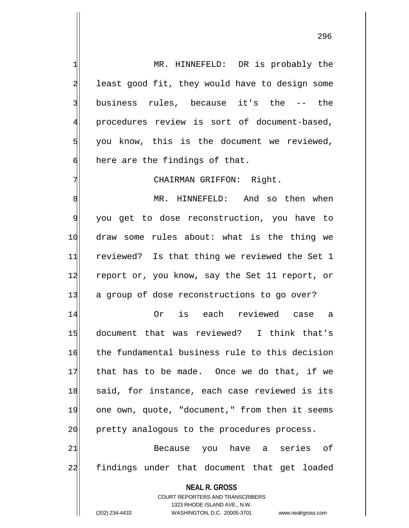1 MR. HINNEFELD: DR is probably the 2 least good fit, they would have to design some 3 business rules, because it's the -- the 4 procedures review is sort of document-based,  $5$  you know, this is the document we reviewed,  $\phi$  here are the findings of that.

7 CHAIRMAN GRIFFON: Right.

8 MR. HINNEFELD: And so then when 9 you get to dose reconstruction, you have to 10 draw some rules about: what is the thing we 11 reviewed? Is that thing we reviewed the Set 1 12 report or, you know, say the Set 11 report, or 13 a group of dose reconstructions to go over?

14 Or is each reviewed case a 15 document that was reviewed? I think that's 16 the fundamental business rule to this decision 17 that has to be made. Once we do that, if we 18 said, for instance, each case reviewed is its 19 one own, quote, "document," from then it seems 20 pretty analogous to the procedures process.

21 Because you have a series of 22 findings under that document that get loaded

## **NEAL R. GROSS**

COURT REPORTERS AND TRANSCRIBERS 1323 RHODE ISLAND AVE., N.W. (202) 234-4433 WASHINGTON, D.C. 20005-3701 www.nealrgross.com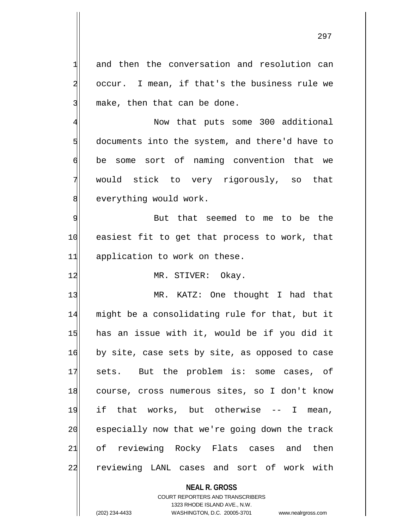$1$  and then the conversation and resolution can 2 occur. I mean, if that's the business rule we  $3$  make, then that can be done.

4 Now that puts some 300 additional  $5$  documents into the system, and there'd have to 6 be some sort of naming convention that we 7 would stick to very rigorously, so that 8 everything would work.

9 9 But that seemed to me to be the 10 easiest fit to get that process to work, that 11 application to work on these.

12 MR. STIVER: Okay.

13 MR. KATZ: One thought I had that 14 might be a consolidating rule for that, but it 15 has an issue with it, would be if you did it 16 by site, case sets by site, as opposed to case 17 sets. But the problem is: some cases, of 18 course, cross numerous sites, so I don't know 19 if that works, but otherwise -- I mean, 20 especially now that we're going down the track 21 of reviewing Rocky Flats cases and then 22 reviewing LANL cases and sort of work with

**NEAL R. GROSS**

COURT REPORTERS AND TRANSCRIBERS 1323 RHODE ISLAND AVE., N.W. (202) 234-4433 WASHINGTON, D.C. 20005-3701 www.nealrgross.com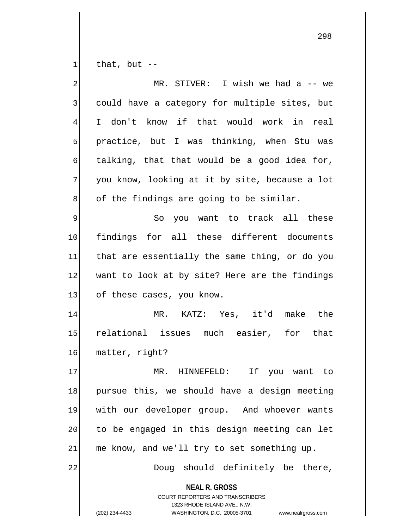that, but  $-$ 

| $\overline{\mathbf{c}}$ | MR. STIVER: I wish we had a -- we                                                                                                                                      |
|-------------------------|------------------------------------------------------------------------------------------------------------------------------------------------------------------------|
| 3                       | could have a category for multiple sites, but                                                                                                                          |
| 4                       | I don't know if that would work in real                                                                                                                                |
| 5                       | practice, but I was thinking, when Stu was                                                                                                                             |
| $\overline{6}$          | talking, that that would be a good idea for,                                                                                                                           |
| 7                       | you know, looking at it by site, because a lot                                                                                                                         |
| 8                       | of the findings are going to be similar.                                                                                                                               |
| 9                       | So you want to track all these                                                                                                                                         |
| 10                      | findings for all these different documents                                                                                                                             |
| 11                      | that are essentially the same thing, or do you                                                                                                                         |
| 12                      | want to look at by site? Here are the findings                                                                                                                         |
| 13                      | of these cases, you know.                                                                                                                                              |
| 14                      | MR. KATZ: Yes, it'd make the                                                                                                                                           |
| 15                      | relational issues much easier, for that                                                                                                                                |
| 16                      | matter, right?                                                                                                                                                         |
| 17                      | If you want to<br>MR.<br>HINNEFELD:                                                                                                                                    |
| 18                      | pursue this, we should have a design meeting                                                                                                                           |
| 19                      | with our developer group. And whoever wants                                                                                                                            |
| 20                      | to be engaged in this design meeting can let                                                                                                                           |
| 21                      | me know, and we'll try to set something up.                                                                                                                            |
| 22                      | Doug should definitely be there,                                                                                                                                       |
|                         | <b>NEAL R. GROSS</b><br><b>COURT REPORTERS AND TRANSCRIBERS</b><br>1323 RHODE ISLAND AVE., N.W.<br>(202) 234-4433<br>WASHINGTON, D.C. 20005-3701<br>www.nealrgross.com |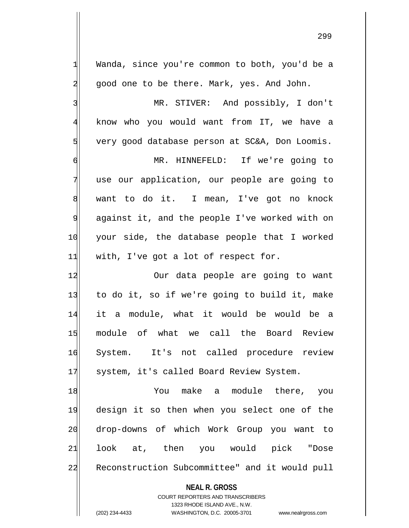1 Wanda, since you're common to both, you'd be a 2 good one to be there. Mark, yes. And John. 3 MR. STIVER: And possibly, I don't 4 know who you would want from IT, we have a 5 very good database person at SC&A, Don Loomis. 10 your side, the database people that I worked  $11$  with, I've got a lot of respect for.

6 MR. HINNEFELD: If we're going to 7 use our application, our people are going to 8 want to do it. I mean, I've got no knock 9 against it, and the people I've worked with on

12 Our data people are going to want 13 to do it, so if we're going to build it, make 14 it a module, what it would be would be a 15 module of what we call the Board Review 16 System. It's not called procedure review 17 system, it's called Board Review System.

18 You make a module there, you 19 design it so then when you select one of the 20 drop-downs of which Work Group you want to 21|| look at, then you would pick "Dose 22 Reconstruction Subcommittee" and it would pull

> **NEAL R. GROSS** COURT REPORTERS AND TRANSCRIBERS 1323 RHODE ISLAND AVE., N.W. (202) 234-4433 WASHINGTON, D.C. 20005-3701 www.nealrgross.com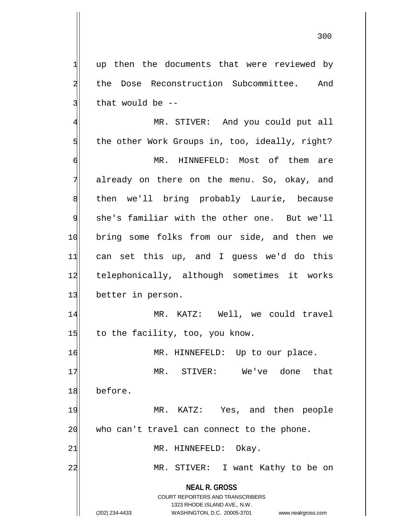$1$  up then the documents that were reviewed by 2 the Dose Reconstruction Subcommittee. And  $3$  that would be  $-$ 

**NEAL R. GROSS** COURT REPORTERS AND TRANSCRIBERS 1323 RHODE ISLAND AVE., N.W. (202) 234-4433 WASHINGTON, D.C. 20005-3701 www.nealrgross.com 4 MR. STIVER: And you could put all  $5$  the other Work Groups in, too, ideally, right? 6 MR. HINNEFELD: Most of them are 7 already on there on the menu. So, okay, and 8 | then we'll bring probably Laurie, because 9 she's familiar with the other one. But we'll 10 bring some folks from our side, and then we 11 can set this up, and I quess we'd do this 12 telephonically, although sometimes it works 13 better in person. 14 MR. KATZ: Well, we could travel  $15$  to the facility, too, you know. 16 MR. HINNEFELD: Up to our place. 17 MR. STIVER: We've done that 18 before. 19 MR. KATZ: Yes, and then people  $20$  who can't travel can connect to the phone. 21 MR. HINNEFELD: Okay. 22 MR. STIVER: I want Kathy to be on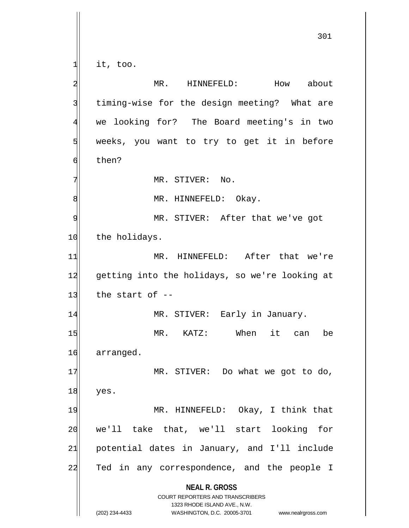**NEAL R. GROSS** COURT REPORTERS AND TRANSCRIBERS 1323 RHODE ISLAND AVE., N.W. (202) 234-4433 WASHINGTON, D.C. 20005-3701 www.nealrgross.com 301  $1$  it, too. 2 MR. HINNEFELD: How about 3 | timing-wise for the design meeting? What are 4 we looking for? The Board meeting's in two  $5$  weeks, you want to try to get it in before 6 then? 7 MR. STIVER: No. 8 | MR. HINNEFELD: Okay. 9 | MR. STIVER: After that we've got 10 the holidays. 11 MR. HINNEFELD: After that we're 12 getting into the holidays, so we're looking at  $13$  the start of  $-$ 14 MR. STIVER: Early in January. 15 MR. KATZ: When it can be 16 arranged. 17 MR. STIVER: Do what we got to do,  $18$  yes. 19 MR. HINNEFELD: Okay, I think that 20 we'll take that, we'll start looking for 21 potential dates in January, and I'll include 22 Ted in any correspondence, and the people I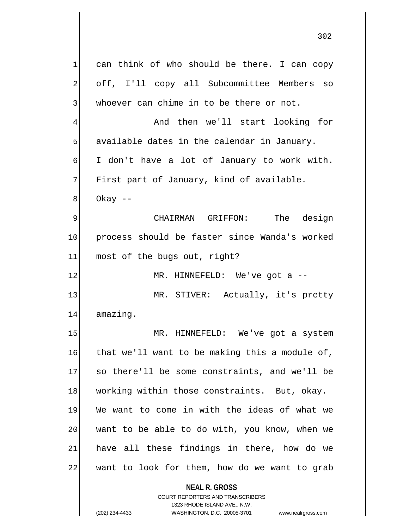| 1              | can think of who should be there. I can copy   |
|----------------|------------------------------------------------|
| $\overline{a}$ | off, I'll copy all Subcommittee Members so     |
| 3              | whoever can chime in to be there or not.       |
| $\overline{4}$ | And then we'll start looking for               |
| 5              | available dates in the calendar in January.    |
| 6              | I don't have a lot of January to work with.    |
| 7              | First part of January, kind of available.      |
| 8              | Okay $-$                                       |
| 9              | CHAIRMAN GRIFFON: The design                   |
| 10             | process should be faster since Wanda's worked  |
| 11             | most of the bugs out, right?                   |
| 12             | MR. HINNEFELD: We've got $a$ --                |
| 13             | MR. STIVER: Actually, it's pretty              |
| 14             | amazing.                                       |
| 15             | MR. HINNEFELD: We've got a system              |
| 16             | that we'll want to be making this a module of, |
| 17             | so there'll be some constraints, and we'll be  |
| 18             | working within those constraints. But, okay.   |
| 19             | We want to come in with the ideas of what we   |
| 20             | want to be able to do with, you know, when we  |
| 21             | have all these findings in there, how do we    |
| 22             | want to look for them, how do we want to grab  |
|                | <b>NEAL R. GROSS</b>                           |

COURT REPORTERS AND TRANSCRIBERS 1323 RHODE ISLAND AVE., N.W.

 $\mathsf{I}$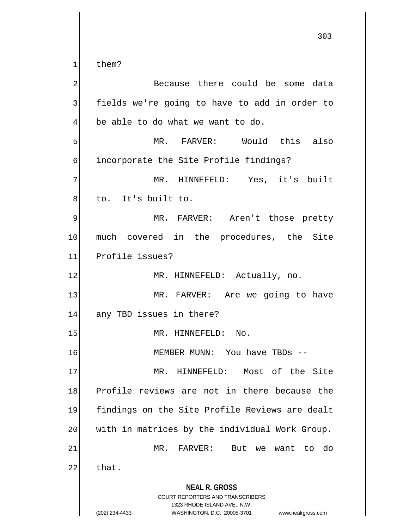them?

| 2  | Because there could be some data                                                                                                                                       |
|----|------------------------------------------------------------------------------------------------------------------------------------------------------------------------|
| 3  | fields we're going to have to add in order to                                                                                                                          |
| 4  | be able to do what we want to do.                                                                                                                                      |
| 5  | MR. FARVER: Would this also                                                                                                                                            |
| 6  | incorporate the Site Profile findings?                                                                                                                                 |
| 7  | MR. HINNEFELD: Yes, it's built                                                                                                                                         |
| 8  | to. It's built to.                                                                                                                                                     |
| 9  | MR. FARVER: Aren't those pretty                                                                                                                                        |
| 10 | much covered in the procedures, the Site                                                                                                                               |
| 11 | Profile issues?                                                                                                                                                        |
| 12 | MR. HINNEFELD: Actually, no.                                                                                                                                           |
| 13 | MR. FARVER: Are we going to have                                                                                                                                       |
| 14 | any TBD issues in there?                                                                                                                                               |
| 15 | MR. HINNEFELD: No.                                                                                                                                                     |
| 16 | MEMBER MUNN: You have TBDs --                                                                                                                                          |
| 17 | MR. HINNEFELD: Most of the Site                                                                                                                                        |
| 18 | Profile reviews are not in there because the                                                                                                                           |
| 19 | findings on the Site Profile Reviews are dealt                                                                                                                         |
| 20 | with in matrices by the individual Work Group.                                                                                                                         |
| 21 | $\mathtt{FARKVER}$ :<br>MR.<br>But<br>do<br>we want<br>to                                                                                                              |
| 22 | that.                                                                                                                                                                  |
|    | <b>NEAL R. GROSS</b><br><b>COURT REPORTERS AND TRANSCRIBERS</b><br>1323 RHODE ISLAND AVE., N.W.<br>(202) 234-4433<br>WASHINGTON, D.C. 20005-3701<br>www.nealrgross.com |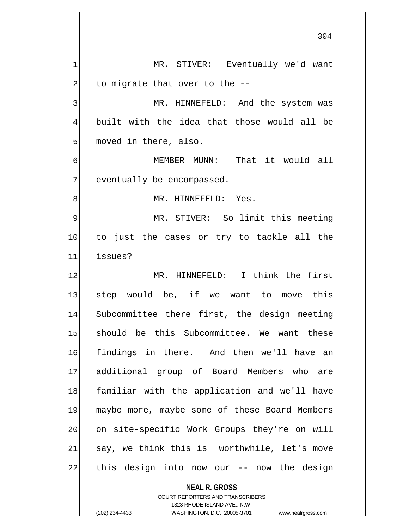1 MR. STIVER: Eventually we'd want  $2$  to migrate that over to the  $-$ 3 MR. HINNEFELD: And the system was 4 built with the idea that those would all be 5 moved in there, also. 6 MEMBER MUNN: That it would all  $7$  eventually be encompassed. 8 MR. HINNEFELD: Yes. 9 MR. STIVER: So limit this meeting 10 to just the cases or try to tackle all the 11 issues? 12 MR. HINNEFELD: I think the first 13 step would be, if we want to move this 14 Subcommittee there first, the design meeting 15 should be this Subcommittee. We want these 16 findings in there. And then we'll have an 17 additional group of Board Members who are 18 familiar with the application and we'll have 19 maybe more, maybe some of these Board Members 20 on site-specific Work Groups they're on will  $21$  say, we think this is worthwhile, let's move 22 this design into now our -- now the design

> **NEAL R. GROSS** COURT REPORTERS AND TRANSCRIBERS 1323 RHODE ISLAND AVE., N.W.

(202) 234-4433 WASHINGTON, D.C. 20005-3701 www.nealrgross.com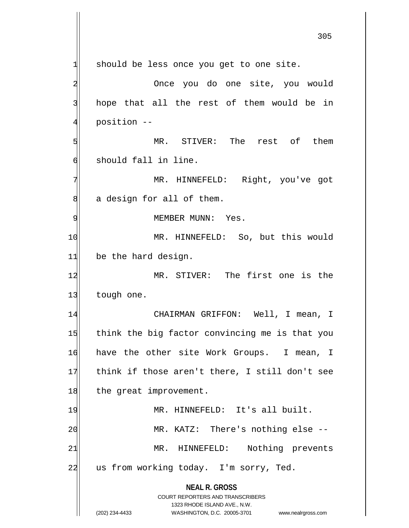**NEAL R. GROSS** COURT REPORTERS AND TRANSCRIBERS 1323 RHODE ISLAND AVE., N.W. 305  $1$  should be less once you get to one site. 2 2 Once you do one site, you would 3 hope that all the rest of them would be in 4 position -- 5 MR. STIVER: The rest of them 6 should fall in line. 7 MR. HINNEFELD: Right, you've got 8 a design for all of them. 9 | MEMBER MUNN: Yes. 10 MR. HINNEFELD: So, but this would 11 be the hard design. 12 MR. STIVER: The first one is the 13 tough one. 14 CHAIRMAN GRIFFON: Well, I mean, I 15 think the big factor convincing me is that you 16 have the other site Work Groups. I mean, I 17 think if those aren't there, I still don't see 18 the great improvement. 19 MR. HINNEFELD: It's all built. 20 MR. KATZ: There's nothing else --21 MR. HINNEFELD: Nothing prevents 22 us from working today. I'm sorry, Ted.

<sup>(202) 234-4433</sup> WASHINGTON, D.C. 20005-3701 www.nealrgross.com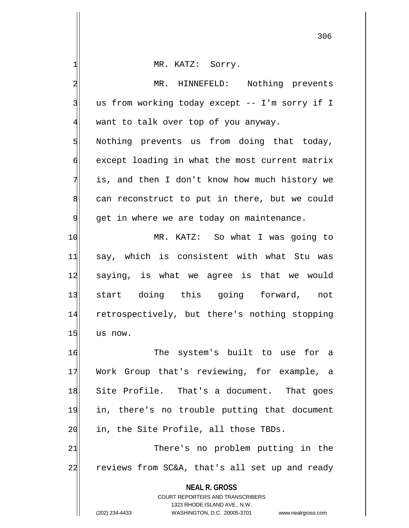| $\mathbf{1}$   | MR. KATZ: Sorry.                                                    |
|----------------|---------------------------------------------------------------------|
| $\overline{a}$ | MR. HINNEFELD: Nothing prevents                                     |
| 3              | us from working today except -- I'm sorry if I                      |
| $\overline{4}$ | want to talk over top of you anyway.                                |
| 5              | Nothing prevents us from doing that today,                          |
| б              | except loading in what the most current matrix                      |
| 7              | is, and then I don't know how much history we                       |
| 8              | can reconstruct to put in there, but we could                       |
| 9              | get in where we are today on maintenance.                           |
| 10             | MR. KATZ: So what I was going to                                    |
| 11             | say, which is consistent with what Stu was                          |
| 12             | saying, is what we agree is that we would                           |
| 13             | start doing this going forward, not                                 |
| 14             | retrospectively, but there's nothing stopping                       |
| 15             | us now.                                                             |
| 16             | The system's built to use for a                                     |
| 17             | Work Group that's reviewing, for example, a                         |
| 18             | Site Profile. That's a document. That goes                          |
| 19             | in, there's no trouble putting that document                        |
| 20             | in, the Site Profile, all those TBDs.                               |
| 21             | There's no problem putting in the                                   |
| 22             | reviews from SC&A, that's all set up and ready                      |
|                | <b>NEAL R. GROSS</b>                                                |
|                | COURT REPORTERS AND TRANSCRIBERS                                    |
|                | 1323 RHODE ISLAND AVE., N.W.                                        |
|                | (202) 234-4433<br>WASHINGTON, D.C. 20005-3701<br>www.nealrgross.com |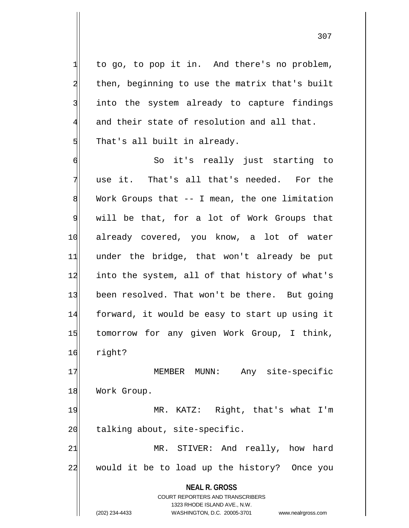$1$  to go, to pop it in. And there's no problem, 2 then, beginning to use the matrix that's built 3 into the system already to capture findings  $4$  and their state of resolution and all that.  $5$  That's all built in already.

6 So it's really just starting to 7 use it. That's all that's needed. For the  $8$  Work Groups that  $-$  I mean, the one limitation 9 will be that, for a lot of Work Groups that 10 already covered, you know, a lot of water 11 under the bridge, that won't already be put 12 into the system, all of that history of what's 13 been resolved. That won't be there. But going 14 forward, it would be easy to start up using it 15 tomorrow for any given Work Group, I think, 16 right?

17 | MEMBER MUNN: Any site-specific 18 Work Group.

19 MR. KATZ: Right, that's what I'm  $20$  talking about, site-specific.

21 MR. STIVER: And really, how hard 22 would it be to load up the history? Once you

> **NEAL R. GROSS** COURT REPORTERS AND TRANSCRIBERS

> > 1323 RHODE ISLAND AVE., N.W.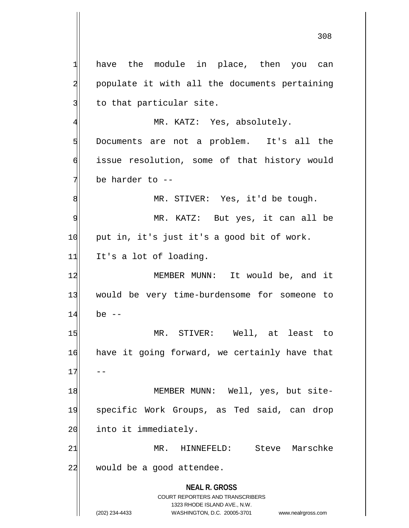**NEAL R. GROSS** COURT REPORTERS AND TRANSCRIBERS 1323 RHODE ISLAND AVE., N.W.  $1$  have the module in place, then you can 2 populate it with all the documents pertaining 3 to that particular site. 4 MR. KATZ: Yes, absolutely. 5 Documents are not a problem. It's all the 6 issue resolution, some of that history would 7 be harder to --8 MR. STIVER: Yes, it'd be tough. 9 MR. KATZ: But yes, it can all be 10 put in, it's just it's a good bit of work.  $11$  It's a lot of loading. 12 MEMBER MUNN: It would be, and it 13 would be very time-burdensome for someone to  $14$  be  $-$ 15 MR. STIVER: Well, at least to 16 have it going forward, we certainly have that  $17$ 18 MEMBER MUNN: Well, yes, but site-19 specific Work Groups, as Ted said, can drop 20 into it immediately. 21 MR. HINNEFELD: Steve Marschke  $22$  would be a good attendee.

(202) 234-4433 WASHINGTON, D.C. 20005-3701 www.nealrgross.com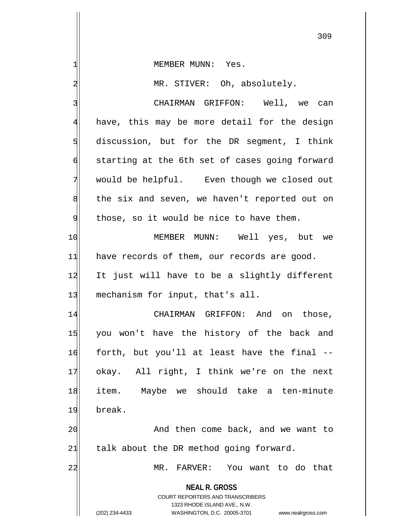1 MEMBER MUNN: Yes.

2 MR. STIVER: Oh, absolutely.

**NEAL R. GROSS** COURT REPORTERS AND TRANSCRIBERS 3 | CHAIRMAN GRIFFON: Well, we can  $4$  have, this may be more detail for the design  $5$  discussion, but for the DR segment, I think  $\delta$  starting at the 6th set of cases going forward 7 would be helpful. Even though we closed out  $8$  the six and seven, we haven't reported out on  $9$  those, so it would be nice to have them. 10 MEMBER MUNN: Well yes, but we  $11$  have records of them, our records are good. 12 It just will have to be a slightly different 13 mechanism for input, that's all. 14 CHAIRMAN GRIFFON: And on those, 15 you won't have the history of the back and 16 forth, but you'll at least have the final --17 okay. All right, I think we're on the next 18 item. Maybe we should take a ten-minute 19 break. 20 and then come back, and we want to  $21$  talk about the DR method going forward. 22 MR. FARVER: You want to do that

1323 RHODE ISLAND AVE., N.W.

<sup>(202) 234-4433</sup> WASHINGTON, D.C. 20005-3701 www.nealrgross.com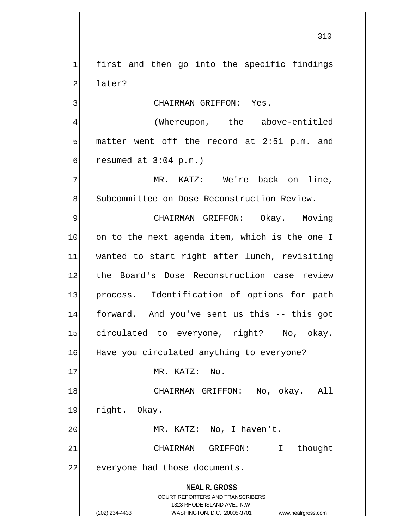$1$  first and then go into the specific findings 2 later?

3 CHAIRMAN GRIFFON: Yes.

4 (Whereupon, the above-entitled  $5$  matter went off the record at 2:51 p.m. and  $6$  resumed at  $3:04$  p.m.)

7 MR. KATZ: We're back on line, 8 Subcommittee on Dose Reconstruction Review.

9 CHAIRMAN GRIFFON: Okay. Moving 10 on to the next agenda item, which is the one I 11 wanted to start right after lunch, revisiting 12 the Board's Dose Reconstruction case review 13 process. Identification of options for path 14 forward. And you've sent us this -- this got 15 circulated to everyone, right? No, okay. 16 Have you circulated anything to everyone?

17 MR. KATZ: No.

18 CHAIRMAN GRIFFON: No, okay. All 19 right. Okay. 20 | MR. KATZ: No, I haven't. 21 CHAIRMAN GRIFFON: I thought

22 everyone had those documents.

**NEAL R. GROSS** COURT REPORTERS AND TRANSCRIBERS 1323 RHODE ISLAND AVE., N.W.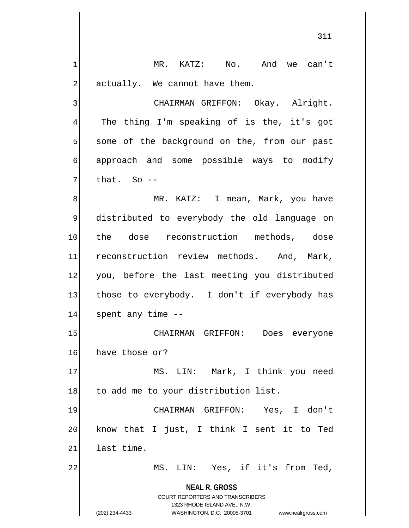**NEAL R. GROSS** COURT REPORTERS AND TRANSCRIBERS 1323 RHODE ISLAND AVE., N.W. (202) 234-4433 WASHINGTON, D.C. 20005-3701 www.nealrgross.com 1 MR. KATZ: No. And we can't  $2$  actually. We cannot have them. 3 | CHAIRMAN GRIFFON: Okay. Alright. 4 The thing I'm speaking of is the, it's got  $5$  some of the background on the, from our past 6 approach and some possible ways to modify  $7$  that. So  $-$ 8 MR. KATZ: I mean, Mark, you have 9 distributed to everybody the old language on 10 the dose reconstruction methods, dose 11 reconstruction review methods. And, Mark, 12 you, before the last meeting you distributed 13 those to everybody. I don't if everybody has 14 spent any time --15 CHAIRMAN GRIFFON: Does everyone 16 have those or? 17 | MS. LIN: Mark, I think you need 18 to add me to your distribution list. 19 CHAIRMAN GRIFFON: Yes, I don't 20 know that I just, I think I sent it to Ted  $21$  last time. 22 MS. LIN: Yes, if it's from Ted,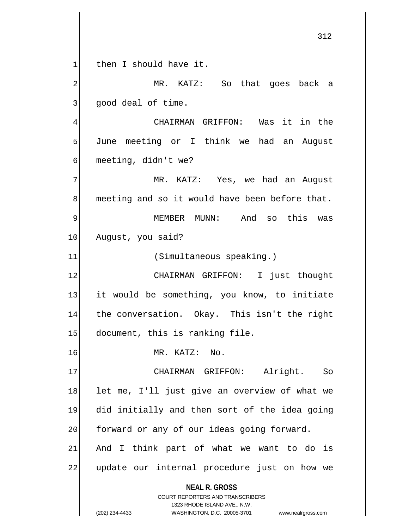$1$  then I should have it. 2 MR. KATZ: So that goes back a

 $3$  good deal of time.

4 CHAIRMAN GRIFFON: Was it in the 5 June meeting or I think we had an August 6 meeting, didn't we?

7 MR. KATZ: Yes, we had an August  $8$  meeting and so it would have been before that. 9 MEMBER MUNN: And so this was 10 August, you said?

11 (Simultaneous speaking.)

12 CHAIRMAN GRIFFON: I just thought 13 it would be something, you know, to initiate 14 the conversation. Okay. This isn't the right  $15$  document, this is ranking file.

16 MR. KATZ: No.

17 CHAIRMAN GRIFFON: Alright. So 18 let me, I'll just give an overview of what we 19 did initially and then sort of the idea going 20 forward or any of our ideas going forward.  $21$  And I think part of what we want to do is 22 update our internal procedure just on how we

> **NEAL R. GROSS** COURT REPORTERS AND TRANSCRIBERS

> > 1323 RHODE ISLAND AVE., N.W.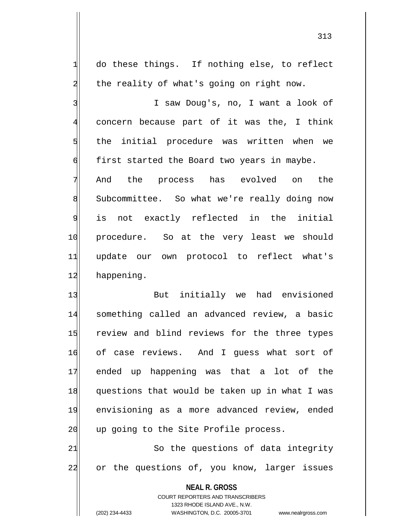313

 do these things. If nothing else, to reflect 2 the reality of what's going on right now. I saw Doug's, no, I want a look of concern because part of it was the, I think the initial procedure was written when we  $\mathfrak{h}$  first started the Board two years in maybe. And the process has evolved on the 8 Subcommittee. So what we're really doing now is not exactly reflected in the initial

10 procedure. So at the very least we should 11 update our own protocol to reflect what's 12 happening.

13 But initially we had envisioned 14 something called an advanced review, a basic 15 review and blind reviews for the three types 16 of case reviews. And I guess what sort of 17 ended up happening was that a lot of the 18 questions that would be taken up in what I was 19 envisioning as a more advanced review, ended 20 up going to the Site Profile process.

21 So the questions of data integrity 22 or the questions of, you know, larger issues

> **NEAL R. GROSS** COURT REPORTERS AND TRANSCRIBERS 1323 RHODE ISLAND AVE., N.W. (202) 234-4433 WASHINGTON, D.C. 20005-3701 www.nealrgross.com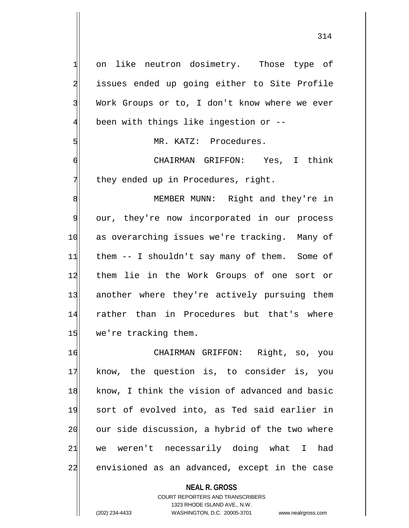1 on like neutron dosimetry. Those type of 2 issues ended up going either to Site Profile 3 Work Groups or to, I don't know where we ever 4 been with things like ingestion or --5 MR. KATZ: Procedures. 6 CHAIRMAN GRIFFON: Yes, I think  $7$  they ended up in Procedures, right. 8 MEMBER MUNN: Right and they're in 9 our, they're now incorporated in our process 10 as overarching issues we're tracking. Many of 11 them -- I shouldn't say many of them. Some of 12 them lie in the Work Groups of one sort or 13 another where they're actively pursuing them 14 rather than in Procedures but that's where 15 we're tracking them. 16 CHAIRMAN GRIFFON: Right, so, you 17 know, the question is, to consider is, you 18 | know, I think the vision of advanced and basic 19 sort of evolved into, as Ted said earlier in 20 our side discussion, a hybrid of the two where 21 we weren't necessarily doing what I had 22 envisioned as an advanced, except in the case

**NEAL R. GROSS**

COURT REPORTERS AND TRANSCRIBERS 1323 RHODE ISLAND AVE., N.W. (202) 234-4433 WASHINGTON, D.C. 20005-3701 www.nealrgross.com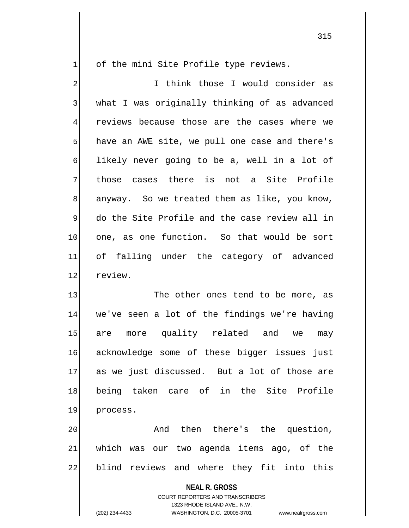$1$  of the mini Site Profile type reviews.

2 I think those I would consider as 3 what I was originally thinking of as advanced 4 reviews because those are the cases where we  $5$  have an AWE site, we pull one case and there's 6 likely never going to be a, well in a lot of 7 those cases there is not a Site Profile  $8$  anyway. So we treated them as like, you know, 9 do the Site Profile and the case review all in 10 one, as one function. So that would be sort 11 of falling under the category of advanced 12 review.

13 The other ones tend to be more, as 14 we've seen a lot of the findings we're having 15 are more quality related and we may 16 acknowledge some of these bigger issues just 17 as we just discussed. But a lot of those are 18 being taken care of in the Site Profile 19 process.

20 and then there's the question,  $21$  which was our two agenda items ago, of the 22 blind reviews and where they fit into this

**NEAL R. GROSS**

COURT REPORTERS AND TRANSCRIBERS 1323 RHODE ISLAND AVE., N.W. (202) 234-4433 WASHINGTON, D.C. 20005-3701 www.nealrgross.com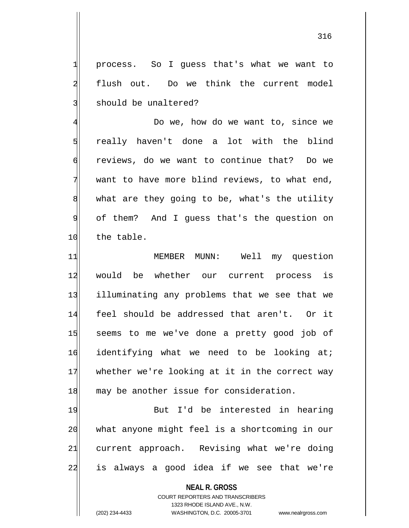1 process. So I guess that's what we want to 2 flush out. Do we think the current model 3 should be unaltered?

4 Do we, how do we want to, since we 5| really haven't done a lot with the blind 6 reviews, do we want to continue that? Do we  $7$  want to have more blind reviews, to what end, 8 what are they going to be, what's the utility 9 of them? And I guess that's the question on 10 the table.

11 MEMBER MUNN: Well my question 12 would be whether our current process is 13 illuminating any problems that we see that we 14 feel should be addressed that aren't. Or it 15 seems to me we've done a pretty good job of  $16$  identifying what we need to be looking at; 17 whether we're looking at it in the correct way 18 may be another issue for consideration.

19 But I'd be interested in hearing 20 what anyone might feel is a shortcoming in our 21 current approach. Revising what we're doing 22 is always a good idea if we see that we're

> **NEAL R. GROSS** COURT REPORTERS AND TRANSCRIBERS 1323 RHODE ISLAND AVE., N.W. (202) 234-4433 WASHINGTON, D.C. 20005-3701 www.nealrgross.com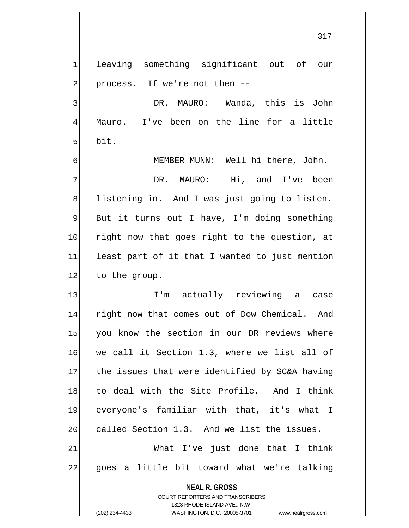1 leaving something significant out of our 2 | process. If we're not then --

3 | NR. MAURO: Wanda, this is John 4 Mauro. I've been on the line for a little  $5$  bit.

6 MEMBER MUNN: Well hi there, John.

7 DR. MAURO: Hi, and I've been 8 BJ listening in. And I was just going to listen.  $9$  But it turns out I have, I'm doing something 10 right now that goes right to the question, at 11 least part of it that I wanted to just mention 12 to the group.

13 I'm actually reviewing a case 14 right now that comes out of Dow Chemical. And 15 you know the section in our DR reviews where 16 we call it Section 1.3, where we list all of 17 the issues that were identified by SC&A having 18 to deal with the Site Profile. And I think 19 everyone's familiar with that, it's what I 20 called Section 1.3. And we list the issues. 21 What I've just done that I think

22 goes a little bit toward what we're talking

**NEAL R. GROSS**

COURT REPORTERS AND TRANSCRIBERS 1323 RHODE ISLAND AVE., N.W. (202) 234-4433 WASHINGTON, D.C. 20005-3701 www.nealrgross.com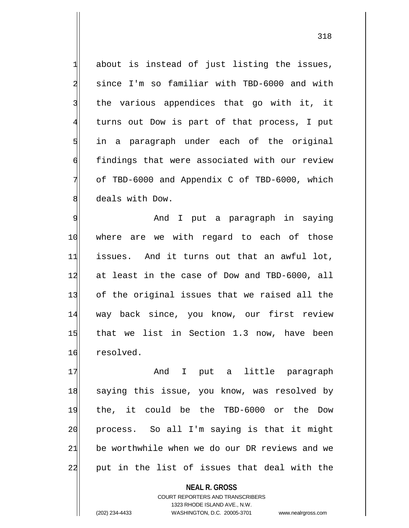about is instead of just listing the issues, 2 since I'm so familiar with TBD-6000 and with the various appendices that go with it, it turns out Dow is part of that process, I put in a paragraph under each of the original 6 findings that were associated with our review of TBD-6000 and Appendix C of TBD-6000, which 8 deals with Dow.

9 | Show and I put a paragraph in saying 10 where are we with regard to each of those 11 issues. And it turns out that an awful lot, 12 at least in the case of Dow and TBD-6000, all 13 of the original issues that we raised all the 14 way back since, you know, our first review 15 that we list in Section 1.3 now, have been 16 resolved.

17 and I put a little paragraph 18 saying this issue, you know, was resolved by 19 the, it could be the TBD-6000 or the Dow 20 | process. So all I'm saying is that it might  $21$  be worthwhile when we do our DR reviews and we 22 put in the list of issues that deal with the

> COURT REPORTERS AND TRANSCRIBERS 1323 RHODE ISLAND AVE., N.W. (202) 234-4433 WASHINGTON, D.C. 20005-3701 www.nealrgross.com

**NEAL R. GROSS**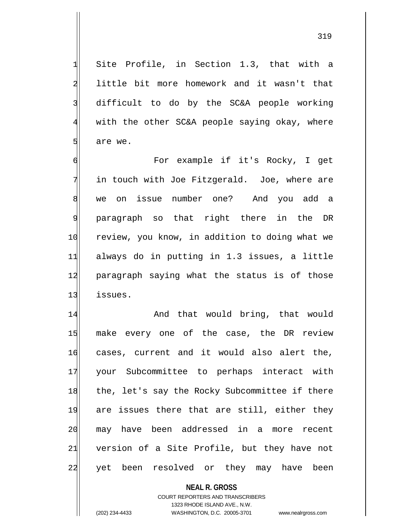$1$  Site Profile, in Section 1.3, that with a 2 little bit more homework and it wasn't that 3 difficult to do by the SC&A people working 4 with the other SC&A people saying okay, where  $5$  are we.

6 For example if it's Rocky, I get  $7$  in touch with Joe Fitzgerald. Joe, where are 8 we on issue number one? And you add a 9 paragraph so that right there in the DR 10 review, you know, in addition to doing what we 11 always do in putting in 1.3 issues, a little 12 paragraph saying what the status is of those 13 issues.

14 And that would bring, that would 15 make every one of the case, the DR review 16 cases, current and it would also alert the, 17 your Subcommittee to perhaps interact with 18 the, let's say the Rocky Subcommittee if there 19 are issues there that are still, either they 20 may have been addressed in a more recent 21| version of a Site Profile, but they have not 22 yet been resolved or they may have been

> **NEAL R. GROSS** COURT REPORTERS AND TRANSCRIBERS 1323 RHODE ISLAND AVE., N.W. (202) 234-4433 WASHINGTON, D.C. 20005-3701 www.nealrgross.com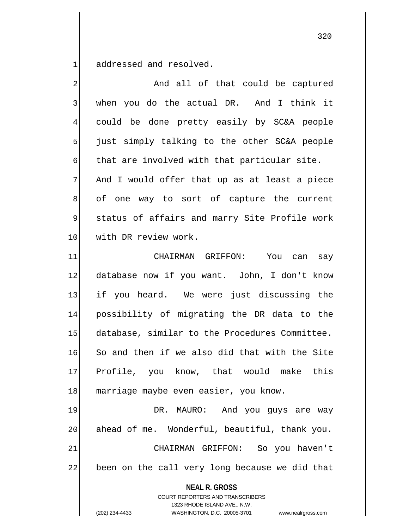$1$  addressed and resolved.

**NEAL R. GROSS** COURT REPORTERS AND TRANSCRIBERS 2 And all of that could be captured 3 when you do the actual DR. And I think it 4 could be done pretty easily by SC&A people  $5$  just simply talking to the other SC&A people  $\mathfrak{h}$  that are involved with that particular site.  $7$  And I would offer that up as at least a piece 8 of one way to sort of capture the current 9 status of affairs and marry Site Profile work 10 with DR review work. 11 CHAIRMAN GRIFFON: You can say 12 database now if you want. John, I don't know 13 if you heard. We were just discussing the 14 possibility of migrating the DR data to the 15 database, similar to the Procedures Committee. 16 So and then if we also did that with the Site 17 Profile, you know, that would make this 18 marriage maybe even easier, you know. 19 DR. MAURO: And you guys are way 20 ahead of me. Wonderful, beautiful, thank you. 21 CHAIRMAN GRIFFON: So you haven't 22 been on the call very long because we did that

1323 RHODE ISLAND AVE., N.W.

(202) 234-4433 WASHINGTON, D.C. 20005-3701 www.nealrgross.com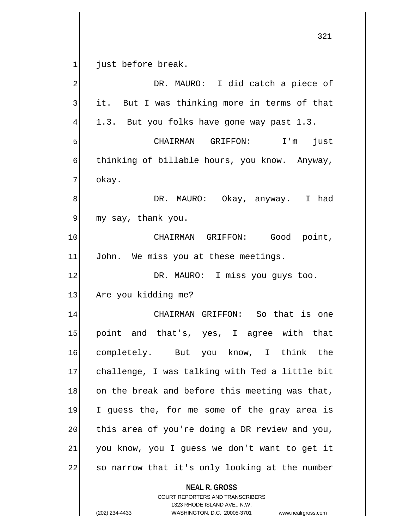just before break.

| $\overline{a}$ | DR. MAURO: I did catch a piece of                        |
|----------------|----------------------------------------------------------|
| $\overline{3}$ | it. But I was thinking more in terms of that             |
| $\overline{4}$ | 1.3. But you folks have gone way past 1.3.               |
| 5              | CHAIRMAN GRIFFON: I'm just                               |
| 6              | thinking of billable hours, you know. Anyway,            |
| 7              | okay.                                                    |
| 8              | DR. MAURO: Okay, anyway. I had                           |
| 9              | my say, thank you.                                       |
| 10             | CHAIRMAN GRIFFON: Good point,                            |
| 11             | John. We miss you at these meetings.                     |
| 12             | DR. MAURO: I miss you guys too.                          |
| 13             | Are you kidding me?                                      |
| 14             | CHAIRMAN GRIFFON: So that is one                         |
| 15             | point and that's, yes, I agree with that                 |
| 16             | completely. But you know, I think the                    |
| 17             | challenge, I was talking with Ted a little bit           |
| 18             | on the break and before this meeting was that,           |
| 19             | I guess the, for me some of the gray area is             |
| 20             | this area of you're doing a DR review and you,           |
| 21             | you know, you I guess we don't want to get it            |
| 22             | so narrow that it's only looking at the number           |
|                | <b>NEAL R. GROSS</b><br>COURT REPORTERS AND TRANSCRIBERS |

1323 RHODE ISLAND AVE., N.W.

 $\mathop{\text{||}}$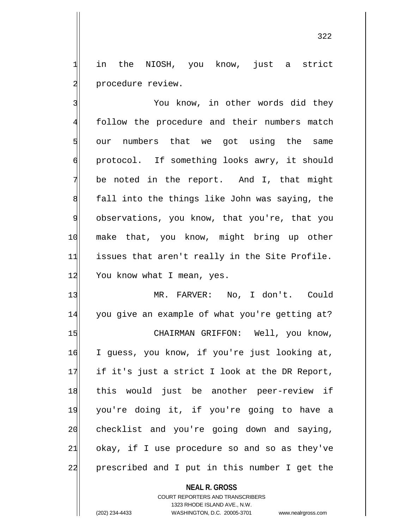1 in the NIOSH, you know, just a strict 2 procedure review.

3 3 You know, in other words did they 4 follow the procedure and their numbers match 5 our numbers that we got using the same 6 protocol. If something looks awry, it should  $7$  be noted in the report. And I, that might 8 8 fall into the things like John was saying, the 9 observations, you know, that you're, that you 10 make that, you know, might bring up other 11 issues that aren't really in the Site Profile. 12 You know what I mean, yes.

13 MR. FARVER: No, I don't. Could 14 you give an example of what you're getting at? 15 CHAIRMAN GRIFFON: Well, you know, 16 I guess, you know, if you're just looking at,  $17$  if it's just a strict I look at the DR Report, 18 this would just be another peer-review if 19 you're doing it, if you're going to have a 20 checklist and you're going down and saying,  $21$  okay, if I use procedure so and so as they've 22 prescribed and I put in this number I get the

> **NEAL R. GROSS** COURT REPORTERS AND TRANSCRIBERS 1323 RHODE ISLAND AVE., N.W. (202) 234-4433 WASHINGTON, D.C. 20005-3701 www.nealrgross.com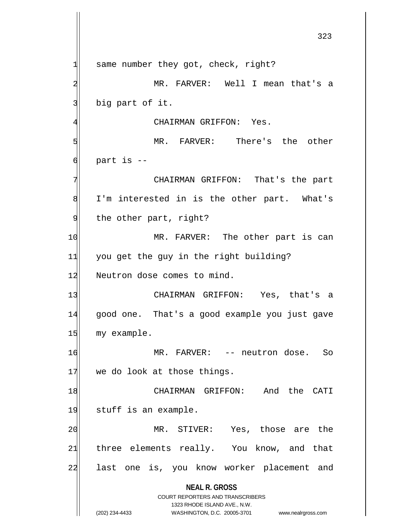**NEAL R. GROSS** COURT REPORTERS AND TRANSCRIBERS 1323 RHODE ISLAND AVE., N.W. (202) 234-4433 WASHINGTON, D.C. 20005-3701 www.nealrgross.com  $1$  same number they got, check, right? 2 MR. FARVER: Well I mean that's a 3 big part of it. 4 GHAIRMAN GRIFFON: Yes. 5 MR. FARVER: There's the other  $6$  part is  $-$ 7 CHAIRMAN GRIFFON: That's the part 8 I'm interested in is the other part. What's 9 the other part, right? 10 MR. FARVER: The other part is can 11 you get the guy in the right building? 12 Neutron dose comes to mind. 13 CHAIRMAN GRIFFON: Yes, that's a 14 good one. That's a good example you just gave 15 my example. 16 MR. FARVER: -- neutron dose. So  $17$  we do look at those things. 18 CHAIRMAN GRIFFON: And the CATI 19 stuff is an example. 20 MR. STIVER: Yes, those are the 21 three elements really. You know, and that 22 last one is, you know worker placement and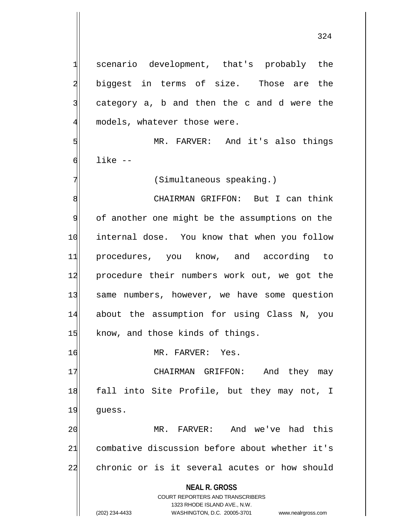1 scenario development, that's probably the 2 biggest in terms of size. Those are the

 $3$  category a, b and then the c and d were the 4 models, whatever those were.

5 MR. FARVER: And it's also things  $\mathsf{Id}$  like  $\mathsf{-}$ 

7 (Simultaneous speaking.)

8 8 CHAIRMAN GRIFFON: But I can think 9 of another one might be the assumptions on the 10 internal dose. You know that when you follow 11 procedures, you know, and according to 12 procedure their numbers work out, we got the 13 same numbers, however, we have some question 14 about the assumption for using Class N, you 15 know, and those kinds of things.

16 MR. FARVER: Yes.

17 CHAIRMAN GRIFFON: And they may 18 fall into Site Profile, but they may not, I 19 guess.

20 MR. FARVER: And we've had this 21 combative discussion before about whether it's 22 chronic or is it several acutes or how should

**NEAL R. GROSS**

COURT REPORTERS AND TRANSCRIBERS 1323 RHODE ISLAND AVE., N.W. (202) 234-4433 WASHINGTON, D.C. 20005-3701 www.nealrgross.com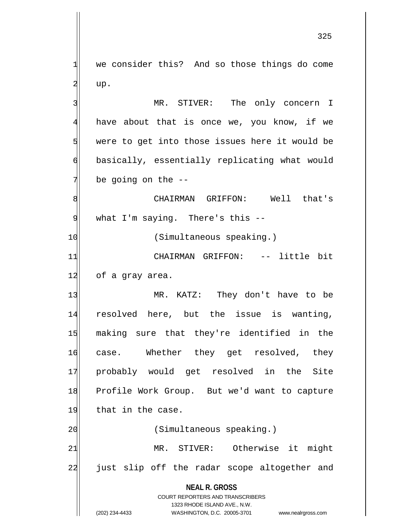$1$  we consider this? And so those things do come  $2|$  up.

3 MR. STIVER: The only concern I 4 have about that is once we, you know, if we  $5$  were to get into those issues here it would be 6 basically, essentially replicating what would  $7$  be going on the  $-$ 

8 CHAIRMAN GRIFFON: Well that's 9 what I'm saying. There's this --

10 (Simultaneous speaking.)

11 CHAIRMAN GRIFFON: -- little bit 12 of a gray area.

13 MR. KATZ: They don't have to be 14 resolved here, but the issue is wanting, 15 making sure that they're identified in the 16 case. Whether they get resolved, they 17 probably would get resolved in the Site 18 Profile Work Group. But we'd want to capture 19 that in the case.

21 MR. STIVER: Otherwise it might 22 just slip off the radar scope altogether and

20 (Simultaneous speaking.)

**NEAL R. GROSS** COURT REPORTERS AND TRANSCRIBERS 1323 RHODE ISLAND AVE., N.W.

(202) 234-4433 WASHINGTON, D.C. 20005-3701 www.nealrgross.com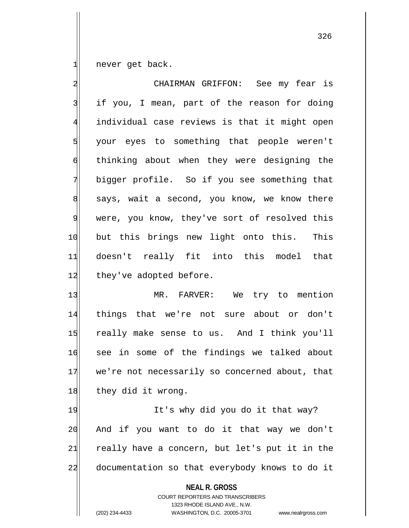never get back.

| $\overline{a}$ | CHAIRMAN GRIFFON: See my fear is               |
|----------------|------------------------------------------------|
| $\overline{3}$ | if you, I mean, part of the reason for doing   |
| $\overline{4}$ | individual case reviews is that it might open  |
| 5              | your eyes to something that people weren't     |
| $\sigma$       | thinking about when they were designing the    |
| $\overline{7}$ | bigger profile. So if you see something that   |
| 8              | says, wait a second, you know, we know there   |
| 9              | were, you know, they've sort of resolved this  |
| 10             | but this brings new light onto this. This      |
| 11             | doesn't really fit into this model that        |
| 12             | they've adopted before.                        |
| 13             | MR. FARVER: We try to mention                  |
| 14             | things that we're not sure about or don't      |
| 15             | really make sense to us. And I think you'll    |
| 16             | see in some of the findings we talked about    |
| 17             | we're not necessarily so concerned about, that |
| 18             | they did it wrong.                             |
| 19             | It's why did you do it that way?               |
| 20             | And if you want to do it that way we don't     |

documentation so that everybody knows to do it

21 really have a concern, but let's put it in the

**NEAL R. GROSS**

COURT REPORTERS AND TRANSCRIBERS 1323 RHODE ISLAND AVE., N.W. (202) 234-4433 WASHINGTON, D.C. 20005-3701 www.nealrgross.com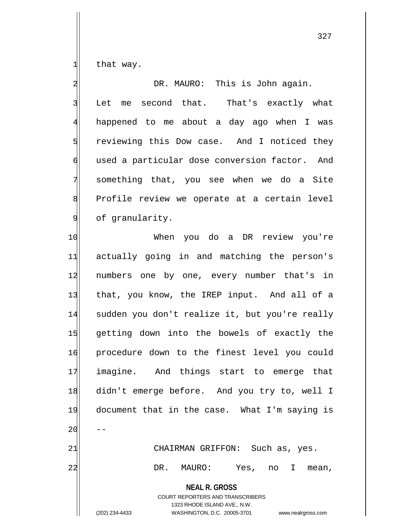$1$  that way.

2 DR. MAURO: This is John again. 3 Let me second that. That's exactly what 4 happened to me about a day ago when I was 5 Solut reviewing this Dow case. And I noticed they 6 used a particular dose conversion factor. And 7 something that, you see when we do a Site 8 Profile review we operate at a certain level 9 of granularity. 10 When you do a DR review you're

**NEAL R. GROSS** 11 actually going in and matching the person's 12 numbers one by one, every number that's in 13 that, you know, the IREP input. And all of a 14 sudden you don't realize it, but you're really 15 getting down into the bowels of exactly the 16 procedure down to the finest level you could 17 imagine. And things start to emerge that 18 didn't emerge before. And you try to, well I 19 document that in the case. What I'm saying is  $20$ 21 CHAIRMAN GRIFFON: Such as, yes. 22 DR. MAURO: Yes, no I mean,

COURT REPORTERS AND TRANSCRIBERS 1323 RHODE ISLAND AVE., N.W. (202) 234-4433 WASHINGTON, D.C. 20005-3701 www.nealrgross.com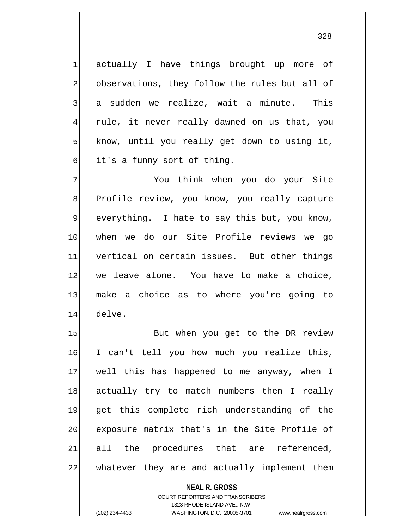1 actually I have things brought up more of 2 observations, they follow the rules but all of 3 a sudden we realize, wait a minute. This 4 rule, it never really dawned on us that, you  $5$  know, until you really get down to using it,  $\delta$  it's a funny sort of thing.

7 Xou think when you do your Site 8 Profile review, you know, you really capture 9 everything. I hate to say this but, you know, 10 when we do our Site Profile reviews we go 11 vertical on certain issues. But other things 12 we leave alone. You have to make a choice, 13 make a choice as to where you're going to 14 delve.

15 But when you get to the DR review 16 I can't tell you how much you realize this, 17 well this has happened to me anyway, when I 18 actually try to match numbers then I really 19 get this complete rich understanding of the 20 exposure matrix that's in the Site Profile of 21 all the procedures that are referenced, 22 whatever they are and actually implement them

> **NEAL R. GROSS** COURT REPORTERS AND TRANSCRIBERS 1323 RHODE ISLAND AVE., N.W. (202) 234-4433 WASHINGTON, D.C. 20005-3701 www.nealrgross.com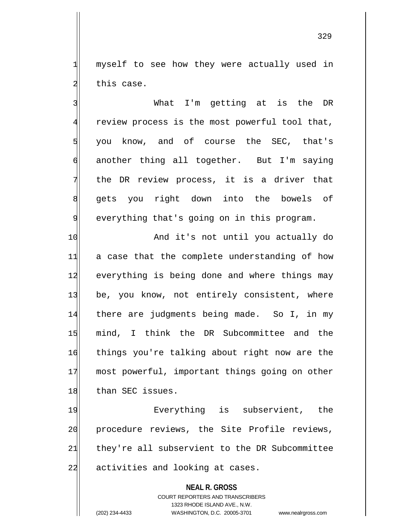1 myself to see how they were actually used in 2 this case.

3 3 What I'm getting at is the DR 4 review process is the most powerful tool that,  $\frac{1}{3}$  you know, and of course the SEC, that's 6 another thing all together. But I'm saying 7 the DR review process, it is a driver that 8| gets you right down into the bowels of 9 everything that's going on in this program.

10 And it's not until you actually do 11 a case that the complete understanding of how 12 everything is being done and where things may 13 be, you know, not entirely consistent, where 14 there are judgments being made. So I, in my 15 mind, I think the DR Subcommittee and the 16 things you're talking about right now are the 17 most powerful, important things going on other 18 than SEC issues.

19 Rverything is subservient, the 20 procedure reviews, the Site Profile reviews, 21 they're all subservient to the DR Subcommittee 22 activities and looking at cases.

> **NEAL R. GROSS** COURT REPORTERS AND TRANSCRIBERS 1323 RHODE ISLAND AVE., N.W. (202) 234-4433 WASHINGTON, D.C. 20005-3701 www.nealrgross.com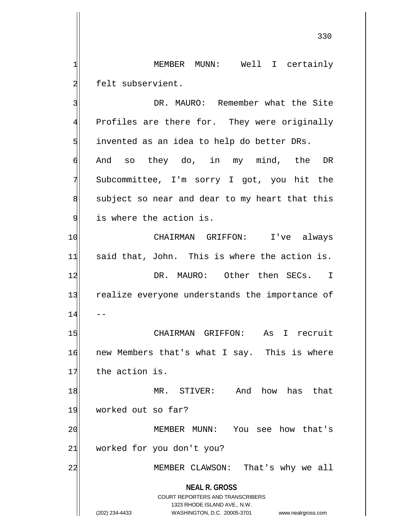1 MEMBER MUNN: Well I certainly 2 felt subservient.

**NEAL R. GROSS** COURT REPORTERS AND TRANSCRIBERS 1323 RHODE ISLAND AVE., N.W. (202) 234-4433 WASHINGTON, D.C. 20005-3701 www.nealrgross.com 3 3 DR. MAURO: Remember what the Site 4 Profiles are there for. They were originally  $5$  invented as an idea to help do better DRs. 6 And so they do, in my mind, the DR 7 Subcommittee, I'm sorry I got, you hit the  $8$  subject so near and dear to my heart that this 9 is where the action is. 10 CHAIRMAN GRIFFON: I've always  $11$  said that, John. This is where the action is. 12 DR. MAURO: Other then SECs. I 13 realize everyone understands the importance of  $14$  --15 | CHAIRMAN GRIFFON: As I recruit 16 new Members that's what I say. This is where 17 the action is. 18 MR. STIVER: And how has that 19 worked out so far? 20 MEMBER MUNN: You see how that's 21 worked for you don't you? 22 MEMBER CLAWSON: That's why we all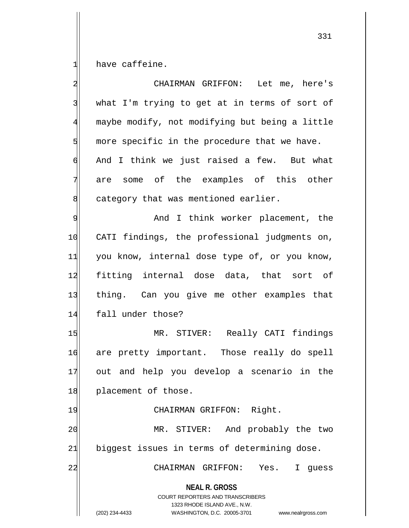have caffeine.

| $\overline{a}$          | CHAIRMAN GRIFFON: Let me, here's                                                                                                                                       |
|-------------------------|------------------------------------------------------------------------------------------------------------------------------------------------------------------------|
| $\overline{\mathbf{3}}$ | what I'm trying to get at in terms of sort of                                                                                                                          |
| $\overline{4}$          | maybe modify, not modifying but being a little                                                                                                                         |
| $\overline{5}$          | more specific in the procedure that we have.                                                                                                                           |
| $\sigma$                | And I think we just raised a few. But what                                                                                                                             |
| 7                       | are some of the examples of this other                                                                                                                                 |
| 8                       | category that was mentioned earlier.                                                                                                                                   |
| 9                       | And I think worker placement, the                                                                                                                                      |
| 10                      | CATI findings, the professional judgments on,                                                                                                                          |
| 11                      | you know, internal dose type of, or you know,                                                                                                                          |
| 12                      | fitting internal dose data, that sort of                                                                                                                               |
| 13                      | thing. Can you give me other examples that                                                                                                                             |
| 14                      | fall under those?                                                                                                                                                      |
| 15                      | MR. STIVER: Really CATI findings                                                                                                                                       |
| 16                      | are pretty important. Those really do spell                                                                                                                            |
| 17                      | out and help you develop a scenario in the                                                                                                                             |
| 18                      | placement of those.                                                                                                                                                    |
| 19                      | Right.<br>CHAIRMAN GRIFFON:                                                                                                                                            |
| 20                      | STIVER: And probably the two<br>MR.                                                                                                                                    |
| 21                      | biggest issues in terms of determining dose.                                                                                                                           |
| 22                      | CHAIRMAN GRIFFON:<br>Yes.<br>I<br>guess                                                                                                                                |
|                         | <b>NEAL R. GROSS</b><br><b>COURT REPORTERS AND TRANSCRIBERS</b><br>1323 RHODE ISLAND AVE., N.W.<br>(202) 234-4433<br>WASHINGTON, D.C. 20005-3701<br>www.nealrgross.com |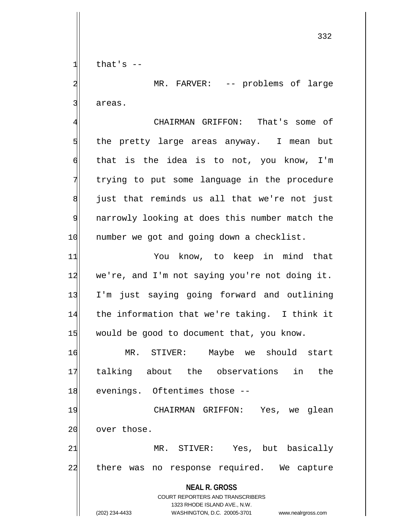$1$  that's  $-$ 

2| MR. FARVER: -- problems of large 3 areas.

4 CHAIRMAN GRIFFON: That's some of 5 5 5 5 the pretty large areas anyway. I mean but  $\mathfrak{h}$  that is the idea is to not, you know, I'm 7 trying to put some language in the procedure  $8$  just that reminds us all that we're not just 9 | narrowly looking at does this number match the 10 number we got and going down a checklist.

11 You know, to keep in mind that 12 we're, and I'm not saying you're not doing it. 13 I'm just saying going forward and outlining 14 the information that we're taking. I think it 15 would be good to document that, you know.

16 MR. STIVER: Maybe we should start 17 talking about the observations in the 18 evenings. Oftentimes those --

19 CHAIRMAN GRIFFON: Yes, we glean 20 over those.

21 MR. STIVER: Yes, but basically 22 there was no response required. We capture

**NEAL R. GROSS**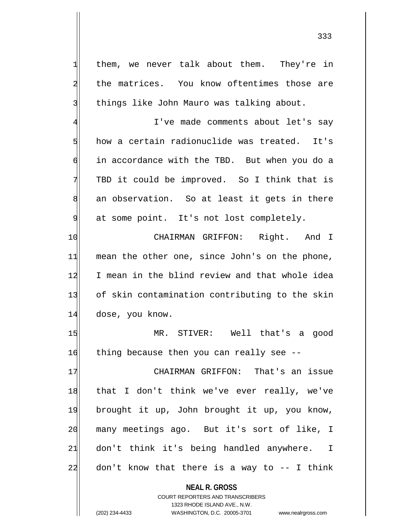1 them, we never talk about them. They're in 2 the matrices. You know oftentimes those are 3 things like John Mauro was talking about. 4 I've made comments about let's say 5 how a certain radionuclide was treated. It's 6 in accordance with the TBD. But when you do a 7 TBD it could be improved. So I think that is 8 an observation. So at least it gets in there 9 at some point. It's not lost completely. 10 CHAIRMAN GRIFFON: Right. And I  $11$  mean the other one, since John's on the phone, 12 I mean in the blind review and that whole idea 13 of skin contamination contributing to the skin 14 dose, you know. 15 MR. STIVER: Well that's a good 16 thing because then you can really see --17 CHAIRMAN GRIFFON: That's an issue 18 that I don't think we've ever really, we've 19 brought it up, John brought it up, you know, 20 many meetings ago. But it's sort of like, I 21 don't think it's being handled anywhere. I  $22$  don't know that there is a way to  $-$  I think

> **NEAL R. GROSS** COURT REPORTERS AND TRANSCRIBERS

> > 1323 RHODE ISLAND AVE., N.W.

(202) 234-4433 WASHINGTON, D.C. 20005-3701 www.nealrgross.com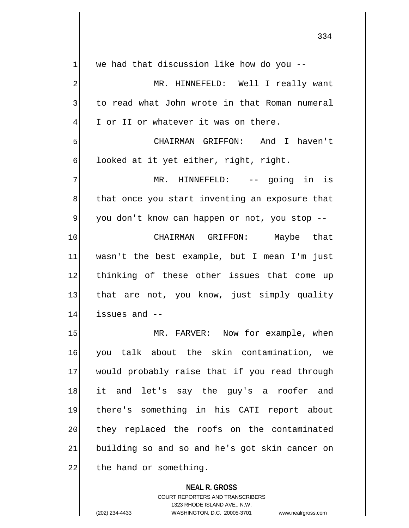| $\mathbf{1}$   | we had that discussion like how do you --      |
|----------------|------------------------------------------------|
| $\overline{a}$ | MR. HINNEFELD: Well I really want              |
| 3              | to read what John wrote in that Roman numeral  |
| $\overline{4}$ | I or II or whatever it was on there.           |
| 5              | CHAIRMAN GRIFFON: And I haven't                |
| 6              | looked at it yet either, right, right.         |
| 7              | MR. HINNEFELD: -- going in is                  |
| 8              | that once you start inventing an exposure that |
| 9              | you don't know can happen or not, you stop --  |
| 10             | CHAIRMAN GRIFFON: Maybe that                   |
| 11             | wasn't the best example, but I mean I'm just   |
| 12             | thinking of these other issues that come up    |
| 13             | that are not, you know, just simply quality    |
| 14             | issues and --                                  |
| 15             | MR. FARVER: Now for example, when              |
| 16             | you talk about the skin contamination, we      |
| 17             | would probably raise that if you read through  |
| 18             | it and let's say the guy's a roofer and        |
| 19             | there's something in his CATI report about     |
| 20             | they replaced the roofs on the contaminated    |
| 21             | building so and so and he's got skin cancer on |
| 22             | the hand or something.                         |
|                | <b>NEAL R. GROSS</b>                           |

COURT REPORTERS AND TRANSCRIBERS 1323 RHODE ISLAND AVE., N.W. (202) 234-4433 WASHINGTON, D.C. 20005-3701 www.nealrgross.com

 $\mathsf{I}$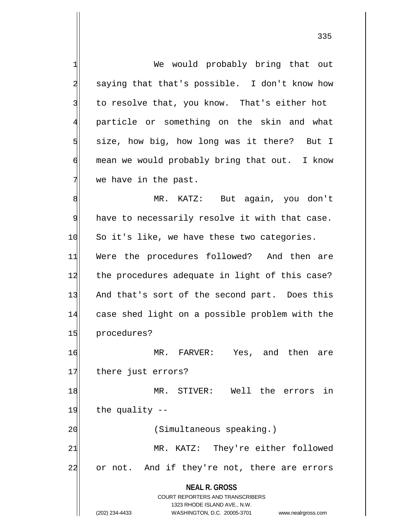**NEAL R. GROSS** COURT REPORTERS AND TRANSCRIBERS 1323 RHODE ISLAND AVE., N.W. 1 We would probably bring that out 2 saying that that's possible. I don't know how 3 to resolve that, you know. That's either hot 4 particle or something on the skin and what  $5$  size, how big, how long was it there? But I 6 mean we would probably bring that out. I know  $7$  we have in the past. 8 MR. KATZ: But again, you don't  $9$  have to necessarily resolve it with that case. 10 So it's like, we have these two categories. 11 Were the procedures followed? And then are 12 the procedures adequate in light of this case? 13 And that's sort of the second part. Does this 14 case shed light on a possible problem with the 15 procedures? 16 MR. FARVER: Yes, and then are 17 there just errors? 18 MR. STIVER: Well the errors in  $19$  the quality  $-$ 20 (Simultaneous speaking.) 21 MR. KATZ: They're either followed 22 or not. And if they're not, there are errors

335

(202) 234-4433 WASHINGTON, D.C. 20005-3701 www.nealrgross.com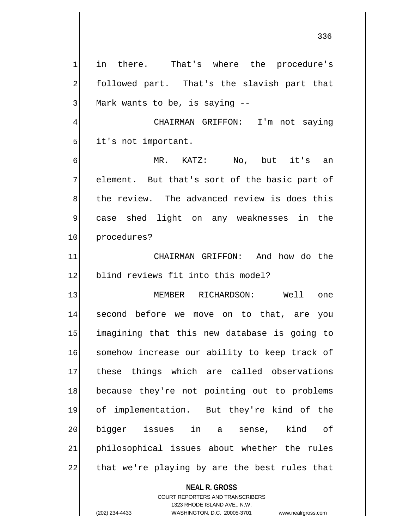1 in there. That's where the procedure's 2 followed part. That's the slavish part that 3 Mark wants to be, is saying --

4 CHAIRMAN GRIFFON: I'm not saying 5 it's not important.

6 MR. KATZ: No, but it's an 7 element. But that's sort of the basic part of 8 | the review. The advanced review is does this 9 case shed light on any weaknesses in the 10 procedures?

11 CHAIRMAN GRIFFON: And how do the 12 blind reviews fit into this model?

13 MEMBER RICHARDSON: Well one 14 second before we move on to that, are you 15 imagining that this new database is going to 16 somehow increase our ability to keep track of 17 these things which are called observations 18 because they're not pointing out to problems 19 of implementation. But they're kind of the 20 bigger issues in a sense, kind of 21 philosophical issues about whether the rules 22 that we're playing by are the best rules that

**NEAL R. GROSS**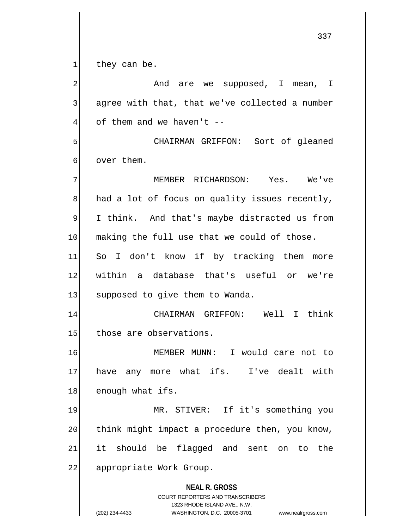$1$  they can be.

**NEAL R. GROSS** COURT REPORTERS AND TRANSCRIBERS 1323 RHODE ISLAND AVE., N.W. (202) 234-4433 WASHINGTON, D.C. 20005-3701 www.nealrgross.com 2 | And are we supposed, I mean, I  $3$  agree with that, that we've collected a number  $4$  of them and we haven't  $-$ 5 Sort of gleaned 6 over them. 7 MEMBER RICHARDSON: Yes. We've  $8$  had a lot of focus on quality issues recently, 9 I think. And that's maybe distracted us from 10 making the full use that we could of those. 11 So I don't know if by tracking them more 12 within a database that's useful or we're 13 supposed to give them to Wanda. 14 CHAIRMAN GRIFFON: Well I think 15 those are observations. 16 MEMBER MUNN: I would care not to 17 have any more what ifs. I've dealt with 18 enough what ifs. 19 MR. STIVER: If it's something you  $20$  think might impact a procedure then, you know, 21 it should be flagged and sent on to the 22 appropriate Work Group.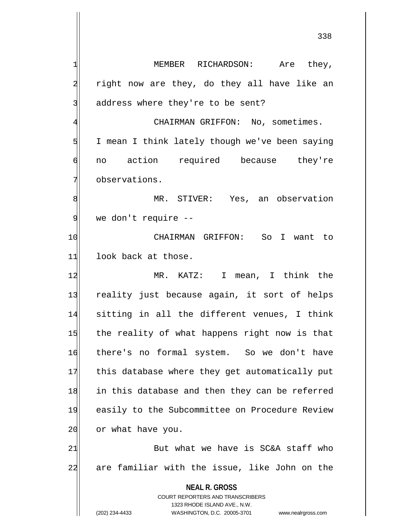**NEAL R. GROSS** COURT REPORTERS AND TRANSCRIBERS 1323 RHODE ISLAND AVE., N.W. (202) 234-4433 WASHINGTON, D.C. 20005-3701 www.nealrgross.com 1 MEMBER RICHARDSON: Are they,  $2$  right now are they, do they all have like an 3 address where they're to be sent? 4 GHAIRMAN GRIFFON: No, sometimes. 5 I mean I think lately though we've been saying 6 no action required because they're 7 observations. 8 MR. STIVER: Yes, an observation 9 we don't require --10 CHAIRMAN GRIFFON: So I want to 11 look back at those. 12 MR. KATZ: I mean, I think the 13 reality just because again, it sort of helps 14 sitting in all the different venues, I think 15 the reality of what happens right now is that 16 there's no formal system. So we don't have 17 this database where they get automatically put 18 in this database and then they can be referred 19 easily to the Subcommittee on Procedure Review 20 or what have you.  $21$  But what we have is SC&A staff who 22 are familiar with the issue, like John on the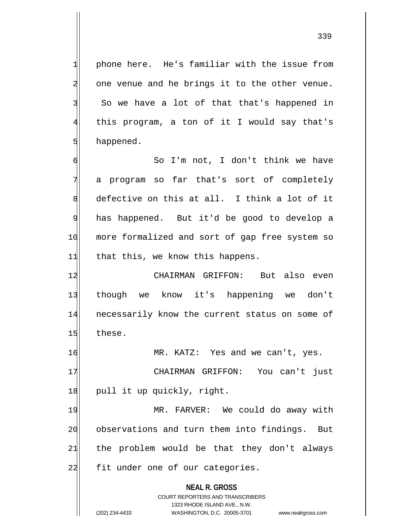339

 $1$  phone here. He's familiar with the issue from 2 one venue and he brings it to the other venue. 3 So we have a lot of that that's happened in 4 this program, a ton of it I would say that's 5 happened.

6 So I'm not, I don't think we have 7 a program so far that's sort of completely 8 defective on this at all. I think a lot of it 9 has happened. But it'd be good to develop a 10 more formalized and sort of gap free system so  $11$  that this, we know this happens.

12 CHAIRMAN GRIFFON: But also even 13 though we know it's happening we don't 14 necessarily know the current status on some of 15 these.

16 MR. KATZ: Yes and we can't, yes.

17 | CHAIRMAN GRIFFON: You can't just 18 pull it up quickly, right.

19 MR. FARVER: We could do away with 20 observations and turn them into findings. But  $21$  the problem would be that they don't always 22 fit under one of our categories.

**NEAL R. GROSS**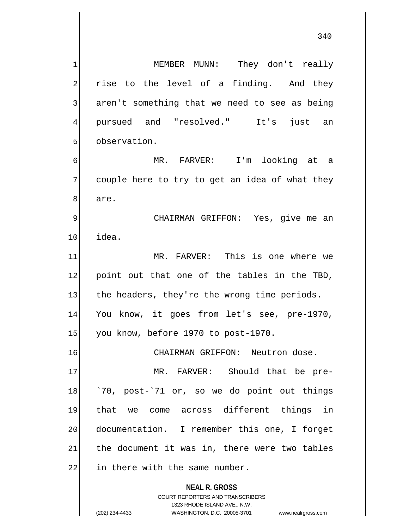**NEAL R. GROSS** COURT REPORTERS AND TRANSCRIBERS 1323 RHODE ISLAND AVE., N.W. (202) 234-4433 WASHINGTON, D.C. 20005-3701 www.nealrgross.com 1 MEMBER MUNN: They don't really 2 rise to the level of a finding. And they 3 aren't something that we need to see as being 4 pursued and "resolved." It's just an 5 observation. 6 MR. FARVER: I'm looking at a  $7$  couple here to try to get an idea of what they 8 are. 9 | CHAIRMAN GRIFFON: Yes, give me an 10 idea. 11 MR. FARVER: This is one where we 12 point out that one of the tables in the TBD, 13 the headers, they're the wrong time periods. 14 You know, it goes from let's see, pre-1970, 15 you know, before 1970 to post-1970. 16 CHAIRMAN GRIFFON: Neutron dose. 17 MR. FARVER: Should that be pre-18 <sup>70</sup>, post-'71 or, so we do point out things 19 that we come across different things in 20 documentation. I remember this one, I forget  $21$  the document it was in, there were two tables  $22$  in there with the same number.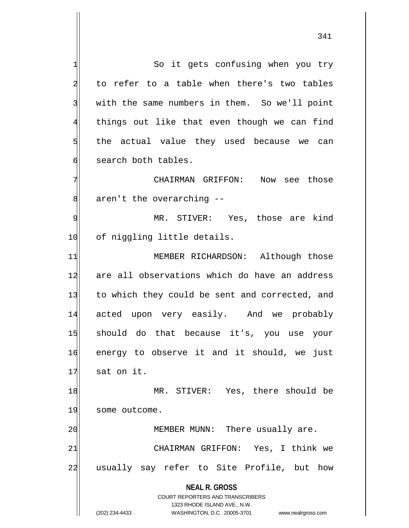**NEAL R. GROSS** COURT REPORTERS AND TRANSCRIBERS 1323 RHODE ISLAND AVE., N.W. (202) 234-4433 WASHINGTON, D.C. 20005-3701 www.nealrgross.com 1 So it gets confusing when you try 2 to refer to a table when there's two tables 3 With the same numbers in them. So we'll point 4 things out like that even though we can find  $5$  the actual value they used because we can 6 search both tables. 7 CHAIRMAN GRIFFON: Now see those  $8$  aren't the overarching  $-$ 9 MR. STIVER: Yes, those are kind 10 of niggling little details. 11 MEMBER RICHARDSON: Although those 12 are all observations which do have an address 13 to which they could be sent and corrected, and 14 acted upon very easily. And we probably 15 should do that because it's, you use your 16 energy to observe it and it should, we just  $17$  sat on it. 18 MR. STIVER: Yes, there should be 19 some outcome. 20 MEMBER MUNN: There usually are. 21 CHAIRMAN GRIFFON: Yes, I think we 22 usually say refer to Site Profile, but how

<sup>341</sup>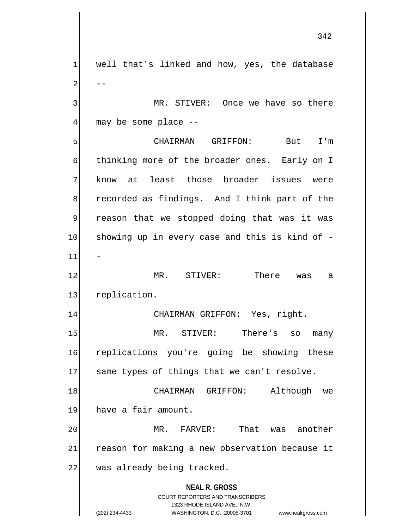**NEAL R. GROSS** COURT REPORTERS AND TRANSCRIBERS 1323 RHODE ISLAND AVE., N.W.  $1$  well that's linked and how, yes, the database  $2 \vert$  --3 MR. STIVER: Once we have so there  $4$  may be some place  $-$ -5 CHAIRMAN GRIFFON: But I'm 6 thinking more of the broader ones. Early on I 7 know at least those broader issues were 8 recorded as findings. And I think part of the 9 reason that we stopped doing that was it was 10 showing up in every case and this is kind of - $11$ 12 MR. STIVER: There was a 13 replication. 14 CHAIRMAN GRIFFON: Yes, right. 15 MR. STIVER: There's so many 16 replications you're going be showing these  $17$  same types of things that we can't resolve. 18 CHAIRMAN GRIFFON: Although we 19 have a fair amount. 20 MR. FARVER: That was another 21 reason for making a new observation because it 22 was already being tracked.

(202) 234-4433 WASHINGTON, D.C. 20005-3701 www.nealrgross.com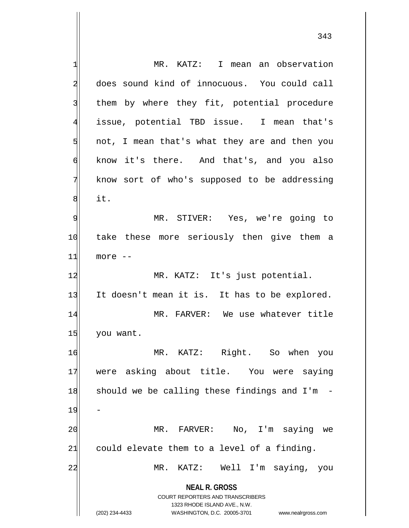**NEAL R. GROSS** COURT REPORTERS AND TRANSCRIBERS 1323 RHODE ISLAND AVE., N.W. (202) 234-4433 WASHINGTON, D.C. 20005-3701 www.nealrgross.com 1 MR. KATZ: I mean an observation 2 does sound kind of innocuous. You could call 3 them by where they fit, potential procedure 4 issue, potential TBD issue. I mean that's 5 5 5 1 not, I mean that's what they are and then you 6 know it's there. And that's, and you also 7 know sort of who's supposed to be addressing  $8$  it. 9 MR. STIVER: Yes, we're going to 10 take these more seriously then give them a  $11$  more  $-$ 12 MR. KATZ: It's just potential. 13 It doesn't mean it is. It has to be explored. 14 MR. FARVER: We use whatever title 15 you want. 16 MR. KATZ: Right. So when you 17 were asking about title. You were saying  $18$  should we be calling these findings and I'm -19 20 MR. FARVER: No, I'm saying we  $21$  could elevate them to a level of a finding. 22 MR. KATZ: Well I'm saying, you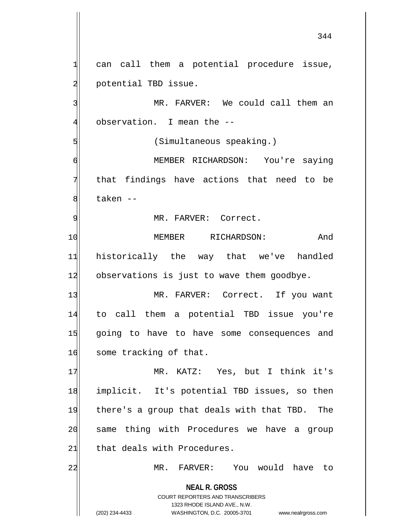**NEAL R. GROSS** COURT REPORTERS AND TRANSCRIBERS 1323 RHODE ISLAND AVE., N.W. (202) 234-4433 WASHINGTON, D.C. 20005-3701 www.nealrgross.com  $1$  can call them a potential procedure issue, 2 potential TBD issue. 3 MR. FARVER: We could call them an 4 observation. I mean the --5 (Simultaneous speaking.) 6 MEMBER RICHARDSON: You're saying 7 that findings have actions that need to be 8 baken --9 MR. FARVER: Correct. 10 MEMBER RICHARDSON: And 11 historically the way that we've handled 12 observations is just to wave them goodbye. 13 MR. FARVER: Correct. If you want 14 to call them a potential TBD issue you're 15 going to have to have some consequences and 16 some tracking of that. 17 MR. KATZ: Yes, but I think it's 18 implicit. It's potential TBD issues, so then 19 there's a group that deals with that TBD. The 20 same thing with Procedures we have a group 21 that deals with Procedures. 22 MR. FARVER: You would have to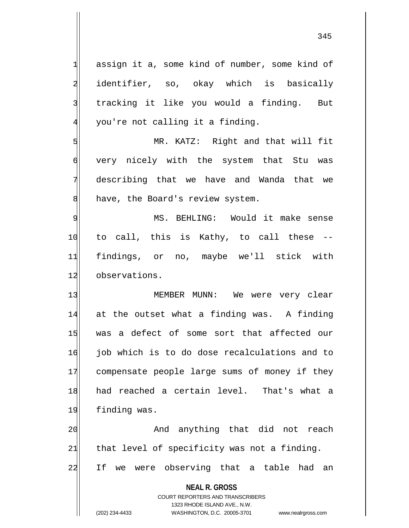**NEAL R. GROSS** COURT REPORTERS AND TRANSCRIBERS 1323 RHODE ISLAND AVE., N.W.  $1$  assign it a, some kind of number, some kind of 2 identifier, so, okay which is basically 3 | tracking it like you would a finding. But 4 you're not calling it a finding. 5 MR. KATZ: Right and that will fit 6 very nicely with the system that Stu was 7 describing that we have and Wanda that we 8 have, the Board's review system. 9 MS. BEHLING: Would it make sense  $10$  to call, this is Kathy, to call these  $-$ 11 findings, or no, maybe we'll stick with 12 observations. 13 MEMBER MUNN: We were very clear 14 at the outset what a finding was. A finding 15 was a defect of some sort that affected our 16 job which is to do dose recalculations and to 17 compensate people large sums of money if they 18 had reached a certain level. That's what a 19 finding was. 20 and anything that did not reach  $21$  that level of specificity was not a finding. 22 If we were observing that a table had an

(202) 234-4433 WASHINGTON, D.C. 20005-3701 www.nealrgross.com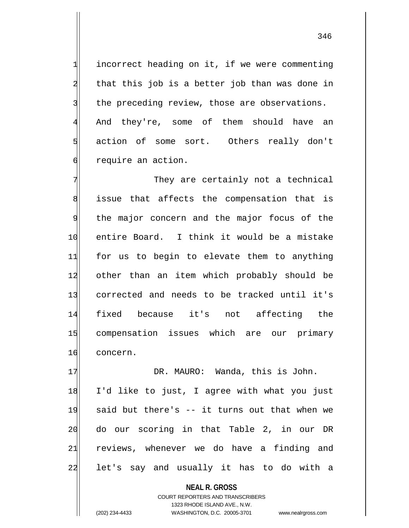incorrect heading on it, if we were commenting that this job is a better job than was done in the preceding review, those are observations. And they're, some of them should have an 5 s action of some sort. Others really don't 6 6 require an action.

7 They are certainly not a technical 8 issue that affects the compensation that is 9 the major concern and the major focus of the 10 entire Board. I think it would be a mistake 11 for us to begin to elevate them to anything 12 other than an item which probably should be 13 corrected and needs to be tracked until it's 14 fixed because it's not affecting the 15 compensation issues which are our primary 16 concern.

17 DR. MAURO: Wanda, this is John. 18 I'd like to just, I agree with what you just 19 said but there's -- it turns out that when we 20 do our scoring in that Table 2, in our DR 21 reviews, whenever we do have a finding and 22 let's say and usually it has to do with a

> **NEAL R. GROSS** COURT REPORTERS AND TRANSCRIBERS 1323 RHODE ISLAND AVE., N.W. (202) 234-4433 WASHINGTON, D.C. 20005-3701 www.nealrgross.com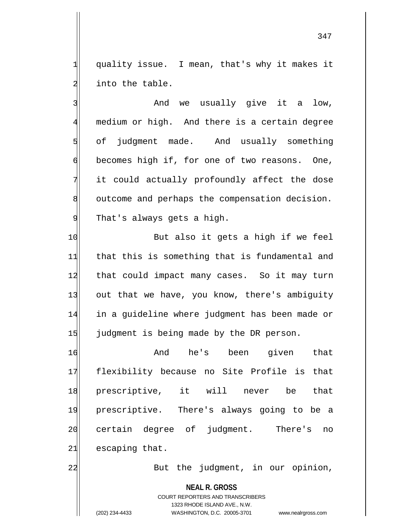1 quality issue. I mean, that's why it makes it 2 into the table.

3 and we usually give it a low, 4 medium or high. And there is a certain degree  $5$  of judgment made. And usually something  $\phi$  becomes high if, for one of two reasons. One,  $7$  it could actually profoundly affect the dose 8 outcome and perhaps the compensation decision. 9 That's always gets a high.

10 But also it gets a high if we feel 11 that this is something that is fundamental and 12 that could impact many cases. So it may turn 13 out that we have, you know, there's ambiguity 14 in a guideline where judgment has been made or 15 judgment is being made by the DR person.

16 And he's been given that 17 flexibility because no Site Profile is that 18 prescriptive, it will never be that 19 prescriptive. There's always going to be a 20 certain degree of judgment. There's no  $21$  escaping that.

22 But the judgment, in our opinion,

**NEAL R. GROSS** COURT REPORTERS AND TRANSCRIBERS 1323 RHODE ISLAND AVE., N.W. (202) 234-4433 WASHINGTON, D.C. 20005-3701 www.nealrgross.com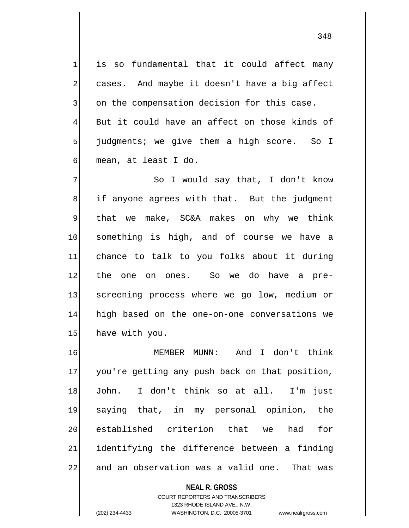$1$  is so fundamental that it could affect many 2 cases. And maybe it doesn't have a big affect 3 on the compensation decision for this case.  $4$  But it could have an affect on those kinds of  $5$  judgments; we give them a high score. So I 6 mean, at least I do.

7 | So I would say that, I don't know 8 if anyone agrees with that. But the judgment  $9$  that we make, SC&A makes on why we think 10 something is high, and of course we have a 11 chance to talk to you folks about it during 12 the one on ones. So we do have a pre-13 screening process where we go low, medium or 14 high based on the one-on-one conversations we 15 have with you.

16 MEMBER MUNN: And I don't think 17 you're getting any push back on that position, 18 John. I don't think so at all. I'm just 19 saying that, in my personal opinion, the 20 established criterion that we had for 21 identifying the difference between a finding 22 and an observation was a valid one. That was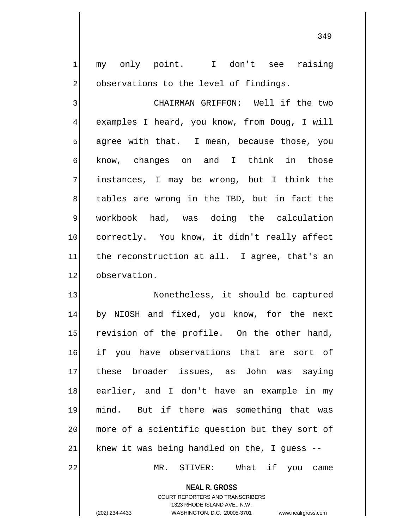1| my only point. I don't see raising 2 observations to the level of findings.

3 | CHAIRMAN GRIFFON: Well if the two 4 examples I heard, you know, from Doug, I will  $5$  agree with that. I mean, because those, you 6 know, changes on and I think in those 7 instances, I may be wrong, but I think the 8 tables are wrong in the TBD, but in fact the 9 workbook had, was doing the calculation 10 correctly. You know, it didn't really affect  $11$  the reconstruction at all. I agree, that's an 12 observation.

13 Nonetheless, it should be captured 14 by NIOSH and fixed, you know, for the next 15 revision of the profile. On the other hand, 16 if you have observations that are sort of 17 these broader issues, as John was saying 18 earlier, and I don't have an example in my 19 mind. But if there was something that was 20 more of a scientific question but they sort of  $21$  knew it was being handled on the, I guess  $-$ 

22 MR. STIVER: What if you came

**NEAL R. GROSS** COURT REPORTERS AND TRANSCRIBERS

1323 RHODE ISLAND AVE., N.W.

(202) 234-4433 WASHINGTON, D.C. 20005-3701 www.nealrgross.com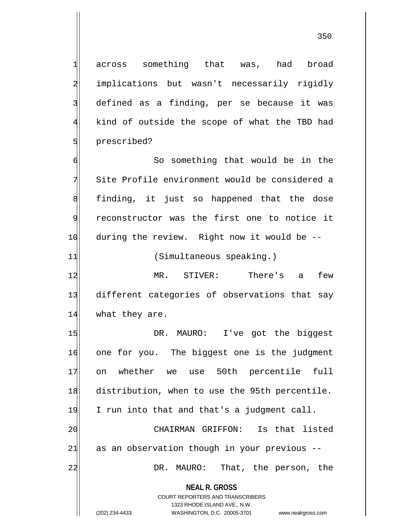across something that was, had broad 2 implications but wasn't necessarily rigidly defined as a finding, per se because it was kind of outside the scope of what the TBD had **5** prescribed?

6 So something that would be in the 7 Site Profile environment would be considered a 8 finding, it just so happened that the dose 9 reconstructor was the first one to notice it 10 during the review. Right now it would be --

11 (Simultaneous speaking.)

12 MR. STIVER: There's a few 13 different categories of observations that say 14 what they are.

15 DR. MAURO: I've got the biggest 16 one for you. The biggest one is the judgment 17 on whether we use 50th percentile full 18 distribution, when to use the 95th percentile. 19 I run into that and that's a judgment call. 20 CHAIRMAN GRIFFON: Is that listed  $21$  as an observation though in your previous  $-$ 22 DR. MAURO: That, the person, the

> **NEAL R. GROSS** COURT REPORTERS AND TRANSCRIBERS

> > 1323 RHODE ISLAND AVE., N.W.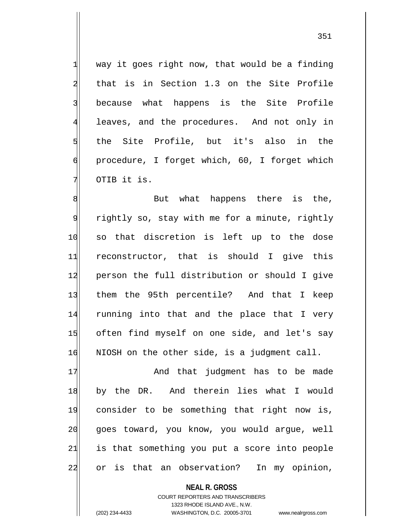$1$  way it goes right now, that would be a finding 2 that is in Section 1.3 on the Site Profile 3 because what happens is the Site Profile 4 leaves, and the procedures. And not only in 5 sl the Site Profile, but it's also in the 6 procedure, I forget which, 60, I forget which 7 | OTIB it is.

8 8 But what happens there is the, 9 rightly so, stay with me for a minute, rightly 10 so that discretion is left up to the dose 11 reconstructor, that is should I give this 12 person the full distribution or should I give 13 them the 95th percentile? And that I keep 14 running into that and the place that I very 15 often find myself on one side, and let's say 16 NIOSH on the other side, is a judgment call.

17 and that judgment has to be made 18 by the DR. And therein lies what I would 19 consider to be something that right now is, 20 goes toward, you know, you would argue, well 21 is that something you put a score into people 22 or is that an observation? In my opinion,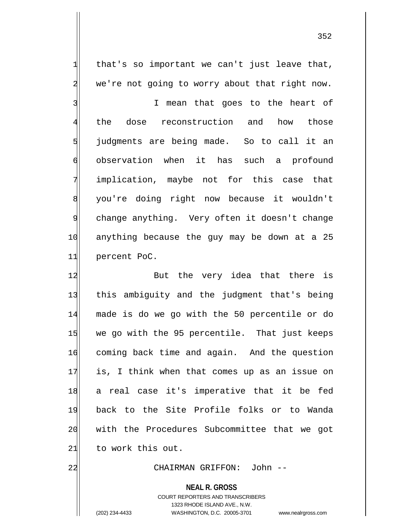$1$  that's so important we can't just leave that,  $2$  we're not going to worry about that right now.

3 I mean that goes to the heart of 4 the dose reconstruction and how those 5 judgments are being made. So to call it an 6 observation when it has such a profound 7 implication, maybe not for this case that 8 you're doing right now because it wouldn't 9 change anything. Very often it doesn't change 10 anything because the guy may be down at a 25 11 percent PoC.

12 But the very idea that there is 13 this ambiguity and the judgment that's being 14 made is do we go with the 50 percentile or do 15 we go with the 95 percentile. That just keeps 16 coming back time and again. And the question 17 is, I think when that comes up as an issue on 18 a real case it's imperative that it be fed 19 back to the Site Profile folks or to Wanda 20 with the Procedures Subcommittee that we got 21 to work this out.

## 22 CHAIRMAN GRIFFON: John --

**NEAL R. GROSS**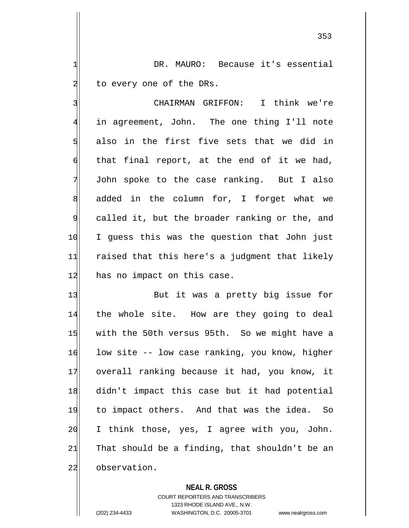1 DR. MAURO: Because it's essential 2 to every one of the DRs.

3 CHAIRMAN GRIFFON: I think we're 4 in agreement, John. The one thing I'll note 5 also in the first five sets that we did in  $\mathfrak{h}$  that final report, at the end of it we had, 7 John spoke to the case ranking. But I also 8 added in the column for, I forget what we 9 called it, but the broader ranking or the, and 10 I guess this was the question that John just 11 raised that this here's a judgment that likely 12 has no impact on this case.

13 But it was a pretty big issue for 14 the whole site. How are they going to deal 15 with the 50th versus 95th. So we might have a 16 low site -- low case ranking, you know, higher 17 overall ranking because it had, you know, it 18 didn't impact this case but it had potential 19 to impact others. And that was the idea. So 20 I think those, yes, I agree with you, John. 21 That should be a finding, that shouldn't be an 22 observation.

**NEAL R. GROSS**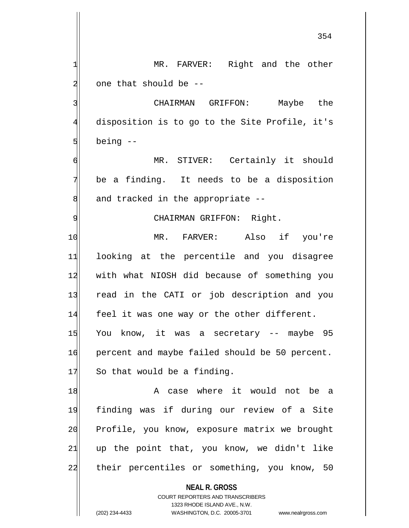354

1 MR. FARVER: Right and the other one that should be  $-$  CHAIRMAN GRIFFON: Maybe the disposition is to go to the Site Profile, it's

 $5$  being  $-$ 6 MR. STIVER: Certainly it should

 $7$  be a finding. It needs to be a disposition  $8$  and tracked in the appropriate  $-$ -

## 9 | CHAIRMAN GRIFFON: Right.

10 MR. FARVER: Also if you're 11 looking at the percentile and you disagree 12 with what NIOSH did because of something you 13 read in the CATI or job description and you 14 feel it was one way or the other different. 15 You know, it was a secretary -- maybe 95 16 percent and maybe failed should be 50 percent.  $17$  So that would be a finding.

18| Manuel A case where it would not be a 19 finding was if during our review of a Site 20 Profile, you know, exposure matrix we brought  $21$  up the point that, you know, we didn't like 22 their percentiles or something, you know, 50

**NEAL R. GROSS**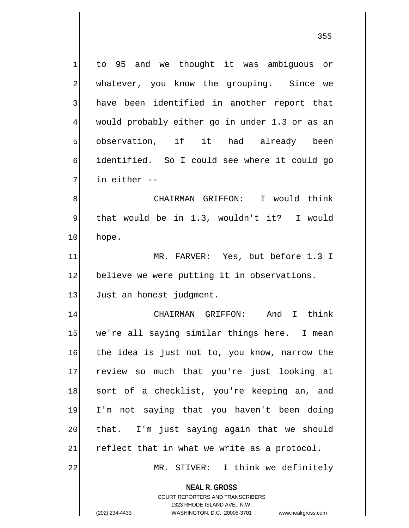1 to 95 and we thought it was ambiguous or 2 whatever, you know the grouping. Since we 3 have been identified in another report that 4 would probably either go in under 1.3 or as an 5 observation, if it had already been 6 identified. So I could see where it could go 7 in either --8 Solution Multiman GRIFFON: I would think

9 that would be in 1.3, wouldn't it? I would 10 hope.

11 MR. FARVER: Yes, but before 1.3 I 12 believe we were putting it in observations. 13 Just an honest judgment.

14 CHAIRMAN GRIFFON: And I think 15 we're all saying similar things here. I mean 16 the idea is just not to, you know, narrow the 17 review so much that you're just looking at 18 sort of a checklist, you're keeping an, and 19 I'm not saying that you haven't been doing 20 that. I'm just saying again that we should  $21$  reflect that in what we write as a protocol. 22 MR. STIVER: I think we definitely

**NEAL R. GROSS** COURT REPORTERS AND TRANSCRIBERS

1323 RHODE ISLAND AVE., N.W.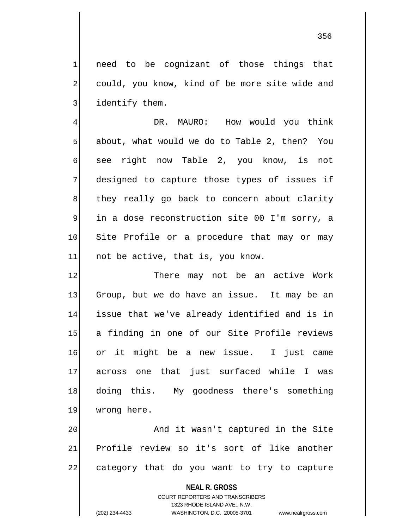$1$  need to be cognizant of those things that 2 could, you know, kind of be more site wide and 3 identify them.

4 AMERO: How would you think about, what would we do to Table 2, then? You see right now Table 2, you know, is not designed to capture those types of issues if 8 they really go back to concern about clarity in a dose reconstruction site 00 I'm sorry, a 10 Site Profile or a procedure that may or may not be active, that is, you know.

12 There may not be an active Work 13 Group, but we do have an issue. It may be an 14 issue that we've already identified and is in 15 a finding in one of our Site Profile reviews 16 or it might be a new issue. I just came 17 across one that just surfaced while I was 18 doing this. My goodness there's something 19 wrong here.

20 and it wasn't captured in the Site 21 Profile review so it's sort of like another 22 category that do you want to try to capture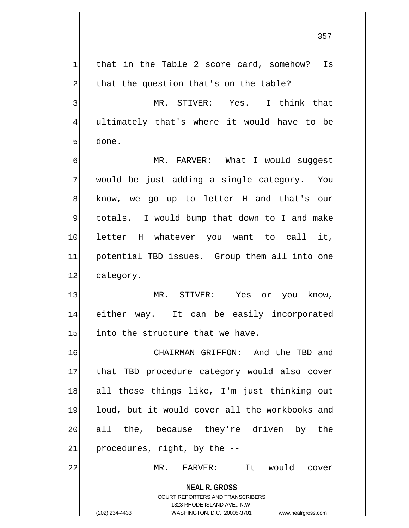**NEAL R. GROSS** COURT REPORTERS AND TRANSCRIBERS  $1$  that in the Table 2 score card, somehow? Is  $2$  that the question that's on the table? 3 MR. STIVER: Yes. I think that 4 ultimately that's where it would have to be  $5$  done. 6 MR. FARVER: What I would suggest  $7$  would be just adding a single category. You 8 know, we go up to letter H and that's our 9 totals. I would bump that down to I and make 10 letter H whatever you want to call it, 11 potential TBD issues. Group them all into one 12 category. 13 MR. STIVER: Yes or you know, 14 either way. It can be easily incorporated  $15$  into the structure that we have. 16 CHAIRMAN GRIFFON: And the TBD and 17 that TBD procedure category would also cover 18 all these things like, I'm just thinking out 19 loud, but it would cover all the workbooks and 20 all the, because they're driven by the  $21$  procedures, right, by the  $-$ 22 MR. FARVER: It would cover

1323 RHODE ISLAND AVE., N.W.

(202) 234-4433 WASHINGTON, D.C. 20005-3701 www.nealrgross.com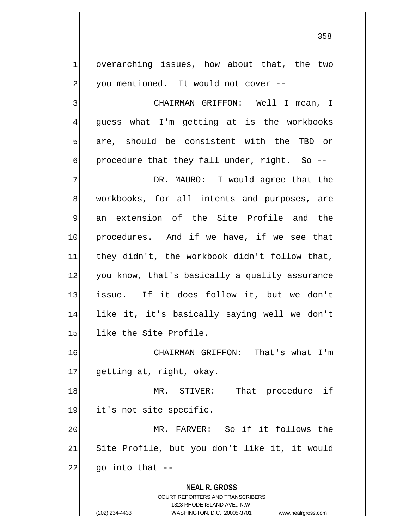1 overarching issues, how about that, the two 2 you mentioned. It would not cover --

3 | CHAIRMAN GRIFFON: Well I mean, I 4 guess what I'm getting at is the workbooks 5 are, should be consistent with the TBD or  $\mathfrak{g}$  procedure that they fall under, right. So --

7 The South Chapter Character Space that the Manusch DR. MAURO: I would agree that the 8 workbooks, for all intents and purposes, are 9 an extension of the Site Profile and the 10 procedures. And if we have, if we see that 11 they didn't, the workbook didn't follow that, 12 you know, that's basically a quality assurance 13 issue. If it does follow it, but we don't 14 like it, it's basically saying well we don't 15 like the Site Profile.

16 CHAIRMAN GRIFFON: That's what I'm 17 getting at, right, okay.

18 MR. STIVER: That procedure if 19 it's not site specific. 20 MR. FARVER: So if it follows the

21 Site Profile, but you don't like it, it would  $22$  go into that  $-$ 

**NEAL R. GROSS**

COURT REPORTERS AND TRANSCRIBERS 1323 RHODE ISLAND AVE., N.W. (202) 234-4433 WASHINGTON, D.C. 20005-3701 www.nealrgross.com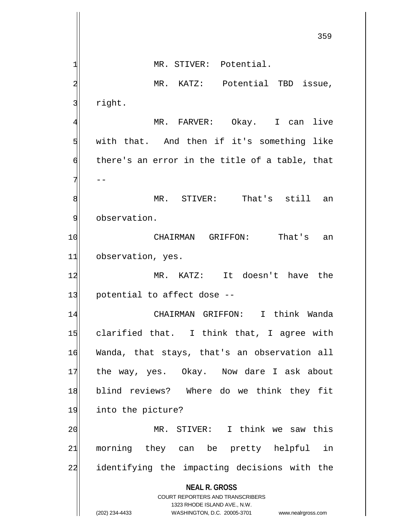**NEAL R. GROSS** COURT REPORTERS AND TRANSCRIBERS 1323 RHODE ISLAND AVE., N.W. (202) 234-4433 WASHINGTON, D.C. 20005-3701 www.nealrgross.com 359 1 MR. STIVER: Potential. 2 MR. KATZ: Potential TBD issue, 3 right. 4 MR. FARVER: Okay. I can live  $5$  with that. And then if it's something like  $\mathfrak{h}$  there's an error in the title of a table, that  $7$  --8 MR. STIVER: That's still an 9 observation. 10 CHAIRMAN GRIFFON: That's an 11 observation, yes. 12 MR. KATZ: It doesn't have the  $13$  potential to affect dose  $-$ 14 CHAIRMAN GRIFFON: I think Wanda 15 clarified that. I think that, I agree with 16 Wanda, that stays, that's an observation all 17 the way, yes. Okay. Now dare I ask about 18 blind reviews? Where do we think they fit 19 into the picture? 20 MR. STIVER: I think we saw this 21 morning they can be pretty helpful in 22 identifying the impacting decisions with the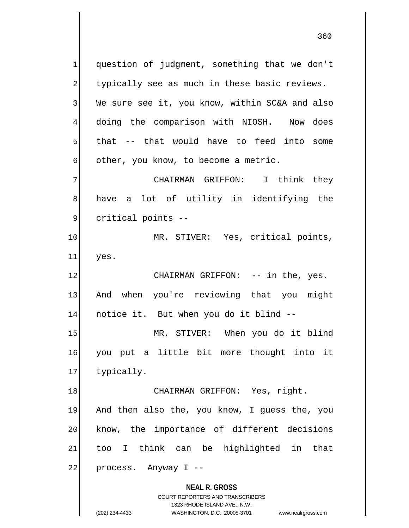**NEAL R. GROSS** COURT REPORTERS AND TRANSCRIBERS 1323 RHODE ISLAND AVE., N.W. 1 question of judgment, something that we don't 2 typically see as much in these basic reviews. 3 We sure see it, you know, within SC&A and also 4 doing the comparison with NIOSH. Now does  $5$  that  $-$  that would have to feed into some  $\delta$  other, you know, to become a metric. 7 Think they CHAIRMAN GRIFFON: I think they 8 have a lot of utility in identifying the 9 critical points --10 MR. STIVER: Yes, critical points, 11 yes. 12 CHAIRMAN GRIFFON: -- in the, yes. 13 And when you're reviewing that you might 14 notice it. But when you do it blind --15 MR. STIVER: When you do it blind 16 you put a little bit more thought into it 17 typically. 18 CHAIRMAN GRIFFON: Yes, right. 19 And then also the, you know, I guess the, you 20| know, the importance of different decisions 21 too I think can be highlighted in that  $22$  process. Anyway I --

(202) 234-4433 WASHINGTON, D.C. 20005-3701 www.nealrgross.com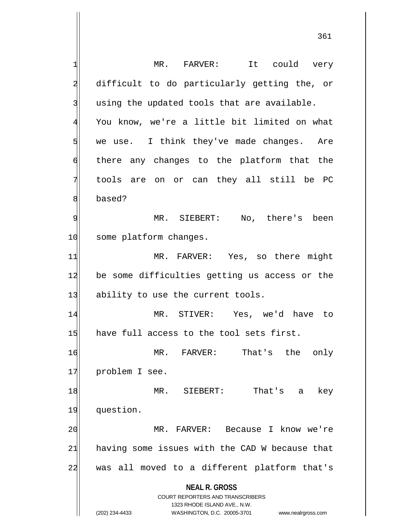**NEAL R. GROSS** COURT REPORTERS AND TRANSCRIBERS 1323 RHODE ISLAND AVE., N.W. (202) 234-4433 WASHINGTON, D.C. 20005-3701 www.nealrgross.com 1 MR. FARVER: It could very 2 difficult to do particularly getting the, or  $3$  using the updated tools that are available. 4 You know, we're a little bit limited on what  $5$  we use. I think they've made changes. Are 6 there any changes to the platform that the 7 tools are on or can they all still be PC 8 based? 9 MR. SIEBERT: No, there's been 10 some platform changes. 11 MR. FARVER: Yes, so there might 12 be some difficulties getting us access or the 13 ability to use the current tools. 14 MR. STIVER: Yes, we'd have to 15 have full access to the tool sets first. 16 MR. FARVER: That's the only 17 problem I see. 18 MR. SIEBERT: That's a key 19 question. 20 MR. FARVER: Because I know we're  $21$  having some issues with the CAD W because that 22 was all moved to a different platform that's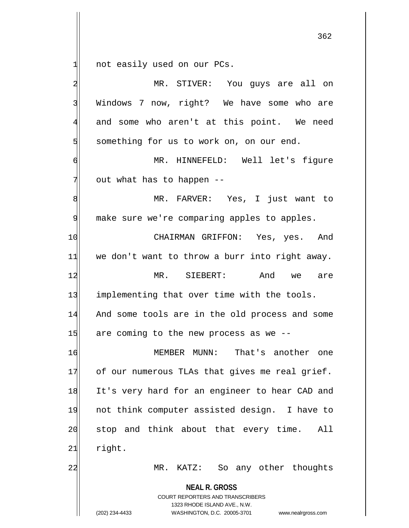1 not easily used on our PCs.

| $\overline{\mathbf{c}}$ | MR. STIVER: You guys are all on                                                                                                                                        |
|-------------------------|------------------------------------------------------------------------------------------------------------------------------------------------------------------------|
| $\overline{3}$          | Windows 7 now, right? We have some who are                                                                                                                             |
| 4                       | and some who aren't at this point. We need                                                                                                                             |
| 5                       | something for us to work on, on our end.                                                                                                                               |
| 6                       | MR. HINNEFELD: Well let's figure                                                                                                                                       |
| 7                       | out what has to happen --                                                                                                                                              |
| 8                       | MR. FARVER: Yes, I just want to                                                                                                                                        |
| 9                       | make sure we're comparing apples to apples.                                                                                                                            |
| 10                      | CHAIRMAN GRIFFON: Yes, yes. And                                                                                                                                        |
| 11                      | we don't want to throw a burr into right away.                                                                                                                         |
| 12                      | MR. SIEBERT:<br>And<br>we<br>are                                                                                                                                       |
| 13                      | implementing that over time with the tools.                                                                                                                            |
| 14                      | And some tools are in the old process and some                                                                                                                         |
| 15                      | are coming to the new process as we --                                                                                                                                 |
| 16                      | MEMBER MUNN: That's another one                                                                                                                                        |
| 17                      | of our numerous TLAs that gives me real grief.                                                                                                                         |
| 18                      | It's very hard for an engineer to hear CAD and                                                                                                                         |
| 19                      | not think computer assisted design. I have to                                                                                                                          |
| 20                      | stop and think about that every time.<br>All                                                                                                                           |
| 21                      | right.                                                                                                                                                                 |
| 22                      | KATZ: So any other thoughts<br>$MR$ .                                                                                                                                  |
|                         | <b>NEAL R. GROSS</b><br><b>COURT REPORTERS AND TRANSCRIBERS</b><br>1323 RHODE ISLAND AVE., N.W.<br>(202) 234-4433<br>WASHINGTON, D.C. 20005-3701<br>www.nealrgross.com |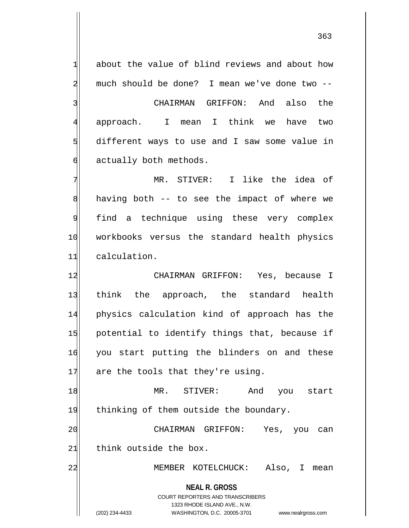363

**NEAL R. GROSS** COURT REPORTERS AND TRANSCRIBERS 1323 RHODE ISLAND AVE., N.W. (202) 234-4433 WASHINGTON, D.C. 20005-3701 www.nealrgross.com  $1$  about the value of blind reviews and about how 2 much should be done? I mean we've done two -- 3 3 3 CHAIRMAN GRIFFON: And also the 4 approach. I mean I think we have two  $5$  different ways to use and I saw some value in 6 actually both methods. 7 MR. STIVER: I like the idea of  $8$  having both  $-$  to see the impact of where we 9 find a technique using these very complex 10 workbooks versus the standard health physics 11 calculation. 12 CHAIRMAN GRIFFON: Yes, because I 13 think the approach, the standard health 14 physics calculation kind of approach has the 15 potential to identify things that, because if 16 you start putting the blinders on and these  $17$  are the tools that they're using. 18 MR. STIVER: And you start 19 thinking of them outside the boundary. 20 CHAIRMAN GRIFFON: Yes, you can 21 think outside the box. 22 MEMBER KOTELCHUCK: Also, I mean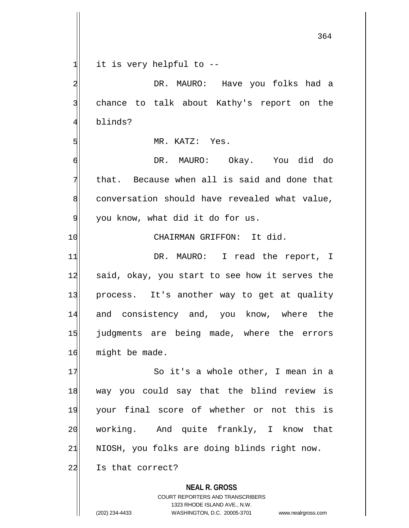$1$  it is very helpful to  $-$ 

**NEAL R. GROSS** COURT REPORTERS AND TRANSCRIBERS 2 | DR. MAURO: Have you folks had a 3 chance to talk about Kathy's report on the 4 blinds? 5 MR. KATZ: Yes. 6 DR. MAURO: Okay. You did do  $7$  that. Because when all is said and done that 8 conversation should have revealed what value, 9 you know, what did it do for us. 10 CHAIRMAN GRIFFON: It did. 11 DR. MAURO: I read the report, I 12 said, okay, you start to see how it serves the 13 process. It's another way to get at quality 14 and consistency and, you know, where the 15 judgments are being made, where the errors 16 might be made. 17 | So it's a whole other, I mean in a 18 way you could say that the blind review is 19 your final score of whether or not this is 20 working. And quite frankly, I know that  $21$  NIOSH, you folks are doing blinds right now. 22 Is that correct?

1323 RHODE ISLAND AVE., N.W.

<sup>(202) 234-4433</sup> WASHINGTON, D.C. 20005-3701 www.nealrgross.com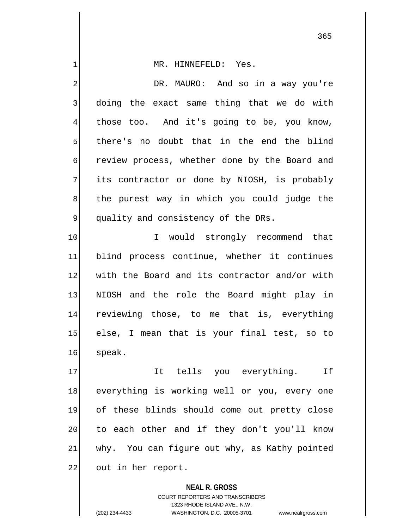1 MR. HINNEFELD: Yes. 2 DR. MAURO: And so in a way you're 3 doing the exact same thing that we do with 4 those too. And it's going to be, you know, 5 there's no doubt that in the end the blind 6 review process, whether done by the Board and 7 its contractor or done by NIOSH, is probably 8 the purest way in which you could judge the 9 quality and consistency of the DRs. 10 I would strongly recommend that 11 blind process continue, whether it continues 12 with the Board and its contractor and/or with 13 NIOSH and the role the Board might play in 14 reviewing those, to me that is, everything 15 else, I mean that is your final test, so to 16 speak. 17 17 It tells you everything. If 18 everything is working well or you, every one 19 of these blinds should come out pretty close 20 to each other and if they don't you'll know

 $21$  why. You can figure out why, as Kathy pointed 22 out in her report.

> **NEAL R. GROSS** COURT REPORTERS AND TRANSCRIBERS 1323 RHODE ISLAND AVE., N.W. (202) 234-4433 WASHINGTON, D.C. 20005-3701 www.nealrgross.com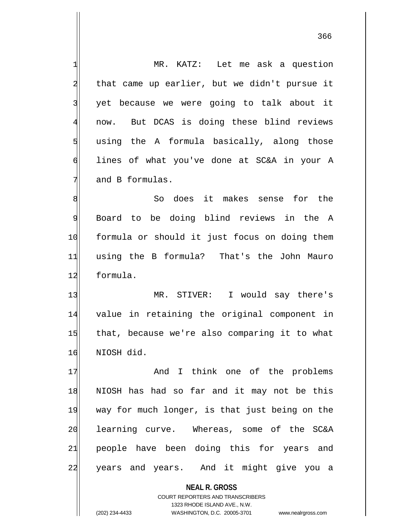**NEAL R. GROSS** 1 MR. KATZ: Let me ask a question  $2$  that came up earlier, but we didn't pursue it 3 yet because we were going to talk about it 4 now. But DCAS is doing these blind reviews  $5$  using the A formula basically, along those 6 lines of what you've done at SC&A in your A 7 and B formulas. 8 8 So does it makes sense for the 9 Board to be doing blind reviews in the A 10 formula or should it just focus on doing them 11 using the B formula? That's the John Mauro 12 formula. 13 MR. STIVER: I would say there's 14 value in retaining the original component in 15 that, because we're also comparing it to what 16 NIOSH did. 17 and I think one of the problems 18 NIOSH has had so far and it may not be this 19 way for much longer, is that just being on the 20 learning curve. Whereas, some of the SC&A 21 people have been doing this for years and 22 years and years. And it might give you a

> COURT REPORTERS AND TRANSCRIBERS 1323 RHODE ISLAND AVE., N.W.

(202) 234-4433 WASHINGTON, D.C. 20005-3701 www.nealrgross.com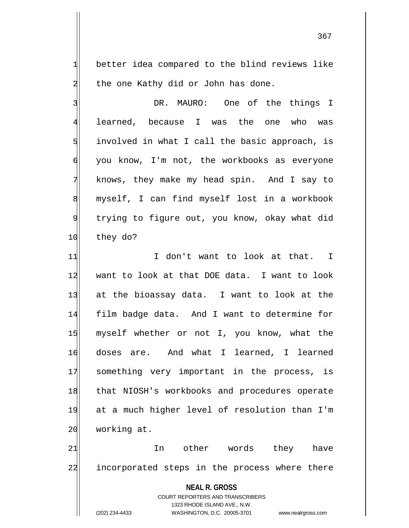1 better idea compared to the blind reviews like  $2$  the one Kathy did or John has done.

3 BR. MAURO: One of the things I 4 learned, because I was the one who was  $5$  involved in what I call the basic approach, is  $\phi$  you know, I'm not, the workbooks as everyone 7 knows, they make my head spin. And I say to 8 myself, I can find myself lost in a workbook 9 trying to figure out, you know, okay what did 10 they do?

11 I don't want to look at that. I 12 want to look at that DOE data. I want to look 13 at the bioassay data. I want to look at the 14 film badge data. And I want to determine for 15 myself whether or not I, you know, what the 16 doses are. And what I learned, I learned 17 something very important in the process, is 18 that NIOSH's workbooks and procedures operate 19 at a much higher level of resolution than I'm 20 working at.

21|| In other words they have 22 incorporated steps in the process where there

> **NEAL R. GROSS** COURT REPORTERS AND TRANSCRIBERS 1323 RHODE ISLAND AVE., N.W. (202) 234-4433 WASHINGTON, D.C. 20005-3701 www.nealrgross.com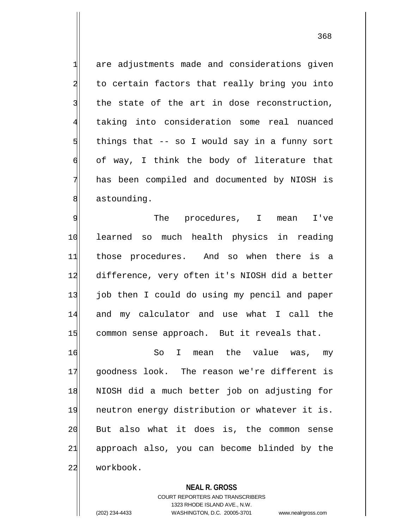are adjustments made and considerations given 2 to certain factors that really bring you into the state of the art in dose reconstruction, taking into consideration some real nuanced things that -- so I would say in a funny sort  $\mathfrak{h}$  of way, I think the body of literature that has been compiled and documented by NIOSH is 8 astounding.

9 Solution of the procedures, I mean I've 10 learned so much health physics in reading 11 those procedures. And so when there is a 12 difference, very often it's NIOSH did a better 13 job then I could do using my pencil and paper 14 and my calculator and use what I call the 15 common sense approach. But it reveals that.

16 So I mean the value was, my 17 goodness look. The reason we're different is 18 NIOSH did a much better job on adjusting for 19 neutron energy distribution or whatever it is. 20 But also what it does is, the common sense 21 approach also, you can become blinded by the 22 workbook.

**NEAL R. GROSS**

COURT REPORTERS AND TRANSCRIBERS 1323 RHODE ISLAND AVE., N.W. (202) 234-4433 WASHINGTON, D.C. 20005-3701 www.nealrgross.com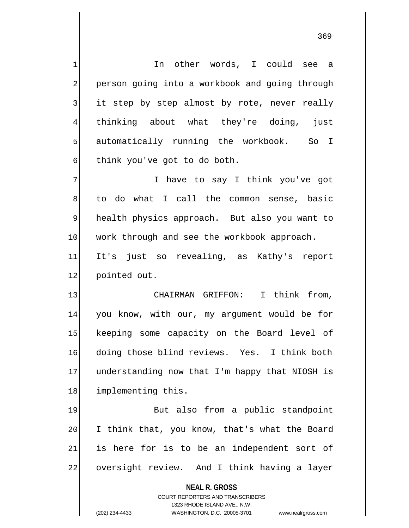1 In other words, I could see a 2 person going into a workbook and going through 3 it step by step almost by rote, never really 4 thinking about what they're doing, just 5 s automatically running the workbook. So I  $\phi$  think you've got to do both.

7 | Thave to say I think you've got 8 to do what I call the common sense, basic 9 health physics approach. But also you want to 10 work through and see the workbook approach. 11 It's just so revealing, as Kathy's report

12 pointed out.

13 CHAIRMAN GRIFFON: I think from, 14 you know, with our, my argument would be for 15 keeping some capacity on the Board level of 16 doing those blind reviews. Yes. I think both 17 understanding now that I'm happy that NIOSH is 18 implementing this.

19 But also from a public standpoint 20 I think that, you know, that's what the Board  $21$  is here for is to be an independent sort of 22 oversight review. And I think having a layer

**NEAL R. GROSS**

COURT REPORTERS AND TRANSCRIBERS 1323 RHODE ISLAND AVE., N.W. (202) 234-4433 WASHINGTON, D.C. 20005-3701 www.nealrgross.com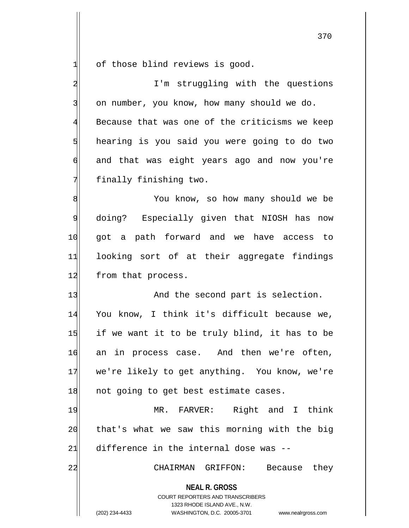$1$  of those blind reviews is good.

**NEAL R. GROSS** COURT REPORTERS AND TRANSCRIBERS 1323 RHODE ISLAND AVE., N.W. (202) 234-4433 WASHINGTON, D.C. 20005-3701 www.nealrgross.com 2 I'm struggling with the questions 3 on number, you know, how many should we do. 4 Because that was one of the criticisms we keep 5 hearing is you said you were going to do two 6 and that was eight years ago and now you're  $7$  finally finishing two. 8 8 9 doing? Especially given that NIOSH has now 10 got a path forward and we have access to 11 looking sort of at their aggregate findings 12 from that process. 13 And the second part is selection. 14 You know, I think it's difficult because we,  $15$  if we want it to be truly blind, it has to be 16 an in process case. And then we're often, 17 we're likely to get anything. You know, we're 18 not going to get best estimate cases. 19 MR. FARVER: Right and I think 20 that's what we saw this morning with the big  $21$  difference in the internal dose was  $-$ 22 CHAIRMAN GRIFFON: Because they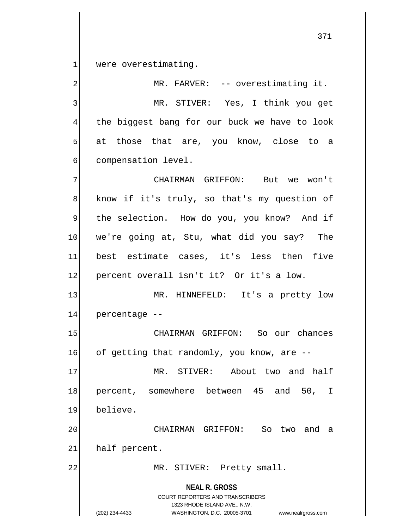1 were overestimating.

2 MR. FARVER: -- overestimating it. 3 MR. STIVER: Yes, I think you get 4 the biggest bang for our buck we have to look 5 5 5 5 at those that are, you know, close to a 6 compensation level.

7 CHAIRMAN GRIFFON: But we won't  $8$  know if it's truly, so that's my question of 9 the selection. How do you, you know? And if 10 we're going at, Stu, what did you say? The 11 best estimate cases, it's less then five 12 percent overall isn't it? Or it's a low.

13 MR. HINNEFELD: It's a pretty low 14 percentage --

15 CHAIRMAN GRIFFON: So our chances 16 of getting that randomly, you know, are --

17 MR. STIVER: About two and half 18 percent, somewhere between 45 and 50, I 19 believe.

20 CHAIRMAN GRIFFON: So two and a  $21$  half percent.

22 MR. STIVER: Pretty small.

**NEAL R. GROSS** COURT REPORTERS AND TRANSCRIBERS

1323 RHODE ISLAND AVE., N.W.

(202) 234-4433 WASHINGTON, D.C. 20005-3701 www.nealrgross.com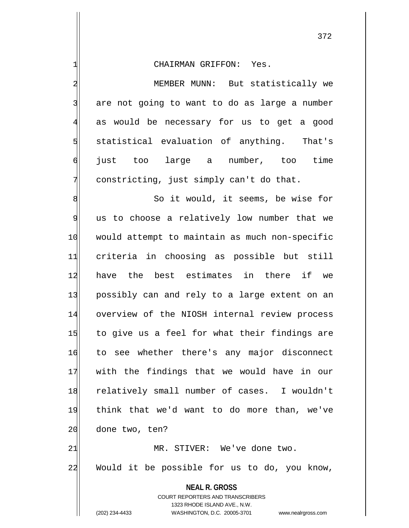3 are not going to want to do as large a number 4 as would be necessary for us to get a good 5 statistical evaluation of anything. That's 6 just too large a number, too time  $7$  constricting, just simply can't do that.

8 8 So it would, it seems, be wise for 9 us to choose a relatively low number that we 10 would attempt to maintain as much non-specific 11 criteria in choosing as possible but still 12 have the best estimates in there if we 13 possibly can and rely to a large extent on an 14 overview of the NIOSH internal review process 15 to give us a feel for what their findings are 16 to see whether there's any major disconnect 17 with the findings that we would have in our 18 relatively small number of cases. I wouldn't 19 think that we'd want to do more than, we've 20 done two, ten? 21 MR. STIVER: We've done two. 22 Would it be possible for us to do, you know,

> **NEAL R. GROSS** COURT REPORTERS AND TRANSCRIBERS 1323 RHODE ISLAND AVE., N.W.

(202) 234-4433 WASHINGTON, D.C. 20005-3701 www.nealrgross.com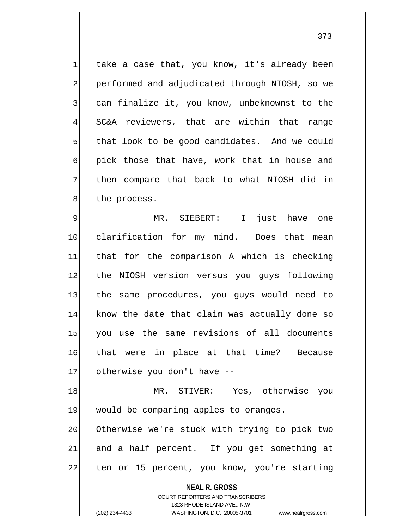$1$  take a case that, you know, it's already been 2 performed and adjudicated through NIOSH, so we 3 3 can finalize it, you know, unbeknownst to the 4 SC&A reviewers, that are within that range  $5$  that look to be good candidates. And we could 6 pick those that have, work that in house and 7 then compare that back to what NIOSH did in 8 the process.

9 MR. SIEBERT: I just have one 10 clarification for my mind. Does that mean 11 that for the comparison A which is checking 12 the NIOSH version versus you quys following 13 the same procedures, you guys would need to 14 know the date that claim was actually done so 15 you use the same revisions of all documents 16 that were in place at that time? Because 17 otherwise you don't have --

18 MR. STIVER: Yes, otherwise you 19 would be comparing apples to oranges. 20 Otherwise we're stuck with trying to pick two  $21$  and a half percent. If you get something at 22 ten or 15 percent, you know, you're starting

> **NEAL R. GROSS** COURT REPORTERS AND TRANSCRIBERS 1323 RHODE ISLAND AVE., N.W.

<sup>(202) 234-4433</sup> WASHINGTON, D.C. 20005-3701 www.nealrgross.com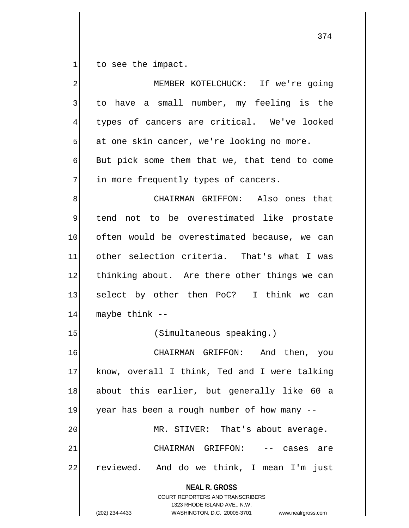to see the impact.

| $\overline{\mathbf{c}}$ | MEMBER KOTELCHUCK: If we're going                                                                                                                                      |
|-------------------------|------------------------------------------------------------------------------------------------------------------------------------------------------------------------|
| 3                       | to have a small number, my feeling is the                                                                                                                              |
| 4                       | types of cancers are critical. We've looked                                                                                                                            |
| 5                       | at one skin cancer, we're looking no more.                                                                                                                             |
| 6                       | But pick some them that we, that tend to come                                                                                                                          |
| 7                       | in more frequently types of cancers.                                                                                                                                   |
| 8                       | CHAIRMAN GRIFFON: Also ones that                                                                                                                                       |
| 9                       | tend not to be overestimated like prostate                                                                                                                             |
| 10                      | often would be overestimated because, we can                                                                                                                           |
| 11                      | other selection criteria. That's what I was                                                                                                                            |
| 12                      | thinking about. Are there other things we can                                                                                                                          |
| 13                      | select by other then PoC? I think we can                                                                                                                               |
| 14                      | maybe think --                                                                                                                                                         |
| 15                      | (Simultaneous speaking.)                                                                                                                                               |
| 16                      | CHAIRMAN GRIFFON: And then, you                                                                                                                                        |
| 17                      | know, overall I think, Ted and I were talking                                                                                                                          |
| 18                      | about this earlier, but generally like 60 a                                                                                                                            |
| 19                      | year has been a rough number of how many --                                                                                                                            |
| 20                      | MR. STIVER: That's about average.                                                                                                                                      |
| 21                      | CHAIRMAN GRIFFON:<br>cases<br>are<br>$--$                                                                                                                              |
| 22                      | reviewed. And do we think, I mean I'm just                                                                                                                             |
|                         | <b>NEAL R. GROSS</b><br><b>COURT REPORTERS AND TRANSCRIBERS</b><br>1323 RHODE ISLAND AVE., N.W.<br>(202) 234-4433<br>WASHINGTON, D.C. 20005-3701<br>www.nealrgross.com |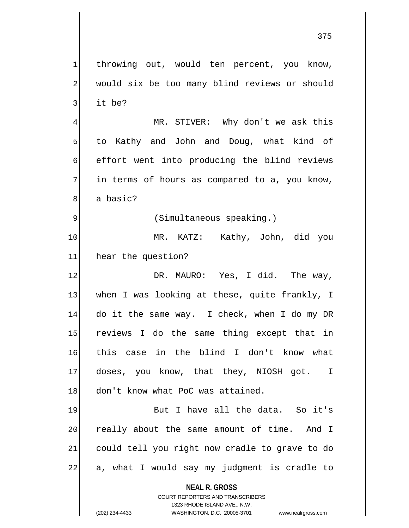1 throwing out, would ten percent, you know, 2 would six be too many blind reviews or should 3 it be? 4 MR. STIVER: Why don't we ask this  $5$  to Kathy and John and Doug, what kind of

6 effort went into producing the blind reviews  $7$  in terms of hours as compared to a, you know, 8 a basic?

9 (Simultaneous speaking.)

10 MR. KATZ: Kathy, John, did you 11 hear the question?

12 DR. MAURO: Yes, I did. The way, 13 when I was looking at these, quite frankly, I 14 do it the same way. I check, when I do my DR 15 reviews I do the same thing except that in 16 this case in the blind I don't know what 17 doses, you know, that they, NIOSH got. I 18 don't know what PoC was attained.

19 But I have all the data. So it's 20 really about the same amount of time. And I 21 could tell you right now cradle to grave to do  $22$  a, what I would say my judgment is cradle to

> **NEAL R. GROSS** COURT REPORTERS AND TRANSCRIBERS

1323 RHODE ISLAND AVE., N.W. (202) 234-4433 WASHINGTON, D.C. 20005-3701 www.nealrgross.com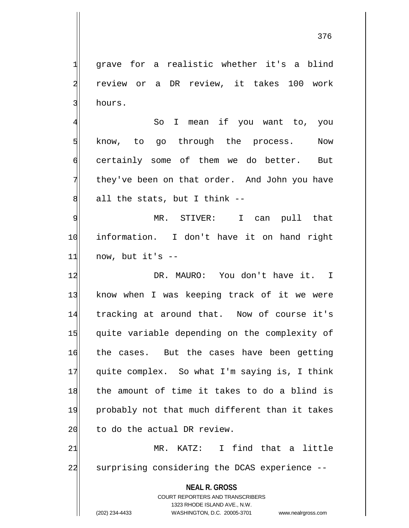376

1 grave for a realistic whether it's a blind 2 review or a DR review, it takes 100 work 3 hours.

4 So I mean if you want to, you 5 know, to go through the process. Now 6 certainly some of them we do better. But  $7$  they've been on that order. And John you have  $8$  all the stats, but I think  $-$ 

9 MR. STIVER: I can pull that 10 information. I don't have it on hand right  $11$  now, but it's  $-$ 

12 **DR. MAURO:** You don't have it. I 13 know when I was keeping track of it we were 14 tracking at around that. Now of course it's 15 quite variable depending on the complexity of 16 the cases. But the cases have been getting 17 quite complex. So what I'm saying is, I think 18 the amount of time it takes to do a blind is 19 probably not that much different than it takes  $20$  to do the actual DR review.

21 MR. KATZ: I find that a little 22 surprising considering the DCAS experience --

> **NEAL R. GROSS** COURT REPORTERS AND TRANSCRIBERS

1323 RHODE ISLAND AVE., N.W. (202) 234-4433 WASHINGTON, D.C. 20005-3701 www.nealrgross.com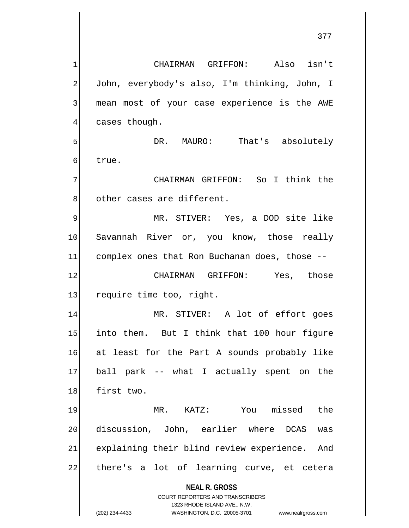**NEAL R. GROSS** COURT REPORTERS AND TRANSCRIBERS 1323 RHODE ISLAND AVE., N.W. 1| CHAIRMAN GRIFFON: Also isn't 2 John, everybody's also, I'm thinking, John, I 3 mean most of your case experience is the AWE  $4$  cases though. 5 | John DR. MAURO: That's absolutely 6 brue. 7 | CHAIRMAN GRIFFON: So I think the 8 other cases are different. 9 MR. STIVER: Yes, a DOD site like 10 Savannah River or, you know, those really 11 complex ones that Ron Buchanan does, those --12 CHAIRMAN GRIFFON: Yes, those 13 require time too, right. 14 MR. STIVER: A lot of effort goes 15 into them. But I think that 100 hour figure 16 at least for the Part A sounds probably like 17 ball park -- what I actually spent on the 18 first two. 19 MR. KATZ: You missed the 20 discussion, John, earlier where DCAS was 21 explaining their blind review experience. And 22 there's a lot of learning curve, et cetera

(202) 234-4433 WASHINGTON, D.C. 20005-3701 www.nealrgross.com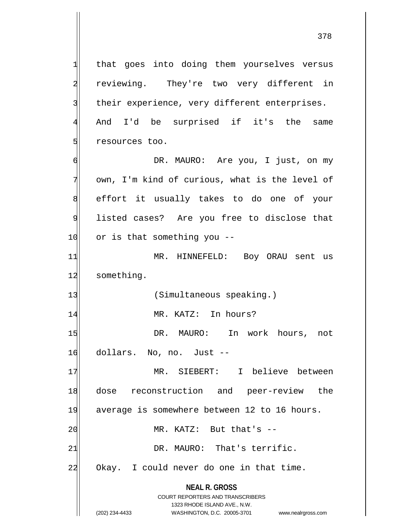**NEAL R. GROSS** COURT REPORTERS AND TRANSCRIBERS 1323 RHODE ISLAND AVE., N.W.  $1$  that goes into doing them yourselves versus 2 reviewing. They're two very different in 3 their experience, very different enterprises. 4 And I'd be surprised if it's the same 5 states too. 6 DR. MAURO: Are you, I just, on my 7 own, I'm kind of curious, what is the level of 8 effort it usually takes to do one of your 9 listed cases? Are you free to disclose that 10 or is that something you --11 MR. HINNEFELD: Boy ORAU sent us 12 something. 13 (Simultaneous speaking.) 14 MR. KATZ: In hours? 15 DR. MAURO: In work hours, not 16 dollars. No, no. Just --17 MR. SIEBERT: I believe between 18 dose reconstruction and peer-review the 19 average is somewhere between 12 to 16 hours.  $20$  MR. KATZ: But that's  $-$ 21 DR. MAURO: That's terrific. 22 Okay. I could never do one in that time.

(202) 234-4433 WASHINGTON, D.C. 20005-3701 www.nealrgross.com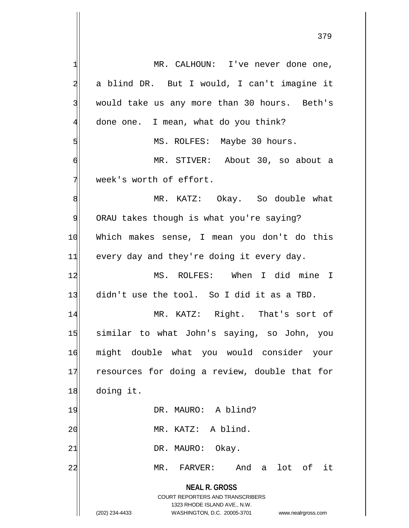**NEAL R. GROSS** COURT REPORTERS AND TRANSCRIBERS 1323 RHODE ISLAND AVE., N.W. (202) 234-4433 WASHINGTON, D.C. 20005-3701 www.nealrgross.com 1 MR. CALHOUN: I've never done one, 2 a blind DR. But I would, I can't imagine it 3 would take us any more than 30 hours. Beth's  $4$  done one. I mean, what do you think? 5 MS. ROLFES: Maybe 30 hours. 6 MR. STIVER: About 30, so about a  $\frac{1}{\sqrt{2}}$  week's worth of effort. 8 MR. KATZ: Okay. So double what 9 ORAU takes though is what you're saying? 10 Which makes sense, I mean you don't do this  $11$  every day and they're doing it every day. 12 MS. ROLFES: When I did mine I 13 didn't use the tool. So I did it as a TBD. 14 MR. KATZ: Right. That's sort of 15 similar to what John's saying, so John, you 16 might double what you would consider your 17 resources for doing a review, double that for 18 doing it. 19 DR. MAURO: A blind? 20 | MR. KATZ: A blind. 21 DR. MAURO: Okay. 22 MR. FARVER: And a lot of it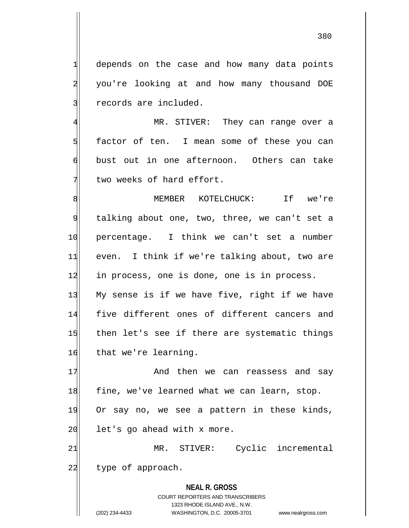$1$  depends on the case and how many data points 2 you're looking at and how many thousand DOE 3 records are included.

4 MR. STIVER: They can range over a 5 factor of ten. I mean some of these you can 6 bust out in one afternoon. Others can take  $7$  two weeks of hard effort.

8 MEMBER KOTELCHUCK: If we're 9 talking about one, two, three, we can't set a 10 percentage. I think we can't set a number 11 even. I think if we're talking about, two are 12 in process, one is done, one is in process. 13 My sense is if we have five, right if we have 14 five different ones of different cancers and 15 then let's see if there are systematic things 16 that we're learning.

17 And then we can reassess and say 18 fine, we've learned what we can learn, stop. 19 Or say no, we see a pattern in these kinds,  $20$  let's go ahead with x more.

21 MR. STIVER: Cyclic incremental 22 type of approach.

> **NEAL R. GROSS** COURT REPORTERS AND TRANSCRIBERS 1323 RHODE ISLAND AVE., N.W. (202) 234-4433 WASHINGTON, D.C. 20005-3701 www.nealrgross.com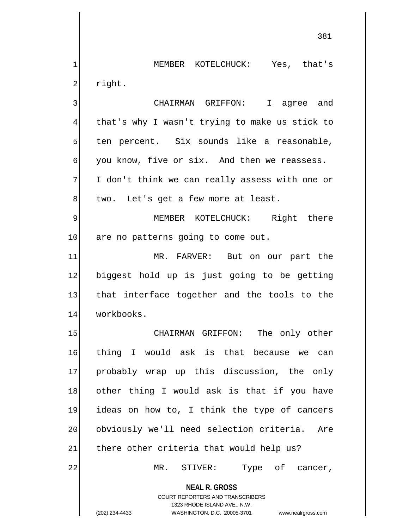1 MEMBER KOTELCHUCK: Yes, that's 2 right.

3 3 CHAIRMAN GRIFFON: I agree and 4 that's why I wasn't trying to make us stick to ten percent. Six sounds like a reasonable, you know, five or six. And then we reassess. I don't think we can really assess with one or two. Let's get a few more at least.

9 MEMBER KOTELCHUCK: Right there 10 are no patterns going to come out.

11 MR. FARVER: But on our part the 12 biggest hold up is just going to be getting 13 that interface together and the tools to the 14 workbooks.

15 CHAIRMAN GRIFFON: The only other 16 thing I would ask is that because we can 17 probably wrap up this discussion, the only 18 other thing I would ask is that if you have 19 ideas on how to, I think the type of cancers 20 obviously we'll need selection criteria. Are  $21$  there other criteria that would help us?

22 MR. STIVER: Type of cancer,

**NEAL R. GROSS** COURT REPORTERS AND TRANSCRIBERS

1323 RHODE ISLAND AVE., N.W.

(202) 234-4433 WASHINGTON, D.C. 20005-3701 www.nealrgross.com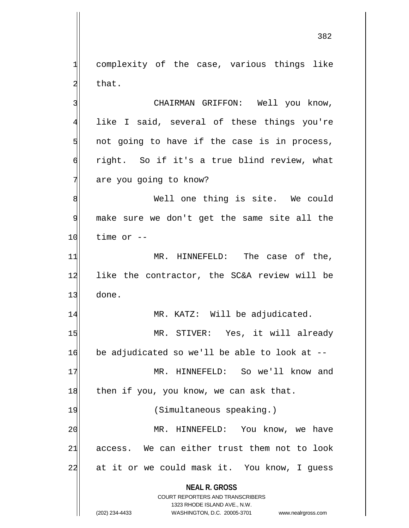1 complexity of the case, various things like  $2$  that.

3 | CHAIRMAN GRIFFON: Well you know, 4 like I said, several of these things you're  $5$  not going to have if the case is in process,  $\mathfrak{h}$  right. So if it's a true blind review, what 7 are you going to know?

8 Mell one thing is site. We could 9 make sure we don't get the same site all the  $10$  time or  $-$ 

11 MR. HINNEFELD: The case of the, 12 like the contractor, the SC&A review will be 13 done.

14 MR. KATZ: Will be adjudicated.

15 MR. STIVER: Yes, it will already  $16$  be adjudicated so we'll be able to look at  $-$ 

17 MR. HINNEFELD: So we'll know and  $18$  then if you, you know, we can ask that.

19 (Simultaneous speaking.) 20 MR. HINNEFELD: You know, we have  $21$  access. We can either trust them not to look 22 at it or we could mask it. You know, I guess

> **NEAL R. GROSS** COURT REPORTERS AND TRANSCRIBERS

> > 1323 RHODE ISLAND AVE., N.W.

(202) 234-4433 WASHINGTON, D.C. 20005-3701 www.nealrgross.com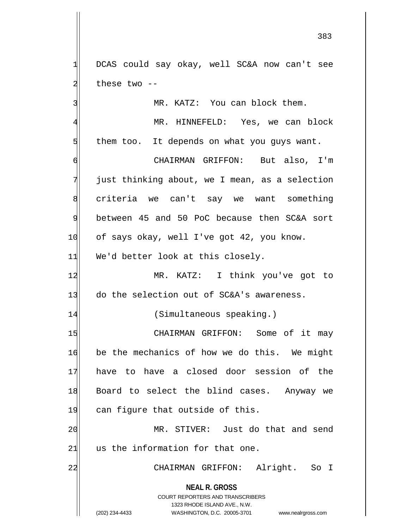1 DCAS could say okay, well SC&A now can't see  $2$  these two  $-$ 

3 MR. KATZ: You can block them.

4 MR. HINNEFELD: Yes, we can block  $5$  them too. It depends on what you guys want.

6 CHAIRMAN GRIFFON: But also, I'm  $7$  just thinking about, we I mean, as a selection 8 criteria we can't say we want something 9 between 45 and 50 PoC because then SC&A sort 10 of says okay, well I've got 42, you know.  $11$  We'd better look at this closely.

12 | MR. KATZ: I think you've got to 13 do the selection out of SC&A's awareness.

14 (Simultaneous speaking.)

15 CHAIRMAN GRIFFON: Some of it may 16 be the mechanics of how we do this. We might 17 have to have a closed door session of the 18 Board to select the blind cases. Anyway we 19 can figure that outside of this.

20 MR. STIVER: Just do that and send  $21$  us the information for that one.

22 CHAIRMAN GRIFFON: Alright. So I

**NEAL R. GROSS** COURT REPORTERS AND TRANSCRIBERS

1323 RHODE ISLAND AVE., N.W.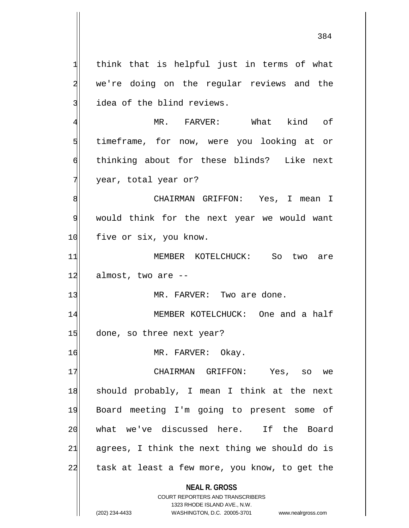**NEAL R. GROSS**  $1$  think that is helpful just in terms of what 2 we're doing on the regular reviews and the 3 idea of the blind reviews. 4 MR. FARVER: What kind of 5 s 5 timeframe, for now, were you looking at or 6 thinking about for these blinds? Like next 7 year, total year or? 8| CHAIRMAN GRIFFON: Yes, I mean I 9 would think for the next year we would want 10 five or six, you know. 11 MEMBER KOTELCHUCK: So two are 12 almost, two are --13 MR. FARVER: Two are done. 14 MEMBER KOTELCHUCK: One and a half 15 done, so three next year? 16 MR. FARVER: Okay. 17 CHAIRMAN GRIFFON: Yes, so we 18 should probably, I mean I think at the next 19 Board meeting I'm going to present some of 20 what we've discussed here. If the Board  $21$  agrees, I think the next thing we should do is 22 task at least a few more, you know, to get the

> COURT REPORTERS AND TRANSCRIBERS 1323 RHODE ISLAND AVE., N.W.

(202) 234-4433 WASHINGTON, D.C. 20005-3701 www.nealrgross.com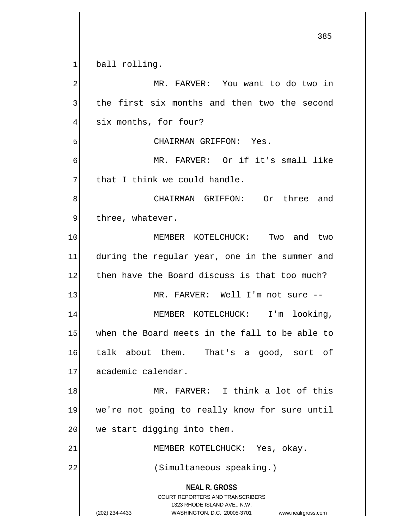**NEAL R. GROSS** COURT REPORTERS AND TRANSCRIBERS 1323 RHODE ISLAND AVE., N.W. 385  $1$  ball rolling. 2 MR. FARVER: You want to do two in  $3$  the first six months and then two the second 4 six months, for four? 5 GHAIRMAN GRIFFON: Yes. 6 MR. FARVER: Or if it's small like  $7$  that I think we could handle. 8 8 CHAIRMAN GRIFFON: Or three and 9 three, whatever. 10 MEMBER KOTELCHUCK: Two and two 11 during the regular year, one in the summer and 12 then have the Board discuss is that too much? 13 MR. FARVER: Well I'm not sure --14 MEMBER KOTELCHUCK: I'm looking, 15 when the Board meets in the fall to be able to 16 talk about them. That's a good, sort of 17 academic calendar. 18 MR. FARVER: I think a lot of this 19 we're not going to really know for sure until  $20$  we start digging into them. 21 MEMBER KOTELCHUCK: Yes, okay. 22 (Simultaneous speaking.)

<sup>(202) 234-4433</sup> WASHINGTON, D.C. 20005-3701 www.nealrgross.com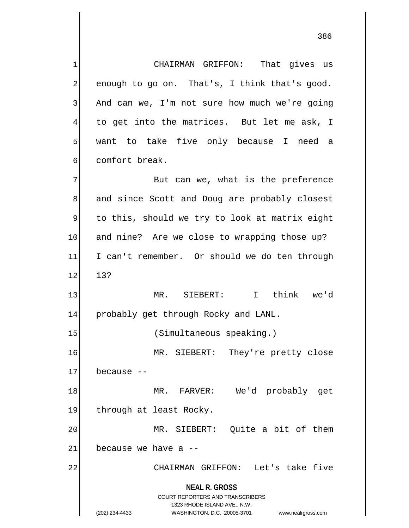**NEAL R. GROSS** COURT REPORTERS AND TRANSCRIBERS 1323 RHODE ISLAND AVE., N.W. 1 CHAIRMAN GRIFFON: That gives us  $2$  enough to go on. That's, I think that's good. 3 And can we, I'm not sure how much we're going  $4\vert$  to get into the matrices. But let me ask, I 5 want to take five only because I need a 6 6 december comfort break. 7 But can we, what is the preference 8 and since Scott and Doug are probably closest 9 to this, should we try to look at matrix eight 10 and nine? Are we close to wrapping those up? 11 I can't remember. Or should we do ten through 12 13? 13 MR. SIEBERT: I think we'd 14 probably get through Rocky and LANL. 15 (Simultaneous speaking.) 16 MR. SIEBERT: They're pretty close  $17$  because  $-$ 18 MR. FARVER: We'd probably get 19 through at least Rocky. 20 MR. SIEBERT: Quite a bit of them  $21$  because we have a  $-$ 22 | CHAIRMAN GRIFFON: Let's take five

(202) 234-4433 WASHINGTON, D.C. 20005-3701 www.nealrgross.com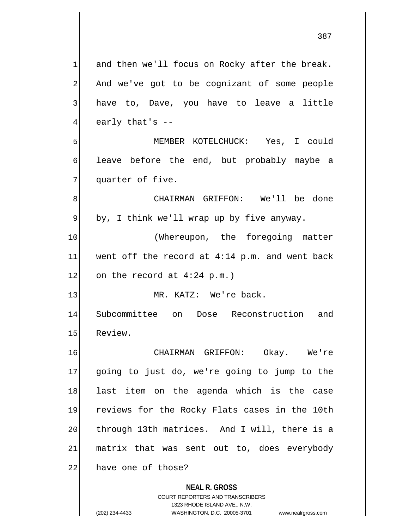$1$  and then we'll focus on Rocky after the break. 2 And we've got to be cognizant of some people 3 have to, Dave, you have to leave a little 4 early that's --5 MEMBER KOTELCHUCK: Yes, I could 6 leave before the end, but probably maybe a 7 quarter of five. 8| CHAIRMAN GRIFFON: We'll be done 9 by, I think we'll wrap up by five anyway. 10 (Whereupon, the foregoing matter  $11$  went off the record at 4:14 p.m. and went back 12 on the record at  $4:24$  p.m.) 13 MR. KATZ: We're back.

14 Subcommittee on Dose Reconstruction and 15 Review.

16 CHAIRMAN GRIFFON: Okay. We're 17 going to just do, we're going to jump to the 18 last item on the agenda which is the case 19 reviews for the Rocky Flats cases in the 10th 20 through 13th matrices. And I will, there is a  $21$  matrix that was sent out to, does everybody 22 have one of those?

> **NEAL R. GROSS** COURT REPORTERS AND TRANSCRIBERS 1323 RHODE ISLAND AVE., N.W. (202) 234-4433 WASHINGTON, D.C. 20005-3701 www.nealrgross.com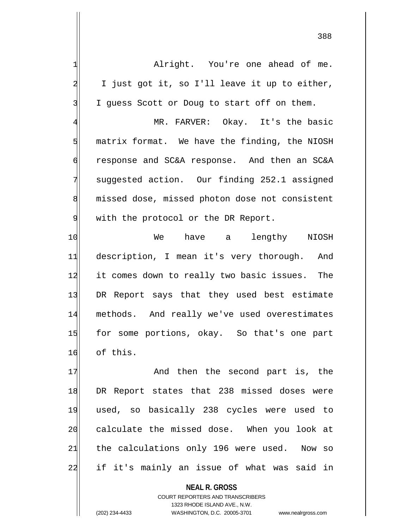1| Alright. You're one ahead of me.  $2$  I just got it, so I'll leave it up to either, 3 I guess Scott or Doug to start off on them. 4 MR. FARVER: Okay. It's the basic  $5$  matrix format. We have the finding, the NIOSH 6 response and SC&A response. And then an SC&A 7 suggested action. Our finding 252.1 assigned 8 missed dose, missed photon dose not consistent 9 with the protocol or the DR Report. 10 We have a lengthy NIOSH 11 description, I mean it's very thorough. And 12 it comes down to really two basic issues. The 13 DR Report says that they used best estimate 14 methods. And really we've used overestimates 15 for some portions, okay. So that's one part 16 of this. 17 And then the second part is, the 18 DR Report states that 238 missed doses were 19 used, so basically 238 cycles were used to

> **NEAL R. GROSS** COURT REPORTERS AND TRANSCRIBERS 1323 RHODE ISLAND AVE., N.W. (202) 234-4433 WASHINGTON, D.C. 20005-3701 www.nealrgross.com

20 calculate the missed dose. When you look at

 $21$  the calculations only 196 were used. Now so

22 if it's mainly an issue of what was said in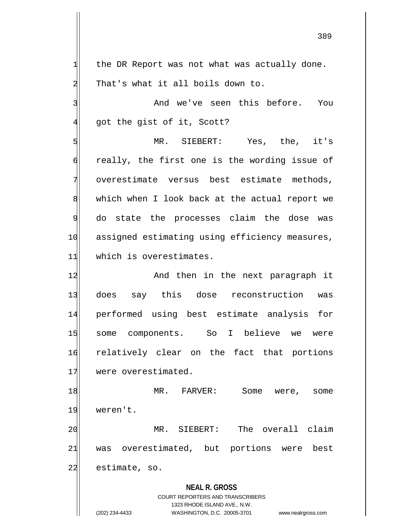$1$  the DR Report was not what was actually done. 2 That's what it all boils down to.

3 and we've seen this before. You  $4$  got the gist of it, Scott?

5 MR. SIEBERT: Yes, the, it's 6 6 6 6 ally, the first one is the wording issue of 7 overestimate versus best estimate methods, 8 which when I look back at the actual report we 9 do state the processes claim the dose was 10 assigned estimating using efficiency measures, 11 which is overestimates.

12 And then in the next paragraph it 13 does say this dose reconstruction was 14 performed using best estimate analysis for 15 some components. So I believe we were 16 relatively clear on the fact that portions 17 were overestimated.

18 MR. FARVER: Some were, some 19 weren't.

20 MR. SIEBERT: The overall claim 21 was overestimated, but portions were best 22 estimate, so.

> **NEAL R. GROSS** COURT REPORTERS AND TRANSCRIBERS 1323 RHODE ISLAND AVE., N.W. (202) 234-4433 WASHINGTON, D.C. 20005-3701 www.nealrgross.com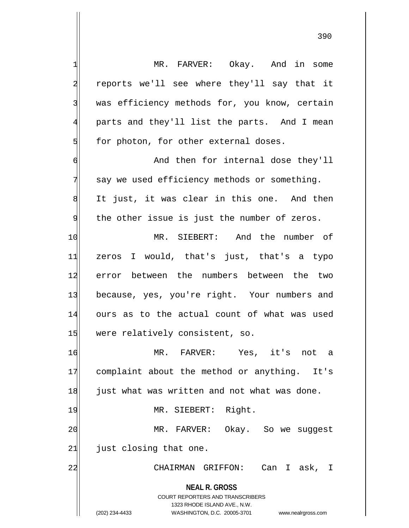**NEAL R. GROSS** COURT REPORTERS AND TRANSCRIBERS 1323 RHODE ISLAND AVE., N.W. (202) 234-4433 WASHINGTON, D.C. 20005-3701 www.nealrgross.com 1 MR. FARVER: Okay. And in some 2 reports we'll see where they'll say that it 3 was efficiency methods for, you know, certain 4 parts and they'll list the parts. And I mean  $5$  for photon, for other external doses. 6 **And then for internal dose they'll**  $7$  say we used efficiency methods or something. 8 It just, it was clear in this one. And then  $9$  the other issue is just the number of zeros. 10 MR. SIEBERT: And the number of 11 zeros I would, that's just, that's a typo 12 error between the numbers between the two 13 because, yes, you're right. Your numbers and 14 ours as to the actual count of what was used 15 were relatively consistent, so. 16 MR. FARVER: Yes, it's not a 17 complaint about the method or anything. It's 18 just what was written and not what was done. 19 MR. SIEBERT: Right. 20 MR. FARVER: Okay. So we suggest  $21$  just closing that one. 22 | CHAIRMAN GRIFFON: Can I ask, I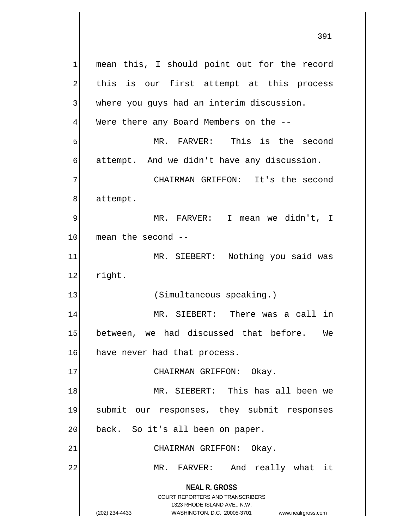**NEAL R. GROSS** COURT REPORTERS AND TRANSCRIBERS 1323 RHODE ISLAND AVE., N.W. (202) 234-4433 WASHINGTON, D.C. 20005-3701 www.nealrgross.com 1 mean this, I should point out for the record 2 this is our first attempt at this process 3 where you guys had an interim discussion. 4 Were there any Board Members on the -- 5 MR. FARVER: This is the second 6 attempt. And we didn't have any discussion. 7 CHAIRMAN GRIFFON: It's the second 8 attempt. 9| MR. FARVER: I mean we didn't, I  $10$  mean the second  $-$ 11 MR. SIEBERT: Nothing you said was 12 right. 13 (Simultaneous speaking.) 14 MR. SIEBERT: There was a call in 15 between, we had discussed that before. We 16 have never had that process. 17 CHAIRMAN GRIFFON: Okay. 18 MR. SIEBERT: This has all been we 19 submit our responses, they submit responses 20 back. So it's all been on paper. 21 CHAIRMAN GRIFFON: Okay. 22 MR. FARVER: And really what it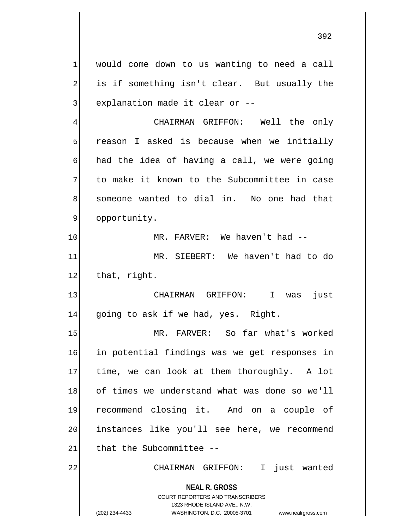$1$  would come down to us wanting to need a call 2 is if something isn't clear. But usually the 3 explanation made it clear or --

4 CHAIRMAN GRIFFON: Well the only  $5$  reason I asked is because when we initially  $\mathfrak{h}$  had the idea of having a call, we were going  $7$  to make it known to the Subcommittee in case 8 someone wanted to dial in. No one had that 9 opportunity.

10 MR. FARVER: We haven't had --11 MR. SIEBERT: We haven't had to do 12 that, right.

13 CHAIRMAN GRIFFON: I was just 14 going to ask if we had, yes. Right.

15 MR. FARVER: So far what's worked 16 in potential findings was we get responses in 17 time, we can look at them thoroughly. A lot 18 of times we understand what was done so we'll 19 recommend closing it. And on a couple of 20 instances like you'll see here, we recommend  $21$  that the Subcommittee --

22 | CHAIRMAN GRIFFON: I just wanted

**NEAL R. GROSS** COURT REPORTERS AND TRANSCRIBERS

1323 RHODE ISLAND AVE., N.W.

(202) 234-4433 WASHINGTON, D.C. 20005-3701 www.nealrgross.com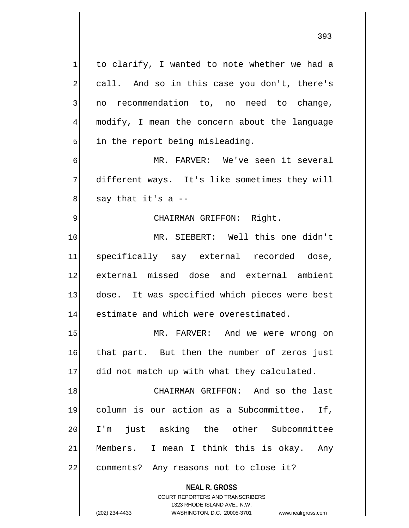**NEAL R. GROSS**  $1$  to clarify, I wanted to note whether we had a 2 call. And so in this case you don't, there's 3 no recommendation to, no need to change, 4 modify, I mean the concern about the language  $5$  in the report being misleading. 6 MR. FARVER: We've seen it several 7 different ways. It's like sometimes they will  $8$  say that it's a  $-$ 9 | CHAIRMAN GRIFFON: Right. 10 MR. SIEBERT: Well this one didn't 11 specifically say external recorded dose, 12 external missed dose and external ambient 13 dose. It was specified which pieces were best 14 estimate and which were overestimated. 15 MR. FARVER: And we were wrong on 16 that part. But then the number of zeros just 17 did not match up with what they calculated. 18 CHAIRMAN GRIFFON: And so the last 19 column is our action as a Subcommittee. If, 20 I'm just asking the other Subcommittee 21 Members. I mean I think this is okay. Any 22 comments? Any reasons not to close it?

> COURT REPORTERS AND TRANSCRIBERS 1323 RHODE ISLAND AVE., N.W.

(202) 234-4433 WASHINGTON, D.C. 20005-3701 www.nealrgross.com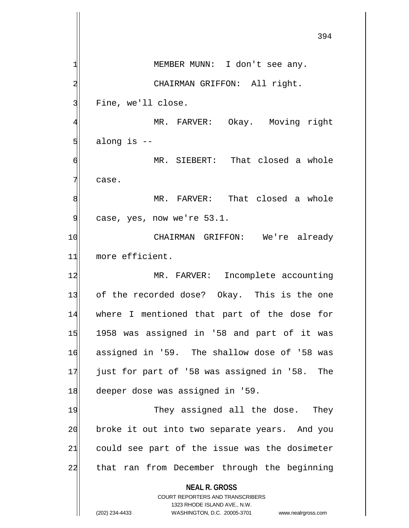**NEAL R. GROSS** COURT REPORTERS AND TRANSCRIBERS 1323 RHODE ISLAND AVE., N.W. (202) 234-4433 WASHINGTON, D.C. 20005-3701 www.nealrgross.com 394 1 MEMBER MUNN: I don't see any. 2 CHAIRMAN GRIFFON: All right. 3 Fine, we'll close. 4 MR. FARVER: Okay. Moving right  $5$  along is  $-$ 6 MR. SIEBERT: That closed a whole 7 case. 8 MR. FARVER: That closed a whole  $9$  case, yes, now we're  $53.1$ . 10 CHAIRMAN GRIFFON: We're already 11 more efficient. 12 MR. FARVER: Incomplete accounting 13 of the recorded dose? Okay. This is the one 14 where I mentioned that part of the dose for 15 1958 was assigned in '58 and part of it was 16 assigned in '59. The shallow dose of '58 was 17 just for part of '58 was assigned in '58. The 18 deeper dose was assigned in '59. 19 They assigned all the dose. They 20 broke it out into two separate years. And you 21 could see part of the issue was the dosimeter 22| that ran from December through the beginning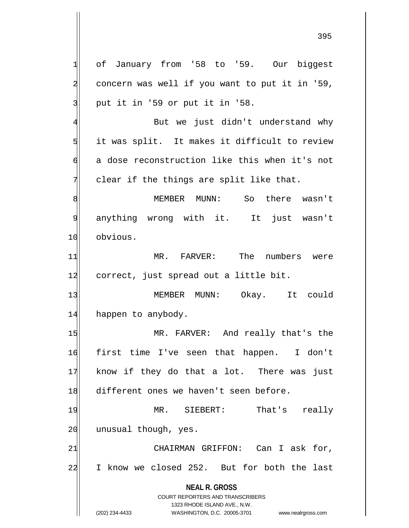**NEAL R. GROSS** COURT REPORTERS AND TRANSCRIBERS 1323 RHODE ISLAND AVE., N.W. 1 of January from '58 to '59. Our biggest  $2$  concern was well if you want to put it in '59,  $3$  put it in '59 or put it in '58. 4 But we just didn't understand why  $5$  it was split. It makes it difficult to review 6 a dose reconstruction like this when it's not  $7$  clear if the things are split like that. 8 MEMBER MUNN: So there wasn't 9 anything wrong with it. It just wasn't 10 obvious. 11 MR. FARVER: The numbers were 12 correct, just spread out a little bit. 13 MEMBER MUNN: Okay. It could 14 happen to anybody. 15 MR. FARVER: And really that's the 16 first time I've seen that happen. I don't 17 know if they do that a lot. There was just 18 different ones we haven't seen before. 19 MR. SIEBERT: That's really 20 unusual though, yes. 21 CHAIRMAN GRIFFON: Can I ask for, 22 I know we closed 252. But for both the last

<sup>(202) 234-4433</sup> WASHINGTON, D.C. 20005-3701 www.nealrgross.com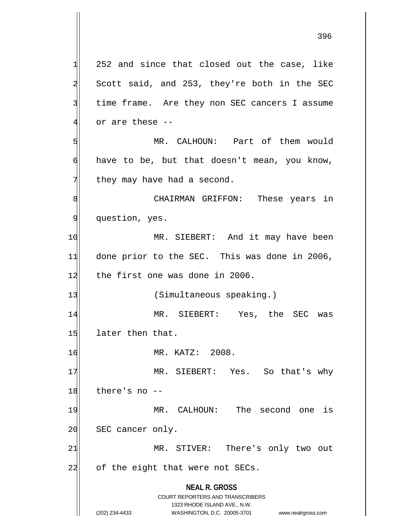**NEAL R. GROSS** COURT REPORTERS AND TRANSCRIBERS 1323 RHODE ISLAND AVE., N.W.  $1$  252 and since that closed out the case, like 2 Scott said, and 253, they're both in the SEC 3 time frame. Are they non SEC cancers I assume  $4$  or are these --5 MR. CALHOUN: Part of them would  $\left| \right|$  have to be, but that doesn't mean, you know,  $7$  they may have had a second. 8| CHAIRMAN GRIFFON: These years in 9 | question, yes. 10 MR. SIEBERT: And it may have been 11 done prior to the SEC. This was done in 2006, 12 the first one was done in 2006. 13 (Simultaneous speaking.) 14 MR. SIEBERT: Yes, the SEC was 15 later then that. 16 MR. KATZ: 2008. 17 MR. SIEBERT: Yes. So that's why  $18$  there's no  $-$ 19 MR. CALHOUN: The second one is 20 SEC cancer only. 21 MR. STIVER: There's only two out 22 of the eight that were not SECs.

(202) 234-4433 WASHINGTON, D.C. 20005-3701 www.nealrgross.com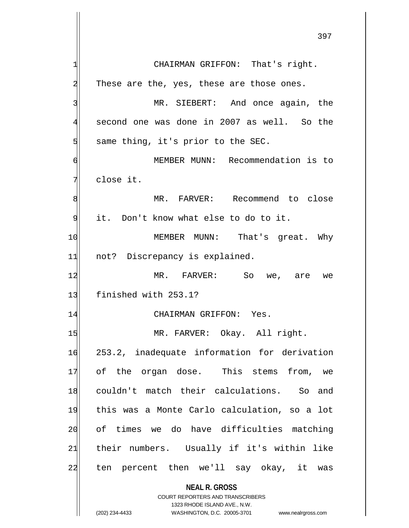**NEAL R. GROSS** COURT REPORTERS AND TRANSCRIBERS 1323 RHODE ISLAND AVE., N.W. 397 1 CHAIRMAN GRIFFON: That's right.  $2$  These are the, yes, these are those ones. 3 MR. SIEBERT: And once again, the 4 second one was done in 2007 as well. So the  $5$  same thing, it's prior to the SEC. 6 MEMBER MUNN: Recommendation is to 7 dlose it. 8 MR. FARVER: Recommend to close 9| it. Don't know what else to do to it. 10 MEMBER MUNN: That's great. Why 11 not? Discrepancy is explained. 12 MR. FARVER: So we, are we 13 finished with 253.1? 14 CHAIRMAN GRIFFON: Yes. 15 MR. FARVER: Okay. All right. 16 253.2, inadequate information for derivation 17 of the organ dose. This stems from, we 18 couldn't match their calculations. So and 19 this was a Monte Carlo calculation, so a lot 20 of times we do have difficulties matching 21 their numbers. Usually if it's within like 22 ten percent then we'll say okay, it was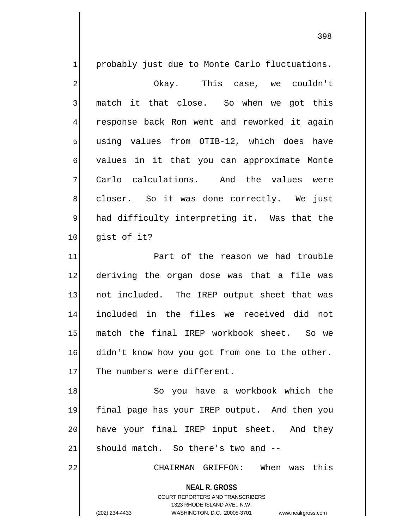$1$  probably just due to Monte Carlo fluctuations. 2 Okay. This case, we couldn't 3 match it that close. So when we got this 4 response back Ron went and reworked it again  $5$  using values from OTIB-12, which does have 6 values in it that you can approximate Monte  $7$  Carlo calculations. And the values were 8 closer. So it was done correctly. We just 9 had difficulty interpreting it. Was that the 10 qist of it? 11 Part of the reason we had trouble 12 deriving the organ dose was that a file was 13 not included. The IREP output sheet that was 14 included in the files we received did not 15 match the final IREP workbook sheet. So we

16 didn't know how you got from one to the other. 17 The numbers were different.

18 So you have a workbook which the 19 final page has your IREP output. And then you 20 have your final IREP input sheet. And they  $21$  should match. So there's two and  $-$ 

22 CHAIRMAN GRIFFON: When was this

**NEAL R. GROSS** COURT REPORTERS AND TRANSCRIBERS

1323 RHODE ISLAND AVE., N.W.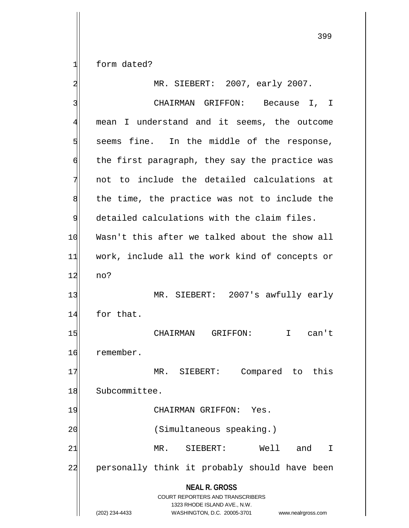1 form dated?

**NEAL R. GROSS** COURT REPORTERS AND TRANSCRIBERS 1323 RHODE ISLAND AVE., N.W. (202) 234-4433 WASHINGTON, D.C. 20005-3701 www.nealrgross.com 2 MR. SIEBERT: 2007, early 2007. 3 | CHAIRMAN GRIFFON: Because I, I 4 mean I understand and it seems, the outcome  $5$  seems fine. In the middle of the response, 6 the first paragraph, they say the practice was  $7$  not to include the detailed calculations at  $8$  the time, the practice was not to include the  $9$  detailed calculations with the claim files. 10 Wasn't this after we talked about the show all 11 work, include all the work kind of concepts or 12 no? 13 MR. SIEBERT: 2007's awfully early 14 for that. 15 CHAIRMAN GRIFFON: I can't 16 remember. 17 MR. SIEBERT: Compared to this 18 Subcommittee. 19 CHAIRMAN GRIFFON: Yes. 20 (Simultaneous speaking.) 21 MR. SIEBERT: Well and I 22 personally think it probably should have been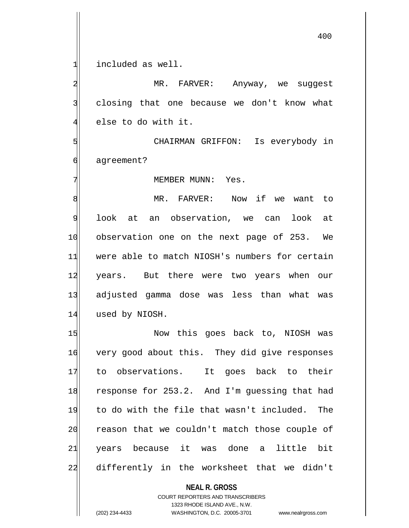$1$  included as well.

2 MR. FARVER: Anyway, we suggest 3 closing that one because we don't know what  $4$  else to do with it.

5 S 6 agreement?

7 MEMBER MUNN: Yes.

8 MR. FARVER: Now if we want to 9 look at an observation, we can look at 10 observation one on the next page of 253. We 11 were able to match NIOSH's numbers for certain 12 years. But there were two years when our 13 adjusted gamma dose was less than what was 14 used by NIOSH.

15 Now this goes back to, NIOSH was 16 very good about this. They did give responses 17 to observations. It goes back to their 18 response for 253.2. And I'm guessing that had 19 to do with the file that wasn't included. The 20 reason that we couldn't match those couple of 21 years because it was done a little bit 22 differently in the worksheet that we didn't

> **NEAL R. GROSS** COURT REPORTERS AND TRANSCRIBERS 1323 RHODE ISLAND AVE., N.W. (202) 234-4433 WASHINGTON, D.C. 20005-3701 www.nealrgross.com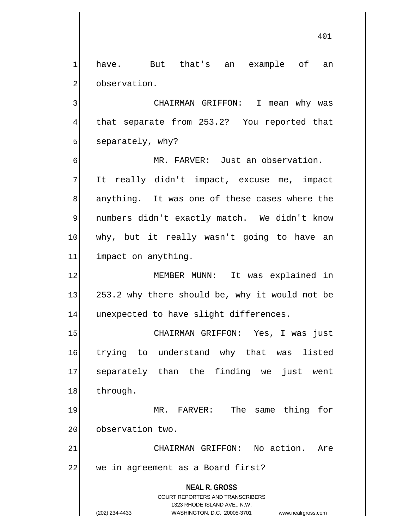1 have. But that's an example of an 2 observation.

3 CHAIRMAN GRIFFON: I mean why was 4 that separate from 253.2? You reported that 5 separately, why?

6 MR. FARVER: Just an observation. 7 It really didn't impact, excuse me, impact 8 anything. It was one of these cases where the 9 numbers didn't exactly match. We didn't know 10 | why, but it really wasn't going to have an 11| impact on anything.

12 MEMBER MUNN: It was explained in 13 253.2 why there should be, why it would not be 14 unexpected to have slight differences.

15 CHAIRMAN GRIFFON: Yes, I was just 16 trying to understand why that was listed 17 separately than the finding we just went 18 through.

19 MR. FARVER: The same thing for 20 observation two.

21 CHAIRMAN GRIFFON: No action. Are 22 we in agreement as a Board first?

> **NEAL R. GROSS** COURT REPORTERS AND TRANSCRIBERS 1323 RHODE ISLAND AVE., N.W. (202) 234-4433 WASHINGTON, D.C. 20005-3701 www.nealrgross.com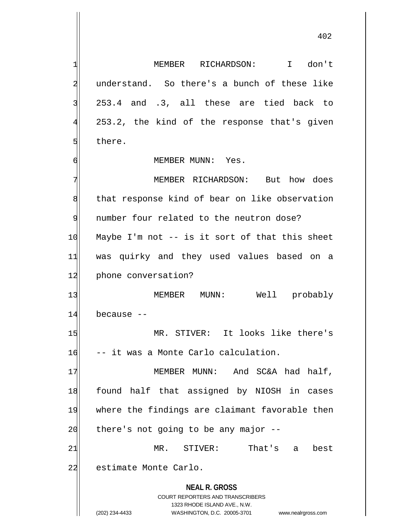**NEAL R. GROSS** COURT REPORTERS AND TRANSCRIBERS 1323 RHODE ISLAND AVE., N.W. 1 MEMBER RICHARDSON: I don't 2 understand. So there's a bunch of these like 3 253.4 and .3, all these are tied back to 4 253.2, the kind of the response that's given 5 **b** there. 6 MEMBER MUNN: Yes. 7 MEMBER RICHARDSON: But how does 8 that response kind of bear on like observation 9 number four related to the neutron dose? 10 Maybe I'm not -- is it sort of that this sheet 11 was quirky and they used values based on a 12 phone conversation? 13 MEMBER MUNN: Well probably  $14$  because  $-$ 15 MR. STIVER: It looks like there's 16 -- it was a Monte Carlo calculation. 17 MEMBER MUNN: And SC&A had half, 18 found half that assigned by NIOSH in cases 19 where the findings are claimant favorable then  $20$  there's not going to be any major  $-$ -21 MR. STIVER: That's a best 22 estimate Monte Carlo.

(202) 234-4433 WASHINGTON, D.C. 20005-3701 www.nealrgross.com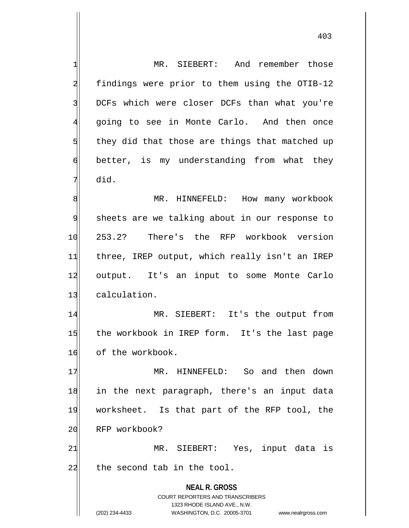**NEAL R. GROSS** COURT REPORTERS AND TRANSCRIBERS 1323 RHODE ISLAND AVE., N.W. (202) 234-4433 WASHINGTON, D.C. 20005-3701 www.nealrgross.com 1 MR. SIEBERT: And remember those 2 findings were prior to them using the OTIB-12 3 DCFs which were closer DCFs than what you're 4 going to see in Monte Carlo. And then once  $5$  they did that those are things that matched up 6 better, is my understanding from what they 7 did. 8 MR. HINNEFELD: How many workbook 9 sheets are we talking about in our response to 10 253.2? There's the RFP workbook version 11 three, IREP output, which really isn't an IREP 12 output. It's an input to some Monte Carlo 13 calculation. 14 MR. SIEBERT: It's the output from 15 the workbook in IREP form. It's the last page 16 of the workbook. 17 MR. HINNEFELD: So and then down 18 in the next paragraph, there's an input data 19 worksheet. Is that part of the RFP tool, the 20 RFP workbook? 21 MR. SIEBERT: Yes, input data is  $22$  the second tab in the tool.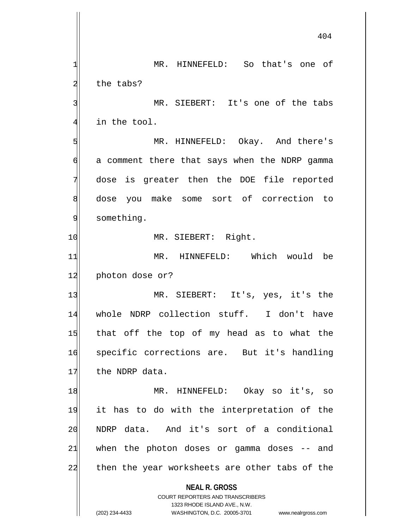**NEAL R. GROSS** COURT REPORTERS AND TRANSCRIBERS 1323 RHODE ISLAND AVE., N.W. (202) 234-4433 WASHINGTON, D.C. 20005-3701 www.nealrgross.com 404 1 MR. HINNEFELD: So that's one of 2 the tabs? 3 MR. SIEBERT: It's one of the tabs  $4$  in the tool. 5 MR. HINNEFELD: Okay. And there's  $6$  a comment there that says when the NDRP gamma 7 dose is greater then the DOE file reported 8 dose you make some sort of correction to 9 something. 10 MR. SIEBERT: Right. 11 MR. HINNEFELD: Which would be 12 photon dose or? 13 MR. SIEBERT: It's, yes, it's the 14 whole NDRP collection stuff. I don't have 15 that off the top of my head as to what the 16 specific corrections are. But it's handling 17 the NDRP data. 18 MR. HINNEFELD: Okay so it's, so 19 it has to do with the interpretation of the 20 NDRP data. And it's sort of a conditional  $21$  when the photon doses or gamma doses  $-$  and 22 then the year worksheets are other tabs of the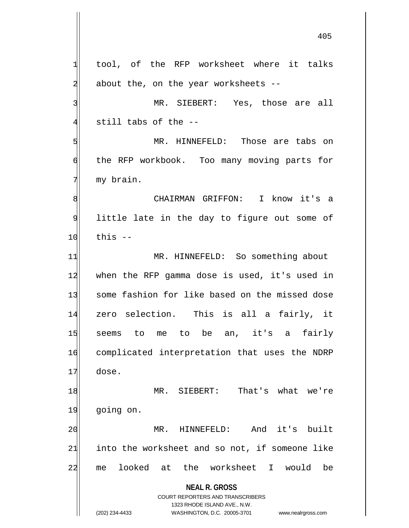**NEAL R. GROSS** COURT REPORTERS AND TRANSCRIBERS 1323 RHODE ISLAND AVE., N.W.  $1$  tool, of the RFP worksheet where it talks  $2$  about the, on the year worksheets  $-$ 3 MR. SIEBERT: Yes, those are all  $4$  still tabs of the  $-$ -5 SI MR. HINNEFELD: Those are tabs on 6 the RFP workbook. Too many moving parts for 7 my brain. 8 8 CHAIRMAN GRIFFON: I know it's a 9 little late in the day to figure out some of  $10$  this  $-$ 11 MR. HINNEFELD: So something about 12 when the RFP gamma dose is used, it's used in 13 some fashion for like based on the missed dose 14 zero selection. This is all a fairly, it 15 seems to me to be an, it's a fairly 16 complicated interpretation that uses the NDRP 17 dose. 18 MR. SIEBERT: That's what we're 19 going on. 20 MR. HINNEFELD: And it's built  $21$  into the worksheet and so not, if someone like 22 me looked at the worksheet I would be

(202) 234-4433 WASHINGTON, D.C. 20005-3701 www.nealrgross.com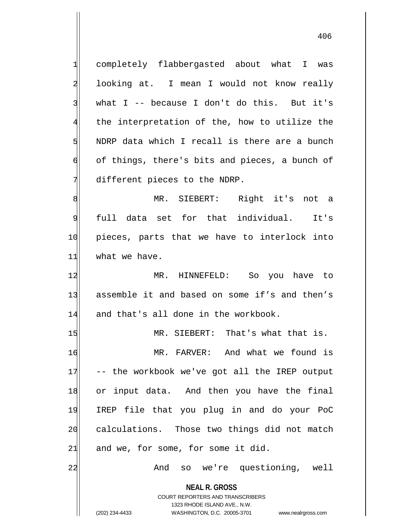**NEAL R. GROSS** COURT REPORTERS AND TRANSCRIBERS 1323 RHODE ISLAND AVE., N.W. 1 completely flabbergasted about what I was 2 looking at. I mean I would not know really  $3$  what I -- because I don't do this. But it's  $4$  the interpretation of the, how to utilize the 5 NDRP data which I recall is there are a bunch 6 of things, there's bits and pieces, a bunch of  $7$  different pieces to the NDRP. 8 MR. SIEBERT: Right it's not a 9 full data set for that individual. It's 10 pieces, parts that we have to interlock into 11 what we have. 12 MR. HINNEFELD: So you have to 13 assemble it and based on some if's and then's  $14$  and that's all done in the workbook. 15 MR. SIEBERT: That's what that is. 16 MR. FARVER: And what we found is 17 -- the workbook we've got all the IREP output 18 or input data. And then you have the final 19 IREP file that you plug in and do your PoC 20 calculations. Those two things did not match 21| and we, for some, for some it did. 22 And so we're questioning, well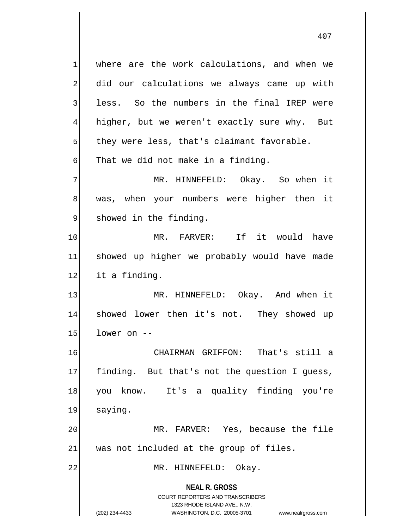**NEAL R. GROSS** COURT REPORTERS AND TRANSCRIBERS 1323 RHODE ISLAND AVE., N.W.  $1$  where are the work calculations, and when we 2 did our calculations we always came up with 3 less. So the numbers in the final IREP were 4 higher, but we weren't exactly sure why. But  $5$  they were less, that's claimant favorable.  $\left| \cdot \right|$  That we did not make in a finding. 7 MR. HINNEFELD: Okay. So when it 8 was, when your numbers were higher then it 9 showed in the finding. 10 MR. FARVER: If it would have 11 showed up higher we probably would have made 12 it a finding. 13 MR. HINNEFELD: Okay. And when it 14 showed lower then it's not. They showed up  $15$  lower on  $-$ 16 CHAIRMAN GRIFFON: That's still a 17 finding. But that's not the question I guess, 18 you know. It's a quality finding you're 19 saying. 20 MR. FARVER: Yes, because the file  $21$  was not included at the group of files. 22 MR. HINNEFELD: Okay.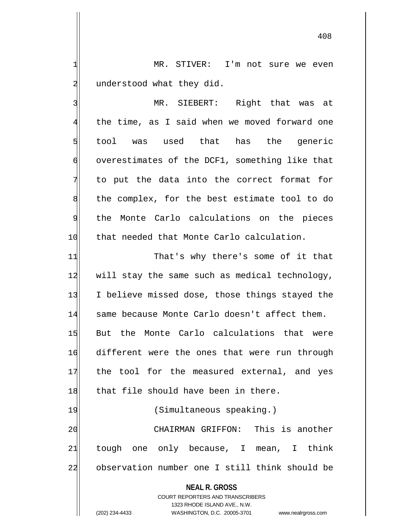1 MR. STIVER: I'm not sure we even 2 understood what they did.

3 | MR. SIEBERT: Right that was at 4 the time, as I said when we moved forward one 5 tool was used that has the generic  $\phi$  overestimates of the DCF1, something like that 7 to put the data into the correct format for  $8$  the complex, for the best estimate tool to do 9 the Monte Carlo calculations on the pieces 10 that needed that Monte Carlo calculation.

11 That's why there's some of it that 12 will stay the same such as medical technology, 13 I believe missed dose, those things stayed the 14 same because Monte Carlo doesn't affect them. 15 But the Monte Carlo calculations that were 16 different were the ones that were run through 17 the tool for the measured external, and yes 18 that file should have been in there. 19 (Simultaneous speaking.) 20 CHAIRMAN GRIFFON: This is another

 $21$  tough one only because, I mean, I think 22 observation number one I still think should be

## **NEAL R. GROSS**

COURT REPORTERS AND TRANSCRIBERS 1323 RHODE ISLAND AVE., N.W. (202) 234-4433 WASHINGTON, D.C. 20005-3701 www.nealrgross.com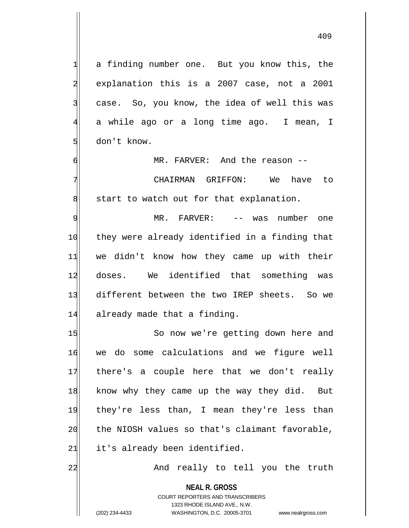1 a finding number one. But you know this, the 2 explanation this is a 2007 case, not a 2001  $3$  case. So, you know, the idea of well this was 4 a while ago or a long time ago. I mean, I 5 don't know.

6 MR. FARVER: And the reason --

7 CHAIRMAN GRIFFON: We have to  $\| \cdot \|$  start to watch out for that explanation.

9 MR. FARVER: -- was number one 10 they were already identified in a finding that 11 we didn't know how they came up with their 12 doses. We identified that something was 13 different between the two IREP sheets. So we 14 already made that a finding.

15 So now we're getting down here and 16 we do some calculations and we figure well 17 there's a couple here that we don't really 18 know why they came up the way they did. But 19 they're less than, I mean they're less than  $20$  the NIOSH values so that's claimant favorable,  $21$  it's already been identified.

22 And really to tell you the truth

**NEAL R. GROSS** COURT REPORTERS AND TRANSCRIBERS 1323 RHODE ISLAND AVE., N.W. (202) 234-4433 WASHINGTON, D.C. 20005-3701 www.nealrgross.com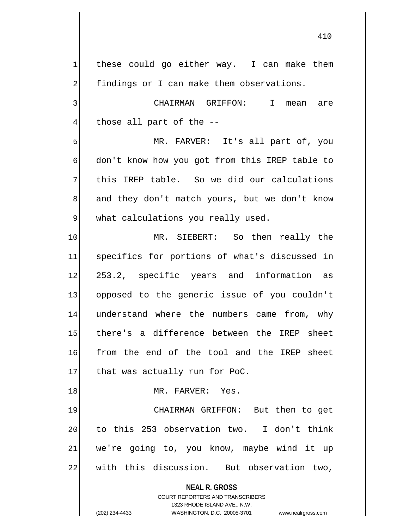$1$  these could go either way. I can make them 2 findings or I can make them observations. 3 | CHAIRMAN GRIFFON: I mean are  $4$  those all part of the  $-$ -5 MR. FARVER: It's all part of, you 6 don't know how you got from this IREP table to  $7$  this IREP table. So we did our calculations 8 and they don't match yours, but we don't know 9 what calculations you really used. 10 MR. SIEBERT: So then really the 11 specifics for portions of what's discussed in 12 253.2, specific years and information as 13 opposed to the generic issue of you couldn't 14 understand where the numbers came from, why 15 there's a difference between the IREP sheet 16 from the end of the tool and the IREP sheet 17 that was actually run for PoC. 18 MR. FARVER: Yes. 19 CHAIRMAN GRIFFON: But then to get 20 to this 253 observation two. I don't think 21 we're going to, you know, maybe wind it up

22 with this discussion. But observation two,

**NEAL R. GROSS** COURT REPORTERS AND TRANSCRIBERS

1323 RHODE ISLAND AVE., N.W. (202) 234-4433 WASHINGTON, D.C. 20005-3701 www.nealrgross.com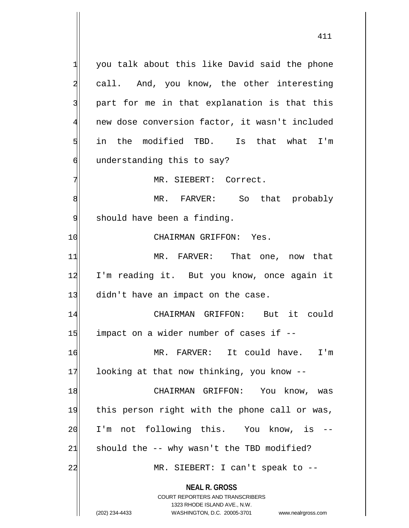**NEAL R. GROSS**  $1$  you talk about this like David said the phone 2 call. And, you know, the other interesting 3 | part for me in that explanation is that this 4 new dose conversion factor, it wasn't included 5 in the modified TBD. Is that what I'm  $6$  understanding this to say? 7 MR. SIEBERT: Correct. 8 MR. FARVER: So that probably 9 | should have been a finding. 10 CHAIRMAN GRIFFON: Yes. 11 MR. FARVER: That one, now that 12 I'm reading it. But you know, once again it  $13$  didn't have an impact on the case. 14 CHAIRMAN GRIFFON: But it could  $15$  impact on a wider number of cases if  $-$ 16 MR. FARVER: It could have. I'm 17 looking at that now thinking, you know --18 CHAIRMAN GRIFFON: You know, was 19 this person right with the phone call or was, 20 I'm not following this. You know, is -- $21$  should the  $-$  why wasn't the TBD modified? 22 | MR. SIEBERT: I can't speak to --

> COURT REPORTERS AND TRANSCRIBERS 1323 RHODE ISLAND AVE., N.W.

(202) 234-4433 WASHINGTON, D.C. 20005-3701 www.nealrgross.com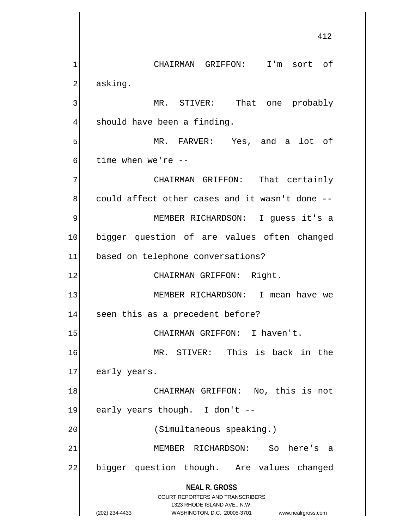**NEAL R. GROSS** COURT REPORTERS AND TRANSCRIBERS 1323 RHODE ISLAND AVE., N.W. (202) 234-4433 WASHINGTON, D.C. 20005-3701 www.nealrgross.com 1 CHAIRMAN GRIFFON: I'm sort of 2 asking. 3 MR. STIVER: That one probably  $4$  should have been a finding. 5 | Soldie MR. FARVER: Yes, and a lot of 6 time when we're --7 CHAIRMAN GRIFFON: That certainly  $8$  could affect other cases and it wasn't done  $-$ 9 MEMBER RICHARDSON: I guess it's a 10 bigger question of are values often changed 11 based on telephone conversations? 12 CHAIRMAN GRIFFON: Right. 13 MEMBER RICHARDSON: I mean have we 14 seen this as a precedent before? 15 | CHAIRMAN GRIFFON: I haven't. 16 MR. STIVER: This is back in the 17 early years. 18 CHAIRMAN GRIFFON: No, this is not 19 early years though. I don't  $-$ 20 (Simultaneous speaking.) 21 | MEMBER RICHARDSON: So here's a 22 bigger question though. Are values changed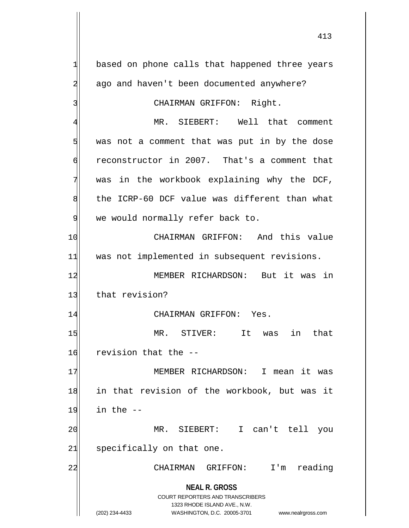**NEAL R. GROSS** COURT REPORTERS AND TRANSCRIBERS 1323 RHODE ISLAND AVE., N.W. (202) 234-4433 WASHINGTON, D.C. 20005-3701 www.nealrgross.com  $1$  based on phone calls that happened three years 2 ago and haven't been documented anywhere? 3 CHAIRMAN GRIFFON: Right. 4 MR. SIEBERT: Well that comment 5 was not a comment that was put in by the dose 6 reconstructor in 2007. That's a comment that  $7$  was in the workbook explaining why the DCF, 8 the ICRP-60 DCF value was different than what 9 we would normally refer back to. 10 CHAIRMAN GRIFFON: And this value 11 was not implemented in subsequent revisions. 12 MEMBER RICHARDSON: But it was in 13 that revision? 14 CHAIRMAN GRIFFON: Yes. 15 MR. STIVER: It was in that 16 revision that the --17 MEMBER RICHARDSON: I mean it was 18 in that revision of the workbook, but was it  $19$  in the  $-$ 20 MR. SIEBERT: I can't tell you  $21$  specifically on that one. 22 CHAIRMAN GRIFFON: I'm reading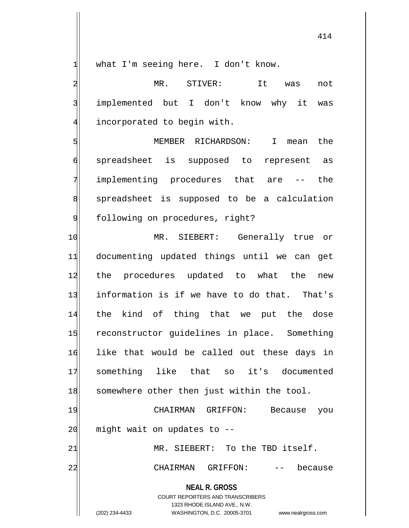$1$  what I'm seeing here. I don't know.

2 MR. STIVER: It was not 3 implemented but I don't know why it was 4 incorporated to begin with.

5 MEMBER RICHARDSON: I mean the 6 spreadsheet is supposed to represent as 7 implementing procedures that are -- the 8 spreadsheet is supposed to be a calculation 9 | following on procedures, right?

10 MR. SIEBERT: Generally true or 11 documenting updated things until we can get 12 the procedures updated to what the new 13 information is if we have to do that. That's 14 the kind of thing that we put the dose 15 reconstructor guidelines in place. Something 16 like that would be called out these days in 17 something like that so it's documented 18 somewhere other then just within the tool.

19 CHAIRMAN GRIFFON: Because you  $20$  might wait on updates to  $-$ -

21 MR. SIEBERT: To the TBD itself.

22 CHAIRMAN GRIFFON: -- because

**NEAL R. GROSS**

COURT REPORTERS AND TRANSCRIBERS 1323 RHODE ISLAND AVE., N.W. (202) 234-4433 WASHINGTON, D.C. 20005-3701 www.nealrgross.com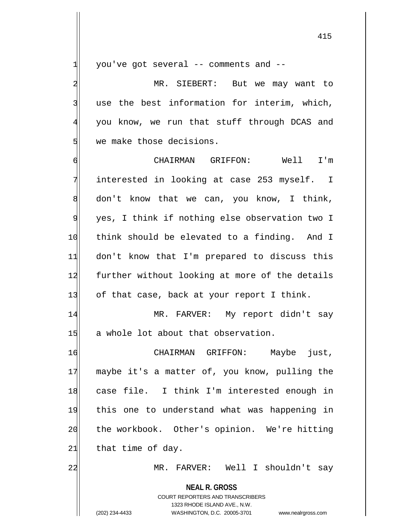$1$  you've got several -- comments and --

2 MR. SIEBERT: But we may want to 3 use the best information for interim, which, 4 you know, we run that stuff through DCAS and 5 we make those decisions.

6 CHAIRMAN GRIFFON: Well I'm 7 interested in looking at case 253 myself. I  $8$  don't know that we can, you know, I think, 9 yes, I think if nothing else observation two I 10 think should be elevated to a finding. And I 11 don't know that I'm prepared to discuss this 12 further without looking at more of the details  $13$  of that case, back at your report I think.

14 MR. FARVER: My report didn't say 15 a whole lot about that observation.

16 CHAIRMAN GRIFFON: Maybe just, 17 maybe it's a matter of, you know, pulling the 18 case file. I think I'm interested enough in 19 this one to understand what was happening in 20 the workbook. Other's opinion. We're hitting  $21$  that time of day.

22 MR. FARVER: Well I shouldn't say

**NEAL R. GROSS** COURT REPORTERS AND TRANSCRIBERS 1323 RHODE ISLAND AVE., N.W. (202) 234-4433 WASHINGTON, D.C. 20005-3701 www.nealrgross.com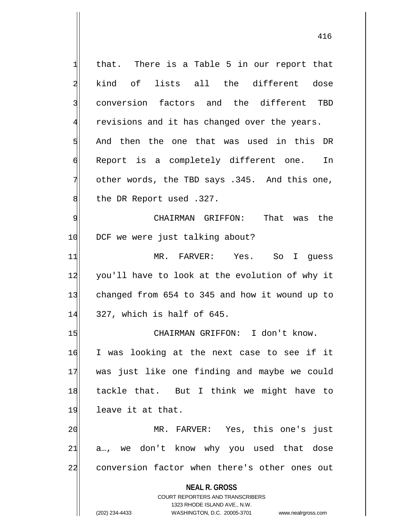**NEAL R. GROSS** COURT REPORTERS AND TRANSCRIBERS 1323 RHODE ISLAND AVE., N.W. (202) 234-4433 WASHINGTON, D.C. 20005-3701 www.nealrgross.com  $1$  that. There is a Table 5 in our report that 2 kind of lists all the different dose 3 conversion factors and the different TBD  $4$  revisions and it has changed over the years. 5 And then the one that was used in this DR 6 Report is a completely different one. In  $7$  other words, the TBD says .345. And this one, 8 the DR Report used .327. 9 CHAIRMAN GRIFFON: That was the 10 DCF we were just talking about? 11 MR. FARVER: Yes. So I guess 12 you'll have to look at the evolution of why it 13 changed from 654 to 345 and how it wound up to  $14$  327, which is half of 645. 15 CHAIRMAN GRIFFON: I don't know. 16 I was looking at the next case to see if it 17 was just like one finding and maybe we could 18 tackle that. But I think we might have to 19 leave it at that. 20 MR. FARVER: Yes, this one's just  $21$  a..., we don't know why you used that dose 22 conversion factor when there's other ones out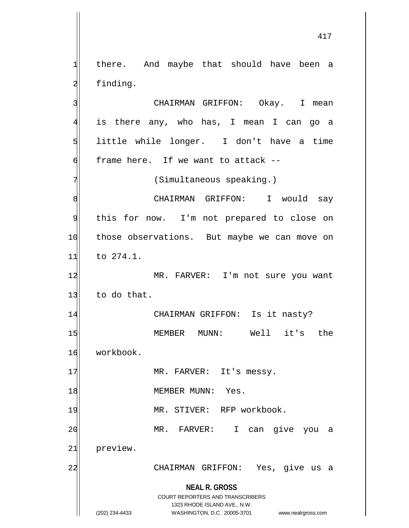$1$  there. And maybe that should have been a 2 finding. 3 | CHAIRMAN GRIFFON: Okay. I mean

4 is there any, who has, I mean I can go a 5 Solutive while longer. I don't have a time  $\mathsf{d}$  frame here. If we want to attack --

7 (Simultaneous speaking.)

8 | CHAIRMAN GRIFFON: I would say 9 this for now. I'm not prepared to close on 10 those observations. But maybe we can move on 11 to 274.1.

12 MR. FARVER: I'm not sure you want  $13$  to do that.

14 CHAIRMAN GRIFFON: Is it nasty? 15 MEMBER MUNN: Well it's the 16 workbook.

17 MR. FARVER: It's messy.

18 MEMBER MUNN: Yes.

19 MR. STIVER: RFP workbook.

20 | MR. FARVER: I can give you a

21 preview.

22 CHAIRMAN GRIFFON: Yes, give us a

**NEAL R. GROSS** COURT REPORTERS AND TRANSCRIBERS

1323 RHODE ISLAND AVE., N.W.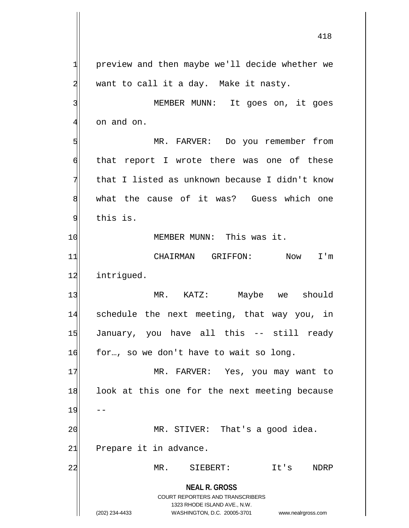**NEAL R. GROSS** COURT REPORTERS AND TRANSCRIBERS 1323 RHODE ISLAND AVE., N.W. (202) 234-4433 WASHINGTON, D.C. 20005-3701 www.nealrgross.com  $1$  preview and then maybe we'll decide whether we  $2$  want to call it a day. Make it nasty. 3<sup>|</sup> MEMBER MUNN: It goes on, it goes  $4$  on and on. 5 | MR. FARVER: Do you remember from 6 that report I wrote there was one of these  $7$  that I listed as unknown because I didn't know 8 what the cause of it was? Guess which one 9 this is. 10 MEMBER MUNN: This was it. 11 CHAIRMAN GRIFFON: Now I'm 12 intriqued. 13 MR. KATZ: Maybe we should 14 schedule the next meeting, that way you, in 15 January, you have all this -- still ready  $16$  for..., so we don't have to wait so long. 17 MR. FARVER: Yes, you may want to 18 look at this one for the next meeting because 19 20 MR. STIVER: That's a good idea.  $21$  Prepare it in advance. 22 MR. SIEBERT: It's NDRP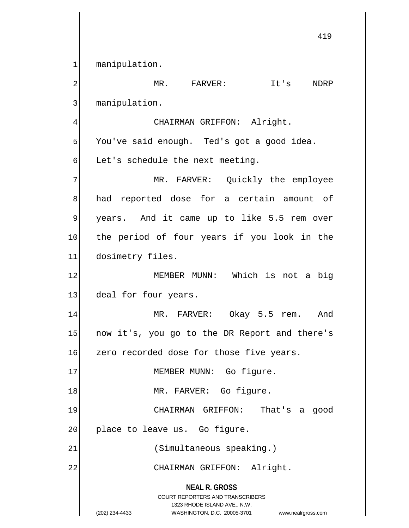1 manipulation.

**NEAL R. GROSS** COURT REPORTERS AND TRANSCRIBERS 1323 RHODE ISLAND AVE., N.W. 2 MR. FARVER: It's NDRP 3 manipulation. 4 CHAIRMAN GRIFFON: Alright. 5 You've said enough. Ted's got a good idea.  $\delta$  Let's schedule the next meeting. 7 MR. FARVER: Quickly the employee 8 had reported dose for a certain amount of 9 years. And it came up to like 5.5 rem over 10 the period of four years if you look in the 11 dosimetry files. 12 MEMBER MUNN: Which is not a big 13 deal for four years. 14 MR. FARVER: Okay 5.5 rem. And 15 now it's, you go to the DR Report and there's 16 zero recorded dose for those five years. 17 | MEMBER MUNN: Go figure. 18 | MR. FARVER: Go figure. 19 CHAIRMAN GRIFFON: That's a good 20 | place to leave us. Go figure. 21 (Simultaneous speaking.) 22 CHAIRMAN GRIFFON: Alright.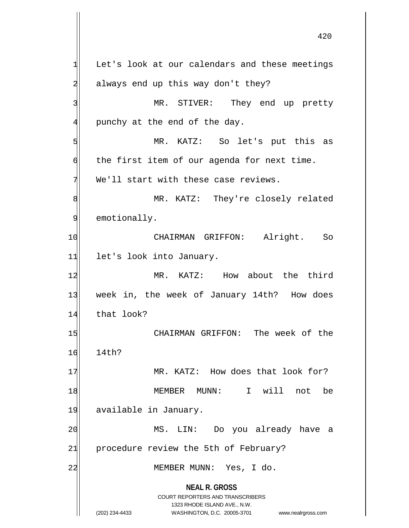**NEAL R. GROSS** COURT REPORTERS AND TRANSCRIBERS 1323 RHODE ISLAND AVE., N.W. (202) 234-4433 WASHINGTON, D.C. 20005-3701 www.nealrgross.com  $1$  Let's look at our calendars and these meetings 2 always end up this way don't they? 3 MR. STIVER: They end up pretty  $4$  punchy at the end of the day. 5 MR. KATZ: So let's put this as  $\left| \cdot \right|$  the first item of our agenda for next time.  $7$  We'll start with these case reviews. 8 MR. KATZ: They're closely related 9 emotionally. 10 CHAIRMAN GRIFFON: Alright. So 11 let's look into January. 12 MR. KATZ: How about the third 13 week in, the week of January 14th? How does 14 that look? 15 | CHAIRMAN GRIFFON: The week of the 16 14th? 17 MR. KATZ: How does that look for? 18 MEMBER MUNN: I will not be 19 available in January. 20 MS. LIN: Do you already have a 21 procedure review the 5th of February? 22 MEMBER MUNN: Yes, I do.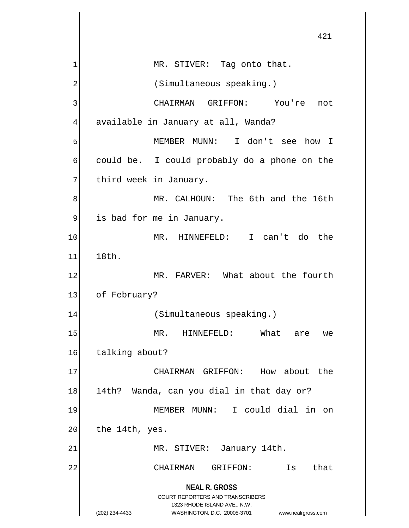**NEAL R. GROSS** COURT REPORTERS AND TRANSCRIBERS 1323 RHODE ISLAND AVE., N.W. (202) 234-4433 WASHINGTON, D.C. 20005-3701 www.nealrgross.com 421  $1$  MR. STIVER: Tag onto that. 2 (Simultaneous speaking.) 3 CHAIRMAN GRIFFON: You're not 4 available in January at all, Wanda? 5 MEMBER MUNN: I don't see how I 6 could be. I could probably do a phone on the 7 Third week in January. 8 MR. CALHOUN: The 6th and the 16th 9 is bad for me in January. 10 MR. HINNEFELD: I can't do the 11 18th. 12 MR. FARVER: What about the fourth 13 of February? 14 (Simultaneous speaking.) 15 MR. HINNEFELD: What are we 16 talking about? 17 CHAIRMAN GRIFFON: How about the 18 14th? Wanda, can you dial in that day or? 19 MEMBER MUNN: I could dial in on  $20$  the 14th, yes. 21| MR. STIVER: January 14th. 22 CHAIRMAN GRIFFON: Is that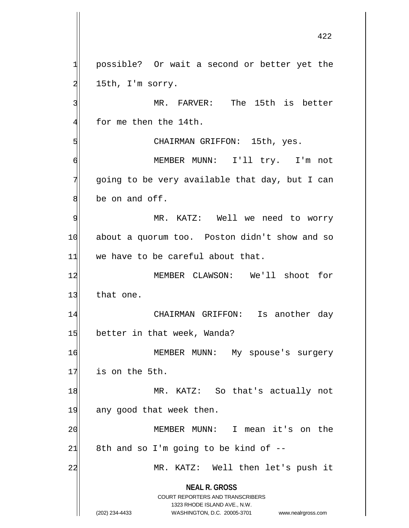**NEAL R. GROSS** COURT REPORTERS AND TRANSCRIBERS 1323 RHODE ISLAND AVE., N.W. (202) 234-4433 WASHINGTON, D.C. 20005-3701 www.nealrgross.com 1 possible? Or wait a second or better yet the  $2$  15th, I'm sorry. 3 MR. FARVER: The 15th is better  $4$  for me then the 14th. 5 S 6 MEMBER MUNN: I'll try. I'm not  $7$  going to be very available that day, but I can 8 be on and off. 9 MR. KATZ: Well we need to worry 10 about a quorum too. Poston didn't show and so  $11$  we have to be careful about that. 12 MEMBER CLAWSON: We'll shoot for 13 that one. 14 CHAIRMAN GRIFFON: Is another day 15 better in that week, Wanda? 16 MEMBER MUNN: My spouse's surgery 17 is on the 5th. 18 MR. KATZ: So that's actually not 19 any good that week then. 20 MEMBER MUNN: I mean it's on the  $21$  8th and so I'm going to be kind of  $-$ 22 MR. KATZ: Well then let's push it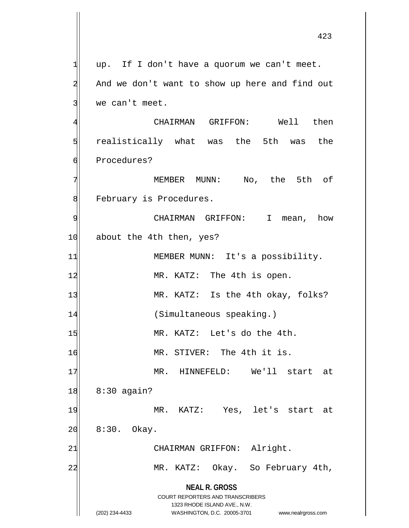**NEAL R. GROSS** COURT REPORTERS AND TRANSCRIBERS 1323 RHODE ISLAND AVE., N.W. (202) 234-4433 WASHINGTON, D.C. 20005-3701 www.nealrgross.com  $1$  up. If I don't have a quorum we can't meet. 2| And we don't want to show up here and find out 3 we can't meet. 4 CHAIRMAN GRIFFON: Well then 5 5 5 5 realistically what was the 5th was the 6 Procedures? 7 MEMBER MUNN: No, the 5th of 8 February is Procedures. 9 CHAIRMAN GRIFFON: I mean, how 10 about the 4th then, yes? 11 MEMBER MUNN: It's a possibility. 12 MR. KATZ: The 4th is open. 13 MR. KATZ: Is the 4th okay, folks? 14 (Simultaneous speaking.) 15 MR. KATZ: Let's do the 4th. 16 MR. STIVER: The 4th it is. 17 MR. HINNEFELD: We'll start at 18 8:30 again? 19 MR. KATZ: Yes, let's start at  $20$  8:30. Okay. 21 CHAIRMAN GRIFFON: Alright. 22 MR. KATZ: Okay. So February 4th,